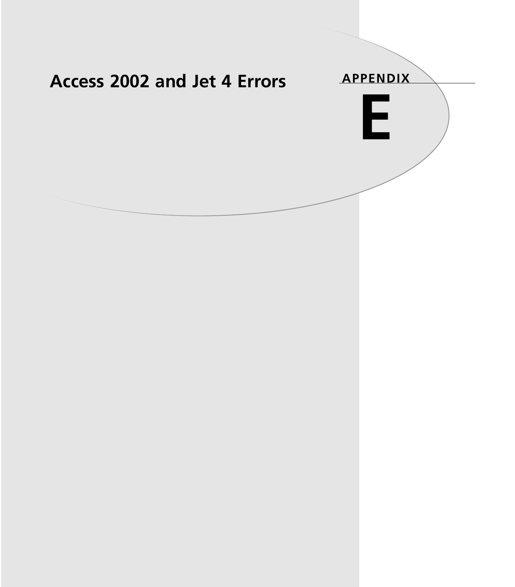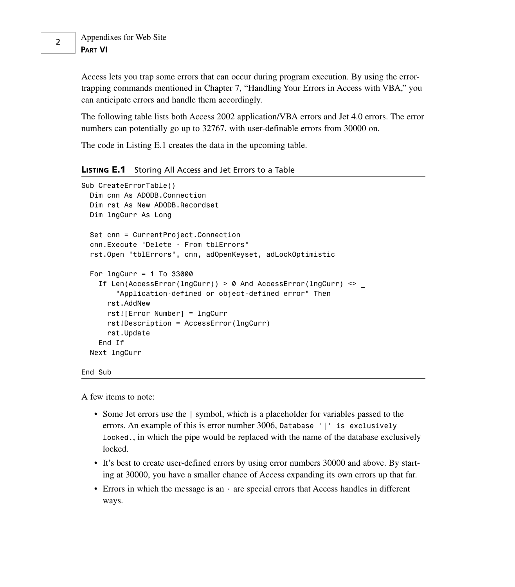Access lets you trap some errors that can occur during program execution. By using the errortrapping commands mentioned in Chapter 7, "Handling Your Errors in Access with VBA," you can anticipate errors and handle them accordingly.

The following table lists both Access 2002 application/VBA errors and Jet 4.0 errors. The error numbers can potentially go up to 32767, with user-definable errors from 30000 on.

The code in Listing E.1 creates the data in the upcoming table.

```
LISTING E.1 Storing All Access and Jet Errors to a Table
```

```
Sub CreateErrorTable()
Dim cnn As ADODB.Connection
Dim rst As New ADODB.Recordset
Dim lngCurr As Long
Set cnn = CurrentProject.Connection
cnn.Execute "Delete • From tblErrors"
 rst.Open "tblErrors", cnn, adOpenKeyset, adLockOptimistic
For lngCurr = 1 To 33000
  If Len(AccessError(lngCurr)) > 0 And AccessError(lngCurr) <> _
       "Application-defined or object-defined error" Then
     rst.AddNew
     rst![Error Number] = lngCurr
     rst!Description = AccessError(lngCurr)
     rst.Update
  End If
Next lngCurr
```

```
End Sub
```
A few items to note:

- Some Jet errors use the *|* symbol, which is a placeholder for variables passed to the errors. An example of this is error number 3006, *Database '|' is exclusively locked.*, in which the pipe would be replaced with the name of the database exclusively locked.
- It's best to create user-defined errors by using error numbers 30000 and above. By starting at 30000, you have a smaller chance of Access expanding its own errors up that far.
- Errors in which the message is an  $\cdot$  are special errors that Access handles in different ways.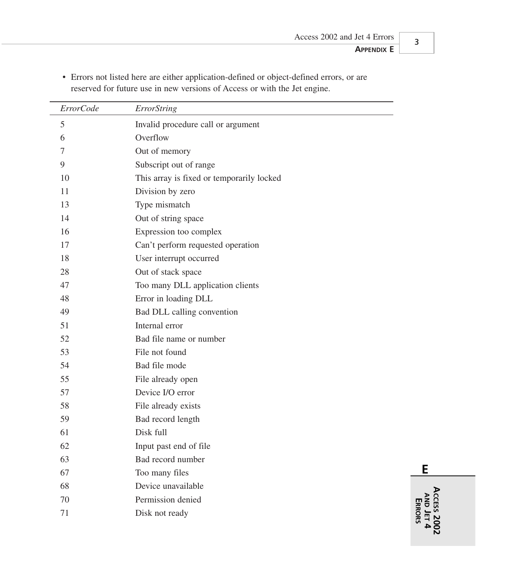| <b>ErrorCode</b> | ErrorString                               |
|------------------|-------------------------------------------|
| 5                | Invalid procedure call or argument        |
| 6                | Overflow                                  |
| 7                | Out of memory                             |
| 9                | Subscript out of range                    |
| 10               | This array is fixed or temporarily locked |
| 11               | Division by zero                          |
| 13               | Type mismatch                             |
| 14               | Out of string space                       |
| 16               | Expression too complex                    |
| 17               | Can't perform requested operation         |
| 18               | User interrupt occurred                   |
| 28               | Out of stack space                        |
| 47               | Too many DLL application clients          |
| 48               | Error in loading DLL                      |
| 49               | Bad DLL calling convention                |
| 51               | Internal error                            |
| 52               | Bad file name or number                   |
| 53               | File not found                            |
| 54               | Bad file mode                             |
| 55               | File already open                         |
| 57               | Device I/O error                          |
| 58               | File already exists                       |
| 59               | Bad record length                         |
| 61               | Disk full                                 |
| 62               | Input past end of file                    |
| 63               | Bad record number                         |
| 67               | Too many files                            |
| 68               | Device unavailable                        |
| 70               | Permission denied                         |
| 71               | Disk not ready                            |

• Errors not listed here are either application-defined or object-defined errors, or are reserved for future use in new versions of Access or with the Jet engine.

> **ACCESS 2002 AND JET 4 ERRORS**

**E**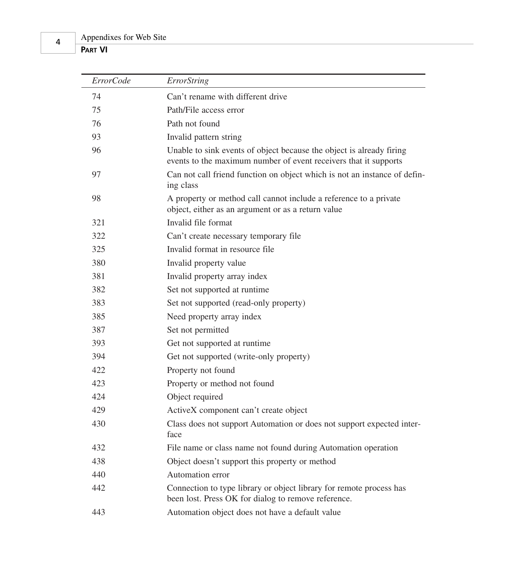| <b>ErrorCode</b> | ErrorString                                                                                                                              |
|------------------|------------------------------------------------------------------------------------------------------------------------------------------|
| 74               | Can't rename with different drive                                                                                                        |
| 75               | Path/File access error                                                                                                                   |
| 76               | Path not found                                                                                                                           |
| 93               | Invalid pattern string                                                                                                                   |
| 96               | Unable to sink events of object because the object is already firing<br>events to the maximum number of event receivers that it supports |
| 97               | Can not call friend function on object which is not an instance of defin-<br>ing class                                                   |
| 98               | A property or method call cannot include a reference to a private<br>object, either as an argument or as a return value                  |
| 321              | Invalid file format                                                                                                                      |
| 322              | Can't create necessary temporary file                                                                                                    |
| 325              | Invalid format in resource file                                                                                                          |
| 380              | Invalid property value                                                                                                                   |
| 381              | Invalid property array index                                                                                                             |
| 382              | Set not supported at runtime                                                                                                             |
| 383              | Set not supported (read-only property)                                                                                                   |
| 385              | Need property array index                                                                                                                |
| 387              | Set not permitted                                                                                                                        |
| 393              | Get not supported at runtime                                                                                                             |
| 394              | Get not supported (write-only property)                                                                                                  |
| 422              | Property not found                                                                                                                       |
| 423              | Property or method not found                                                                                                             |
| 424              | Object required                                                                                                                          |
| 429              | ActiveX component can't create object                                                                                                    |
| 430              | Class does not support Automation or does not support expected inter-<br>face                                                            |
| 432              | File name or class name not found during Automation operation                                                                            |
| 438              | Object doesn't support this property or method                                                                                           |
| 440              | Automation error                                                                                                                         |
| 442              | Connection to type library or object library for remote process has<br>been lost. Press OK for dialog to remove reference.               |
| 443              | Automation object does not have a default value                                                                                          |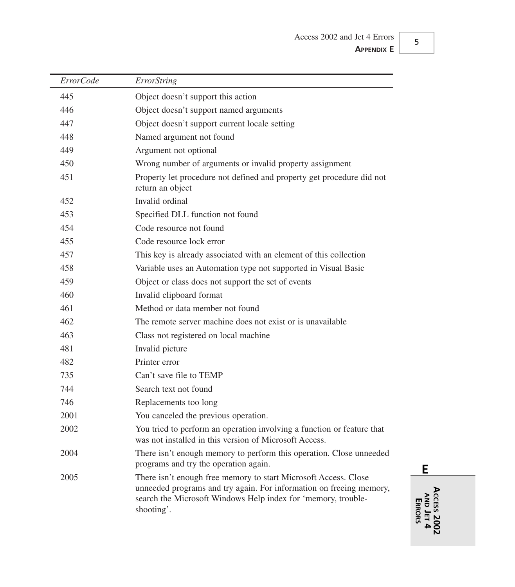| <b>ErrorCode</b> | ErrorString                                                                                                                                                                                                           |
|------------------|-----------------------------------------------------------------------------------------------------------------------------------------------------------------------------------------------------------------------|
| 445              | Object doesn't support this action                                                                                                                                                                                    |
| 446              | Object doesn't support named arguments                                                                                                                                                                                |
| 447              | Object doesn't support current locale setting                                                                                                                                                                         |
| 448              | Named argument not found                                                                                                                                                                                              |
| 449              | Argument not optional                                                                                                                                                                                                 |
| 450              | Wrong number of arguments or invalid property assignment                                                                                                                                                              |
| 451              | Property let procedure not defined and property get procedure did not<br>return an object                                                                                                                             |
| 452              | Invalid ordinal                                                                                                                                                                                                       |
| 453              | Specified DLL function not found                                                                                                                                                                                      |
| 454              | Code resource not found                                                                                                                                                                                               |
| 455              | Code resource lock error                                                                                                                                                                                              |
| 457              | This key is already associated with an element of this collection                                                                                                                                                     |
| 458              | Variable uses an Automation type not supported in Visual Basic                                                                                                                                                        |
| 459              | Object or class does not support the set of events                                                                                                                                                                    |
| 460              | Invalid clipboard format                                                                                                                                                                                              |
| 461              | Method or data member not found                                                                                                                                                                                       |
| 462              | The remote server machine does not exist or is unavailable                                                                                                                                                            |
| 463              | Class not registered on local machine                                                                                                                                                                                 |
| 481              | Invalid picture                                                                                                                                                                                                       |
| 482              | Printer error                                                                                                                                                                                                         |
| 735              | Can't save file to TEMP                                                                                                                                                                                               |
| 744              | Search text not found                                                                                                                                                                                                 |
| 746              | Replacements too long                                                                                                                                                                                                 |
| 2001             | You canceled the previous operation.                                                                                                                                                                                  |
| 2002             | You tried to perform an operation involving a function or feature that<br>was not installed in this version of Microsoft Access.                                                                                      |
| 2004             | There isn't enough memory to perform this operation. Close unneeded<br>programs and try the operation again.                                                                                                          |
| 2005             | There isn't enough free memory to start Microsoft Access. Close<br>unneeded programs and try again. For information on freeing memory,<br>search the Microsoft Windows Help index for 'memory, trouble-<br>shooting'. |

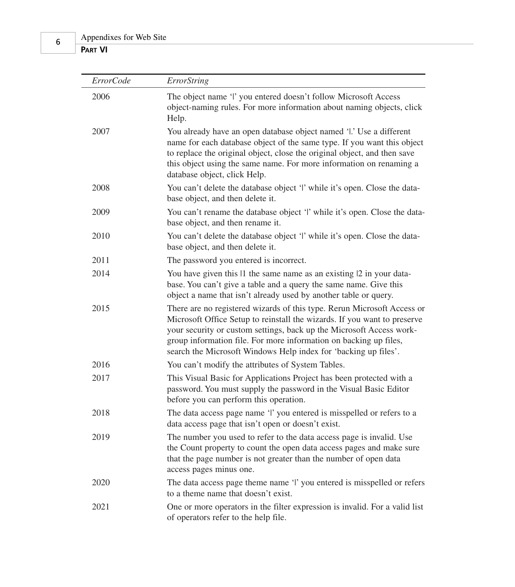| <b>ErrorCode</b> | ErrorString                                                                                                                                                                                                                                                                                                                                                         |
|------------------|---------------------------------------------------------------------------------------------------------------------------------------------------------------------------------------------------------------------------------------------------------------------------------------------------------------------------------------------------------------------|
| 2006             | The object name 'l' you entered doesn't follow Microsoft Access<br>object-naming rules. For more information about naming objects, click<br>Help.                                                                                                                                                                                                                   |
| 2007             | You already have an open database object named 'l.' Use a different<br>name for each database object of the same type. If you want this object<br>to replace the original object, close the original object, and then save<br>this object using the same name. For more information on renaming a<br>database object, click Help.                                   |
| 2008             | You can't delete the database object 'l' while it's open. Close the data-<br>base object, and then delete it.                                                                                                                                                                                                                                                       |
| 2009             | You can't rename the database object 'l' while it's open. Close the data-<br>base object, and then rename it.                                                                                                                                                                                                                                                       |
| 2010             | You can't delete the database object 'l' while it's open. Close the data-<br>base object, and then delete it.                                                                                                                                                                                                                                                       |
| 2011             | The password you entered is incorrect.                                                                                                                                                                                                                                                                                                                              |
| 2014             | You have given this 11 the same name as an existing 12 in your data-<br>base. You can't give a table and a query the same name. Give this<br>object a name that isn't already used by another table or query.                                                                                                                                                       |
| 2015             | There are no registered wizards of this type. Rerun Microsoft Access or<br>Microsoft Office Setup to reinstall the wizards. If you want to preserve<br>your security or custom settings, back up the Microsoft Access work-<br>group information file. For more information on backing up files,<br>search the Microsoft Windows Help index for 'backing up files'. |
| 2016             | You can't modify the attributes of System Tables.                                                                                                                                                                                                                                                                                                                   |
| 2017             | This Visual Basic for Applications Project has been protected with a<br>password. You must supply the password in the Visual Basic Editor<br>before you can perform this operation.                                                                                                                                                                                 |
| 2018             | The data access page name 'l' you entered is misspelled or refers to a<br>data access page that isn't open or doesn't exist.                                                                                                                                                                                                                                        |
| 2019             | The number you used to refer to the data access page is invalid. Use<br>the Count property to count the open data access pages and make sure<br>that the page number is not greater than the number of open data<br>access pages minus one.                                                                                                                         |
| 2020             | The data access page theme name 'l' you entered is misspelled or refers<br>to a theme name that doesn't exist.                                                                                                                                                                                                                                                      |
| 2021             | One or more operators in the filter expression is invalid. For a valid list<br>of operators refer to the help file.                                                                                                                                                                                                                                                 |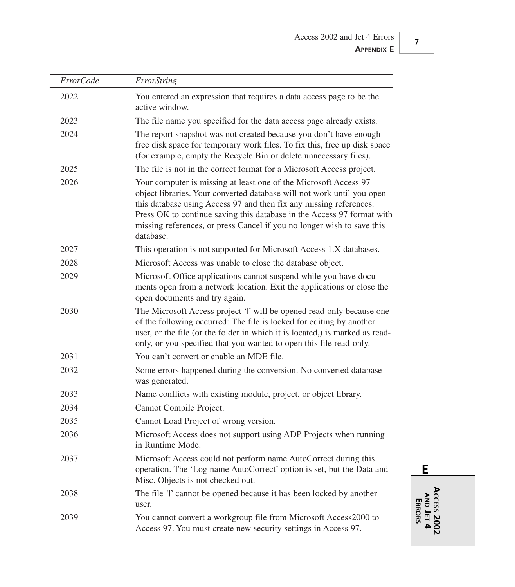| <b>ErrorCode</b> | ErrorString                                                                                                                                                                                                                                                                                                                                                                       |
|------------------|-----------------------------------------------------------------------------------------------------------------------------------------------------------------------------------------------------------------------------------------------------------------------------------------------------------------------------------------------------------------------------------|
| 2022             | You entered an expression that requires a data access page to be the<br>active window.                                                                                                                                                                                                                                                                                            |
| 2023             | The file name you specified for the data access page already exists.                                                                                                                                                                                                                                                                                                              |
| 2024             | The report snapshot was not created because you don't have enough<br>free disk space for temporary work files. To fix this, free up disk space<br>(for example, empty the Recycle Bin or delete unnecessary files).                                                                                                                                                               |
| 2025             | The file is not in the correct format for a Microsoft Access project.                                                                                                                                                                                                                                                                                                             |
| 2026             | Your computer is missing at least one of the Microsoft Access 97<br>object libraries. Your converted database will not work until you open<br>this database using Access 97 and then fix any missing references.<br>Press OK to continue saving this database in the Access 97 format with<br>missing references, or press Cancel if you no longer wish to save this<br>database. |
| 2027             | This operation is not supported for Microsoft Access 1.X databases.                                                                                                                                                                                                                                                                                                               |
| 2028             | Microsoft Access was unable to close the database object.                                                                                                                                                                                                                                                                                                                         |
| 2029             | Microsoft Office applications cannot suspend while you have docu-<br>ments open from a network location. Exit the applications or close the<br>open documents and try again.                                                                                                                                                                                                      |
| 2030             | The Microsoft Access project 'l' will be opened read-only because one<br>of the following occurred: The file is locked for editing by another<br>user, or the file (or the folder in which it is located,) is marked as read-<br>only, or you specified that you wanted to open this file read-only.                                                                              |
| 2031             | You can't convert or enable an MDE file.                                                                                                                                                                                                                                                                                                                                          |
| 2032             | Some errors happened during the conversion. No converted database<br>was generated.                                                                                                                                                                                                                                                                                               |
| 2033             | Name conflicts with existing module, project, or object library.                                                                                                                                                                                                                                                                                                                  |
| 2034             | Cannot Compile Project.                                                                                                                                                                                                                                                                                                                                                           |
| 2035             | Cannot Load Project of wrong version.                                                                                                                                                                                                                                                                                                                                             |
| 2036             | Microsoft Access does not support using ADP Projects when running<br>in Runtime Mode.                                                                                                                                                                                                                                                                                             |
| 2037             | Microsoft Access could not perform name AutoCorrect during this<br>operation. The 'Log name AutoCorrect' option is set, but the Data and<br>Misc. Objects is not checked out.                                                                                                                                                                                                     |
| 2038             | The file 'l' cannot be opened because it has been locked by another<br>user.                                                                                                                                                                                                                                                                                                      |
| 2039             | You cannot convert a workgroup file from Microsoft Access2000 to<br>Access 97. You must create new security settings in Access 97.                                                                                                                                                                                                                                                |

J.

**E ACCESS 2002 AND JET 4 ERRORS**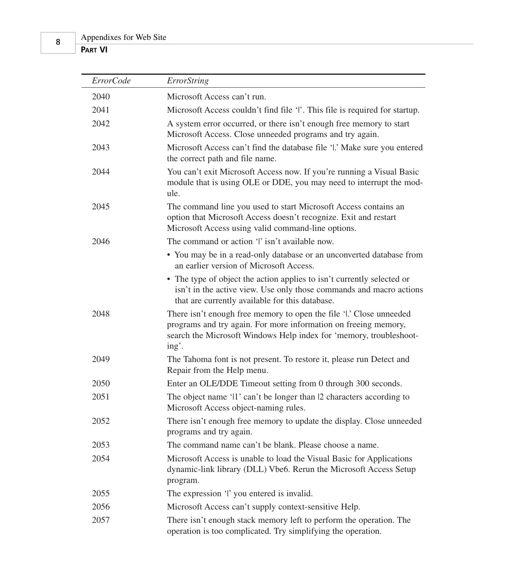| <b>ErrorCode</b> | ErrorString                                                                                                                                                                                                           |
|------------------|-----------------------------------------------------------------------------------------------------------------------------------------------------------------------------------------------------------------------|
| 2040             | Microsoft Access can't run.                                                                                                                                                                                           |
| 2041             | Microsoft Access couldn't find file 'l'. This file is required for startup.                                                                                                                                           |
| 2042             | A system error occurred, or there isn't enough free memory to start<br>Microsoft Access. Close unneeded programs and try again.                                                                                       |
| 2043             | Microsoft Access can't find the database file 'l.' Make sure you entered<br>the correct path and file name.                                                                                                           |
| 2044             | You can't exit Microsoft Access now. If you're running a Visual Basic<br>module that is using OLE or DDE, you may need to interrupt the mod-<br>ule.                                                                  |
| 2045             | The command line you used to start Microsoft Access contains an<br>option that Microsoft Access doesn't recognize. Exit and restart<br>Microsoft Access using valid command-line options.                             |
| 2046             | The command or action 'l' isn't available now.                                                                                                                                                                        |
|                  | • You may be in a read-only database or an unconverted database from<br>an earlier version of Microsoft Access.                                                                                                       |
|                  | • The type of object the action applies to isn't currently selected or<br>isn't in the active view. Use only those commands and macro actions<br>that are currently available for this database.                      |
| 2048             | There isn't enough free memory to open the file 'l.' Close unneeded<br>programs and try again. For more information on freeing memory,<br>search the Microsoft Windows Help index for 'memory, troubleshoot-<br>ing'. |
| 2049             | The Tahoma font is not present. To restore it, please run Detect and<br>Repair from the Help menu.                                                                                                                    |
| 2050             | Enter an OLE/DDE Timeout setting from 0 through 300 seconds.                                                                                                                                                          |
| 2051             | The object name 'll' can't be longer than l2 characters according to<br>Microsoft Access object-naming rules.                                                                                                         |
| 2052             | There isn't enough free memory to update the display. Close unneeded<br>programs and try again.                                                                                                                       |
| 2053             | The command name can't be blank. Please choose a name.                                                                                                                                                                |
| 2054             | Microsoft Access is unable to load the Visual Basic for Applications<br>dynamic-link library (DLL) Vbe6. Rerun the Microsoft Access Setup<br>program.                                                                 |
| 2055             | The expression 'l' you entered is invalid.                                                                                                                                                                            |
| 2056             | Microsoft Access can't supply context-sensitive Help.                                                                                                                                                                 |
| 2057             | There isn't enough stack memory left to perform the operation. The<br>operation is too complicated. Try simplifying the operation.                                                                                    |

 $\overline{\phantom{0}}$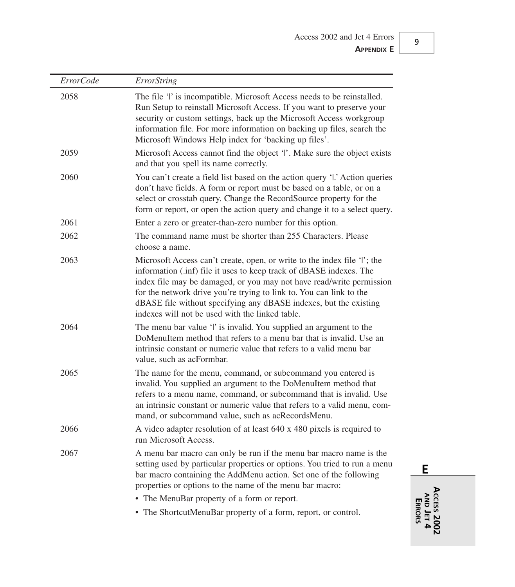| <b>ErrorCode</b> | ErrorString                                                                                                                                                                                                                                                                                                                                                                                                            |
|------------------|------------------------------------------------------------------------------------------------------------------------------------------------------------------------------------------------------------------------------------------------------------------------------------------------------------------------------------------------------------------------------------------------------------------------|
| 2058             | The file 'l' is incompatible. Microsoft Access needs to be reinstalled.<br>Run Setup to reinstall Microsoft Access. If you want to preserve your<br>security or custom settings, back up the Microsoft Access workgroup<br>information file. For more information on backing up files, search the<br>Microsoft Windows Help index for 'backing up files'.                                                              |
| 2059             | Microsoft Access cannot find the object 'l'. Make sure the object exists<br>and that you spell its name correctly.                                                                                                                                                                                                                                                                                                     |
| 2060             | You can't create a field list based on the action query 'l.' Action queries<br>don't have fields. A form or report must be based on a table, or on a<br>select or crosstab query. Change the RecordSource property for the<br>form or report, or open the action query and change it to a select query.                                                                                                                |
| 2061             | Enter a zero or greater-than-zero number for this option.                                                                                                                                                                                                                                                                                                                                                              |
| 2062             | The command name must be shorter than 255 Characters. Please<br>choose a name.                                                                                                                                                                                                                                                                                                                                         |
| 2063             | Microsoft Access can't create, open, or write to the index file 'l'; the<br>information (.inf) file it uses to keep track of dBASE indexes. The<br>index file may be damaged, or you may not have read/write permission<br>for the network drive you're trying to link to. You can link to the<br>dBASE file without specifying any dBASE indexes, but the existing<br>indexes will not be used with the linked table. |
| 2064             | The menu bar value 'l' is invalid. You supplied an argument to the<br>DoMenuItem method that refers to a menu bar that is invalid. Use an<br>intrinsic constant or numeric value that refers to a valid menu bar<br>value, such as acFormbar.                                                                                                                                                                          |
| 2065             | The name for the menu, command, or subcommand you entered is<br>invalid. You supplied an argument to the DoMenuItem method that<br>refers to a menu name, command, or subcommand that is invalid. Use<br>an intrinsic constant or numeric value that refers to a valid menu, com-<br>mand, or subcommand value, such as acRecordsMenu.                                                                                 |
| 2066             | A video adapter resolution of at least 640 x 480 pixels is required to<br>run Microsoft Access.                                                                                                                                                                                                                                                                                                                        |
| 2067             | A menu bar macro can only be run if the menu bar macro name is the<br>setting used by particular properties or options. You tried to run a menu<br>bar macro containing the AddMenu action. Set one of the following<br>properties or options to the name of the menu bar macro:                                                                                                                                       |
|                  | • The MenuBar property of a form or report.                                                                                                                                                                                                                                                                                                                                                                            |
|                  | • The ShortcutMenuBar property of a form, report, or control.                                                                                                                                                                                                                                                                                                                                                          |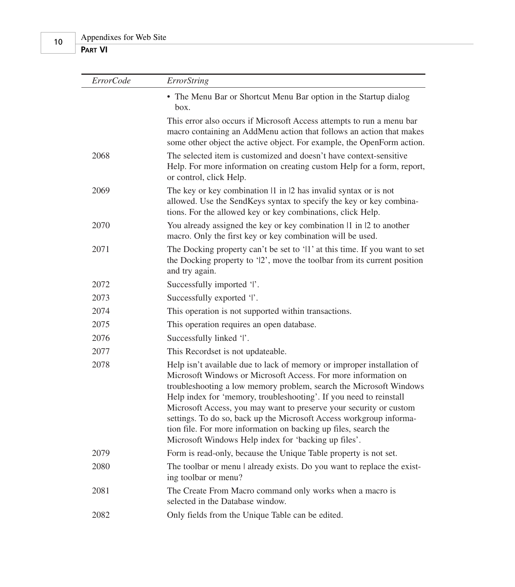| <b>ErrorCode</b> | ErrorString                                                                                                                                                                                                                                                                                                                                                                                                                                                                                                                                                  |
|------------------|--------------------------------------------------------------------------------------------------------------------------------------------------------------------------------------------------------------------------------------------------------------------------------------------------------------------------------------------------------------------------------------------------------------------------------------------------------------------------------------------------------------------------------------------------------------|
|                  | • The Menu Bar or Shortcut Menu Bar option in the Startup dialog<br>hox.                                                                                                                                                                                                                                                                                                                                                                                                                                                                                     |
|                  | This error also occurs if Microsoft Access attempts to run a menu bar<br>macro containing an AddMenu action that follows an action that makes<br>some other object the active object. For example, the OpenForm action.                                                                                                                                                                                                                                                                                                                                      |
| 2068             | The selected item is customized and doesn't have context-sensitive<br>Help. For more information on creating custom Help for a form, report,<br>or control, click Help.                                                                                                                                                                                                                                                                                                                                                                                      |
| 2069             | The key or key combination 11 in 12 has invalid syntax or is not<br>allowed. Use the SendKeys syntax to specify the key or key combina-<br>tions. For the allowed key or key combinations, click Help.                                                                                                                                                                                                                                                                                                                                                       |
| 2070             | You already assigned the key or key combination 11 in 12 to another<br>macro. Only the first key or key combination will be used.                                                                                                                                                                                                                                                                                                                                                                                                                            |
| 2071             | The Docking property can't be set to 'll' at this time. If you want to set<br>the Docking property to 'l2', move the toolbar from its current position<br>and try again.                                                                                                                                                                                                                                                                                                                                                                                     |
| 2072             | Successfully imported 'l'.                                                                                                                                                                                                                                                                                                                                                                                                                                                                                                                                   |
| 2073             | Successfully exported 'l'.                                                                                                                                                                                                                                                                                                                                                                                                                                                                                                                                   |
| 2074             | This operation is not supported within transactions.                                                                                                                                                                                                                                                                                                                                                                                                                                                                                                         |
| 2075             | This operation requires an open database.                                                                                                                                                                                                                                                                                                                                                                                                                                                                                                                    |
| 2076             | Successfully linked 'l'.                                                                                                                                                                                                                                                                                                                                                                                                                                                                                                                                     |
| 2077             | This Recordset is not updateable.                                                                                                                                                                                                                                                                                                                                                                                                                                                                                                                            |
| 2078             | Help isn't available due to lack of memory or improper installation of<br>Microsoft Windows or Microsoft Access. For more information on<br>troubleshooting a low memory problem, search the Microsoft Windows<br>Help index for 'memory, troubleshooting'. If you need to reinstall<br>Microsoft Access, you may want to preserve your security or custom<br>settings. To do so, back up the Microsoft Access workgroup informa-<br>tion file. For more information on backing up files, search the<br>Microsoft Windows Help index for 'backing up files'. |
| 2079             | Form is read-only, because the Unique Table property is not set.                                                                                                                                                                                                                                                                                                                                                                                                                                                                                             |
| 2080             | The toolbar or menu   already exists. Do you want to replace the exist-<br>ing toolbar or menu?                                                                                                                                                                                                                                                                                                                                                                                                                                                              |
| 2081             | The Create From Macro command only works when a macro is<br>selected in the Database window.                                                                                                                                                                                                                                                                                                                                                                                                                                                                 |
| 2082             | Only fields from the Unique Table can be edited.                                                                                                                                                                                                                                                                                                                                                                                                                                                                                                             |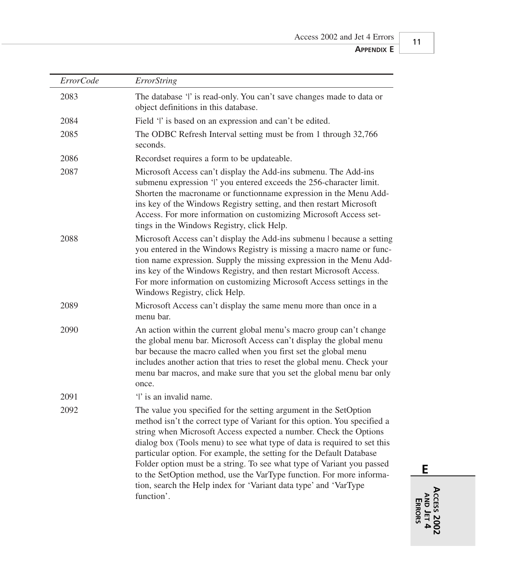| <b>ErrorCode</b> | ErrorString                                                                                                                                                                                                                                                                                                                                                                                                                                                                                                                                                                                                 |
|------------------|-------------------------------------------------------------------------------------------------------------------------------------------------------------------------------------------------------------------------------------------------------------------------------------------------------------------------------------------------------------------------------------------------------------------------------------------------------------------------------------------------------------------------------------------------------------------------------------------------------------|
| 2083             | The database 'l' is read-only. You can't save changes made to data or<br>object definitions in this database.                                                                                                                                                                                                                                                                                                                                                                                                                                                                                               |
| 2084             | Field 'l' is based on an expression and can't be edited.                                                                                                                                                                                                                                                                                                                                                                                                                                                                                                                                                    |
| 2085             | The ODBC Refresh Interval setting must be from 1 through 32,766<br>seconds.                                                                                                                                                                                                                                                                                                                                                                                                                                                                                                                                 |
| 2086             | Recordset requires a form to be updateable.                                                                                                                                                                                                                                                                                                                                                                                                                                                                                                                                                                 |
| 2087             | Microsoft Access can't display the Add-ins submenu. The Add-ins<br>submenu expression 'l' you entered exceeds the 256-character limit.<br>Shorten the macroname or functionname expression in the Menu Add-<br>ins key of the Windows Registry setting, and then restart Microsoft<br>Access. For more information on customizing Microsoft Access set-<br>tings in the Windows Registry, click Help.                                                                                                                                                                                                       |
| 2088             | Microsoft Access can't display the Add-ins submenu   because a setting<br>you entered in the Windows Registry is missing a macro name or func-<br>tion name expression. Supply the missing expression in the Menu Add-<br>ins key of the Windows Registry, and then restart Microsoft Access.<br>For more information on customizing Microsoft Access settings in the<br>Windows Registry, click Help.                                                                                                                                                                                                      |
| 2089             | Microsoft Access can't display the same menu more than once in a<br>menu bar.                                                                                                                                                                                                                                                                                                                                                                                                                                                                                                                               |
| 2090             | An action within the current global menu's macro group can't change<br>the global menu bar. Microsoft Access can't display the global menu<br>bar because the macro called when you first set the global menu<br>includes another action that tries to reset the global menu. Check your<br>menu bar macros, and make sure that you set the global menu bar only<br>once.                                                                                                                                                                                                                                   |
| 2091             | 'l' is an invalid name.                                                                                                                                                                                                                                                                                                                                                                                                                                                                                                                                                                                     |
| 2092             | The value you specified for the setting argument in the SetOption<br>method isn't the correct type of Variant for this option. You specified a<br>string when Microsoft Access expected a number. Check the Options<br>dialog box (Tools menu) to see what type of data is required to set this<br>particular option. For example, the setting for the Default Database<br>Folder option must be a string. To see what type of Variant you passed<br>to the SetOption method, use the VarType function. For more informa-<br>tion, search the Help index for 'Variant data type' and 'VarType<br>function'. |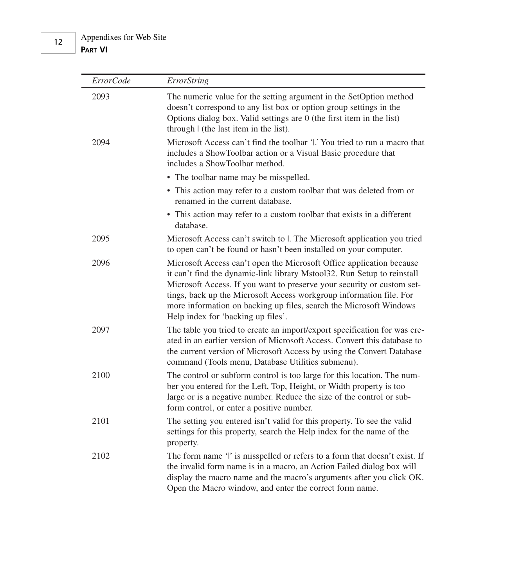| <b>ErrorCode</b> | ErrorString                                                                                                                                                                                                                                                                                                                                                                                                  |
|------------------|--------------------------------------------------------------------------------------------------------------------------------------------------------------------------------------------------------------------------------------------------------------------------------------------------------------------------------------------------------------------------------------------------------------|
| 2093             | The numeric value for the setting argument in the SetOption method<br>doesn't correspond to any list box or option group settings in the<br>Options dialog box. Valid settings are 0 (the first item in the list)<br>through I (the last item in the list).                                                                                                                                                  |
| 2094             | Microsoft Access can't find the toolbar 'l.' You tried to run a macro that<br>includes a ShowToolbar action or a Visual Basic procedure that<br>includes a ShowToolbar method.                                                                                                                                                                                                                               |
|                  | • The toolbar name may be misspelled.                                                                                                                                                                                                                                                                                                                                                                        |
|                  | • This action may refer to a custom toolbar that was deleted from or<br>renamed in the current database.                                                                                                                                                                                                                                                                                                     |
|                  | • This action may refer to a custom toolbar that exists in a different<br>database.                                                                                                                                                                                                                                                                                                                          |
| 2095             | Microsoft Access can't switch to l. The Microsoft application you tried<br>to open can't be found or hasn't been installed on your computer.                                                                                                                                                                                                                                                                 |
| 2096             | Microsoft Access can't open the Microsoft Office application because<br>it can't find the dynamic-link library Mstool32. Run Setup to reinstall<br>Microsoft Access. If you want to preserve your security or custom set-<br>tings, back up the Microsoft Access workgroup information file. For<br>more information on backing up files, search the Microsoft Windows<br>Help index for 'backing up files'. |
| 2097             | The table you tried to create an import/export specification for was cre-<br>ated in an earlier version of Microsoft Access. Convert this database to<br>the current version of Microsoft Access by using the Convert Database<br>command (Tools menu, Database Utilities submenu).                                                                                                                          |
| 2100             | The control or subform control is too large for this location. The num-<br>ber you entered for the Left, Top, Height, or Width property is too<br>large or is a negative number. Reduce the size of the control or sub-<br>form control, or enter a positive number.                                                                                                                                         |
| 2101             | The setting you entered isn't valid for this property. To see the valid<br>settings for this property, search the Help index for the name of the<br>property.                                                                                                                                                                                                                                                |
| 2102             | The form name 'l' is misspelled or refers to a form that doesn't exist. If<br>the invalid form name is in a macro, an Action Failed dialog box will<br>display the macro name and the macro's arguments after you click OK.<br>Open the Macro window, and enter the correct form name.                                                                                                                       |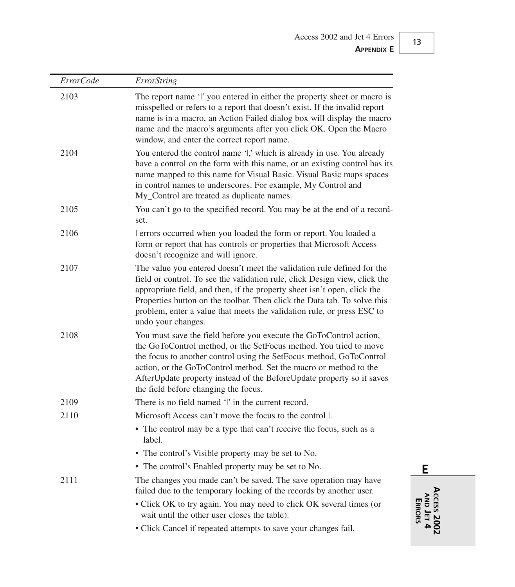| <b>ErrorCode</b> | ErrorString                                                                                                                                                                                                                                                                                                                                                                                                  |
|------------------|--------------------------------------------------------------------------------------------------------------------------------------------------------------------------------------------------------------------------------------------------------------------------------------------------------------------------------------------------------------------------------------------------------------|
| 2103             | The report name 'l' you entered in either the property sheet or macro is<br>misspelled or refers to a report that doesn't exist. If the invalid report<br>name is in a macro, an Action Failed dialog box will display the macro<br>name and the macro's arguments after you click OK. Open the Macro<br>window, and enter the correct report name.                                                          |
| 2104             | You entered the control name 'l,' which is already in use. You already<br>have a control on the form with this name, or an existing control has its<br>name mapped to this name for Visual Basic. Visual Basic maps spaces<br>in control names to underscores. For example, My Control and<br>My_Control are treated as duplicate names.                                                                     |
| 2105             | You can't go to the specified record. You may be at the end of a record-<br>set.                                                                                                                                                                                                                                                                                                                             |
| 2106             | I errors occurred when you loaded the form or report. You loaded a<br>form or report that has controls or properties that Microsoft Access<br>doesn't recognize and will ignore.                                                                                                                                                                                                                             |
| 2107             | The value you entered doesn't meet the validation rule defined for the<br>field or control. To see the validation rule, click Design view, click the<br>appropriate field, and then, if the property sheet isn't open, click the<br>Properties button on the toolbar. Then click the Data tab. To solve this<br>problem, enter a value that meets the validation rule, or press ESC to<br>undo your changes. |
| 2108             | You must save the field before you execute the GoToControl action,<br>the GoToControl method, or the SetFocus method. You tried to move<br>the focus to another control using the SetFocus method, GoToControl<br>action, or the GoToControl method. Set the macro or method to the<br>AfterUpdate property instead of the BeforeUpdate property so it saves<br>the field before changing the focus.         |
| 2109             | There is no field named ' <i>l</i> ' in the current record.                                                                                                                                                                                                                                                                                                                                                  |
| 2110             | Microsoft Access can't move the focus to the control .                                                                                                                                                                                                                                                                                                                                                       |
|                  | • The control may be a type that can't receive the focus, such as a<br>label.                                                                                                                                                                                                                                                                                                                                |
|                  | • The control's Visible property may be set to No.                                                                                                                                                                                                                                                                                                                                                           |
|                  | • The control's Enabled property may be set to No.                                                                                                                                                                                                                                                                                                                                                           |
| 2111             | The changes you made can't be saved. The save operation may have<br>failed due to the temporary locking of the records by another user.                                                                                                                                                                                                                                                                      |
|                  | • Click OK to try again. You may need to click OK several times (or<br>wait until the other user closes the table).                                                                                                                                                                                                                                                                                          |
|                  | • Click Cancel if repeated attempts to save your changes fail.                                                                                                                                                                                                                                                                                                                                               |

 $\equiv$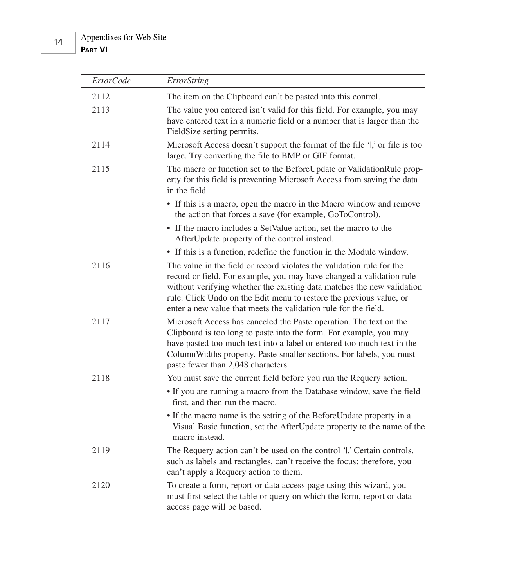| <b>ErrorCode</b> | ErrorString                                                                                                                                                                                                                                                                                                                                                       |
|------------------|-------------------------------------------------------------------------------------------------------------------------------------------------------------------------------------------------------------------------------------------------------------------------------------------------------------------------------------------------------------------|
| 2112             | The item on the Clipboard can't be pasted into this control.                                                                                                                                                                                                                                                                                                      |
| 2113             | The value you entered isn't valid for this field. For example, you may<br>have entered text in a numeric field or a number that is larger than the<br>FieldSize setting permits.                                                                                                                                                                                  |
| 2114             | Microsoft Access doesn't support the format of the file 'l,' or file is too<br>large. Try converting the file to BMP or GIF format.                                                                                                                                                                                                                               |
| 2115             | The macro or function set to the BeforeUpdate or ValidationRule prop-<br>erty for this field is preventing Microsoft Access from saving the data<br>in the field.                                                                                                                                                                                                 |
|                  | • If this is a macro, open the macro in the Macro window and remove<br>the action that forces a save (for example, GoToControl).                                                                                                                                                                                                                                  |
|                  | • If the macro includes a SetValue action, set the macro to the<br>AfterUpdate property of the control instead.                                                                                                                                                                                                                                                   |
|                  | • If this is a function, redefine the function in the Module window.                                                                                                                                                                                                                                                                                              |
| 2116             | The value in the field or record violates the validation rule for the<br>record or field. For example, you may have changed a validation rule<br>without verifying whether the existing data matches the new validation<br>rule. Click Undo on the Edit menu to restore the previous value, or<br>enter a new value that meets the validation rule for the field. |
| 2117             | Microsoft Access has canceled the Paste operation. The text on the<br>Clipboard is too long to paste into the form. For example, you may<br>have pasted too much text into a label or entered too much text in the<br>Column Widths property. Paste smaller sections. For labels, you must<br>paste fewer than 2,048 characters.                                  |
| 2118             | You must save the current field before you run the Requery action.                                                                                                                                                                                                                                                                                                |
|                  | • If you are running a macro from the Database window, save the field<br>first, and then run the macro.                                                                                                                                                                                                                                                           |
|                  | • If the macro name is the setting of the BeforeUpdate property in a<br>Visual Basic function, set the AfterUpdate property to the name of the<br>macro instead.                                                                                                                                                                                                  |
| 2119             | The Requery action can't be used on the control 'l.' Certain controls,<br>such as labels and rectangles, can't receive the focus; therefore, you<br>can't apply a Requery action to them.                                                                                                                                                                         |
| 2120             | To create a form, report or data access page using this wizard, you<br>must first select the table or query on which the form, report or data<br>access page will be based.                                                                                                                                                                                       |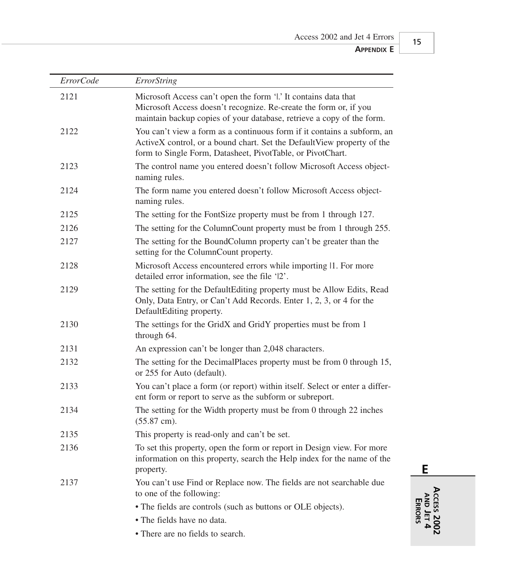**E**

**AND JET 4 ERRORS** **ACCESS**

| <b>ErrorCode</b> | ErrorString                                                                                                                                                                                                     |
|------------------|-----------------------------------------------------------------------------------------------------------------------------------------------------------------------------------------------------------------|
| 2121             | Microsoft Access can't open the form 'l.' It contains data that<br>Microsoft Access doesn't recognize. Re-create the form or, if you<br>maintain backup copies of your database, retrieve a copy of the form.   |
| 2122             | You can't view a form as a continuous form if it contains a subform, an<br>ActiveX control, or a bound chart. Set the DefaultView property of the<br>form to Single Form, Datasheet, PivotTable, or PivotChart. |
| 2123             | The control name you entered doesn't follow Microsoft Access object-<br>naming rules.                                                                                                                           |
| 2124             | The form name you entered doesn't follow Microsoft Access object-<br>naming rules.                                                                                                                              |
| 2125             | The setting for the FontSize property must be from 1 through 127.                                                                                                                                               |
| 2126             | The setting for the ColumnCount property must be from 1 through 255.                                                                                                                                            |
| 2127             | The setting for the BoundColumn property can't be greater than the<br>setting for the ColumnCount property.                                                                                                     |
| 2128             | Microsoft Access encountered errors while importing 11. For more<br>detailed error information, see the file ' 2'.                                                                                              |
| 2129             | The setting for the DefaultEditing property must be Allow Edits, Read<br>Only, Data Entry, or Can't Add Records. Enter 1, 2, 3, or 4 for the<br>DefaultEditing property.                                        |
| 2130             | The settings for the GridX and GridY properties must be from 1<br>through 64.                                                                                                                                   |
| 2131             | An expression can't be longer than 2,048 characters.                                                                                                                                                            |
| 2132             | The setting for the DecimalPlaces property must be from 0 through 15,<br>or 255 for Auto (default).                                                                                                             |
| 2133             | You can't place a form (or report) within itself. Select or enter a differ-<br>ent form or report to serve as the subform or subreport.                                                                         |
| 2134             | The setting for the Width property must be from 0 through 22 inches<br>$(55.87 \text{ cm}).$                                                                                                                    |
| 2135             | This property is read-only and can't be set.                                                                                                                                                                    |
| 2136             | To set this property, open the form or report in Design view. For more<br>information on this property, search the Help index for the name of the<br>property.                                                  |
| 2137             | You can't use Find or Replace now. The fields are not searchable due<br>to one of the following:                                                                                                                |
|                  | • The fields are controls (such as buttons or OLE objects).                                                                                                                                                     |
|                  | • The fields have no data.                                                                                                                                                                                      |
|                  | • There are no fields to search.                                                                                                                                                                                |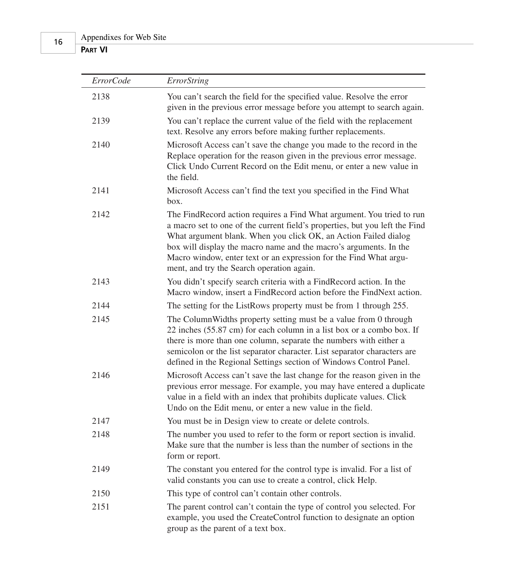| <b>ErrorCode</b> | ErrorString                                                                                                                                                                                                                                                                                                                                                                                                    |
|------------------|----------------------------------------------------------------------------------------------------------------------------------------------------------------------------------------------------------------------------------------------------------------------------------------------------------------------------------------------------------------------------------------------------------------|
| 2138             | You can't search the field for the specified value. Resolve the error<br>given in the previous error message before you attempt to search again.                                                                                                                                                                                                                                                               |
| 2139             | You can't replace the current value of the field with the replacement<br>text. Resolve any errors before making further replacements.                                                                                                                                                                                                                                                                          |
| 2140             | Microsoft Access can't save the change you made to the record in the<br>Replace operation for the reason given in the previous error message.<br>Click Undo Current Record on the Edit menu, or enter a new value in<br>the field.                                                                                                                                                                             |
| 2141             | Microsoft Access can't find the text you specified in the Find What<br>box.                                                                                                                                                                                                                                                                                                                                    |
| 2142             | The FindRecord action requires a Find What argument. You tried to run<br>a macro set to one of the current field's properties, but you left the Find<br>What argument blank. When you click OK, an Action Failed dialog<br>box will display the macro name and the macro's arguments. In the<br>Macro window, enter text or an expression for the Find What argu-<br>ment, and try the Search operation again. |
| 2143             | You didn't specify search criteria with a FindRecord action. In the<br>Macro window, insert a FindRecord action before the FindNext action.                                                                                                                                                                                                                                                                    |
| 2144             | The setting for the ListRows property must be from 1 through 255.                                                                                                                                                                                                                                                                                                                                              |
| 2145             | The Column Widths property setting must be a value from 0 through<br>22 inches (55.87 cm) for each column in a list box or a combo box. If<br>there is more than one column, separate the numbers with either a<br>semicolon or the list separator character. List separator characters are<br>defined in the Regional Settings section of Windows Control Panel.                                              |
| 2146             | Microsoft Access can't save the last change for the reason given in the<br>previous error message. For example, you may have entered a duplicate<br>value in a field with an index that prohibits duplicate values. Click<br>Undo on the Edit menu, or enter a new value in the field.                                                                                                                         |
| 2147             | You must be in Design view to create or delete controls.                                                                                                                                                                                                                                                                                                                                                       |
| 2148             | The number you used to refer to the form or report section is invalid.<br>Make sure that the number is less than the number of sections in the<br>form or report.                                                                                                                                                                                                                                              |
| 2149             | The constant you entered for the control type is invalid. For a list of<br>valid constants you can use to create a control, click Help.                                                                                                                                                                                                                                                                        |
| 2150             | This type of control can't contain other controls.                                                                                                                                                                                                                                                                                                                                                             |
| 2151             | The parent control can't contain the type of control you selected. For<br>example, you used the CreateControl function to designate an option<br>group as the parent of a text box.                                                                                                                                                                                                                            |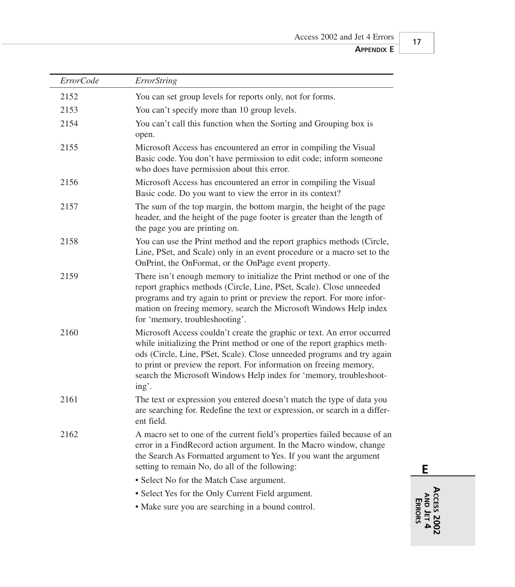| <b>ErrorCode</b> | ErrorString                                                                                                                                                                                                                                                                                                                                                                       |
|------------------|-----------------------------------------------------------------------------------------------------------------------------------------------------------------------------------------------------------------------------------------------------------------------------------------------------------------------------------------------------------------------------------|
| 2152             | You can set group levels for reports only, not for forms.                                                                                                                                                                                                                                                                                                                         |
| 2153             | You can't specify more than 10 group levels.                                                                                                                                                                                                                                                                                                                                      |
| 2154             | You can't call this function when the Sorting and Grouping box is<br>open.                                                                                                                                                                                                                                                                                                        |
| 2155             | Microsoft Access has encountered an error in compiling the Visual<br>Basic code. You don't have permission to edit code; inform someone<br>who does have permission about this error.                                                                                                                                                                                             |
| 2156             | Microsoft Access has encountered an error in compiling the Visual<br>Basic code. Do you want to view the error in its context?                                                                                                                                                                                                                                                    |
| 2157             | The sum of the top margin, the bottom margin, the height of the page<br>header, and the height of the page footer is greater than the length of<br>the page you are printing on.                                                                                                                                                                                                  |
| 2158             | You can use the Print method and the report graphics methods (Circle,<br>Line, PSet, and Scale) only in an event procedure or a macro set to the<br>OnPrint, the OnFormat, or the OnPage event property.                                                                                                                                                                          |
| 2159             | There isn't enough memory to initialize the Print method or one of the<br>report graphics methods (Circle, Line, PSet, Scale). Close unneeded<br>programs and try again to print or preview the report. For more infor-<br>mation on freeing memory, search the Microsoft Windows Help index<br>for 'memory, troubleshooting'.                                                    |
| 2160             | Microsoft Access couldn't create the graphic or text. An error occurred<br>while initializing the Print method or one of the report graphics meth-<br>ods (Circle, Line, PSet, Scale). Close unneeded programs and try again<br>to print or preview the report. For information on freeing memory,<br>search the Microsoft Windows Help index for 'memory, troubleshoot-<br>ing'. |
| 2161             | The text or expression you entered doesn't match the type of data you<br>are searching for. Redefine the text or expression, or search in a differ-<br>ent field.                                                                                                                                                                                                                 |
| 2162             | A macro set to one of the current field's properties failed because of an<br>error in a FindRecord action argument. In the Macro window, change<br>the Search As Formatted argument to Yes. If you want the argument<br>setting to remain No, do all of the following:                                                                                                            |
|                  | • Select No for the Match Case argument.                                                                                                                                                                                                                                                                                                                                          |
|                  | • Select Yes for the Only Current Field argument.                                                                                                                                                                                                                                                                                                                                 |
|                  | • Make sure you are searching in a bound control.                                                                                                                                                                                                                                                                                                                                 |

l,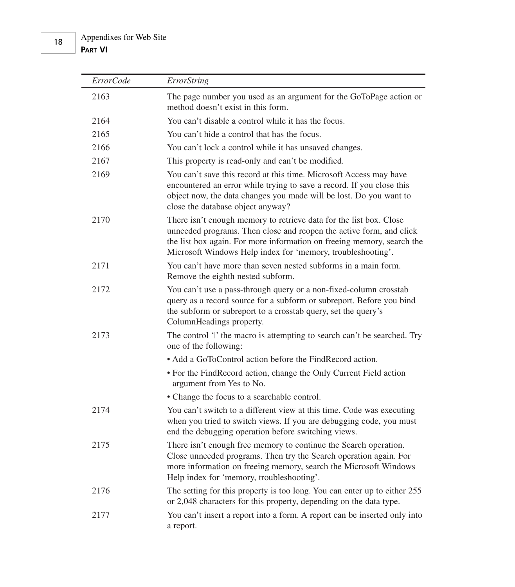$\sim$ 

| <b>ErrorCode</b> | ErrorString                                                                                                                                                                                                                                                                        |
|------------------|------------------------------------------------------------------------------------------------------------------------------------------------------------------------------------------------------------------------------------------------------------------------------------|
| 2163             | The page number you used as an argument for the GoToPage action or<br>method doesn't exist in this form.                                                                                                                                                                           |
| 2164             | You can't disable a control while it has the focus.                                                                                                                                                                                                                                |
| 2165             | You can't hide a control that has the focus.                                                                                                                                                                                                                                       |
| 2166             | You can't lock a control while it has unsaved changes.                                                                                                                                                                                                                             |
| 2167             | This property is read-only and can't be modified.                                                                                                                                                                                                                                  |
| 2169             | You can't save this record at this time. Microsoft Access may have<br>encountered an error while trying to save a record. If you close this<br>object now, the data changes you made will be lost. Do you want to<br>close the database object anyway?                             |
| 2170             | There isn't enough memory to retrieve data for the list box. Close<br>unneeded programs. Then close and reopen the active form, and click<br>the list box again. For more information on freeing memory, search the<br>Microsoft Windows Help index for 'memory, troubleshooting'. |
| 2171             | You can't have more than seven nested subforms in a main form.<br>Remove the eighth nested subform.                                                                                                                                                                                |
| 2172             | You can't use a pass-through query or a non-fixed-column crosstab<br>query as a record source for a subform or subreport. Before you bind<br>the subform or subreport to a crosstab query, set the query's<br>ColumnHeadings property.                                             |
| 2173             | The control 'I' the macro is attempting to search can't be searched. Try<br>one of the following:                                                                                                                                                                                  |
|                  | • Add a GoToControl action before the FindRecord action.                                                                                                                                                                                                                           |
|                  | • For the FindRecord action, change the Only Current Field action<br>argument from Yes to No.                                                                                                                                                                                      |
|                  | • Change the focus to a searchable control.                                                                                                                                                                                                                                        |
| 2174             | You can't switch to a different view at this time. Code was executing<br>when you tried to switch views. If you are debugging code, you must<br>end the debugging operation before switching views.                                                                                |
| 2175             | There isn't enough free memory to continue the Search operation.<br>Close unneeded programs. Then try the Search operation again. For<br>more information on freeing memory, search the Microsoft Windows<br>Help index for 'memory, troubleshooting'.                             |
| 2176             | The setting for this property is too long. You can enter up to either 255<br>or 2,048 characters for this property, depending on the data type.                                                                                                                                    |
| 2177             | You can't insert a report into a form. A report can be inserted only into<br>a report.                                                                                                                                                                                             |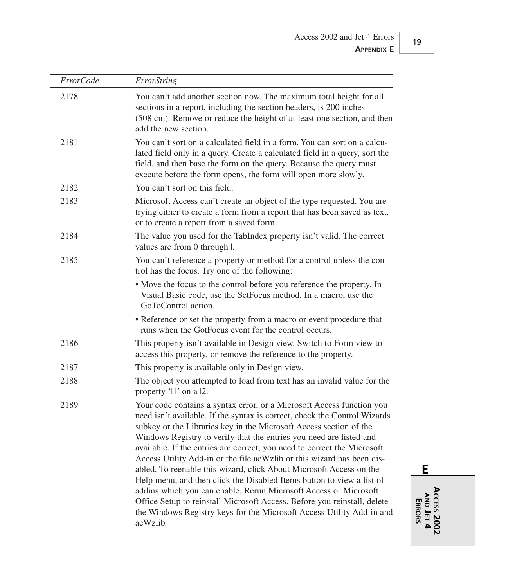| <b>ErrorCode</b> | ErrorString                                                                                                                                                                                                                                                                                                                                                                                                                                                                                                                                                                                                                                                                                                                                                                                                                                |
|------------------|--------------------------------------------------------------------------------------------------------------------------------------------------------------------------------------------------------------------------------------------------------------------------------------------------------------------------------------------------------------------------------------------------------------------------------------------------------------------------------------------------------------------------------------------------------------------------------------------------------------------------------------------------------------------------------------------------------------------------------------------------------------------------------------------------------------------------------------------|
| 2178             | You can't add another section now. The maximum total height for all<br>sections in a report, including the section headers, is 200 inches<br>(508 cm). Remove or reduce the height of at least one section, and then<br>add the new section.                                                                                                                                                                                                                                                                                                                                                                                                                                                                                                                                                                                               |
| 2181             | You can't sort on a calculated field in a form. You can sort on a calcu-<br>lated field only in a query. Create a calculated field in a query, sort the<br>field, and then base the form on the query. Because the query must<br>execute before the form opens, the form will open more slowly.                                                                                                                                                                                                                                                                                                                                                                                                                                                                                                                                            |
| 2182             | You can't sort on this field.                                                                                                                                                                                                                                                                                                                                                                                                                                                                                                                                                                                                                                                                                                                                                                                                              |
| 2183             | Microsoft Access can't create an object of the type requested. You are<br>trying either to create a form from a report that has been saved as text,<br>or to create a report from a saved form.                                                                                                                                                                                                                                                                                                                                                                                                                                                                                                                                                                                                                                            |
| 2184             | The value you used for the TabIndex property isn't valid. The correct<br>values are from 0 through l.                                                                                                                                                                                                                                                                                                                                                                                                                                                                                                                                                                                                                                                                                                                                      |
| 2185             | You can't reference a property or method for a control unless the con-<br>trol has the focus. Try one of the following:                                                                                                                                                                                                                                                                                                                                                                                                                                                                                                                                                                                                                                                                                                                    |
|                  | • Move the focus to the control before you reference the property. In<br>Visual Basic code, use the SetFocus method. In a macro, use the<br>GoToControl action.                                                                                                                                                                                                                                                                                                                                                                                                                                                                                                                                                                                                                                                                            |
|                  | • Reference or set the property from a macro or event procedure that<br>runs when the GotFocus event for the control occurs.                                                                                                                                                                                                                                                                                                                                                                                                                                                                                                                                                                                                                                                                                                               |
| 2186             | This property isn't available in Design view. Switch to Form view to<br>access this property, or remove the reference to the property.                                                                                                                                                                                                                                                                                                                                                                                                                                                                                                                                                                                                                                                                                                     |
| 2187             | This property is available only in Design view.                                                                                                                                                                                                                                                                                                                                                                                                                                                                                                                                                                                                                                                                                                                                                                                            |
| 2188             | The object you attempted to load from text has an invalid value for the<br>property 'll' on a l2.                                                                                                                                                                                                                                                                                                                                                                                                                                                                                                                                                                                                                                                                                                                                          |
| 2189             | Your code contains a syntax error, or a Microsoft Access function you<br>need isn't available. If the syntax is correct, check the Control Wizards<br>subkey or the Libraries key in the Microsoft Access section of the<br>Windows Registry to verify that the entries you need are listed and<br>available. If the entries are correct, you need to correct the Microsoft<br>Access Utility Add-in or the file acWzlib or this wizard has been dis-<br>abled. To reenable this wizard, click About Microsoft Access on the<br>Help menu, and then click the Disabled Items button to view a list of<br>addins which you can enable. Rerun Microsoft Access or Microsoft<br>Office Setup to reinstall Microsoft Access. Before you reinstall, delete<br>the Windows Registry keys for the Microsoft Access Utility Add-in and<br>acWzlib. |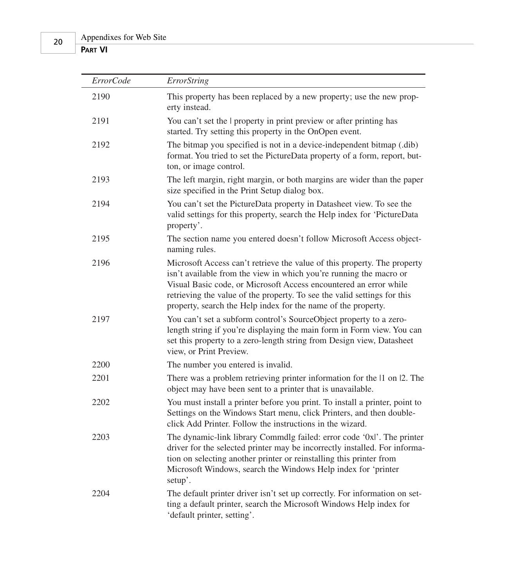| <b>ErrorCode</b> | ErrorString                                                                                                                                                                                                                                                                                                                                                      |
|------------------|------------------------------------------------------------------------------------------------------------------------------------------------------------------------------------------------------------------------------------------------------------------------------------------------------------------------------------------------------------------|
| 2190             | This property has been replaced by a new property; use the new prop-<br>erty instead.                                                                                                                                                                                                                                                                            |
| 2191             | You can't set the I property in print preview or after printing has<br>started. Try setting this property in the OnOpen event.                                                                                                                                                                                                                                   |
| 2192             | The bitmap you specified is not in a device-independent bitmap (.dib)<br>format. You tried to set the PictureData property of a form, report, but-<br>ton, or image control.                                                                                                                                                                                     |
| 2193             | The left margin, right margin, or both margins are wider than the paper<br>size specified in the Print Setup dialog box.                                                                                                                                                                                                                                         |
| 2194             | You can't set the PictureData property in Datasheet view. To see the<br>valid settings for this property, search the Help index for 'PictureData<br>property'.                                                                                                                                                                                                   |
| 2195             | The section name you entered doesn't follow Microsoft Access object-<br>naming rules.                                                                                                                                                                                                                                                                            |
| 2196             | Microsoft Access can't retrieve the value of this property. The property<br>isn't available from the view in which you're running the macro or<br>Visual Basic code, or Microsoft Access encountered an error while<br>retrieving the value of the property. To see the valid settings for this<br>property, search the Help index for the name of the property. |
| 2197             | You can't set a subform control's SourceObject property to a zero-<br>length string if you're displaying the main form in Form view. You can<br>set this property to a zero-length string from Design view, Datasheet<br>view, or Print Preview.                                                                                                                 |
| 2200             | The number you entered is invalid.                                                                                                                                                                                                                                                                                                                               |
| 2201             | There was a problem retrieving printer information for the 11 on 12. The<br>object may have been sent to a printer that is unavailable.                                                                                                                                                                                                                          |
| 2202             | You must install a printer before you print. To install a printer, point to<br>Settings on the Windows Start menu, click Printers, and then double-<br>click Add Printer. Follow the instructions in the wizard.                                                                                                                                                 |
| 2203             | The dynamic-link library Commdlg failed: error code '0xl'. The printer<br>driver for the selected printer may be incorrectly installed. For informa-<br>tion on selecting another printer or reinstalling this printer from<br>Microsoft Windows, search the Windows Help index for 'printer<br>setup'.                                                          |
| 2204             | The default printer driver isn't set up correctly. For information on set-<br>ting a default printer, search the Microsoft Windows Help index for<br>'default printer, setting'.                                                                                                                                                                                 |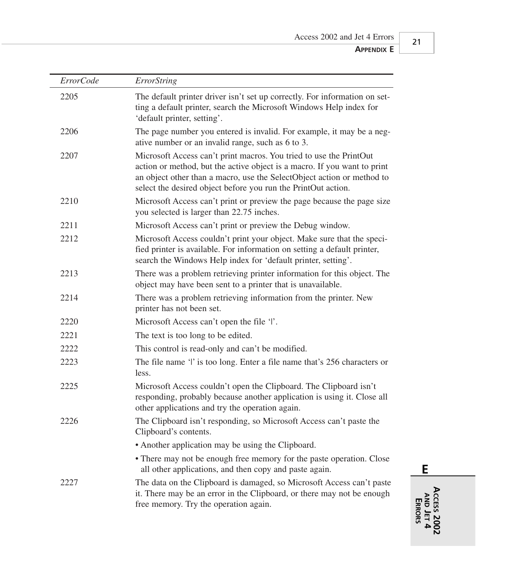| <b>ErrorCode</b> | ErrorString                                                                                                                                                                                                                                                                               |
|------------------|-------------------------------------------------------------------------------------------------------------------------------------------------------------------------------------------------------------------------------------------------------------------------------------------|
| 2205             | The default printer driver isn't set up correctly. For information on set-<br>ting a default printer, search the Microsoft Windows Help index for<br>'default printer, setting'.                                                                                                          |
| 2206             | The page number you entered is invalid. For example, it may be a neg-<br>ative number or an invalid range, such as 6 to 3.                                                                                                                                                                |
| 2207             | Microsoft Access can't print macros. You tried to use the PrintOut<br>action or method, but the active object is a macro. If you want to print<br>an object other than a macro, use the SelectObject action or method to<br>select the desired object before you run the PrintOut action. |
| 2210             | Microsoft Access can't print or preview the page because the page size<br>you selected is larger than 22.75 inches.                                                                                                                                                                       |
| 2211             | Microsoft Access can't print or preview the Debug window.                                                                                                                                                                                                                                 |
| 2212             | Microsoft Access couldn't print your object. Make sure that the speci-<br>fied printer is available. For information on setting a default printer,<br>search the Windows Help index for 'default printer, setting'.                                                                       |
| 2213             | There was a problem retrieving printer information for this object. The<br>object may have been sent to a printer that is unavailable.                                                                                                                                                    |
| 2214             | There was a problem retrieving information from the printer. New<br>printer has not been set.                                                                                                                                                                                             |
| 2220             | Microsoft Access can't open the file 'l'.                                                                                                                                                                                                                                                 |
| 2221             | The text is too long to be edited.                                                                                                                                                                                                                                                        |
| 2222             | This control is read-only and can't be modified.                                                                                                                                                                                                                                          |
| 2223             | The file name 'l' is too long. Enter a file name that's 256 characters or<br>less.                                                                                                                                                                                                        |
| 2225             | Microsoft Access couldn't open the Clipboard. The Clipboard isn't<br>responding, probably because another application is using it. Close all<br>other applications and try the operation again.                                                                                           |
| 2226             | The Clipboard isn't responding, so Microsoft Access can't paste the<br>Clipboard's contents.                                                                                                                                                                                              |
|                  | • Another application may be using the Clipboard.                                                                                                                                                                                                                                         |
|                  | • There may not be enough free memory for the paste operation. Close<br>all other applications, and then copy and paste again.                                                                                                                                                            |
| 2227             | The data on the Clipboard is damaged, so Microsoft Access can't paste<br>it. There may be an error in the Clipboard, or there may not be enough<br>free memory. Try the operation again.                                                                                                  |

L,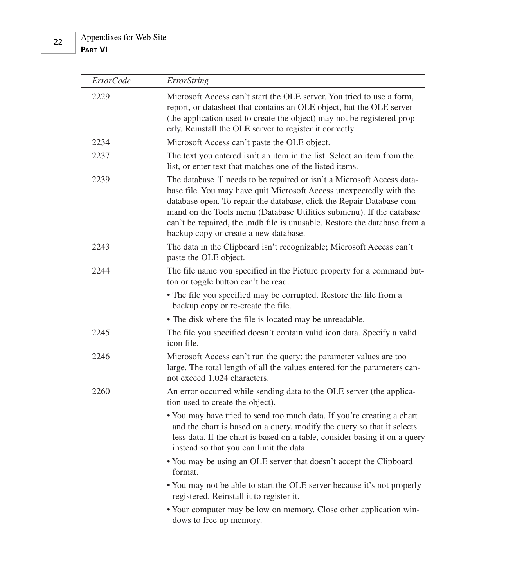| <b>ErrorCode</b> | ErrorString                                                                                                                                                                                                                                                                                                                                                                                                           |
|------------------|-----------------------------------------------------------------------------------------------------------------------------------------------------------------------------------------------------------------------------------------------------------------------------------------------------------------------------------------------------------------------------------------------------------------------|
| 2229             | Microsoft Access can't start the OLE server. You tried to use a form,<br>report, or datasheet that contains an OLE object, but the OLE server<br>(the application used to create the object) may not be registered prop-<br>erly. Reinstall the OLE server to register it correctly.                                                                                                                                  |
| 2234             | Microsoft Access can't paste the OLE object.                                                                                                                                                                                                                                                                                                                                                                          |
| 2237             | The text you entered isn't an item in the list. Select an item from the<br>list, or enter text that matches one of the listed items.                                                                                                                                                                                                                                                                                  |
| 2239             | The database 'l' needs to be repaired or isn't a Microsoft Access data-<br>base file. You may have quit Microsoft Access unexpectedly with the<br>database open. To repair the database, click the Repair Database com-<br>mand on the Tools menu (Database Utilities submenu). If the database<br>can't be repaired, the .mdb file is unusable. Restore the database from a<br>backup copy or create a new database. |
| 2243             | The data in the Clipboard isn't recognizable; Microsoft Access can't<br>paste the OLE object.                                                                                                                                                                                                                                                                                                                         |
| 2244             | The file name you specified in the Picture property for a command but-<br>ton or toggle button can't be read.                                                                                                                                                                                                                                                                                                         |
|                  | • The file you specified may be corrupted. Restore the file from a<br>backup copy or re-create the file.                                                                                                                                                                                                                                                                                                              |
|                  | • The disk where the file is located may be unreadable.                                                                                                                                                                                                                                                                                                                                                               |
| 2245             | The file you specified doesn't contain valid icon data. Specify a valid<br>icon file.                                                                                                                                                                                                                                                                                                                                 |
| 2246             | Microsoft Access can't run the query; the parameter values are too<br>large. The total length of all the values entered for the parameters can-<br>not exceed 1,024 characters.                                                                                                                                                                                                                                       |
| 2260             | An error occurred while sending data to the OLE server (the applica-<br>tion used to create the object).                                                                                                                                                                                                                                                                                                              |
|                  | • You may have tried to send too much data. If you're creating a chart<br>and the chart is based on a query, modify the query so that it selects<br>less data. If the chart is based on a table, consider basing it on a query<br>instead so that you can limit the data.                                                                                                                                             |
|                  | • You may be using an OLE server that doesn't accept the Clipboard<br>format.                                                                                                                                                                                                                                                                                                                                         |
|                  | • You may not be able to start the OLE server because it's not properly<br>registered. Reinstall it to register it.                                                                                                                                                                                                                                                                                                   |
|                  | • Your computer may be low on memory. Close other application win-<br>dows to free up memory.                                                                                                                                                                                                                                                                                                                         |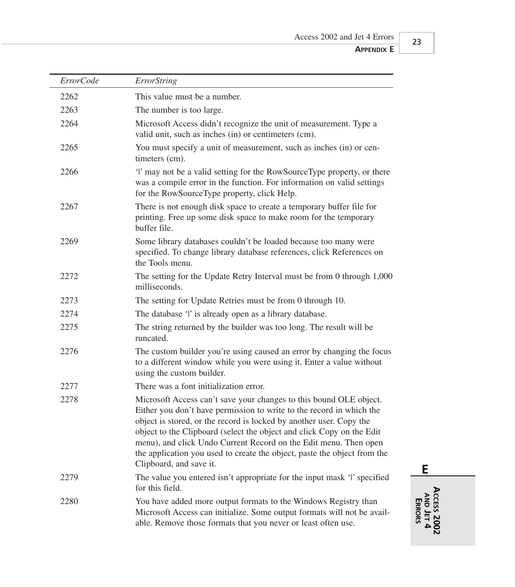| <b>ErrorCode</b> | ErrorString                                                                                                                                                                                                                                                                                                                                                                                                                                                           |
|------------------|-----------------------------------------------------------------------------------------------------------------------------------------------------------------------------------------------------------------------------------------------------------------------------------------------------------------------------------------------------------------------------------------------------------------------------------------------------------------------|
| 2262             | This value must be a number.                                                                                                                                                                                                                                                                                                                                                                                                                                          |
| 2263             | The number is too large.                                                                                                                                                                                                                                                                                                                                                                                                                                              |
| 2264             | Microsoft Access didn't recognize the unit of measurement. Type a<br>valid unit, such as inches (in) or centimeters (cm).                                                                                                                                                                                                                                                                                                                                             |
| 2265             | You must specify a unit of measurement, such as inches (in) or cen-<br>timeters (cm).                                                                                                                                                                                                                                                                                                                                                                                 |
| 2266             | 'i' may not be a valid setting for the RowSourceType property, or there<br>was a compile error in the function. For information on valid settings<br>for the RowSourceType property, click Help.                                                                                                                                                                                                                                                                      |
| 2267             | There is not enough disk space to create a temporary buffer file for<br>printing. Free up some disk space to make room for the temporary<br>buffer file.                                                                                                                                                                                                                                                                                                              |
| 2269             | Some library databases couldn't be loaded because too many were<br>specified. To change library database references, click References on<br>the Tools menu.                                                                                                                                                                                                                                                                                                           |
| 2272             | The setting for the Update Retry Interval must be from 0 through 1,000<br>milliseconds.                                                                                                                                                                                                                                                                                                                                                                               |
| 2273             | The setting for Update Retries must be from 0 through 10.                                                                                                                                                                                                                                                                                                                                                                                                             |
| 2274             | The database 'l' is already open as a library database.                                                                                                                                                                                                                                                                                                                                                                                                               |
| 2275             | The string returned by the builder was too long. The result will be<br>runcated.                                                                                                                                                                                                                                                                                                                                                                                      |
| 2276             | The custom builder you're using caused an error by changing the focus<br>to a different window while you were using it. Enter a value without<br>using the custom builder.                                                                                                                                                                                                                                                                                            |
| 2277             | There was a font initialization error.                                                                                                                                                                                                                                                                                                                                                                                                                                |
| 2278             | Microsoft Access can't save your changes to this bound OLE object.<br>Either you don't have permission to write to the record in which the<br>object is stored, or the record is locked by another user. Copy the<br>object to the Clipboard (select the object and click Copy on the Edit<br>menu), and click Undo Current Record on the Edit menu. Then open<br>the application you used to create the object, paste the object from the<br>Clipboard, and save it. |
| 2279             | The value you entered isn't appropriate for the input mask 'l' specified<br>for this field.                                                                                                                                                                                                                                                                                                                                                                           |
| 2280             | You have added more output formats to the Windows Registry than<br>Microsoft Access can initialize. Some output formats will not be avail-<br>able. Remove those formats that you never or least often use.                                                                                                                                                                                                                                                           |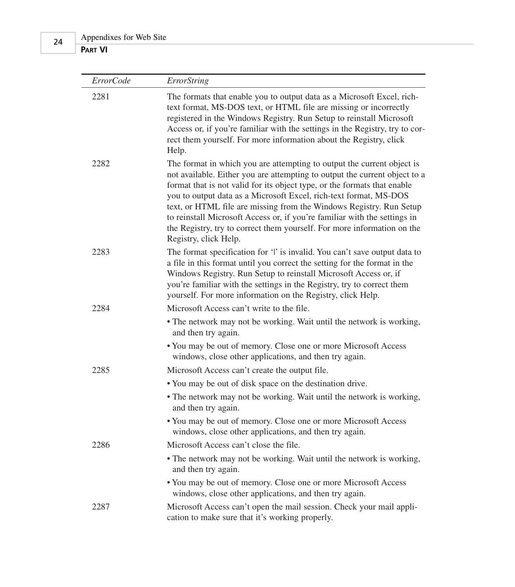| <b>ErrorCode</b> | ErrorString                                                                                                                                                                                                                                                                                                                                                                                                                                                                                                                                                   |
|------------------|---------------------------------------------------------------------------------------------------------------------------------------------------------------------------------------------------------------------------------------------------------------------------------------------------------------------------------------------------------------------------------------------------------------------------------------------------------------------------------------------------------------------------------------------------------------|
| 2281             | The formats that enable you to output data as a Microsoft Excel, rich-<br>text format, MS-DOS text, or HTML file are missing or incorrectly<br>registered in the Windows Registry. Run Setup to reinstall Microsoft<br>Access or, if you're familiar with the settings in the Registry, try to cor-<br>rect them yourself. For more information about the Registry, click<br>Help.                                                                                                                                                                            |
| 2282             | The format in which you are attempting to output the current object is<br>not available. Either you are attempting to output the current object to a<br>format that is not valid for its object type, or the formats that enable<br>you to output data as a Microsoft Excel, rich-text format, MS-DOS<br>text, or HTML file are missing from the Windows Registry. Run Setup<br>to reinstall Microsoft Access or, if you're familiar with the settings in<br>the Registry, try to correct them yourself. For more information on the<br>Registry, click Help. |
| 2283             | The format specification for 'l' is invalid. You can't save output data to<br>a file in this format until you correct the setting for the format in the<br>Windows Registry. Run Setup to reinstall Microsoft Access or, if<br>you're familiar with the settings in the Registry, try to correct them<br>yourself. For more information on the Registry, click Help.                                                                                                                                                                                          |
| 2284             | Microsoft Access can't write to the file.                                                                                                                                                                                                                                                                                                                                                                                                                                                                                                                     |
|                  | • The network may not be working. Wait until the network is working,<br>and then try again.                                                                                                                                                                                                                                                                                                                                                                                                                                                                   |
|                  | • You may be out of memory. Close one or more Microsoft Access<br>windows, close other applications, and then try again.                                                                                                                                                                                                                                                                                                                                                                                                                                      |
| 2285             | Microsoft Access can't create the output file.                                                                                                                                                                                                                                                                                                                                                                                                                                                                                                                |
|                  | • You may be out of disk space on the destination drive.                                                                                                                                                                                                                                                                                                                                                                                                                                                                                                      |
|                  | • The network may not be working. Wait until the network is working,<br>and then try again.                                                                                                                                                                                                                                                                                                                                                                                                                                                                   |
|                  | • You may be out of memory. Close one or more Microsoft Access<br>windows, close other applications, and then try again.                                                                                                                                                                                                                                                                                                                                                                                                                                      |
| 2286             | Microsoft Access can't close the file.                                                                                                                                                                                                                                                                                                                                                                                                                                                                                                                        |
|                  | • The network may not be working. Wait until the network is working,<br>and then try again.                                                                                                                                                                                                                                                                                                                                                                                                                                                                   |
|                  | • You may be out of memory. Close one or more Microsoft Access<br>windows, close other applications, and then try again.                                                                                                                                                                                                                                                                                                                                                                                                                                      |
| 2287             | Microsoft Access can't open the mail session. Check your mail appli-<br>cation to make sure that it's working properly.                                                                                                                                                                                                                                                                                                                                                                                                                                       |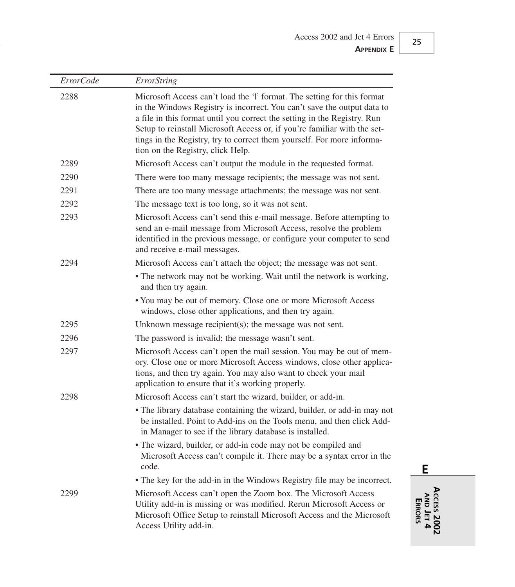| <b>ErrorCode</b> | ErrorString                                                                                                                                                                                                                                                                                                                                                                                                               |
|------------------|---------------------------------------------------------------------------------------------------------------------------------------------------------------------------------------------------------------------------------------------------------------------------------------------------------------------------------------------------------------------------------------------------------------------------|
| 2288             | Microsoft Access can't load the 'l' format. The setting for this format<br>in the Windows Registry is incorrect. You can't save the output data to<br>a file in this format until you correct the setting in the Registry. Run<br>Setup to reinstall Microsoft Access or, if you're familiar with the set-<br>tings in the Registry, try to correct them yourself. For more informa-<br>tion on the Registry, click Help. |
| 2289             | Microsoft Access can't output the module in the requested format.                                                                                                                                                                                                                                                                                                                                                         |
| 2290             | There were too many message recipients; the message was not sent.                                                                                                                                                                                                                                                                                                                                                         |
| 2291             | There are too many message attachments; the message was not sent.                                                                                                                                                                                                                                                                                                                                                         |
| 2292             | The message text is too long, so it was not sent.                                                                                                                                                                                                                                                                                                                                                                         |
| 2293             | Microsoft Access can't send this e-mail message. Before attempting to<br>send an e-mail message from Microsoft Access, resolve the problem<br>identified in the previous message, or configure your computer to send<br>and receive e-mail messages.                                                                                                                                                                      |
| 2294             | Microsoft Access can't attach the object; the message was not sent.                                                                                                                                                                                                                                                                                                                                                       |
|                  | • The network may not be working. Wait until the network is working,<br>and then try again.                                                                                                                                                                                                                                                                                                                               |
|                  | • You may be out of memory. Close one or more Microsoft Access<br>windows, close other applications, and then try again.                                                                                                                                                                                                                                                                                                  |
| 2295             | Unknown message recipient(s); the message was not sent.                                                                                                                                                                                                                                                                                                                                                                   |
| 2296             | The password is invalid; the message wasn't sent.                                                                                                                                                                                                                                                                                                                                                                         |
| 2297             | Microsoft Access can't open the mail session. You may be out of mem-<br>ory. Close one or more Microsoft Access windows, close other applica-<br>tions, and then try again. You may also want to check your mail<br>application to ensure that it's working properly.                                                                                                                                                     |
| 2298             | Microsoft Access can't start the wizard, builder, or add-in.                                                                                                                                                                                                                                                                                                                                                              |
|                  | • The library database containing the wizard, builder, or add-in may not<br>be installed. Point to Add-ins on the Tools menu, and then click Add-<br>in Manager to see if the library database is installed.                                                                                                                                                                                                              |
|                  | • The wizard, builder, or add-in code may not be compiled and<br>Microsoft Access can't compile it. There may be a syntax error in the<br>code.                                                                                                                                                                                                                                                                           |
|                  | • The key for the add-in in the Windows Registry file may be incorrect.                                                                                                                                                                                                                                                                                                                                                   |
| 2299             | Microsoft Access can't open the Zoom box. The Microsoft Access<br>Utility add-in is missing or was modified. Rerun Microsoft Access or<br>Microsoft Office Setup to reinstall Microsoft Access and the Microsoft<br>Access Utility add-in.                                                                                                                                                                                |

 $\overline{\phantom{a}}$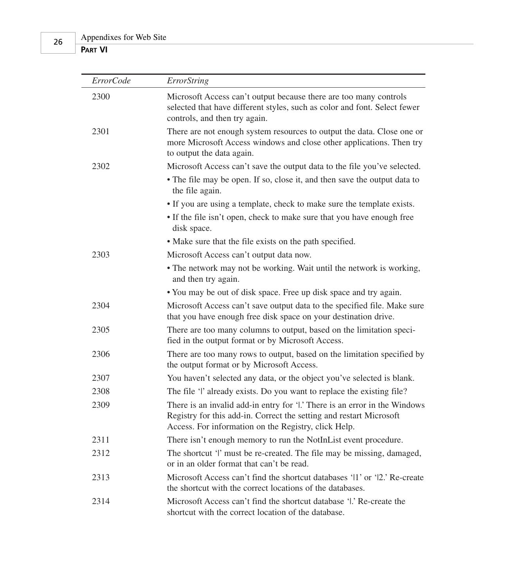| <b>ErrorCode</b> | ErrorString                                                                                                                                                                                               |
|------------------|-----------------------------------------------------------------------------------------------------------------------------------------------------------------------------------------------------------|
| 2300             | Microsoft Access can't output because there are too many controls<br>selected that have different styles, such as color and font. Select fewer<br>controls, and then try again.                           |
| 2301             | There are not enough system resources to output the data. Close one or<br>more Microsoft Access windows and close other applications. Then try<br>to output the data again.                               |
| 2302             | Microsoft Access can't save the output data to the file you've selected.                                                                                                                                  |
|                  | • The file may be open. If so, close it, and then save the output data to<br>the file again.                                                                                                              |
|                  | • If you are using a template, check to make sure the template exists.                                                                                                                                    |
|                  | • If the file isn't open, check to make sure that you have enough free<br>disk space.                                                                                                                     |
|                  | • Make sure that the file exists on the path specified.                                                                                                                                                   |
| 2303             | Microsoft Access can't output data now.                                                                                                                                                                   |
|                  | • The network may not be working. Wait until the network is working,<br>and then try again.                                                                                                               |
|                  | • You may be out of disk space. Free up disk space and try again.                                                                                                                                         |
| 2304             | Microsoft Access can't save output data to the specified file. Make sure<br>that you have enough free disk space on your destination drive.                                                               |
| 2305             | There are too many columns to output, based on the limitation speci-<br>fied in the output format or by Microsoft Access.                                                                                 |
| 2306             | There are too many rows to output, based on the limitation specified by<br>the output format or by Microsoft Access.                                                                                      |
| 2307             | You haven't selected any data, or the object you've selected is blank.                                                                                                                                    |
| 2308             | The file 'l' already exists. Do you want to replace the existing file?                                                                                                                                    |
| 2309             | There is an invalid add-in entry for 'l.' There is an error in the Windows<br>Registry for this add-in. Correct the setting and restart Microsoft<br>Access. For information on the Registry, click Help. |
| 2311             | There isn't enough memory to run the NotInList event procedure.                                                                                                                                           |
| 2312             | The shortcut 'l' must be re-created. The file may be missing, damaged,<br>or in an older format that can't be read.                                                                                       |
| 2313             | Microsoft Access can't find the shortcut databases '11' or '12.' Re-create<br>the shortcut with the correct locations of the databases.                                                                   |
| 2314             | Microsoft Access can't find the shortcut database 'l.' Re-create the<br>shortcut with the correct location of the database.                                                                               |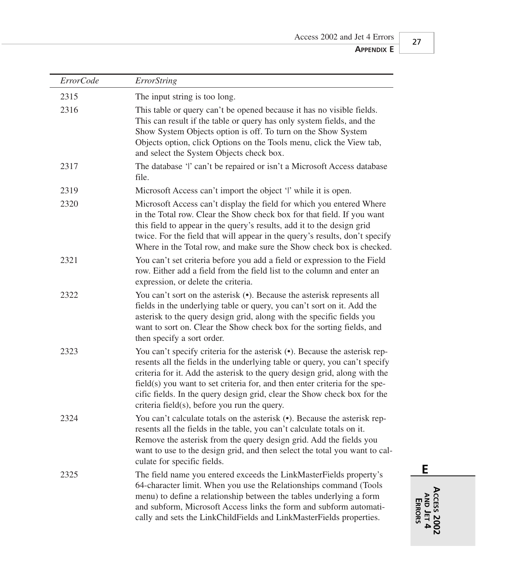| <b>ErrorCode</b> | ErrorString                                                                                                                                                                                                                                                                                                                                                                                                                                                 |
|------------------|-------------------------------------------------------------------------------------------------------------------------------------------------------------------------------------------------------------------------------------------------------------------------------------------------------------------------------------------------------------------------------------------------------------------------------------------------------------|
| 2315             | The input string is too long.                                                                                                                                                                                                                                                                                                                                                                                                                               |
| 2316             | This table or query can't be opened because it has no visible fields.<br>This can result if the table or query has only system fields, and the<br>Show System Objects option is off. To turn on the Show System<br>Objects option, click Options on the Tools menu, click the View tab,<br>and select the System Objects check box.                                                                                                                         |
| 2317             | The database 'l' can't be repaired or isn't a Microsoft Access database<br>file.                                                                                                                                                                                                                                                                                                                                                                            |
| 2319             | Microsoft Access can't import the object 'l' while it is open.                                                                                                                                                                                                                                                                                                                                                                                              |
| 2320             | Microsoft Access can't display the field for which you entered Where<br>in the Total row. Clear the Show check box for that field. If you want<br>this field to appear in the query's results, add it to the design grid<br>twice. For the field that will appear in the query's results, don't specify<br>Where in the Total row, and make sure the Show check box is checked.                                                                             |
| 2321             | You can't set criteria before you add a field or expression to the Field<br>row. Either add a field from the field list to the column and enter an<br>expression, or delete the criteria.                                                                                                                                                                                                                                                                   |
| 2322             | You can't sort on the asterisk (•). Because the asterisk represents all<br>fields in the underlying table or query, you can't sort on it. Add the<br>asterisk to the query design grid, along with the specific fields you<br>want to sort on. Clear the Show check box for the sorting fields, and<br>then specify a sort order.                                                                                                                           |
| 2323             | You can't specify criteria for the asterisk ( $\bullet$ ). Because the asterisk rep-<br>resents all the fields in the underlying table or query, you can't specify<br>criteria for it. Add the asterisk to the query design grid, along with the<br>field(s) you want to set criteria for, and then enter criteria for the spe-<br>cific fields. In the query design grid, clear the Show check box for the<br>criteria field(s), before you run the query. |
| 2324             | You can't calculate totals on the asterisk ( $\bullet$ ). Because the asterisk rep-<br>resents all the fields in the table, you can't calculate totals on it.<br>Remove the asterisk from the query design grid. Add the fields you<br>want to use to the design grid, and then select the total you want to cal-<br>culate for specific fields.                                                                                                            |
| 2325             | The field name you entered exceeds the LinkMasterFields property's<br>64-character limit. When you use the Relationships command (Tools<br>menu) to define a relationship between the tables underlying a form<br>and subform, Microsoft Access links the form and subform automati-<br>cally and sets the LinkChildFields and LinkMasterFields properties.                                                                                                 |

l,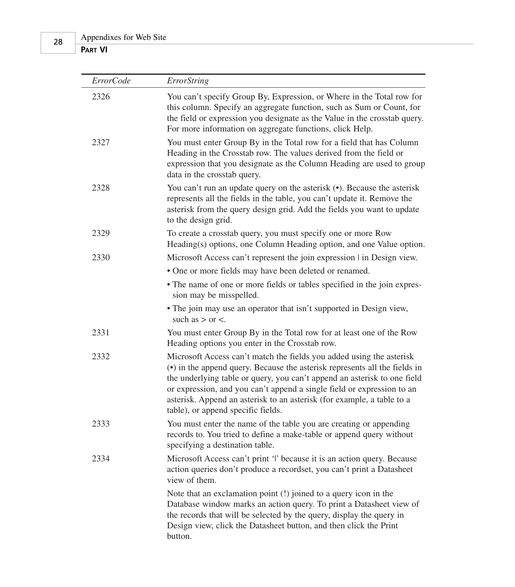| <b>ErrorCode</b> | ErrorString                                                                                                                                                                                                                                                                                                                                                                                                              |
|------------------|--------------------------------------------------------------------------------------------------------------------------------------------------------------------------------------------------------------------------------------------------------------------------------------------------------------------------------------------------------------------------------------------------------------------------|
| 2326             | You can't specify Group By, Expression, or Where in the Total row for<br>this column. Specify an aggregate function, such as Sum or Count, for<br>the field or expression you designate as the Value in the crosstab query.<br>For more information on aggregate functions, click Help.                                                                                                                                  |
| 2327             | You must enter Group By in the Total row for a field that has Column<br>Heading in the Crosstab row. The values derived from the field or<br>expression that you designate as the Column Heading are used to group<br>data in the crosstab query.                                                                                                                                                                        |
| 2328             | You can't run an update query on the asterisk (•). Because the asterisk<br>represents all the fields in the table, you can't update it. Remove the<br>asterisk from the query design grid. Add the fields you want to update<br>to the design grid.                                                                                                                                                                      |
| 2329             | To create a crosstab query, you must specify one or more Row<br>Heading(s) options, one Column Heading option, and one Value option.                                                                                                                                                                                                                                                                                     |
| 2330             | Microsoft Access can't represent the join expression I in Design view.                                                                                                                                                                                                                                                                                                                                                   |
|                  | • One or more fields may have been deleted or renamed.                                                                                                                                                                                                                                                                                                                                                                   |
|                  | • The name of one or more fields or tables specified in the join expres-<br>sion may be misspelled.                                                                                                                                                                                                                                                                                                                      |
|                  | • The join may use an operator that isn't supported in Design view,<br>such as $>$ or $<$ .                                                                                                                                                                                                                                                                                                                              |
| 2331             | You must enter Group By in the Total row for at least one of the Row<br>Heading options you enter in the Crosstab row.                                                                                                                                                                                                                                                                                                   |
| 2332             | Microsoft Access can't match the fields you added using the asterisk<br>(•) in the append query. Because the asterisk represents all the fields in<br>the underlying table or query, you can't append an asterisk to one field<br>or expression, and you can't append a single field or expression to an<br>asterisk. Append an asterisk to an asterisk (for example, a table to a<br>table), or append specific fields. |
| 2333             | You must enter the name of the table you are creating or appending<br>records to. You tried to define a make-table or append query without<br>specifying a destination table.                                                                                                                                                                                                                                            |
| 2334             | Microsoft Access can't print 'l' because it is an action query. Because<br>action queries don't produce a recordset, you can't print a Datasheet<br>view of them.                                                                                                                                                                                                                                                        |
|                  | Note that an exclamation point (!) joined to a query icon in the<br>Database window marks an action query. To print a Datasheet view of<br>the records that will be selected by the query, display the query in<br>Design view, click the Datasheet button, and then click the Print<br>button.                                                                                                                          |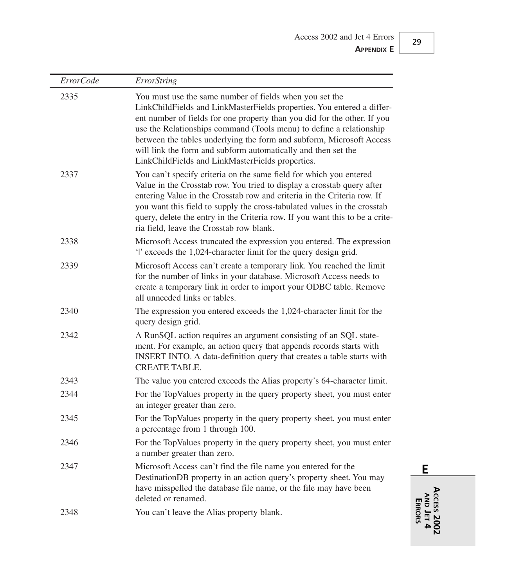| <b>ErrorCode</b> | ErrorString                                                                                                                                                                                                                                                                                                                                                                                                                                                                       |
|------------------|-----------------------------------------------------------------------------------------------------------------------------------------------------------------------------------------------------------------------------------------------------------------------------------------------------------------------------------------------------------------------------------------------------------------------------------------------------------------------------------|
| 2335             | You must use the same number of fields when you set the<br>LinkChildFields and LinkMasterFields properties. You entered a differ-<br>ent number of fields for one property than you did for the other. If you<br>use the Relationships command (Tools menu) to define a relationship<br>between the tables underlying the form and subform, Microsoft Access<br>will link the form and subform automatically and then set the<br>LinkChildFields and LinkMasterFields properties. |
| 2337             | You can't specify criteria on the same field for which you entered<br>Value in the Crosstab row. You tried to display a crosstab query after<br>entering Value in the Crosstab row and criteria in the Criteria row. If<br>you want this field to supply the cross-tabulated values in the crosstab<br>query, delete the entry in the Criteria row. If you want this to be a crite-<br>ria field, leave the Crosstab row blank.                                                   |
| 2338             | Microsoft Access truncated the expression you entered. The expression<br>'l' exceeds the 1,024-character limit for the query design grid.                                                                                                                                                                                                                                                                                                                                         |
| 2339             | Microsoft Access can't create a temporary link. You reached the limit<br>for the number of links in your database. Microsoft Access needs to<br>create a temporary link in order to import your ODBC table. Remove<br>all unneeded links or tables.                                                                                                                                                                                                                               |
| 2340             | The expression you entered exceeds the 1,024-character limit for the<br>query design grid.                                                                                                                                                                                                                                                                                                                                                                                        |
| 2342             | A RunSQL action requires an argument consisting of an SQL state-<br>ment. For example, an action query that appends records starts with<br>INSERT INTO. A data-definition query that creates a table starts with<br><b>CREATE TABLE.</b>                                                                                                                                                                                                                                          |
| 2343             | The value you entered exceeds the Alias property's 64-character limit.                                                                                                                                                                                                                                                                                                                                                                                                            |
| 2344             | For the TopValues property in the query property sheet, you must enter<br>an integer greater than zero.                                                                                                                                                                                                                                                                                                                                                                           |
| 2345             | For the TopValues property in the query property sheet, you must enter<br>a percentage from 1 through 100.                                                                                                                                                                                                                                                                                                                                                                        |
| 2346             | For the TopValues property in the query property sheet, you must enter<br>a number greater than zero.                                                                                                                                                                                                                                                                                                                                                                             |
| 2347             | Microsoft Access can't find the file name you entered for the<br>DestinationDB property in an action query's property sheet. You may<br>have misspelled the database file name, or the file may have been<br>deleted or renamed.                                                                                                                                                                                                                                                  |
| 2348             | You can't leave the Alias property blank.                                                                                                                                                                                                                                                                                                                                                                                                                                         |

L,

**E ACCESS 2002 AND JET 4 ERRORS**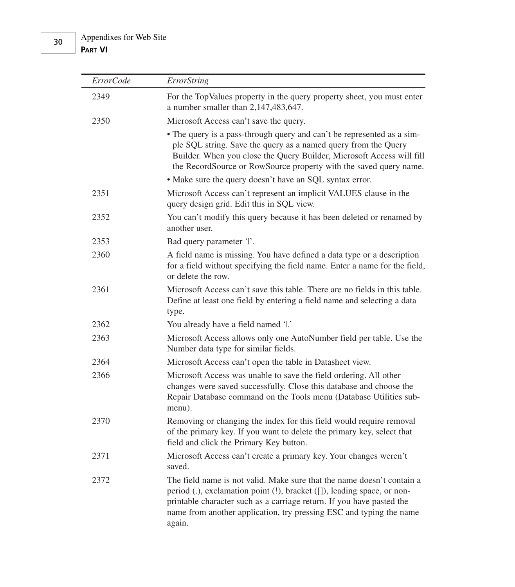| <b>ErrorCode</b> | ErrorString                                                                                                                                                                                                                                                                                                 |
|------------------|-------------------------------------------------------------------------------------------------------------------------------------------------------------------------------------------------------------------------------------------------------------------------------------------------------------|
| 2349             | For the TopValues property in the query property sheet, you must enter<br>a number smaller than 2,147,483,647.                                                                                                                                                                                              |
| 2350             | Microsoft Access can't save the query.                                                                                                                                                                                                                                                                      |
|                  | • The query is a pass-through query and can't be represented as a sim-<br>ple SQL string. Save the query as a named query from the Query<br>Builder. When you close the Query Builder, Microsoft Access will fill<br>the RecordSource or RowSource property with the saved query name.                      |
|                  | • Make sure the query doesn't have an SQL syntax error.                                                                                                                                                                                                                                                     |
| 2351             | Microsoft Access can't represent an implicit VALUES clause in the<br>query design grid. Edit this in SQL view.                                                                                                                                                                                              |
| 2352             | You can't modify this query because it has been deleted or renamed by<br>another user.                                                                                                                                                                                                                      |
| 2353             | Bad query parameter 'l'.                                                                                                                                                                                                                                                                                    |
| 2360             | A field name is missing. You have defined a data type or a description<br>for a field without specifying the field name. Enter a name for the field,<br>or delete the row.                                                                                                                                  |
| 2361             | Microsoft Access can't save this table. There are no fields in this table.<br>Define at least one field by entering a field name and selecting a data<br>type.                                                                                                                                              |
| 2362             | You already have a field named 'l.'                                                                                                                                                                                                                                                                         |
| 2363             | Microsoft Access allows only one AutoNumber field per table. Use the<br>Number data type for similar fields.                                                                                                                                                                                                |
| 2364             | Microsoft Access can't open the table in Datasheet view.                                                                                                                                                                                                                                                    |
| 2366             | Microsoft Access was unable to save the field ordering. All other<br>changes were saved successfully. Close this database and choose the<br>Repair Database command on the Tools menu (Database Utilities sub-<br>menu).                                                                                    |
| 2370             | Removing or changing the index for this field would require removal<br>of the primary key. If you want to delete the primary key, select that<br>field and click the Primary Key button.                                                                                                                    |
| 2371             | Microsoft Access can't create a primary key. Your changes weren't<br>saved.                                                                                                                                                                                                                                 |
| 2372             | The field name is not valid. Make sure that the name doesn't contain a<br>period (.), exclamation point (!), bracket ([]), leading space, or non-<br>printable character such as a carriage return. If you have pasted the<br>name from another application, try pressing ESC and typing the name<br>again. |

 $\overline{\phantom{0}}$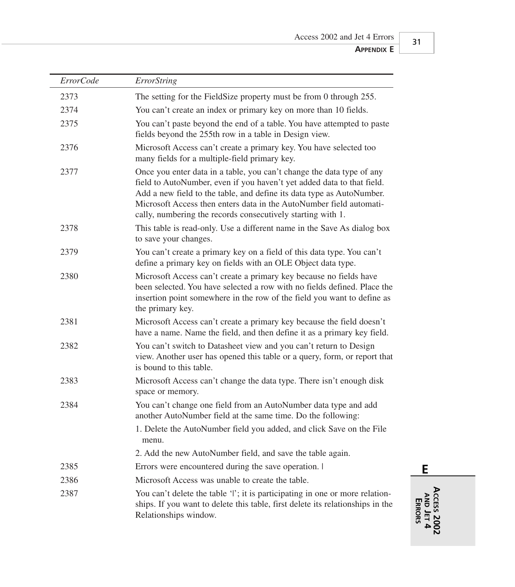| <b>ErrorCode</b> | ErrorString                                                                                                                                                                                                                                                                                                                                                    |
|------------------|----------------------------------------------------------------------------------------------------------------------------------------------------------------------------------------------------------------------------------------------------------------------------------------------------------------------------------------------------------------|
| 2373             | The setting for the FieldSize property must be from 0 through 255.                                                                                                                                                                                                                                                                                             |
| 2374             | You can't create an index or primary key on more than 10 fields.                                                                                                                                                                                                                                                                                               |
| 2375             | You can't paste beyond the end of a table. You have attempted to paste<br>fields beyond the 255th row in a table in Design view.                                                                                                                                                                                                                               |
| 2376             | Microsoft Access can't create a primary key. You have selected too<br>many fields for a multiple-field primary key.                                                                                                                                                                                                                                            |
| 2377             | Once you enter data in a table, you can't change the data type of any<br>field to AutoNumber, even if you haven't yet added data to that field.<br>Add a new field to the table, and define its data type as AutoNumber.<br>Microsoft Access then enters data in the AutoNumber field automati-<br>cally, numbering the records consecutively starting with 1. |
| 2378             | This table is read-only. Use a different name in the Save As dialog box<br>to save your changes.                                                                                                                                                                                                                                                               |
| 2379             | You can't create a primary key on a field of this data type. You can't<br>define a primary key on fields with an OLE Object data type.                                                                                                                                                                                                                         |
| 2380             | Microsoft Access can't create a primary key because no fields have<br>been selected. You have selected a row with no fields defined. Place the<br>insertion point somewhere in the row of the field you want to define as<br>the primary key.                                                                                                                  |
| 2381             | Microsoft Access can't create a primary key because the field doesn't<br>have a name. Name the field, and then define it as a primary key field.                                                                                                                                                                                                               |
| 2382             | You can't switch to Datasheet view and you can't return to Design<br>view. Another user has opened this table or a query, form, or report that<br>is bound to this table.                                                                                                                                                                                      |
| 2383             | Microsoft Access can't change the data type. There isn't enough disk<br>space or memory.                                                                                                                                                                                                                                                                       |
| 2384             | You can't change one field from an AutoNumber data type and add<br>another AutoNumber field at the same time. Do the following:                                                                                                                                                                                                                                |
|                  | 1. Delete the AutoNumber field you added, and click Save on the File<br>menu.                                                                                                                                                                                                                                                                                  |
|                  | 2. Add the new AutoNumber field, and save the table again.                                                                                                                                                                                                                                                                                                     |
| 2385             | Errors were encountered during the save operation. I                                                                                                                                                                                                                                                                                                           |
| 2386             | Microsoft Access was unable to create the table.                                                                                                                                                                                                                                                                                                               |
| 2387             | You can't delete the table 'l'; it is participating in one or more relation-<br>ships. If you want to delete this table, first delete its relationships in the<br>Relationships window.                                                                                                                                                                        |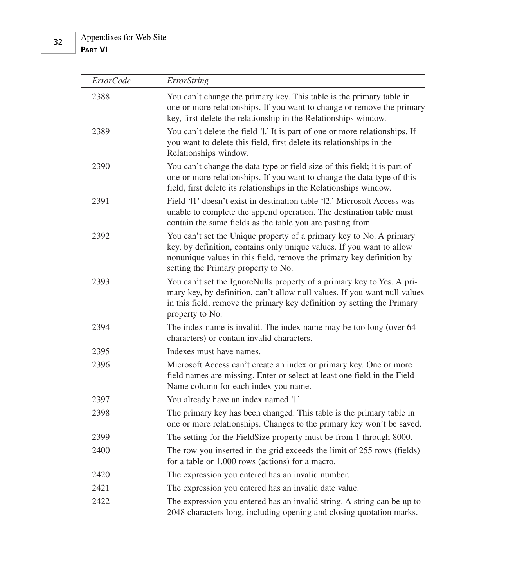| <b>ErrorCode</b> | ErrorString                                                                                                                                                                                                                                                 |
|------------------|-------------------------------------------------------------------------------------------------------------------------------------------------------------------------------------------------------------------------------------------------------------|
| 2388             | You can't change the primary key. This table is the primary table in<br>one or more relationships. If you want to change or remove the primary<br>key, first delete the relationship in the Relationships window.                                           |
| 2389             | You can't delete the field 'l.' It is part of one or more relationships. If<br>you want to delete this field, first delete its relationships in the<br>Relationships window.                                                                                |
| 2390             | You can't change the data type or field size of this field; it is part of<br>one or more relationships. If you want to change the data type of this<br>field, first delete its relationships in the Relationships window.                                   |
| 2391             | Field '11' doesn't exist in destination table '12' Microsoft Access was<br>unable to complete the append operation. The destination table must<br>contain the same fields as the table you are pasting from.                                                |
| 2392             | You can't set the Unique property of a primary key to No. A primary<br>key, by definition, contains only unique values. If you want to allow<br>nonunique values in this field, remove the primary key definition by<br>setting the Primary property to No. |
| 2393             | You can't set the IgnoreNulls property of a primary key to Yes. A pri-<br>mary key, by definition, can't allow null values. If you want null values<br>in this field, remove the primary key definition by setting the Primary<br>property to No.           |
| 2394             | The index name is invalid. The index name may be too long (over 64<br>characters) or contain invalid characters.                                                                                                                                            |
| 2395             | Indexes must have names.                                                                                                                                                                                                                                    |
| 2396             | Microsoft Access can't create an index or primary key. One or more<br>field names are missing. Enter or select at least one field in the Field<br>Name column for each index you name.                                                                      |
| 2397             | You already have an index named 'l.'                                                                                                                                                                                                                        |
| 2398             | The primary key has been changed. This table is the primary table in<br>one or more relationships. Changes to the primary key won't be saved.                                                                                                               |
| 2399             | The setting for the FieldSize property must be from 1 through 8000.                                                                                                                                                                                         |
| 2400             | The row you inserted in the grid exceeds the limit of 255 rows (fields)<br>for a table or 1,000 rows (actions) for a macro.                                                                                                                                 |
| 2420             | The expression you entered has an invalid number.                                                                                                                                                                                                           |
| 2421             | The expression you entered has an invalid date value.                                                                                                                                                                                                       |
| 2422             | The expression you entered has an invalid string. A string can be up to<br>2048 characters long, including opening and closing quotation marks.                                                                                                             |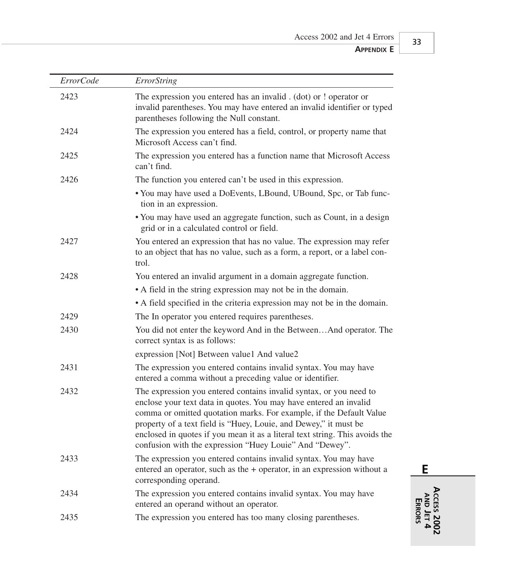**APPENDIX E**

| <i>ErrorCode</i> | ErrorString                                                                                                                                                                                                                                                                                                                                                                                                                  |
|------------------|------------------------------------------------------------------------------------------------------------------------------------------------------------------------------------------------------------------------------------------------------------------------------------------------------------------------------------------------------------------------------------------------------------------------------|
| 2423             | The expression you entered has an invalid . (dot) or ! operator or<br>invalid parentheses. You may have entered an invalid identifier or typed<br>parentheses following the Null constant.                                                                                                                                                                                                                                   |
| 2424             | The expression you entered has a field, control, or property name that<br>Microsoft Access can't find.                                                                                                                                                                                                                                                                                                                       |
| 2425             | The expression you entered has a function name that Microsoft Access<br>can't find.                                                                                                                                                                                                                                                                                                                                          |
| 2426             | The function you entered can't be used in this expression.                                                                                                                                                                                                                                                                                                                                                                   |
|                  | • You may have used a DoEvents, LBound, UBound, Spc, or Tab func-<br>tion in an expression.                                                                                                                                                                                                                                                                                                                                  |
|                  | • You may have used an aggregate function, such as Count, in a design<br>grid or in a calculated control or field.                                                                                                                                                                                                                                                                                                           |
| 2427             | You entered an expression that has no value. The expression may refer<br>to an object that has no value, such as a form, a report, or a label con-<br>trol.                                                                                                                                                                                                                                                                  |
| 2428             | You entered an invalid argument in a domain aggregate function.                                                                                                                                                                                                                                                                                                                                                              |
|                  | • A field in the string expression may not be in the domain.                                                                                                                                                                                                                                                                                                                                                                 |
|                  | • A field specified in the criteria expression may not be in the domain.                                                                                                                                                                                                                                                                                                                                                     |
| 2429             | The In operator you entered requires parentheses.                                                                                                                                                                                                                                                                                                                                                                            |
| 2430             | You did not enter the keyword And in the BetweenAnd operator. The<br>correct syntax is as follows:                                                                                                                                                                                                                                                                                                                           |
|                  | expression [Not] Between value1 And value2                                                                                                                                                                                                                                                                                                                                                                                   |
| 2431             | The expression you entered contains invalid syntax. You may have<br>entered a comma without a preceding value or identifier.                                                                                                                                                                                                                                                                                                 |
| 2432             | The expression you entered contains invalid syntax, or you need to<br>enclose your text data in quotes. You may have entered an invalid<br>comma or omitted quotation marks. For example, if the Default Value<br>property of a text field is "Huey, Louie, and Dewey," it must be<br>enclosed in quotes if you mean it as a literal text string. This avoids the<br>confusion with the expression "Huey Louie" And "Dewey". |
| 2433             | The expression you entered contains invalid syntax. You may have<br>entered an operator, such as the + operator, in an expression without a<br>corresponding operand.                                                                                                                                                                                                                                                        |
| 2434             | The expression you entered contains invalid syntax. You may have<br>entered an operand without an operator.                                                                                                                                                                                                                                                                                                                  |
| 2435             | The expression you entered has too many closing parentheses.                                                                                                                                                                                                                                                                                                                                                                 |
|                  |                                                                                                                                                                                                                                                                                                                                                                                                                              |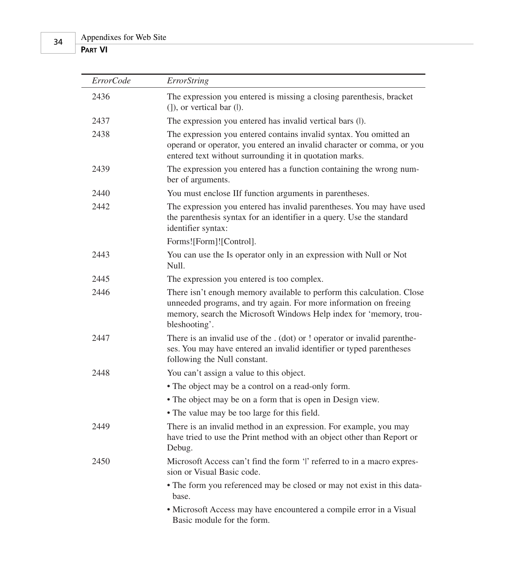| <b>ErrorCode</b> | ErrorString                                                                                                                                                                                                                        |
|------------------|------------------------------------------------------------------------------------------------------------------------------------------------------------------------------------------------------------------------------------|
| 2436             | The expression you entered is missing a closing parenthesis, bracket<br>(]), or vertical bar (l).                                                                                                                                  |
| 2437             | The expression you entered has invalid vertical bars (I).                                                                                                                                                                          |
| 2438             | The expression you entered contains invalid syntax. You omitted an<br>operand or operator, you entered an invalid character or comma, or you<br>entered text without surrounding it in quotation marks.                            |
| 2439             | The expression you entered has a function containing the wrong num-<br>ber of arguments.                                                                                                                                           |
| 2440             | You must enclose IIf function arguments in parentheses.                                                                                                                                                                            |
| 2442             | The expression you entered has invalid parentheses. You may have used<br>the parenthesis syntax for an identifier in a query. Use the standard<br>identifier syntax:                                                               |
|                  | Forms![Form]![Control].                                                                                                                                                                                                            |
| 2443             | You can use the Is operator only in an expression with Null or Not<br>Null.                                                                                                                                                        |
| 2445             | The expression you entered is too complex.                                                                                                                                                                                         |
| 2446             | There isn't enough memory available to perform this calculation. Close<br>unneeded programs, and try again. For more information on freeing<br>memory, search the Microsoft Windows Help index for 'memory, trou-<br>bleshooting'. |
| 2447             | There is an invalid use of the . (dot) or ! operator or invalid parenthe-<br>ses. You may have entered an invalid identifier or typed parentheses<br>following the Null constant.                                                  |
| 2448             | You can't assign a value to this object.                                                                                                                                                                                           |
|                  | • The object may be a control on a read-only form.                                                                                                                                                                                 |
|                  | • The object may be on a form that is open in Design view.                                                                                                                                                                         |
|                  | • The value may be too large for this field.                                                                                                                                                                                       |
| 2449             | There is an invalid method in an expression. For example, you may<br>have tried to use the Print method with an object other than Report or<br>Debug.                                                                              |
| 2450             | Microsoft Access can't find the form 'l' referred to in a macro expres-<br>sion or Visual Basic code.                                                                                                                              |
|                  | • The form you referenced may be closed or may not exist in this data-<br>base.                                                                                                                                                    |
|                  | • Microsoft Access may have encountered a compile error in a Visual<br>Basic module for the form.                                                                                                                                  |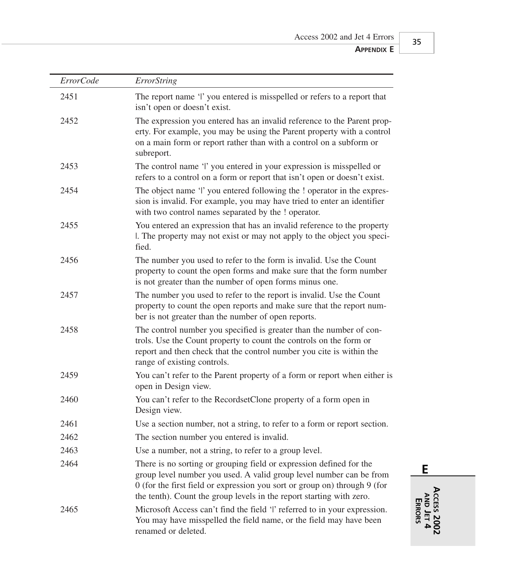| <b>ErrorCode</b> | ErrorString                                                                                                                                                                                                                                                                                     |
|------------------|-------------------------------------------------------------------------------------------------------------------------------------------------------------------------------------------------------------------------------------------------------------------------------------------------|
| 2451             | The report name 'l' you entered is misspelled or refers to a report that<br>isn't open or doesn't exist.                                                                                                                                                                                        |
| 2452             | The expression you entered has an invalid reference to the Parent prop-<br>erty. For example, you may be using the Parent property with a control<br>on a main form or report rather than with a control on a subform or<br>subreport.                                                          |
| 2453             | The control name 'l' you entered in your expression is misspelled or<br>refers to a control on a form or report that isn't open or doesn't exist.                                                                                                                                               |
| 2454             | The object name 'l' you entered following the ! operator in the expres-<br>sion is invalid. For example, you may have tried to enter an identifier<br>with two control names separated by the ! operator.                                                                                       |
| 2455             | You entered an expression that has an invalid reference to the property<br>I. The property may not exist or may not apply to the object you speci-<br>fied.                                                                                                                                     |
| 2456             | The number you used to refer to the form is invalid. Use the Count<br>property to count the open forms and make sure that the form number<br>is not greater than the number of open forms minus one.                                                                                            |
| 2457             | The number you used to refer to the report is invalid. Use the Count<br>property to count the open reports and make sure that the report num-<br>ber is not greater than the number of open reports.                                                                                            |
| 2458             | The control number you specified is greater than the number of con-<br>trols. Use the Count property to count the controls on the form or<br>report and then check that the control number you cite is within the<br>range of existing controls.                                                |
| 2459             | You can't refer to the Parent property of a form or report when either is<br>open in Design view.                                                                                                                                                                                               |
| 2460             | You can't refer to the RecordsetClone property of a form open in<br>Design view.                                                                                                                                                                                                                |
| 2461             | Use a section number, not a string, to refer to a form or report section.                                                                                                                                                                                                                       |
| 2462             | The section number you entered is invalid.                                                                                                                                                                                                                                                      |
| 2463             | Use a number, not a string, to refer to a group level.                                                                                                                                                                                                                                          |
| 2464             | There is no sorting or grouping field or expression defined for the<br>group level number you used. A valid group level number can be from<br>0 (for the first field or expression you sort or group on) through 9 (for<br>the tenth). Count the group levels in the report starting with zero. |
| 2465             | Microsoft Access can't find the field 'l' referred to in your expression.<br>You may have misspelled the field name, or the field may have been<br>renamed or deleted.                                                                                                                          |

L,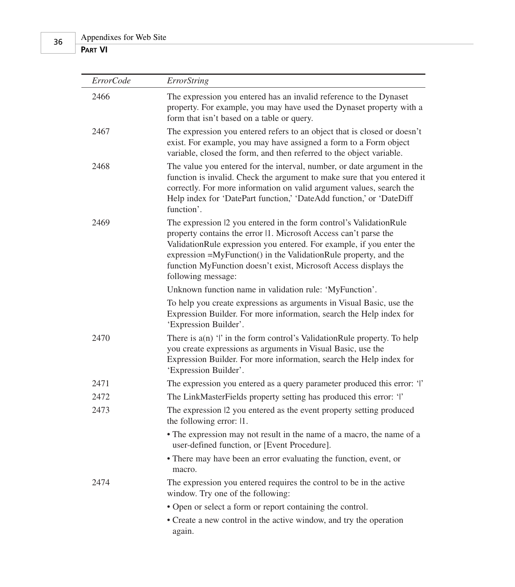| <b>ErrorCode</b> | ErrorString                                                                                                                                                                                                                                                                                                                                                                 |
|------------------|-----------------------------------------------------------------------------------------------------------------------------------------------------------------------------------------------------------------------------------------------------------------------------------------------------------------------------------------------------------------------------|
| 2466             | The expression you entered has an invalid reference to the Dynaset<br>property. For example, you may have used the Dynaset property with a<br>form that isn't based on a table or query.                                                                                                                                                                                    |
| 2467             | The expression you entered refers to an object that is closed or doesn't<br>exist. For example, you may have assigned a form to a Form object<br>variable, closed the form, and then referred to the object variable.                                                                                                                                                       |
| 2468             | The value you entered for the interval, number, or date argument in the<br>function is invalid. Check the argument to make sure that you entered it<br>correctly. For more information on valid argument values, search the<br>Help index for 'DatePart function,' 'DateAdd function,' or 'DateDiff<br>function'.                                                           |
| 2469             | The expression 2 you entered in the form control's ValidationRule<br>property contains the error 11. Microsoft Access can't parse the<br>ValidationRule expression you entered. For example, if you enter the<br>expression =MyFunction() in the ValidationRule property, and the<br>function MyFunction doesn't exist, Microsoft Access displays the<br>following message: |
|                  | Unknown function name in validation rule: 'MyFunction'.                                                                                                                                                                                                                                                                                                                     |
|                  | To help you create expressions as arguments in Visual Basic, use the<br>Expression Builder. For more information, search the Help index for<br>'Expression Builder'.                                                                                                                                                                                                        |
| 2470             | There is $a(n)$ 'l' in the form control's Validation Rule property. To help<br>you create expressions as arguments in Visual Basic, use the<br>Expression Builder. For more information, search the Help index for<br>'Expression Builder'.                                                                                                                                 |
| 2471             | The expression you entered as a query parameter produced this error: 'I'                                                                                                                                                                                                                                                                                                    |
| 2472             | The LinkMasterFields property setting has produced this error: 'I'                                                                                                                                                                                                                                                                                                          |
| 2473             | The expression 2 you entered as the event property setting produced<br>the following error: 11.                                                                                                                                                                                                                                                                             |
|                  | • The expression may not result in the name of a macro, the name of a<br>user-defined function, or [Event Procedure].                                                                                                                                                                                                                                                       |
|                  | • There may have been an error evaluating the function, event, or<br>macro.                                                                                                                                                                                                                                                                                                 |
| 2474             | The expression you entered requires the control to be in the active<br>window. Try one of the following:                                                                                                                                                                                                                                                                    |
|                  | • Open or select a form or report containing the control.                                                                                                                                                                                                                                                                                                                   |
|                  | • Create a new control in the active window, and try the operation<br>again.                                                                                                                                                                                                                                                                                                |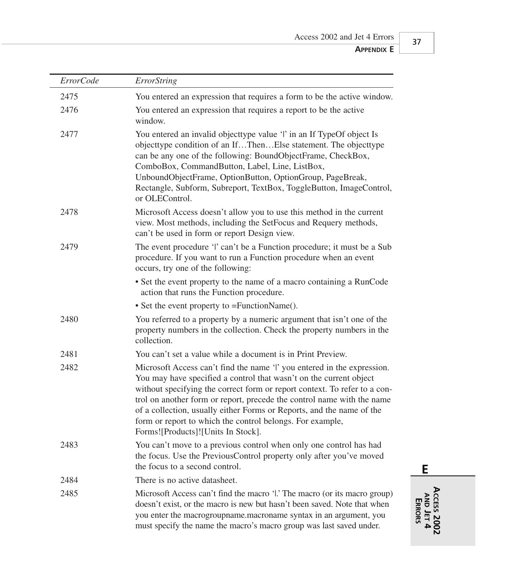**E**

**AND JET 4 ERRORS** **ACCESS**

**2002**

| <b>ErrorCode</b> | ErrorString                                                                                                                                                                                                                                                                                                                                                                                                                                                                      |
|------------------|----------------------------------------------------------------------------------------------------------------------------------------------------------------------------------------------------------------------------------------------------------------------------------------------------------------------------------------------------------------------------------------------------------------------------------------------------------------------------------|
| 2475             | You entered an expression that requires a form to be the active window.                                                                                                                                                                                                                                                                                                                                                                                                          |
| 2476             | You entered an expression that requires a report to be the active<br>window.                                                                                                                                                                                                                                                                                                                                                                                                     |
| 2477             | You entered an invalid objecttype value 'l' in an If TypeOf object Is<br>objecttype condition of an IfThenElse statement. The objecttype<br>can be any one of the following: BoundObjectFrame, CheckBox,<br>ComboBox, CommandButton, Label, Line, ListBox,<br>UnboundObjectFrame, OptionButton, OptionGroup, PageBreak,<br>Rectangle, Subform, Subreport, TextBox, ToggleButton, ImageControl,<br>or OLEControl.                                                                 |
| 2478             | Microsoft Access doesn't allow you to use this method in the current<br>view. Most methods, including the SetFocus and Requery methods,<br>can't be used in form or report Design view.                                                                                                                                                                                                                                                                                          |
| 2479             | The event procedure 'l' can't be a Function procedure; it must be a Sub<br>procedure. If you want to run a Function procedure when an event<br>occurs, try one of the following:                                                                                                                                                                                                                                                                                                 |
|                  | • Set the event property to the name of a macro containing a RunCode<br>action that runs the Function procedure.                                                                                                                                                                                                                                                                                                                                                                 |
|                  | • Set the event property to =FunctionName().                                                                                                                                                                                                                                                                                                                                                                                                                                     |
| 2480             | You referred to a property by a numeric argument that isn't one of the<br>property numbers in the collection. Check the property numbers in the<br>collection.                                                                                                                                                                                                                                                                                                                   |
| 2481             | You can't set a value while a document is in Print Preview.                                                                                                                                                                                                                                                                                                                                                                                                                      |
| 2482             | Microsoft Access can't find the name 'l' you entered in the expression.<br>You may have specified a control that wasn't on the current object<br>without specifying the correct form or report context. To refer to a con-<br>trol on another form or report, precede the control name with the name<br>of a collection, usually either Forms or Reports, and the name of the<br>form or report to which the control belongs. For example,<br>Forms![Products]![Units In Stock]. |
| 2483             | You can't move to a previous control when only one control has had<br>the focus. Use the PreviousControl property only after you've moved<br>the focus to a second control.                                                                                                                                                                                                                                                                                                      |
| 2484             | There is no active datasheet.                                                                                                                                                                                                                                                                                                                                                                                                                                                    |
| 2485             | Microsoft Access can't find the macro 'l.' The macro (or its macro group)<br>doesn't exist, or the macro is new but hasn't been saved. Note that when<br>you enter the macrogroupname.macroname syntax in an argument, you<br>must specify the name the macro's macro group was last saved under.                                                                                                                                                                                |

 $\overline{\phantom{a}}$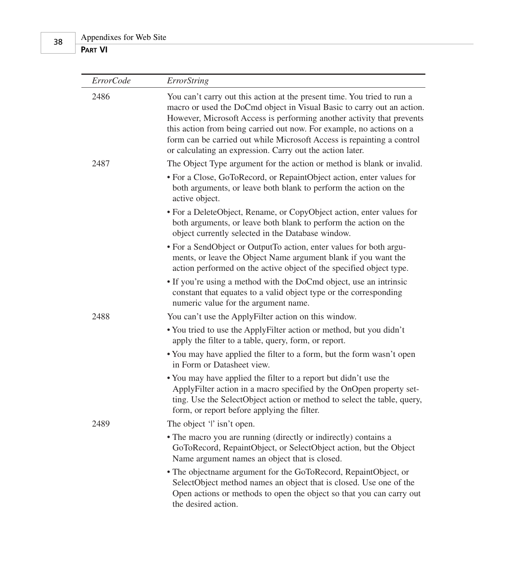| <b>ErrorCode</b> | ErrorString                                                                                                                                                                                                                                                                                                                                                                                                                                |
|------------------|--------------------------------------------------------------------------------------------------------------------------------------------------------------------------------------------------------------------------------------------------------------------------------------------------------------------------------------------------------------------------------------------------------------------------------------------|
| 2486             | You can't carry out this action at the present time. You tried to run a<br>macro or used the DoCmd object in Visual Basic to carry out an action.<br>However, Microsoft Access is performing another activity that prevents<br>this action from being carried out now. For example, no actions on a<br>form can be carried out while Microsoft Access is repainting a control<br>or calculating an expression. Carry out the action later. |
| 2487             | The Object Type argument for the action or method is blank or invalid.                                                                                                                                                                                                                                                                                                                                                                     |
|                  | • For a Close, GoToRecord, or RepaintObject action, enter values for<br>both arguments, or leave both blank to perform the action on the<br>active object.                                                                                                                                                                                                                                                                                 |
|                  | • For a DeleteObject, Rename, or CopyObject action, enter values for<br>both arguments, or leave both blank to perform the action on the<br>object currently selected in the Database window.                                                                                                                                                                                                                                              |
|                  | • For a SendObject or OutputTo action, enter values for both argu-<br>ments, or leave the Object Name argument blank if you want the<br>action performed on the active object of the specified object type.                                                                                                                                                                                                                                |
|                  | • If you're using a method with the DoCmd object, use an intrinsic<br>constant that equates to a valid object type or the corresponding<br>numeric value for the argument name.                                                                                                                                                                                                                                                            |
| 2488             | You can't use the ApplyFilter action on this window.                                                                                                                                                                                                                                                                                                                                                                                       |
|                  | • You tried to use the ApplyFilter action or method, but you didn't<br>apply the filter to a table, query, form, or report.                                                                                                                                                                                                                                                                                                                |
|                  | • You may have applied the filter to a form, but the form wasn't open<br>in Form or Datasheet view.                                                                                                                                                                                                                                                                                                                                        |
|                  | • You may have applied the filter to a report but didn't use the<br>ApplyFilter action in a macro specified by the OnOpen property set-<br>ting. Use the SelectObject action or method to select the table, query,<br>form, or report before applying the filter.                                                                                                                                                                          |
| 2489             | The object 'l' isn't open.                                                                                                                                                                                                                                                                                                                                                                                                                 |
|                  | • The macro you are running (directly or indirectly) contains a<br>GoToRecord, RepaintObject, or SelectObject action, but the Object<br>Name argument names an object that is closed.                                                                                                                                                                                                                                                      |
|                  | • The objectname argument for the GoToRecord, RepaintObject, or<br>SelectObject method names an object that is closed. Use one of the<br>Open actions or methods to open the object so that you can carry out<br>the desired action.                                                                                                                                                                                                       |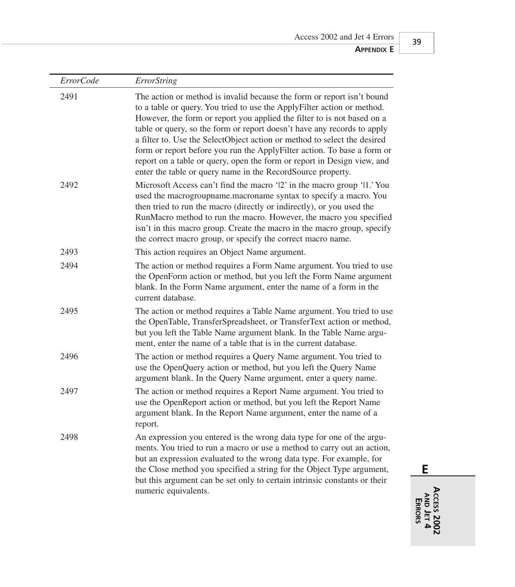**E**

**AND JET 4 ERRORS** **ACCESS**

**2002**

| <b>ErrorCode</b> | ErrorString                                                                                                                                                                                                                                                                                                                                                                                                                                                                                                                                                                                              |
|------------------|----------------------------------------------------------------------------------------------------------------------------------------------------------------------------------------------------------------------------------------------------------------------------------------------------------------------------------------------------------------------------------------------------------------------------------------------------------------------------------------------------------------------------------------------------------------------------------------------------------|
| 2491             | The action or method is invalid because the form or report isn't bound<br>to a table or query. You tried to use the ApplyFilter action or method.<br>However, the form or report you applied the filter to is not based on a<br>table or query, so the form or report doesn't have any records to apply<br>a filter to. Use the SelectObject action or method to select the desired<br>form or report before you run the ApplyFilter action. To base a form or<br>report on a table or query, open the form or report in Design view, and<br>enter the table or query name in the RecordSource property. |
| 2492             | Microsoft Access can't find the macro 'l2' in the macro group 'l1.' You<br>used the macrogroupname.macroname syntax to specify a macro. You<br>then tried to run the macro (directly or indirectly), or you used the<br>RunMacro method to run the macro. However, the macro you specified<br>isn't in this macro group. Create the macro in the macro group, specify<br>the correct macro group, or specify the correct macro name.                                                                                                                                                                     |
| 2493             | This action requires an Object Name argument.                                                                                                                                                                                                                                                                                                                                                                                                                                                                                                                                                            |
| 2494             | The action or method requires a Form Name argument. You tried to use<br>the OpenForm action or method, but you left the Form Name argument<br>blank. In the Form Name argument, enter the name of a form in the<br>current database.                                                                                                                                                                                                                                                                                                                                                                     |
| 2495             | The action or method requires a Table Name argument. You tried to use<br>the OpenTable, TransferSpreadsheet, or TransferText action or method,<br>but you left the Table Name argument blank. In the Table Name argu-<br>ment, enter the name of a table that is in the current database.                                                                                                                                                                                                                                                                                                                |
| 2496             | The action or method requires a Query Name argument. You tried to<br>use the OpenQuery action or method, but you left the Query Name<br>argument blank. In the Query Name argument, enter a query name.                                                                                                                                                                                                                                                                                                                                                                                                  |
| 2497             | The action or method requires a Report Name argument. You tried to<br>use the OpenReport action or method, but you left the Report Name<br>argument blank. In the Report Name argument, enter the name of a<br>report.                                                                                                                                                                                                                                                                                                                                                                                   |
| 2498             | An expression you entered is the wrong data type for one of the argu-<br>ments. You tried to run a macro or use a method to carry out an action,<br>but an expression evaluated to the wrong data type. For example, for<br>the Close method you specified a string for the Object Type argument,<br>but this argument can be set only to certain intrinsic constants or their<br>numeric equivalents.                                                                                                                                                                                                   |

÷,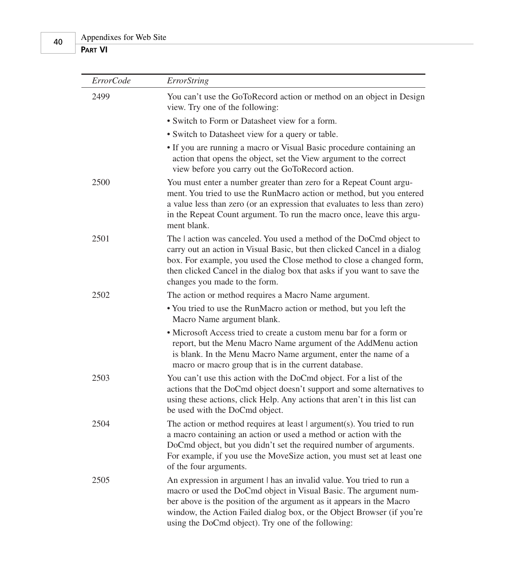| <b>ErrorCode</b> | ErrorString                                                                                                                                                                                                                                                                                                                                       |
|------------------|---------------------------------------------------------------------------------------------------------------------------------------------------------------------------------------------------------------------------------------------------------------------------------------------------------------------------------------------------|
| 2499             | You can't use the GoToRecord action or method on an object in Design<br>view. Try one of the following:                                                                                                                                                                                                                                           |
|                  | • Switch to Form or Datasheet view for a form.                                                                                                                                                                                                                                                                                                    |
|                  | • Switch to Datasheet view for a query or table.                                                                                                                                                                                                                                                                                                  |
|                  | • If you are running a macro or Visual Basic procedure containing an<br>action that opens the object, set the View argument to the correct<br>view before you carry out the GoToRecord action.                                                                                                                                                    |
| 2500             | You must enter a number greater than zero for a Repeat Count argu-<br>ment. You tried to use the RunMacro action or method, but you entered<br>a value less than zero (or an expression that evaluates to less than zero)<br>in the Repeat Count argument. To run the macro once, leave this argu-<br>ment blank.                                 |
| 2501             | The I action was canceled. You used a method of the DoCmd object to<br>carry out an action in Visual Basic, but then clicked Cancel in a dialog<br>box. For example, you used the Close method to close a changed form,<br>then clicked Cancel in the dialog box that asks if you want to save the<br>changes you made to the form.               |
| 2502             | The action or method requires a Macro Name argument.                                                                                                                                                                                                                                                                                              |
|                  | • You tried to use the RunMacro action or method, but you left the<br>Macro Name argument blank.                                                                                                                                                                                                                                                  |
|                  | • Microsoft Access tried to create a custom menu bar for a form or<br>report, but the Menu Macro Name argument of the AddMenu action<br>is blank. In the Menu Macro Name argument, enter the name of a<br>macro or macro group that is in the current database.                                                                                   |
| 2503             | You can't use this action with the DoCmd object. For a list of the<br>actions that the DoCmd object doesn't support and some alternatives to<br>using these actions, click Help. Any actions that aren't in this list can<br>be used with the DoCmd object.                                                                                       |
| 2504             | The action or method requires at least   argument(s). You tried to run<br>a macro containing an action or used a method or action with the<br>DoCmd object, but you didn't set the required number of arguments.<br>For example, if you use the MoveSize action, you must set at least one<br>of the four arguments.                              |
| 2505             | An expression in argument   has an invalid value. You tried to run a<br>macro or used the DoCmd object in Visual Basic. The argument num-<br>ber above is the position of the argument as it appears in the Macro<br>window, the Action Failed dialog box, or the Object Browser (if you're<br>using the DoCmd object). Try one of the following: |

 $\overline{\phantom{0}}$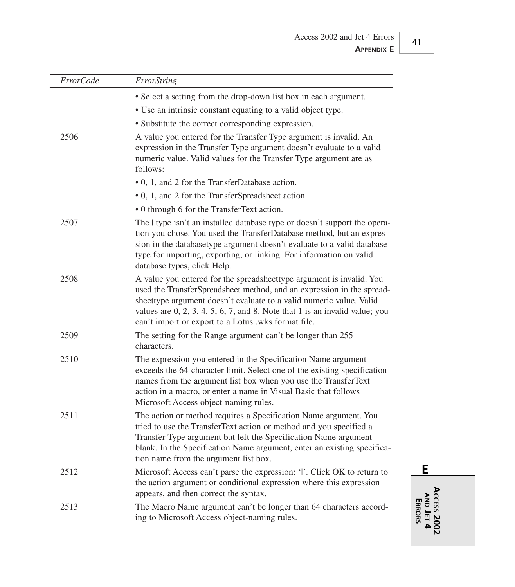| <b>ErrorCode</b> | ErrorString                                                                                                                                                                                                                                                                                                                                                  |
|------------------|--------------------------------------------------------------------------------------------------------------------------------------------------------------------------------------------------------------------------------------------------------------------------------------------------------------------------------------------------------------|
|                  | • Select a setting from the drop-down list box in each argument.                                                                                                                                                                                                                                                                                             |
|                  | • Use an intrinsic constant equating to a valid object type.                                                                                                                                                                                                                                                                                                 |
|                  | • Substitute the correct corresponding expression.                                                                                                                                                                                                                                                                                                           |
| 2506             | A value you entered for the Transfer Type argument is invalid. An<br>expression in the Transfer Type argument doesn't evaluate to a valid<br>numeric value. Valid values for the Transfer Type argument are as<br>follows:                                                                                                                                   |
|                  | • 0, 1, and 2 for the TransferDatabase action.                                                                                                                                                                                                                                                                                                               |
|                  | • 0, 1, and 2 for the TransferSpreadsheet action.                                                                                                                                                                                                                                                                                                            |
|                  | • 0 through 6 for the TransferText action.                                                                                                                                                                                                                                                                                                                   |
| 2507             | The I type isn't an installed database type or doesn't support the opera-<br>tion you chose. You used the TransferDatabase method, but an expres-<br>sion in the databasetype argument doesn't evaluate to a valid database<br>type for importing, exporting, or linking. For information on valid<br>database types, click Help.                            |
| 2508             | A value you entered for the spreadsheettype argument is invalid. You<br>used the TransferSpreadsheet method, and an expression in the spread-<br>sheettype argument doesn't evaluate to a valid numeric value. Valid<br>values are $0, 2, 3, 4, 5, 6, 7,$ and 8. Note that 1 is an invalid value; you<br>can't import or export to a Lotus .wks format file. |
| 2509             | The setting for the Range argument can't be longer than 255<br>characters.                                                                                                                                                                                                                                                                                   |
| 2510             | The expression you entered in the Specification Name argument<br>exceeds the 64-character limit. Select one of the existing specification<br>names from the argument list box when you use the TransferText<br>action in a macro, or enter a name in Visual Basic that follows<br>Microsoft Access object-naming rules.                                      |
| 2511             | The action or method requires a Specification Name argument. You<br>tried to use the TransferText action or method and you specified a<br>Transfer Type argument but left the Specification Name argument<br>blank. In the Specification Name argument, enter an existing specifica-<br>tion name from the argument list box.                                |
| 2512             | Microsoft Access can't parse the expression: 'I'. Click OK to return to<br>the action argument or conditional expression where this expression<br>appears, and then correct the syntax.                                                                                                                                                                      |
| 2513             | The Macro Name argument can't be longer than 64 characters accord-<br>ing to Microsoft Access object-naming rules.                                                                                                                                                                                                                                           |

L,

**E**

**AND JET 4 ERRORS** **ACCESS**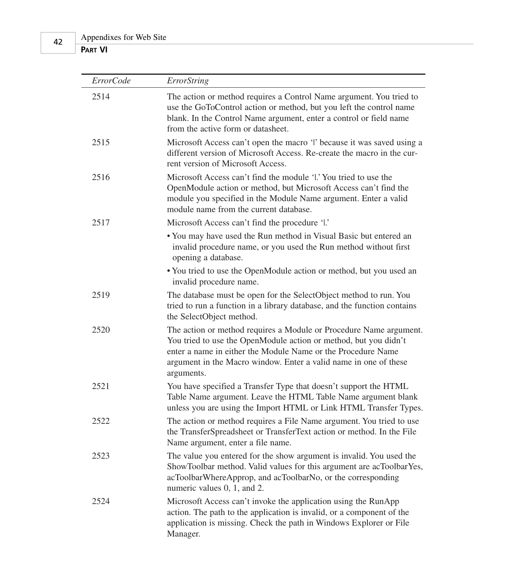| <b>ErrorCode</b> | ErrorString                                                                                                                                                                                                                                                                              |
|------------------|------------------------------------------------------------------------------------------------------------------------------------------------------------------------------------------------------------------------------------------------------------------------------------------|
| 2514             | The action or method requires a Control Name argument. You tried to<br>use the GoToControl action or method, but you left the control name<br>blank. In the Control Name argument, enter a control or field name<br>from the active form or datasheet.                                   |
| 2515             | Microsoft Access can't open the macro 'l' because it was saved using a<br>different version of Microsoft Access. Re-create the macro in the cur-<br>rent version of Microsoft Access.                                                                                                    |
| 2516             | Microsoft Access can't find the module 'l.' You tried to use the<br>OpenModule action or method, but Microsoft Access can't find the<br>module you specified in the Module Name argument. Enter a valid<br>module name from the current database.                                        |
| 2517             | Microsoft Access can't find the procedure 'l.'                                                                                                                                                                                                                                           |
|                  | • You may have used the Run method in Visual Basic but entered an<br>invalid procedure name, or you used the Run method without first<br>opening a database.                                                                                                                             |
|                  | • You tried to use the OpenModule action or method, but you used an<br>invalid procedure name.                                                                                                                                                                                           |
| 2519             | The database must be open for the SelectObject method to run. You<br>tried to run a function in a library database, and the function contains<br>the SelectObject method.                                                                                                                |
| 2520             | The action or method requires a Module or Procedure Name argument.<br>You tried to use the OpenModule action or method, but you didn't<br>enter a name in either the Module Name or the Procedure Name<br>argument in the Macro window. Enter a valid name in one of these<br>arguments. |
| 2521             | You have specified a Transfer Type that doesn't support the HTML<br>Table Name argument. Leave the HTML Table Name argument blank<br>unless you are using the Import HTML or Link HTML Transfer Types.                                                                                   |
| 2522             | The action or method requires a File Name argument. You tried to use<br>the TransferSpreadsheet or TransferText action or method. In the File<br>Name argument, enter a file name.                                                                                                       |
| 2523             | The value you entered for the show argument is invalid. You used the<br>ShowToolbar method. Valid values for this argument are acToolbarYes,<br>acToolbarWhereApprop, and acToolbarNo, or the corresponding<br>numeric values 0, 1, and 2.                                               |
| 2524             | Microsoft Access can't invoke the application using the RunApp<br>action. The path to the application is invalid, or a component of the<br>application is missing. Check the path in Windows Explorer or File<br>Manager.                                                                |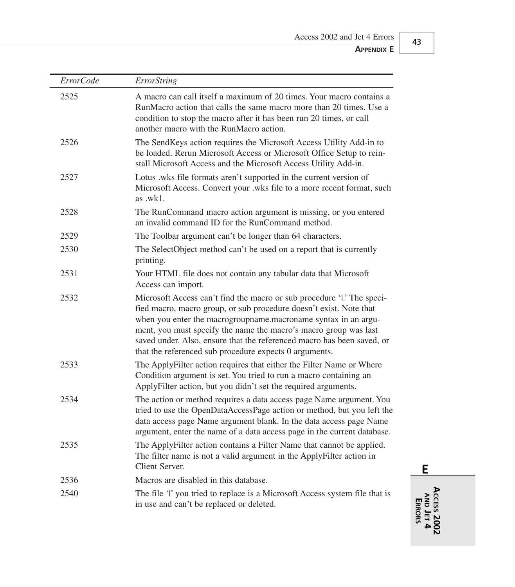| <b>ErrorCode</b> | ErrorString                                                                                                                                                                                                                                                                                                                                                                                                            |
|------------------|------------------------------------------------------------------------------------------------------------------------------------------------------------------------------------------------------------------------------------------------------------------------------------------------------------------------------------------------------------------------------------------------------------------------|
| 2525             | A macro can call itself a maximum of 20 times. Your macro contains a<br>RunMacro action that calls the same macro more than 20 times. Use a<br>condition to stop the macro after it has been run 20 times, or call<br>another macro with the RunMacro action.                                                                                                                                                          |
| 2526             | The SendKeys action requires the Microsoft Access Utility Add-in to<br>be loaded. Rerun Microsoft Access or Microsoft Office Setup to rein-<br>stall Microsoft Access and the Microsoft Access Utility Add-in.                                                                                                                                                                                                         |
| 2527             | Lotus .wks file formats aren't supported in the current version of<br>Microsoft Access. Convert your .wks file to a more recent format, such<br>as.wk1.                                                                                                                                                                                                                                                                |
| 2528             | The RunCommand macro action argument is missing, or you entered<br>an invalid command ID for the RunCommand method.                                                                                                                                                                                                                                                                                                    |
| 2529             | The Toolbar argument can't be longer than 64 characters.                                                                                                                                                                                                                                                                                                                                                               |
| 2530             | The SelectObject method can't be used on a report that is currently<br>printing.                                                                                                                                                                                                                                                                                                                                       |
| 2531             | Your HTML file does not contain any tabular data that Microsoft<br>Access can import.                                                                                                                                                                                                                                                                                                                                  |
| 2532             | Microsoft Access can't find the macro or sub procedure 'l.' The speci-<br>fied macro, macro group, or sub procedure doesn't exist. Note that<br>when you enter the macrogroupname.macroname syntax in an argu-<br>ment, you must specify the name the macro's macro group was last<br>saved under. Also, ensure that the referenced macro has been saved, or<br>that the referenced sub procedure expects 0 arguments. |
| 2533             | The ApplyFilter action requires that either the Filter Name or Where<br>Condition argument is set. You tried to run a macro containing an<br>ApplyFilter action, but you didn't set the required arguments.                                                                                                                                                                                                            |
| 2534             | The action or method requires a data access page Name argument. You<br>tried to use the OpenDataAccessPage action or method, but you left the<br>data access page Name argument blank. In the data access page Name<br>argument, enter the name of a data access page in the current database.                                                                                                                         |
| 2535             | The ApplyFilter action contains a Filter Name that cannot be applied.<br>The filter name is not a valid argument in the ApplyFilter action in<br>Client Server.                                                                                                                                                                                                                                                        |
| 2536             | Macros are disabled in this database.                                                                                                                                                                                                                                                                                                                                                                                  |
| 2540             | The file 'l' you tried to replace is a Microsoft Access system file that is<br>in use and can't be replaced or deleted.                                                                                                                                                                                                                                                                                                |

 $\overline{a}$ 

43

**E**

**AND JET 4 ERRORS** **ACCESS**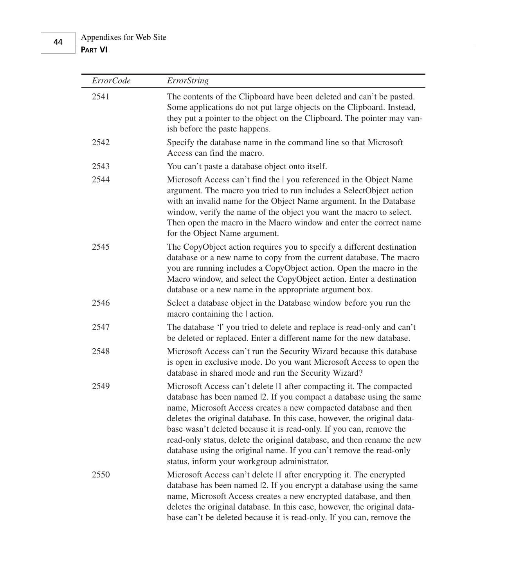| <b>ErrorCode</b> | ErrorString                                                                                                                                                                                                                                                                                                                                                                                                                                                                                                                                                         |
|------------------|---------------------------------------------------------------------------------------------------------------------------------------------------------------------------------------------------------------------------------------------------------------------------------------------------------------------------------------------------------------------------------------------------------------------------------------------------------------------------------------------------------------------------------------------------------------------|
| 2541             | The contents of the Clipboard have been deleted and can't be pasted.<br>Some applications do not put large objects on the Clipboard. Instead,<br>they put a pointer to the object on the Clipboard. The pointer may van-<br>ish before the paste happens.                                                                                                                                                                                                                                                                                                           |
| 2542             | Specify the database name in the command line so that Microsoft<br>Access can find the macro.                                                                                                                                                                                                                                                                                                                                                                                                                                                                       |
| 2543             | You can't paste a database object onto itself.                                                                                                                                                                                                                                                                                                                                                                                                                                                                                                                      |
| 2544             | Microsoft Access can't find the I you referenced in the Object Name<br>argument. The macro you tried to run includes a SelectObject action<br>with an invalid name for the Object Name argument. In the Database<br>window, verify the name of the object you want the macro to select.<br>Then open the macro in the Macro window and enter the correct name<br>for the Object Name argument.                                                                                                                                                                      |
| 2545             | The CopyObject action requires you to specify a different destination<br>database or a new name to copy from the current database. The macro<br>you are running includes a CopyObject action. Open the macro in the<br>Macro window, and select the CopyObject action. Enter a destination<br>database or a new name in the appropriate argument box.                                                                                                                                                                                                               |
| 2546             | Select a database object in the Database window before you run the<br>macro containing the l action.                                                                                                                                                                                                                                                                                                                                                                                                                                                                |
| 2547             | The database 'l' you tried to delete and replace is read-only and can't<br>be deleted or replaced. Enter a different name for the new database.                                                                                                                                                                                                                                                                                                                                                                                                                     |
| 2548             | Microsoft Access can't run the Security Wizard because this database<br>is open in exclusive mode. Do you want Microsoft Access to open the<br>database in shared mode and run the Security Wizard?                                                                                                                                                                                                                                                                                                                                                                 |
| 2549             | Microsoft Access can't delete l1 after compacting it. The compacted<br>database has been named 2. If you compact a database using the same<br>name, Microsoft Access creates a new compacted database and then<br>deletes the original database. In this case, however, the original data-<br>base wasn't deleted because it is read-only. If you can, remove the<br>read-only status, delete the original database, and then rename the new<br>database using the original name. If you can't remove the read-only<br>status, inform your workgroup administrator. |
| 2550             | Microsoft Access can't delete  1 after encrypting it. The encrypted<br>database has been named 2. If you encrypt a database using the same<br>name, Microsoft Access creates a new encrypted database, and then<br>deletes the original database. In this case, however, the original data-<br>base can't be deleted because it is read-only. If you can, remove the                                                                                                                                                                                                |

 $\overline{\phantom{0}}$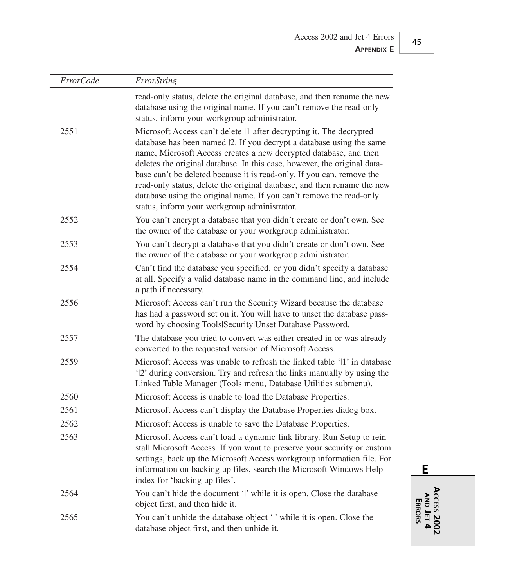| <i>ErrorCode</i> | ErrorString                                                                                                                                                                                                                                                                                                                                                                                                                                                                                                                                                             |
|------------------|-------------------------------------------------------------------------------------------------------------------------------------------------------------------------------------------------------------------------------------------------------------------------------------------------------------------------------------------------------------------------------------------------------------------------------------------------------------------------------------------------------------------------------------------------------------------------|
|                  | read-only status, delete the original database, and then rename the new<br>database using the original name. If you can't remove the read-only<br>status, inform your workgroup administrator.                                                                                                                                                                                                                                                                                                                                                                          |
| 2551             | Microsoft Access can't delete  1 after decrypting it. The decrypted<br>database has been named 12. If you decrypt a database using the same<br>name, Microsoft Access creates a new decrypted database, and then<br>deletes the original database. In this case, however, the original data-<br>base can't be deleted because it is read-only. If you can, remove the<br>read-only status, delete the original database, and then rename the new<br>database using the original name. If you can't remove the read-only<br>status, inform your workgroup administrator. |
| 2552             | You can't encrypt a database that you didn't create or don't own. See<br>the owner of the database or your workgroup administrator.                                                                                                                                                                                                                                                                                                                                                                                                                                     |
| 2553             | You can't decrypt a database that you didn't create or don't own. See<br>the owner of the database or your workgroup administrator.                                                                                                                                                                                                                                                                                                                                                                                                                                     |
| 2554             | Can't find the database you specified, or you didn't specify a database<br>at all. Specify a valid database name in the command line, and include<br>a path if necessary.                                                                                                                                                                                                                                                                                                                                                                                               |
| 2556             | Microsoft Access can't run the Security Wizard because the database<br>has had a password set on it. You will have to unset the database pass-<br>word by choosing Tools Security Unset Database Password.                                                                                                                                                                                                                                                                                                                                                              |
| 2557             | The database you tried to convert was either created in or was already<br>converted to the requested version of Microsoft Access.                                                                                                                                                                                                                                                                                                                                                                                                                                       |
| 2559             | Microsoft Access was unable to refresh the linked table 'I' in database<br>'l2' during conversion. Try and refresh the links manually by using the<br>Linked Table Manager (Tools menu, Database Utilities submenu).                                                                                                                                                                                                                                                                                                                                                    |
| 2560             | Microsoft Access is unable to load the Database Properties.                                                                                                                                                                                                                                                                                                                                                                                                                                                                                                             |
| 2561             | Microsoft Access can't display the Database Properties dialog box.                                                                                                                                                                                                                                                                                                                                                                                                                                                                                                      |
| 2562             | Microsoft Access is unable to save the Database Properties.                                                                                                                                                                                                                                                                                                                                                                                                                                                                                                             |
| 2563             | Microsoft Access can't load a dynamic-link library. Run Setup to rein-<br>stall Microsoft Access. If you want to preserve your security or custom<br>settings, back up the Microsoft Access workgroup information file. For<br>information on backing up files, search the Microsoft Windows Help<br>index for 'backing up files'.                                                                                                                                                                                                                                      |
| 2564             | You can't hide the document 'l' while it is open. Close the database<br>object first, and then hide it.                                                                                                                                                                                                                                                                                                                                                                                                                                                                 |
| 2565             | You can't unhide the database object 'l' while it is open. Close the<br>database object first, and then unhide it.                                                                                                                                                                                                                                                                                                                                                                                                                                                      |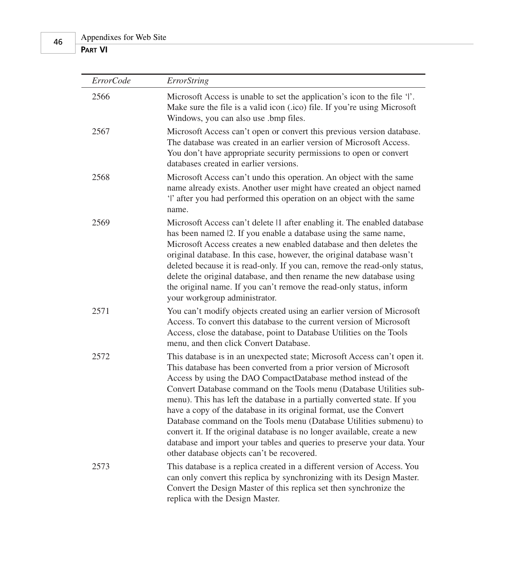$\overline{\phantom{0}}$ 

| <b>ErrorCode</b> | ErrorString                                                                                                                                                                                                                                                                                                                                                                                                                                                                                                                                                                                                                                                                                                           |
|------------------|-----------------------------------------------------------------------------------------------------------------------------------------------------------------------------------------------------------------------------------------------------------------------------------------------------------------------------------------------------------------------------------------------------------------------------------------------------------------------------------------------------------------------------------------------------------------------------------------------------------------------------------------------------------------------------------------------------------------------|
| 2566             | Microsoft Access is unable to set the application's icon to the file 'l'.<br>Make sure the file is a valid icon (.ico) file. If you're using Microsoft<br>Windows, you can also use .bmp files.                                                                                                                                                                                                                                                                                                                                                                                                                                                                                                                       |
| 2567             | Microsoft Access can't open or convert this previous version database.<br>The database was created in an earlier version of Microsoft Access.<br>You don't have appropriate security permissions to open or convert<br>databases created in earlier versions.                                                                                                                                                                                                                                                                                                                                                                                                                                                         |
| 2568             | Microsoft Access can't undo this operation. An object with the same<br>name already exists. Another user might have created an object named<br>'l' after you had performed this operation on an object with the same<br>name.                                                                                                                                                                                                                                                                                                                                                                                                                                                                                         |
| 2569             | Microsoft Access can't delete  1 after enabling it. The enabled database<br>has been named 2. If you enable a database using the same name,<br>Microsoft Access creates a new enabled database and then deletes the<br>original database. In this case, however, the original database wasn't<br>deleted because it is read-only. If you can, remove the read-only status,<br>delete the original database, and then rename the new database using<br>the original name. If you can't remove the read-only status, inform<br>your workgroup administrator.                                                                                                                                                            |
| 2571             | You can't modify objects created using an earlier version of Microsoft<br>Access. To convert this database to the current version of Microsoft<br>Access, close the database, point to Database Utilities on the Tools<br>menu, and then click Convert Database.                                                                                                                                                                                                                                                                                                                                                                                                                                                      |
| 2572             | This database is in an unexpected state; Microsoft Access can't open it.<br>This database has been converted from a prior version of Microsoft<br>Access by using the DAO CompactDatabase method instead of the<br>Convert Database command on the Tools menu (Database Utilities sub-<br>menu). This has left the database in a partially converted state. If you<br>have a copy of the database in its original format, use the Convert<br>Database command on the Tools menu (Database Utilities submenu) to<br>convert it. If the original database is no longer available, create a new<br>database and import your tables and queries to preserve your data. Your<br>other database objects can't be recovered. |
| 2573             | This database is a replica created in a different version of Access. You<br>can only convert this replica by synchronizing with its Design Master.<br>Convert the Design Master of this replica set then synchronize the<br>replica with the Design Master.                                                                                                                                                                                                                                                                                                                                                                                                                                                           |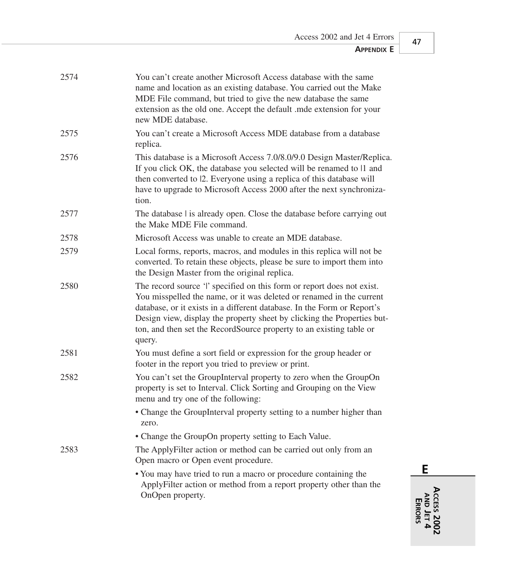**APPENDIX E**

| 2574 | You can't create another Microsoft Access database with the same<br>name and location as an existing database. You carried out the Make<br>MDE File command, but tried to give the new database the same<br>extension as the old one. Accept the default .mde extension for your<br>new MDE database.                                                                                 |
|------|---------------------------------------------------------------------------------------------------------------------------------------------------------------------------------------------------------------------------------------------------------------------------------------------------------------------------------------------------------------------------------------|
| 2575 | You can't create a Microsoft Access MDE database from a database<br>replica.                                                                                                                                                                                                                                                                                                          |
| 2576 | This database is a Microsoft Access 7.0/8.0/9.0 Design Master/Replica.<br>If you click OK, the database you selected will be renamed to 11 and<br>then converted to 2. Everyone using a replica of this database will<br>have to upgrade to Microsoft Access 2000 after the next synchroniza-<br>tion.                                                                                |
| 2577 | The database I is already open. Close the database before carrying out<br>the Make MDE File command.                                                                                                                                                                                                                                                                                  |
| 2578 | Microsoft Access was unable to create an MDE database.                                                                                                                                                                                                                                                                                                                                |
| 2579 | Local forms, reports, macros, and modules in this replica will not be<br>converted. To retain these objects, please be sure to import them into<br>the Design Master from the original replica.                                                                                                                                                                                       |
| 2580 | The record source 'l' specified on this form or report does not exist.<br>You misspelled the name, or it was deleted or renamed in the current<br>database, or it exists in a different database. In the Form or Report's<br>Design view, display the property sheet by clicking the Properties but-<br>ton, and then set the RecordSource property to an existing table or<br>query. |
| 2581 | You must define a sort field or expression for the group header or<br>footer in the report you tried to preview or print.                                                                                                                                                                                                                                                             |
| 2582 | You can't set the GroupInterval property to zero when the GroupOn<br>property is set to Interval. Click Sorting and Grouping on the View<br>menu and try one of the following:                                                                                                                                                                                                        |
|      | • Change the GroupInterval property setting to a number higher than<br>zero.                                                                                                                                                                                                                                                                                                          |
|      | • Change the GroupOn property setting to Each Value.                                                                                                                                                                                                                                                                                                                                  |
| 2583 | The ApplyFilter action or method can be carried out only from an<br>Open macro or Open event procedure.                                                                                                                                                                                                                                                                               |
|      | • You may have tried to run a macro or procedure containing the<br>ApplyFilter action or method from a report property other than the<br>OnOpen property.                                                                                                                                                                                                                             |

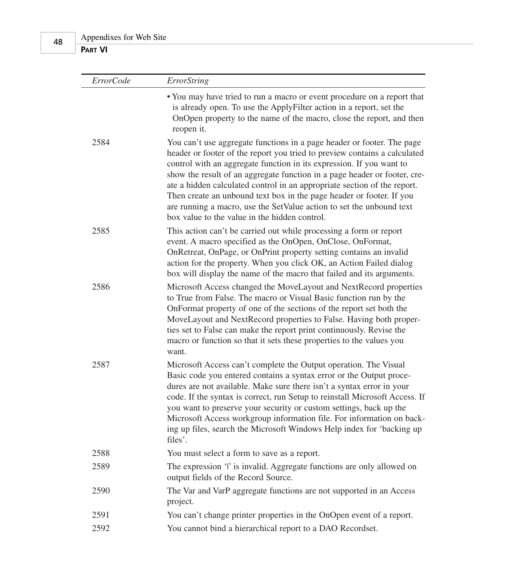| <b>ErrorCode</b> | ErrorString                                                                                                                                                                                                                                                                                                                                                                                                                                                                                                                                                                           |
|------------------|---------------------------------------------------------------------------------------------------------------------------------------------------------------------------------------------------------------------------------------------------------------------------------------------------------------------------------------------------------------------------------------------------------------------------------------------------------------------------------------------------------------------------------------------------------------------------------------|
|                  | • You may have tried to run a macro or event procedure on a report that<br>is already open. To use the ApplyFilter action in a report, set the<br>OnOpen property to the name of the macro, close the report, and then<br>reopen it.                                                                                                                                                                                                                                                                                                                                                  |
| 2584             | You can't use aggregate functions in a page header or footer. The page<br>header or footer of the report you tried to preview contains a calculated<br>control with an aggregate function in its expression. If you want to<br>show the result of an aggregate function in a page header or footer, cre-<br>ate a hidden calculated control in an appropriate section of the report.<br>Then create an unbound text box in the page header or footer. If you<br>are running a macro, use the SetValue action to set the unbound text<br>box value to the value in the hidden control. |
| 2585             | This action can't be carried out while processing a form or report<br>event. A macro specified as the OnOpen, OnClose, OnFormat,<br>OnRetreat, OnPage, or OnPrint property setting contains an invalid<br>action for the property. When you click OK, an Action Failed dialog<br>box will display the name of the macro that failed and its arguments.                                                                                                                                                                                                                                |
| 2586             | Microsoft Access changed the MoveLayout and NextRecord properties<br>to True from False. The macro or Visual Basic function run by the<br>OnFormat property of one of the sections of the report set both the<br>MoveLayout and NextRecord properties to False. Having both proper-<br>ties set to False can make the report print continuously. Revise the<br>macro or function so that it sets these properties to the values you<br>want.                                                                                                                                          |
| 2587             | Microsoft Access can't complete the Output operation. The Visual<br>Basic code you entered contains a syntax error or the Output proce-<br>dures are not available. Make sure there isn't a syntax error in your<br>code. If the syntax is correct, run Setup to reinstall Microsoft Access. If<br>you want to preserve your security or custom settings, back up the<br>Microsoft Access workgroup information file. For information on back-<br>ing up files, search the Microsoft Windows Help index for 'backing up<br>files'.                                                    |
| 2588             | You must select a form to save as a report.                                                                                                                                                                                                                                                                                                                                                                                                                                                                                                                                           |
| 2589             | The expression 'l' is invalid. Aggregate functions are only allowed on<br>output fields of the Record Source.                                                                                                                                                                                                                                                                                                                                                                                                                                                                         |
| 2590             | The Var and VarP aggregate functions are not supported in an Access<br>project.                                                                                                                                                                                                                                                                                                                                                                                                                                                                                                       |
| 2591             | You can't change printer properties in the OnOpen event of a report.                                                                                                                                                                                                                                                                                                                                                                                                                                                                                                                  |
| 2592             | You cannot bind a hierarchical report to a DAO Recordset.                                                                                                                                                                                                                                                                                                                                                                                                                                                                                                                             |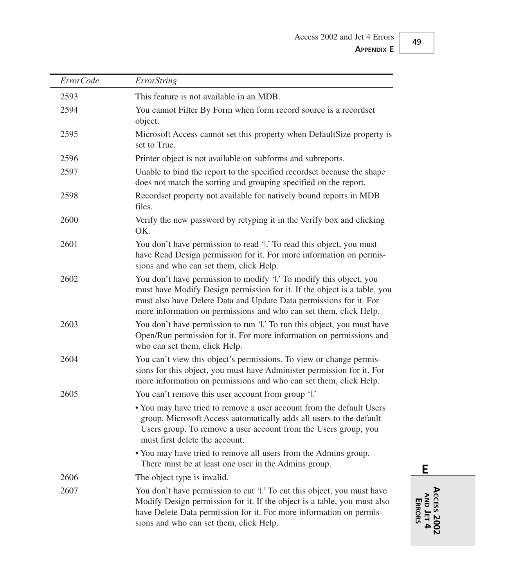| <b>ErrorCode</b> | ErrorString                                                                                                                                                                                                                                                                                |
|------------------|--------------------------------------------------------------------------------------------------------------------------------------------------------------------------------------------------------------------------------------------------------------------------------------------|
| 2593             | This feature is not available in an MDB.                                                                                                                                                                                                                                                   |
| 2594             | You cannot Filter By Form when form record source is a recordset<br>object.                                                                                                                                                                                                                |
| 2595             | Microsoft Access cannot set this property when DefaultSize property is<br>set to True.                                                                                                                                                                                                     |
| 2596             | Printer object is not available on subforms and subreports.                                                                                                                                                                                                                                |
| 2597             | Unable to bind the report to the specified recordset because the shape<br>does not match the sorting and grouping specified on the report.                                                                                                                                                 |
| 2598             | Recordset property not available for natively bound reports in MDB<br>files.                                                                                                                                                                                                               |
| 2600             | Verify the new password by retyping it in the Verify box and clicking<br>OK.                                                                                                                                                                                                               |
| 2601             | You don't have permission to read 'l.' To read this object, you must<br>have Read Design permission for it. For more information on permis-<br>sions and who can set them, click Help.                                                                                                     |
| 2602             | You don't have permission to modify 'l.' To modify this object, you<br>must have Modify Design permission for it. If the object is a table, you<br>must also have Delete Data and Update Data permissions for it. For<br>more information on permissions and who can set them, click Help. |
| 2603             | You don't have permission to run 'l.' To run this object, you must have<br>Open/Run permission for it. For more information on permissions and<br>who can set them, click Help.                                                                                                            |
| 2604             | You can't view this object's permissions. To view or change permis-<br>sions for this object, you must have Administer permission for it. For<br>more information on permissions and who can set them, click Help.                                                                         |
| 2605             | You can't remove this user account from group 'l.'                                                                                                                                                                                                                                         |
|                  | • You may have tried to remove a user account from the default Users<br>group. Microsoft Access automatically adds all users to the default<br>Users group. To remove a user account from the Users group, you<br>must first delete the account.                                           |
|                  | • You may have tried to remove all users from the Admins group.<br>There must be at least one user in the Admins group.                                                                                                                                                                    |
| 2606             | The object type is invalid.                                                                                                                                                                                                                                                                |
| 2607             | You don't have permission to cut 'l.' To cut this object, you must have<br>Modify Design permission for it. If the object is a table, you must also<br>have Delete Data permission for it. For more information on permis-<br>sions and who can set them, click Help.                      |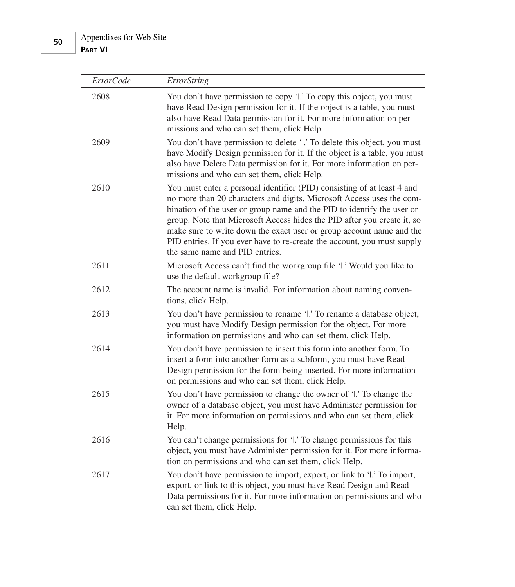| <b>ErrorCode</b> | ErrorString                                                                                                                                                                                                                                                                                                                                                                                                                                                                                |
|------------------|--------------------------------------------------------------------------------------------------------------------------------------------------------------------------------------------------------------------------------------------------------------------------------------------------------------------------------------------------------------------------------------------------------------------------------------------------------------------------------------------|
| 2608             | You don't have permission to copy 'l.' To copy this object, you must<br>have Read Design permission for it. If the object is a table, you must<br>also have Read Data permission for it. For more information on per-<br>missions and who can set them, click Help.                                                                                                                                                                                                                        |
| 2609             | You don't have permission to delete 'l.' To delete this object, you must<br>have Modify Design permission for it. If the object is a table, you must<br>also have Delete Data permission for it. For more information on per-<br>missions and who can set them, click Help.                                                                                                                                                                                                                |
| 2610             | You must enter a personal identifier (PID) consisting of at least 4 and<br>no more than 20 characters and digits. Microsoft Access uses the com-<br>bination of the user or group name and the PID to identify the user or<br>group. Note that Microsoft Access hides the PID after you create it, so<br>make sure to write down the exact user or group account name and the<br>PID entries. If you ever have to re-create the account, you must supply<br>the same name and PID entries. |
| 2611             | Microsoft Access can't find the workgroup file 'l.' Would you like to<br>use the default workgroup file?                                                                                                                                                                                                                                                                                                                                                                                   |
| 2612             | The account name is invalid. For information about naming conven-<br>tions, click Help.                                                                                                                                                                                                                                                                                                                                                                                                    |
| 2613             | You don't have permission to rename 'l.' To rename a database object,<br>you must have Modify Design permission for the object. For more<br>information on permissions and who can set them, click Help.                                                                                                                                                                                                                                                                                   |
| 2614             | You don't have permission to insert this form into another form. To<br>insert a form into another form as a subform, you must have Read<br>Design permission for the form being inserted. For more information<br>on permissions and who can set them, click Help.                                                                                                                                                                                                                         |
| 2615             | You don't have permission to change the owner of 'l.' To change the<br>owner of a database object, you must have Administer permission for<br>it. For more information on permissions and who can set them, click<br>Help.                                                                                                                                                                                                                                                                 |
| 2616             | You can't change permissions for 'l.' To change permissions for this<br>object, you must have Administer permission for it. For more informa-<br>tion on permissions and who can set them, click Help.                                                                                                                                                                                                                                                                                     |
| 2617             | You don't have permission to import, export, or link to 'l.' To import,<br>export, or link to this object, you must have Read Design and Read<br>Data permissions for it. For more information on permissions and who<br>can set them, click Help.                                                                                                                                                                                                                                         |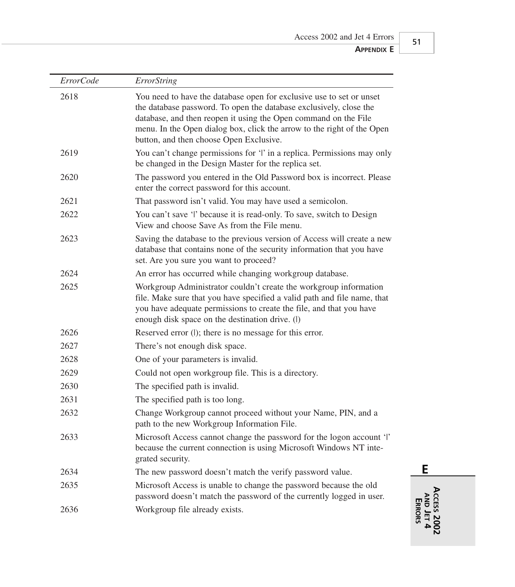| <i>ErrorCode</i> | ErrorString                                                                                                                                                                                                                                                                                                                        |
|------------------|------------------------------------------------------------------------------------------------------------------------------------------------------------------------------------------------------------------------------------------------------------------------------------------------------------------------------------|
| 2618             | You need to have the database open for exclusive use to set or unset<br>the database password. To open the database exclusively, close the<br>database, and then reopen it using the Open command on the File<br>menu. In the Open dialog box, click the arrow to the right of the Open<br>button, and then choose Open Exclusive. |
| 2619             | You can't change permissions for 'l' in a replica. Permissions may only<br>be changed in the Design Master for the replica set.                                                                                                                                                                                                    |
| 2620             | The password you entered in the Old Password box is incorrect. Please<br>enter the correct password for this account.                                                                                                                                                                                                              |
| 2621             | That password isn't valid. You may have used a semicolon.                                                                                                                                                                                                                                                                          |
| 2622             | You can't save 'l' because it is read-only. To save, switch to Design<br>View and choose Save As from the File menu.                                                                                                                                                                                                               |
| 2623             | Saving the database to the previous version of Access will create a new<br>database that contains none of the security information that you have<br>set. Are you sure you want to proceed?                                                                                                                                         |
| 2624             | An error has occurred while changing workgroup database.                                                                                                                                                                                                                                                                           |
| 2625             | Workgroup Administrator couldn't create the workgroup information<br>file. Make sure that you have specified a valid path and file name, that<br>you have adequate permissions to create the file, and that you have<br>enough disk space on the destination drive. (I)                                                            |
| 2626             | Reserved error (l); there is no message for this error.                                                                                                                                                                                                                                                                            |
| 2627             | There's not enough disk space.                                                                                                                                                                                                                                                                                                     |
| 2628             | One of your parameters is invalid.                                                                                                                                                                                                                                                                                                 |
| 2629             | Could not open workgroup file. This is a directory.                                                                                                                                                                                                                                                                                |
| 2630             | The specified path is invalid.                                                                                                                                                                                                                                                                                                     |
| 2631             | The specified path is too long.                                                                                                                                                                                                                                                                                                    |
| 2632             | Change Workgroup cannot proceed without your Name, PIN, and a<br>path to the new Workgroup Information File.                                                                                                                                                                                                                       |
| 2633             | Microsoft Access cannot change the password for the logon account 'l'<br>because the current connection is using Microsoft Windows NT inte-<br>grated security.                                                                                                                                                                    |
| 2634             | The new password doesn't match the verify password value.                                                                                                                                                                                                                                                                          |
| 2635             | Microsoft Access is unable to change the password because the old<br>password doesn't match the password of the currently logged in user.                                                                                                                                                                                          |
| 2636             | Workgroup file already exists.                                                                                                                                                                                                                                                                                                     |

 $\overline{a}$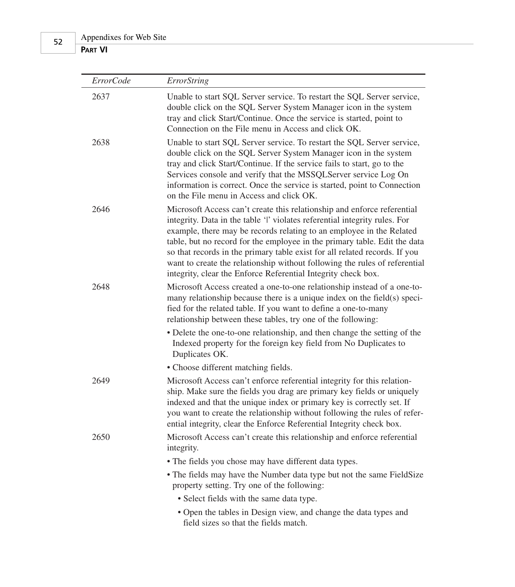| <b>ErrorCode</b> | ErrorString                                                                                                                                                                                                                                                                                                                                                                                                                                                                                                                             |
|------------------|-----------------------------------------------------------------------------------------------------------------------------------------------------------------------------------------------------------------------------------------------------------------------------------------------------------------------------------------------------------------------------------------------------------------------------------------------------------------------------------------------------------------------------------------|
| 2637             | Unable to start SQL Server service. To restart the SQL Server service,<br>double click on the SQL Server System Manager icon in the system<br>tray and click Start/Continue. Once the service is started, point to<br>Connection on the File menu in Access and click OK.                                                                                                                                                                                                                                                               |
| 2638             | Unable to start SQL Server service. To restart the SQL Server service,<br>double click on the SQL Server System Manager icon in the system<br>tray and click Start/Continue. If the service fails to start, go to the<br>Services console and verify that the MSSQLServer service Log On<br>information is correct. Once the service is started, point to Connection<br>on the File menu in Access and click OK.                                                                                                                        |
| 2646             | Microsoft Access can't create this relationship and enforce referential<br>integrity. Data in the table 'l' violates referential integrity rules. For<br>example, there may be records relating to an employee in the Related<br>table, but no record for the employee in the primary table. Edit the data<br>so that records in the primary table exist for all related records. If you<br>want to create the relationship without following the rules of referential<br>integrity, clear the Enforce Referential Integrity check box. |
| 2648             | Microsoft Access created a one-to-one relationship instead of a one-to-<br>many relationship because there is a unique index on the field(s) speci-<br>fied for the related table. If you want to define a one-to-many<br>relationship between these tables, try one of the following:                                                                                                                                                                                                                                                  |
|                  | • Delete the one-to-one relationship, and then change the setting of the<br>Indexed property for the foreign key field from No Duplicates to<br>Duplicates OK.                                                                                                                                                                                                                                                                                                                                                                          |
|                  | • Choose different matching fields.                                                                                                                                                                                                                                                                                                                                                                                                                                                                                                     |
| 2649             | Microsoft Access can't enforce referential integrity for this relation-<br>ship. Make sure the fields you drag are primary key fields or uniquely<br>indexed and that the unique index or primary key is correctly set. If<br>you want to create the relationship without following the rules of refer-<br>ential integrity, clear the Enforce Referential Integrity check box.                                                                                                                                                         |
| 2650             | Microsoft Access can't create this relationship and enforce referential<br>integrity.                                                                                                                                                                                                                                                                                                                                                                                                                                                   |
|                  | • The fields you chose may have different data types.                                                                                                                                                                                                                                                                                                                                                                                                                                                                                   |
|                  | • The fields may have the Number data type but not the same FieldSize<br>property setting. Try one of the following:                                                                                                                                                                                                                                                                                                                                                                                                                    |
|                  | • Select fields with the same data type.                                                                                                                                                                                                                                                                                                                                                                                                                                                                                                |
|                  | • Open the tables in Design view, and change the data types and<br>field sizes so that the fields match.                                                                                                                                                                                                                                                                                                                                                                                                                                |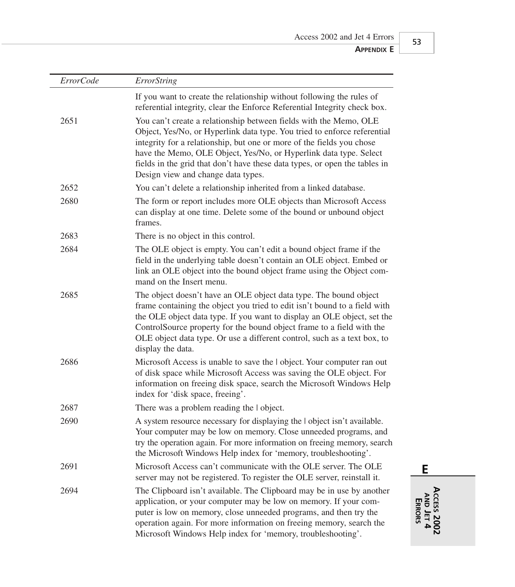| <b>ErrorCode</b> | ErrorString                                                                                                                                                                                                                                                                                                                                                                                                     |
|------------------|-----------------------------------------------------------------------------------------------------------------------------------------------------------------------------------------------------------------------------------------------------------------------------------------------------------------------------------------------------------------------------------------------------------------|
|                  | If you want to create the relationship without following the rules of<br>referential integrity, clear the Enforce Referential Integrity check box.                                                                                                                                                                                                                                                              |
| 2651             | You can't create a relationship between fields with the Memo, OLE<br>Object, Yes/No, or Hyperlink data type. You tried to enforce referential<br>integrity for a relationship, but one or more of the fields you chose<br>have the Memo, OLE Object, Yes/No, or Hyperlink data type. Select<br>fields in the grid that don't have these data types, or open the tables in<br>Design view and change data types. |
| 2652             | You can't delete a relationship inherited from a linked database.                                                                                                                                                                                                                                                                                                                                               |
| 2680             | The form or report includes more OLE objects than Microsoft Access<br>can display at one time. Delete some of the bound or unbound object<br>frames.                                                                                                                                                                                                                                                            |
| 2683             | There is no object in this control.                                                                                                                                                                                                                                                                                                                                                                             |
| 2684             | The OLE object is empty. You can't edit a bound object frame if the<br>field in the underlying table doesn't contain an OLE object. Embed or<br>link an OLE object into the bound object frame using the Object com-<br>mand on the Insert menu.                                                                                                                                                                |
| 2685             | The object doesn't have an OLE object data type. The bound object<br>frame containing the object you tried to edit isn't bound to a field with<br>the OLE object data type. If you want to display an OLE object, set the<br>ControlSource property for the bound object frame to a field with the<br>OLE object data type. Or use a different control, such as a text box, to<br>display the data.             |
| 2686             | Microsoft Access is unable to save the l object. Your computer ran out<br>of disk space while Microsoft Access was saving the OLE object. For<br>information on freeing disk space, search the Microsoft Windows Help<br>index for 'disk space, freeing'.                                                                                                                                                       |
| 2687             | There was a problem reading the l object.                                                                                                                                                                                                                                                                                                                                                                       |
| 2690             | A system resource necessary for displaying the l object isn't available.<br>Your computer may be low on memory. Close unneeded programs, and<br>try the operation again. For more information on freeing memory, search<br>the Microsoft Windows Help index for 'memory, troubleshooting'.                                                                                                                      |
| 2691             | Microsoft Access can't communicate with the OLE server. The OLE<br>server may not be registered. To register the OLE server, reinstall it.                                                                                                                                                                                                                                                                      |
| 2694             | The Clipboard isn't available. The Clipboard may be in use by another<br>application, or your computer may be low on memory. If your com-<br>puter is low on memory, close unneeded programs, and then try the<br>operation again. For more information on freeing memory, search the<br>Microsoft Windows Help index for 'memory, troubleshooting'.                                                            |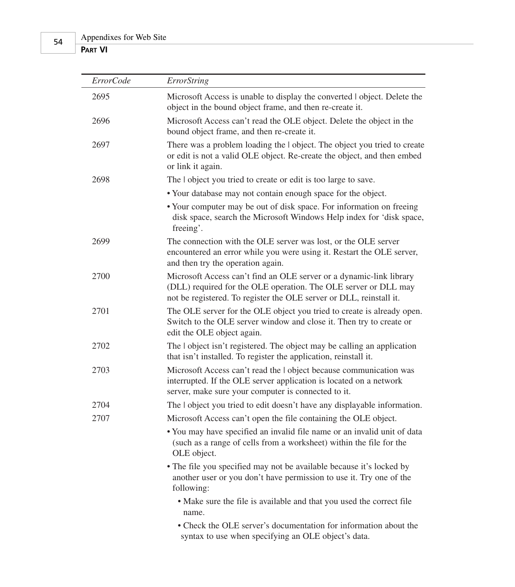| <b>ErrorCode</b> | ErrorString                                                                                                                                                                                                   |
|------------------|---------------------------------------------------------------------------------------------------------------------------------------------------------------------------------------------------------------|
| 2695             | Microsoft Access is unable to display the converted I object. Delete the<br>object in the bound object frame, and then re-create it.                                                                          |
| 2696             | Microsoft Access can't read the OLE object. Delete the object in the<br>bound object frame, and then re-create it.                                                                                            |
| 2697             | There was a problem loading the I object. The object you tried to create<br>or edit is not a valid OLE object. Re-create the object, and then embed<br>or link it again.                                      |
| 2698             | The $\vert$ object you tried to create or edit is too large to save.                                                                                                                                          |
|                  | • Your database may not contain enough space for the object.                                                                                                                                                  |
|                  | • Your computer may be out of disk space. For information on freeing<br>disk space, search the Microsoft Windows Help index for 'disk space,<br>freeing'.                                                     |
| 2699             | The connection with the OLE server was lost, or the OLE server<br>encountered an error while you were using it. Restart the OLE server,<br>and then try the operation again.                                  |
| 2700             | Microsoft Access can't find an OLE server or a dynamic-link library<br>(DLL) required for the OLE operation. The OLE server or DLL may<br>not be registered. To register the OLE server or DLL, reinstall it. |
| 2701             | The OLE server for the OLE object you tried to create is already open.<br>Switch to the OLE server window and close it. Then try to create or<br>edit the OLE object again.                                   |
| 2702             | The I object isn't registered. The object may be calling an application<br>that isn't installed. To register the application, reinstall it.                                                                   |
| 2703             | Microsoft Access can't read the   object because communication was<br>interrupted. If the OLE server application is located on a network<br>server, make sure your computer is connected to it.               |
| 2704             | The I object you tried to edit doesn't have any displayable information.                                                                                                                                      |
| 2707             | Microsoft Access can't open the file containing the OLE object.                                                                                                                                               |
|                  | • You may have specified an invalid file name or an invalid unit of data<br>(such as a range of cells from a worksheet) within the file for the<br>OLE object.                                                |
|                  | • The file you specified may not be available because it's locked by<br>another user or you don't have permission to use it. Try one of the<br>following:                                                     |
|                  | • Make sure the file is available and that you used the correct file<br>name.                                                                                                                                 |
|                  | • Check the OLE server's documentation for information about the                                                                                                                                              |

syntax to use when specifying an OLE object's data.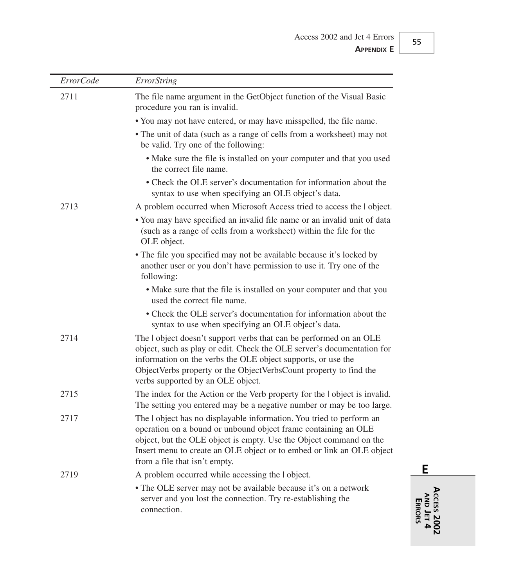| <b>ErrorCode</b> | ErrorString                                                                                                                                                                                                                                                                                                            |
|------------------|------------------------------------------------------------------------------------------------------------------------------------------------------------------------------------------------------------------------------------------------------------------------------------------------------------------------|
| 2711             | The file name argument in the GetObject function of the Visual Basic<br>procedure you ran is invalid.                                                                                                                                                                                                                  |
|                  | • You may not have entered, or may have misspelled, the file name.                                                                                                                                                                                                                                                     |
|                  | • The unit of data (such as a range of cells from a worksheet) may not<br>be valid. Try one of the following:                                                                                                                                                                                                          |
|                  | • Make sure the file is installed on your computer and that you used<br>the correct file name.                                                                                                                                                                                                                         |
|                  | • Check the OLE server's documentation for information about the<br>syntax to use when specifying an OLE object's data.                                                                                                                                                                                                |
| 2713             | A problem occurred when Microsoft Access tried to access the lobject.                                                                                                                                                                                                                                                  |
|                  | • You may have specified an invalid file name or an invalid unit of data<br>(such as a range of cells from a worksheet) within the file for the<br>OLE object.                                                                                                                                                         |
|                  | • The file you specified may not be available because it's locked by<br>another user or you don't have permission to use it. Try one of the<br>following:                                                                                                                                                              |
|                  | • Make sure that the file is installed on your computer and that you<br>used the correct file name.                                                                                                                                                                                                                    |
|                  | • Check the OLE server's documentation for information about the<br>syntax to use when specifying an OLE object's data.                                                                                                                                                                                                |
| 2714             | The I object doesn't support verbs that can be performed on an OLE<br>object, such as play or edit. Check the OLE server's documentation for<br>information on the verbs the OLE object supports, or use the<br>ObjectVerbs property or the ObjectVerbsCount property to find the<br>verbs supported by an OLE object. |
| 2715             | The index for the Action or the Verb property for the l object is invalid.<br>The setting you entered may be a negative number or may be too large.                                                                                                                                                                    |
| 2717             | The I object has no displayable information. You tried to perform an<br>operation on a bound or unbound object frame containing an OLE<br>object, but the OLE object is empty. Use the Object command on the<br>Insert menu to create an OLE object or to embed or link an OLE object<br>from a file that isn't empty. |
| 2719             | A problem occurred while accessing the l object.                                                                                                                                                                                                                                                                       |
|                  | • The OLE server may not be available because it's on a network<br>server and you lost the connection. Try re-establishing the<br>connection.                                                                                                                                                                          |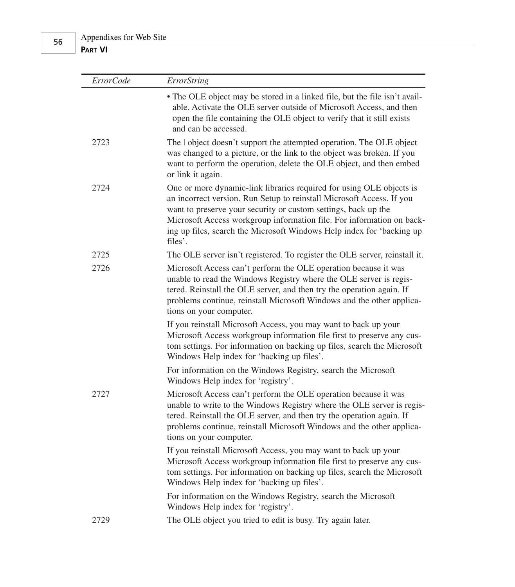| <b>ErrorCode</b> | ErrorString                                                                                                                                                                                                                                                                                                                                                                  |
|------------------|------------------------------------------------------------------------------------------------------------------------------------------------------------------------------------------------------------------------------------------------------------------------------------------------------------------------------------------------------------------------------|
|                  | • The OLE object may be stored in a linked file, but the file isn't avail-<br>able. Activate the OLE server outside of Microsoft Access, and then<br>open the file containing the OLE object to verify that it still exists<br>and can be accessed.                                                                                                                          |
| 2723             | The I object doesn't support the attempted operation. The OLE object<br>was changed to a picture, or the link to the object was broken. If you<br>want to perform the operation, delete the OLE object, and then embed<br>or link it again.                                                                                                                                  |
| 2724             | One or more dynamic-link libraries required for using OLE objects is<br>an incorrect version. Run Setup to reinstall Microsoft Access. If you<br>want to preserve your security or custom settings, back up the<br>Microsoft Access workgroup information file. For information on back-<br>ing up files, search the Microsoft Windows Help index for 'backing up<br>files'. |
| 2725             | The OLE server isn't registered. To register the OLE server, reinstall it.                                                                                                                                                                                                                                                                                                   |
| 2726             | Microsoft Access can't perform the OLE operation because it was<br>unable to read the Windows Registry where the OLE server is regis-<br>tered. Reinstall the OLE server, and then try the operation again. If<br>problems continue, reinstall Microsoft Windows and the other applica-<br>tions on your computer.                                                           |
|                  | If you reinstall Microsoft Access, you may want to back up your<br>Microsoft Access workgroup information file first to preserve any cus-<br>tom settings. For information on backing up files, search the Microsoft<br>Windows Help index for 'backing up files'.                                                                                                           |
|                  | For information on the Windows Registry, search the Microsoft<br>Windows Help index for 'registry'.                                                                                                                                                                                                                                                                          |
| 2727             | Microsoft Access can't perform the OLE operation because it was<br>unable to write to the Windows Registry where the OLE server is regis-<br>tered. Reinstall the OLE server, and then try the operation again. If<br>problems continue, reinstall Microsoft Windows and the other applica-<br>tions on your computer.                                                       |
|                  | If you reinstall Microsoft Access, you may want to back up your<br>Microsoft Access workgroup information file first to preserve any cus-<br>tom settings. For information on backing up files, search the Microsoft<br>Windows Help index for 'backing up files'.                                                                                                           |
|                  | For information on the Windows Registry, search the Microsoft<br>Windows Help index for 'registry'.                                                                                                                                                                                                                                                                          |
| 2729             | The OLE object you tried to edit is busy. Try again later.                                                                                                                                                                                                                                                                                                                   |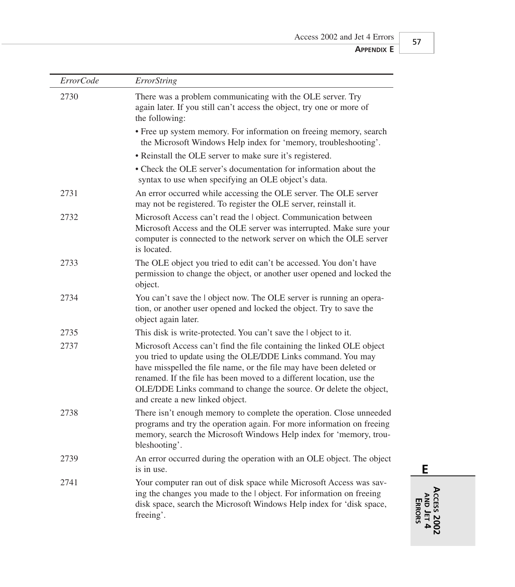| <b>ErrorCode</b> | ErrorString                                                                                                                                                                                                                                                                                                                                                                                  |
|------------------|----------------------------------------------------------------------------------------------------------------------------------------------------------------------------------------------------------------------------------------------------------------------------------------------------------------------------------------------------------------------------------------------|
| 2730             | There was a problem communicating with the OLE server. Try<br>again later. If you still can't access the object, try one or more of<br>the following:                                                                                                                                                                                                                                        |
|                  | • Free up system memory. For information on freeing memory, search<br>the Microsoft Windows Help index for 'memory, troubleshooting'.                                                                                                                                                                                                                                                        |
|                  | • Reinstall the OLE server to make sure it's registered.                                                                                                                                                                                                                                                                                                                                     |
|                  | • Check the OLE server's documentation for information about the<br>syntax to use when specifying an OLE object's data.                                                                                                                                                                                                                                                                      |
| 2731             | An error occurred while accessing the OLE server. The OLE server<br>may not be registered. To register the OLE server, reinstall it.                                                                                                                                                                                                                                                         |
| 2732             | Microsoft Access can't read the   object. Communication between<br>Microsoft Access and the OLE server was interrupted. Make sure your<br>computer is connected to the network server on which the OLE server<br>is located.                                                                                                                                                                 |
| 2733             | The OLE object you tried to edit can't be accessed. You don't have<br>permission to change the object, or another user opened and locked the<br>object.                                                                                                                                                                                                                                      |
| 2734             | You can't save the I object now. The OLE server is running an opera-<br>tion, or another user opened and locked the object. Try to save the<br>object again later.                                                                                                                                                                                                                           |
| 2735             | This disk is write-protected. You can't save the I object to it.                                                                                                                                                                                                                                                                                                                             |
| 2737             | Microsoft Access can't find the file containing the linked OLE object<br>you tried to update using the OLE/DDE Links command. You may<br>have misspelled the file name, or the file may have been deleted or<br>renamed. If the file has been moved to a different location, use the<br>OLE/DDE Links command to change the source. Or delete the object,<br>and create a new linked object. |
| 2738             | There isn't enough memory to complete the operation. Close unneeded<br>programs and try the operation again. For more information on freeing<br>memory, search the Microsoft Windows Help index for 'memory, trou-<br>bleshooting'.                                                                                                                                                          |
| 2739             | An error occurred during the operation with an OLE object. The object<br>is in use.                                                                                                                                                                                                                                                                                                          |
| 2741             | Your computer ran out of disk space while Microsoft Access was sav-<br>ing the changes you made to the l object. For information on freeing<br>disk space, search the Microsoft Windows Help index for 'disk space,<br>freeing'.                                                                                                                                                             |

 $\overline{a}$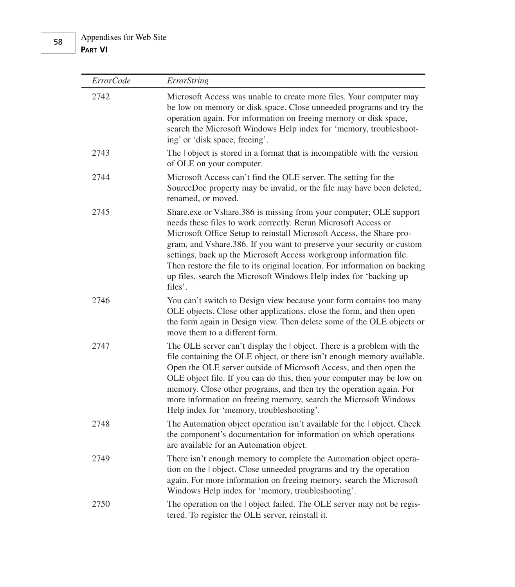| <b>ErrorCode</b> | ErrorString                                                                                                                                                                                                                                                                                                                                                                                                                                                                                                               |
|------------------|---------------------------------------------------------------------------------------------------------------------------------------------------------------------------------------------------------------------------------------------------------------------------------------------------------------------------------------------------------------------------------------------------------------------------------------------------------------------------------------------------------------------------|
| 2742             | Microsoft Access was unable to create more files. Your computer may<br>be low on memory or disk space. Close unneeded programs and try the<br>operation again. For information on freeing memory or disk space,<br>search the Microsoft Windows Help index for 'memory, troubleshoot-<br>ing' or 'disk space, freeing'.                                                                                                                                                                                                   |
| 2743             | The I object is stored in a format that is incompatible with the version<br>of OLE on your computer.                                                                                                                                                                                                                                                                                                                                                                                                                      |
| 2744             | Microsoft Access can't find the OLE server. The setting for the<br>SourceDoc property may be invalid, or the file may have been deleted,<br>renamed, or moved.                                                                                                                                                                                                                                                                                                                                                            |
| 2745             | Share.exe or Vshare.386 is missing from your computer; OLE support<br>needs these files to work correctly. Rerun Microsoft Access or<br>Microsoft Office Setup to reinstall Microsoft Access, the Share pro-<br>gram, and Vshare.386. If you want to preserve your security or custom<br>settings, back up the Microsoft Access workgroup information file.<br>Then restore the file to its original location. For information on backing<br>up files, search the Microsoft Windows Help index for 'backing up<br>files'. |
| 2746             | You can't switch to Design view because your form contains too many<br>OLE objects. Close other applications, close the form, and then open<br>the form again in Design view. Then delete some of the OLE objects or<br>move them to a different form.                                                                                                                                                                                                                                                                    |
| 2747             | The OLE server can't display the I object. There is a problem with the<br>file containing the OLE object, or there isn't enough memory available.<br>Open the OLE server outside of Microsoft Access, and then open the<br>OLE object file. If you can do this, then your computer may be low on<br>memory. Close other programs, and then try the operation again. For<br>more information on freeing memory, search the Microsoft Windows<br>Help index for 'memory, troubleshooting'.                                  |
| 2748             | The Automation object operation isn't available for the   object. Check<br>the component's documentation for information on which operations<br>are available for an Automation object.                                                                                                                                                                                                                                                                                                                                   |
| 2749             | There isn't enough memory to complete the Automation object opera-<br>tion on the I object. Close unneeded programs and try the operation<br>again. For more information on freeing memory, search the Microsoft<br>Windows Help index for 'memory, troubleshooting'.                                                                                                                                                                                                                                                     |
| 2750             | The operation on the I object failed. The OLE server may not be regis-<br>tered. To register the OLE server, reinstall it.                                                                                                                                                                                                                                                                                                                                                                                                |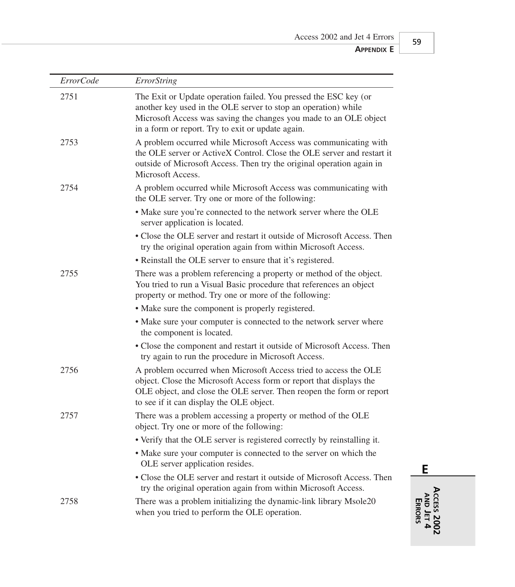| <b>ErrorCode</b> | ErrorString                                                                                                                                                                                                                                                  |
|------------------|--------------------------------------------------------------------------------------------------------------------------------------------------------------------------------------------------------------------------------------------------------------|
| 2751             | The Exit or Update operation failed. You pressed the ESC key (or<br>another key used in the OLE server to stop an operation) while<br>Microsoft Access was saving the changes you made to an OLE object<br>in a form or report. Try to exit or update again. |
| 2753             | A problem occurred while Microsoft Access was communicating with<br>the OLE server or ActiveX Control. Close the OLE server and restart it<br>outside of Microsoft Access. Then try the original operation again in<br>Microsoft Access.                     |
| 2754             | A problem occurred while Microsoft Access was communicating with<br>the OLE server. Try one or more of the following:                                                                                                                                        |
|                  | • Make sure you're connected to the network server where the OLE<br>server application is located.                                                                                                                                                           |
|                  | • Close the OLE server and restart it outside of Microsoft Access. Then<br>try the original operation again from within Microsoft Access.                                                                                                                    |
|                  | • Reinstall the OLE server to ensure that it's registered.                                                                                                                                                                                                   |
| 2755             | There was a problem referencing a property or method of the object.<br>You tried to run a Visual Basic procedure that references an object<br>property or method. Try one or more of the following:                                                          |
|                  | • Make sure the component is properly registered.                                                                                                                                                                                                            |
|                  | • Make sure your computer is connected to the network server where<br>the component is located.                                                                                                                                                              |
|                  | • Close the component and restart it outside of Microsoft Access. Then<br>try again to run the procedure in Microsoft Access.                                                                                                                                |
| 2756             | A problem occurred when Microsoft Access tried to access the OLE<br>object. Close the Microsoft Access form or report that displays the<br>OLE object, and close the OLE server. Then reopen the form or report<br>to see if it can display the OLE object.  |
| 2757             | There was a problem accessing a property or method of the OLE<br>object. Try one or more of the following:                                                                                                                                                   |
|                  | • Verify that the OLE server is registered correctly by reinstalling it.                                                                                                                                                                                     |
|                  | • Make sure your computer is connected to the server on which the<br>OLE server application resides.                                                                                                                                                         |
|                  | • Close the OLE server and restart it outside of Microsoft Access. Then<br>try the original operation again from within Microsoft Access.                                                                                                                    |
| 2758             | There was a problem initializing the dynamic-link library Msole20<br>when you tried to perform the OLE operation.                                                                                                                                            |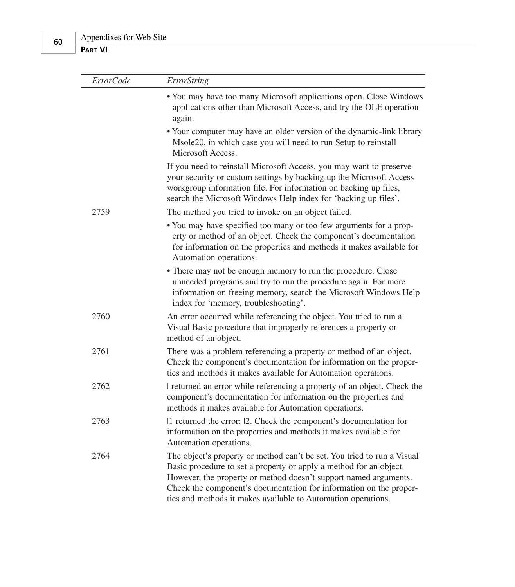| <b>ErrorCode</b> | ErrorString                                                                                                                                                                                                                                                                                                                                              |
|------------------|----------------------------------------------------------------------------------------------------------------------------------------------------------------------------------------------------------------------------------------------------------------------------------------------------------------------------------------------------------|
|                  | • You may have too many Microsoft applications open. Close Windows<br>applications other than Microsoft Access, and try the OLE operation<br>again.                                                                                                                                                                                                      |
|                  | • Your computer may have an older version of the dynamic-link library<br>Msole20, in which case you will need to run Setup to reinstall<br>Microsoft Access.                                                                                                                                                                                             |
|                  | If you need to reinstall Microsoft Access, you may want to preserve<br>your security or custom settings by backing up the Microsoft Access<br>workgroup information file. For information on backing up files,<br>search the Microsoft Windows Help index for 'backing up files'.                                                                        |
| 2759             | The method you tried to invoke on an object failed.                                                                                                                                                                                                                                                                                                      |
|                  | • You may have specified too many or too few arguments for a prop-<br>erty or method of an object. Check the component's documentation<br>for information on the properties and methods it makes available for<br>Automation operations.                                                                                                                 |
|                  | • There may not be enough memory to run the procedure. Close<br>unneeded programs and try to run the procedure again. For more<br>information on freeing memory, search the Microsoft Windows Help<br>index for 'memory, troubleshooting'.                                                                                                               |
| 2760             | An error occurred while referencing the object. You tried to run a<br>Visual Basic procedure that improperly references a property or<br>method of an object.                                                                                                                                                                                            |
| 2761             | There was a problem referencing a property or method of an object.<br>Check the component's documentation for information on the proper-<br>ties and methods it makes available for Automation operations.                                                                                                                                               |
| 2762             | I returned an error while referencing a property of an object. Check the<br>component's documentation for information on the properties and<br>methods it makes available for Automation operations.                                                                                                                                                     |
| 2763             | 11 returned the error: 12. Check the component's documentation for<br>information on the properties and methods it makes available for<br>Automation operations.                                                                                                                                                                                         |
| 2764             | The object's property or method can't be set. You tried to run a Visual<br>Basic procedure to set a property or apply a method for an object.<br>However, the property or method doesn't support named arguments.<br>Check the component's documentation for information on the proper-<br>ties and methods it makes available to Automation operations. |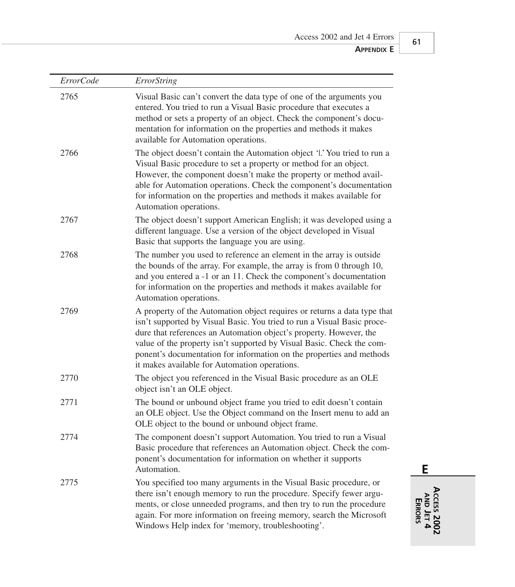| <b>ErrorCode</b> | ErrorString                                                                                                                                                                                                                                                                                                                                                                                                                 |
|------------------|-----------------------------------------------------------------------------------------------------------------------------------------------------------------------------------------------------------------------------------------------------------------------------------------------------------------------------------------------------------------------------------------------------------------------------|
| 2765             | Visual Basic can't convert the data type of one of the arguments you<br>entered. You tried to run a Visual Basic procedure that executes a<br>method or sets a property of an object. Check the component's docu-<br>mentation for information on the properties and methods it makes<br>available for Automation operations.                                                                                               |
| 2766             | The object doesn't contain the Automation object 'l.' You tried to run a<br>Visual Basic procedure to set a property or method for an object.<br>However, the component doesn't make the property or method avail-<br>able for Automation operations. Check the component's documentation<br>for information on the properties and methods it makes available for<br>Automation operations.                                 |
| 2767             | The object doesn't support American English; it was developed using a<br>different language. Use a version of the object developed in Visual<br>Basic that supports the language you are using.                                                                                                                                                                                                                             |
| 2768             | The number you used to reference an element in the array is outside<br>the bounds of the array. For example, the array is from 0 through 10,<br>and you entered a -1 or an 11. Check the component's documentation<br>for information on the properties and methods it makes available for<br>Automation operations.                                                                                                        |
| 2769             | A property of the Automation object requires or returns a data type that<br>isn't supported by Visual Basic. You tried to run a Visual Basic proce-<br>dure that references an Automation object's property. However, the<br>value of the property isn't supported by Visual Basic. Check the com-<br>ponent's documentation for information on the properties and methods<br>it makes available for Automation operations. |
| 2770             | The object you referenced in the Visual Basic procedure as an OLE<br>object isn't an OLE object.                                                                                                                                                                                                                                                                                                                            |
| 2771             | The bound or unbound object frame you tried to edit doesn't contain<br>an OLE object. Use the Object command on the Insert menu to add an<br>OLE object to the bound or unbound object frame.                                                                                                                                                                                                                               |
| 2774             | The component doesn't support Automation. You tried to run a Visual<br>Basic procedure that references an Automation object. Check the com-<br>ponent's documentation for information on whether it supports<br>Automation.                                                                                                                                                                                                 |
| 2775             | You specified too many arguments in the Visual Basic procedure, or<br>there isn't enough memory to run the procedure. Specify fewer argu-<br>ments, or close unneeded programs, and then try to run the procedure<br>again. For more information on freeing memory, search the Microsoft<br>Windows Help index for 'memory, troubleshooting'.                                                                               |

L,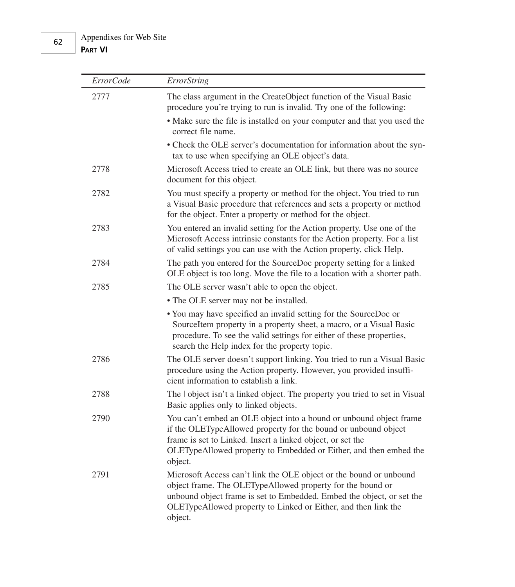| <b>ErrorCode</b> | ErrorString                                                                                                                                                                                                                                                                            |
|------------------|----------------------------------------------------------------------------------------------------------------------------------------------------------------------------------------------------------------------------------------------------------------------------------------|
| 2777             | The class argument in the CreateObject function of the Visual Basic<br>procedure you're trying to run is invalid. Try one of the following:                                                                                                                                            |
|                  | • Make sure the file is installed on your computer and that you used the<br>correct file name.                                                                                                                                                                                         |
|                  | • Check the OLE server's documentation for information about the syn-<br>tax to use when specifying an OLE object's data.                                                                                                                                                              |
| 2778             | Microsoft Access tried to create an OLE link, but there was no source<br>document for this object.                                                                                                                                                                                     |
| 2782             | You must specify a property or method for the object. You tried to run<br>a Visual Basic procedure that references and sets a property or method<br>for the object. Enter a property or method for the object.                                                                         |
| 2783             | You entered an invalid setting for the Action property. Use one of the<br>Microsoft Access intrinsic constants for the Action property. For a list<br>of valid settings you can use with the Action property, click Help.                                                              |
| 2784             | The path you entered for the SourceDoc property setting for a linked<br>OLE object is too long. Move the file to a location with a shorter path.                                                                                                                                       |
| 2785             | The OLE server wasn't able to open the object.                                                                                                                                                                                                                                         |
|                  | • The OLE server may not be installed.                                                                                                                                                                                                                                                 |
|                  | • You may have specified an invalid setting for the SourceDoc or<br>SourceItem property in a property sheet, a macro, or a Visual Basic<br>procedure. To see the valid settings for either of these properties,<br>search the Help index for the property topic.                       |
| 2786             | The OLE server doesn't support linking. You tried to run a Visual Basic<br>procedure using the Action property. However, you provided insuffi-<br>cient information to establish a link.                                                                                               |
| 2788             | The I object isn't a linked object. The property you tried to set in Visual<br>Basic applies only to linked objects.                                                                                                                                                                   |
| 2790             | You can't embed an OLE object into a bound or unbound object frame<br>if the OLETypeAllowed property for the bound or unbound object<br>frame is set to Linked. Insert a linked object, or set the<br>OLETypeAllowed property to Embedded or Either, and then embed the<br>object.     |
| 2791             | Microsoft Access can't link the OLE object or the bound or unbound<br>object frame. The OLETypeAllowed property for the bound or<br>unbound object frame is set to Embedded. Embed the object, or set the<br>OLETypeAllowed property to Linked or Either, and then link the<br>object. |

 $\overline{\phantom{0}}$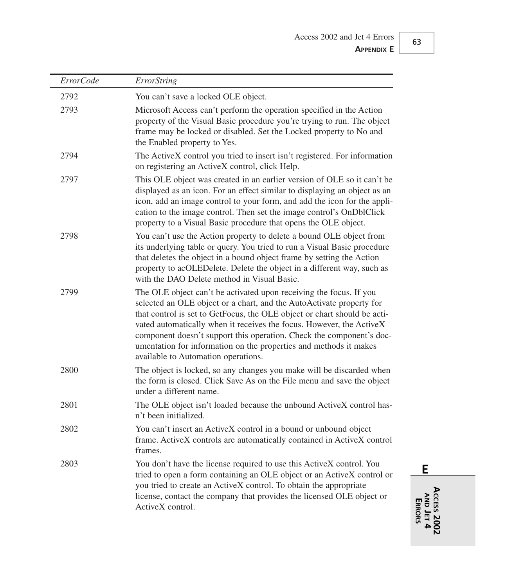**APPENDIX E**

| <b>ErrorCode</b> | ErrorString                                                                                                                                                                                                                                                                                                                                                                                                                                                                        |
|------------------|------------------------------------------------------------------------------------------------------------------------------------------------------------------------------------------------------------------------------------------------------------------------------------------------------------------------------------------------------------------------------------------------------------------------------------------------------------------------------------|
| 2792             | You can't save a locked OLE object.                                                                                                                                                                                                                                                                                                                                                                                                                                                |
| 2793             | Microsoft Access can't perform the operation specified in the Action<br>property of the Visual Basic procedure you're trying to run. The object<br>frame may be locked or disabled. Set the Locked property to No and<br>the Enabled property to Yes.                                                                                                                                                                                                                              |
| 2794             | The ActiveX control you tried to insert isn't registered. For information<br>on registering an ActiveX control, click Help.                                                                                                                                                                                                                                                                                                                                                        |
| 2797             | This OLE object was created in an earlier version of OLE so it can't be<br>displayed as an icon. For an effect similar to displaying an object as an<br>icon, add an image control to your form, and add the icon for the appli-<br>cation to the image control. Then set the image control's OnDblClick<br>property to a Visual Basic procedure that opens the OLE object.                                                                                                        |
| 2798             | You can't use the Action property to delete a bound OLE object from<br>its underlying table or query. You tried to run a Visual Basic procedure<br>that deletes the object in a bound object frame by setting the Action<br>property to acOLEDelete. Delete the object in a different way, such as<br>with the DAO Delete method in Visual Basic.                                                                                                                                  |
| 2799             | The OLE object can't be activated upon receiving the focus. If you<br>selected an OLE object or a chart, and the AutoActivate property for<br>that control is set to GetFocus, the OLE object or chart should be acti-<br>vated automatically when it receives the focus. However, the ActiveX<br>component doesn't support this operation. Check the component's doc-<br>umentation for information on the properties and methods it makes<br>available to Automation operations. |
| 2800             | The object is locked, so any changes you make will be discarded when<br>the form is closed. Click Save As on the File menu and save the object<br>under a different name.                                                                                                                                                                                                                                                                                                          |
| 2801             | The OLE object isn't loaded because the unbound ActiveX control has-<br>n't been initialized.                                                                                                                                                                                                                                                                                                                                                                                      |
| 2802             | You can't insert an ActiveX control in a bound or unbound object<br>frame. ActiveX controls are automatically contained in ActiveX control<br>frames.                                                                                                                                                                                                                                                                                                                              |
| 2803             | You don't have the license required to use this ActiveX control. You<br>tried to open a form containing an OLE object or an ActiveX control or<br>you tried to create an ActiveX control. To obtain the appropriate<br>license, contact the company that provides the licensed OLE object or<br>ActiveX control.                                                                                                                                                                   |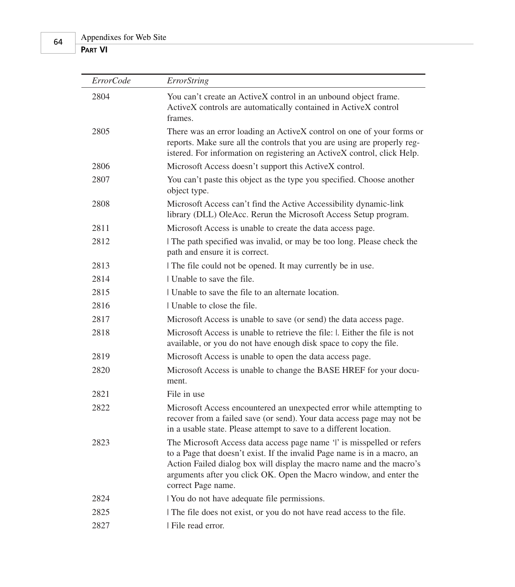| <b>ErrorCode</b> | ErrorString                                                                                                                                                                                                                                                                                                            |
|------------------|------------------------------------------------------------------------------------------------------------------------------------------------------------------------------------------------------------------------------------------------------------------------------------------------------------------------|
| 2804             | You can't create an ActiveX control in an unbound object frame.<br>ActiveX controls are automatically contained in ActiveX control<br>frames.                                                                                                                                                                          |
| 2805             | There was an error loading an ActiveX control on one of your forms or<br>reports. Make sure all the controls that you are using are properly reg-<br>istered. For information on registering an ActiveX control, click Help.                                                                                           |
| 2806             | Microsoft Access doesn't support this ActiveX control.                                                                                                                                                                                                                                                                 |
| 2807             | You can't paste this object as the type you specified. Choose another<br>object type.                                                                                                                                                                                                                                  |
| 2808             | Microsoft Access can't find the Active Accessibility dynamic-link<br>library (DLL) OleAcc. Rerun the Microsoft Access Setup program.                                                                                                                                                                                   |
| 2811             | Microsoft Access is unable to create the data access page.                                                                                                                                                                                                                                                             |
| 2812             | I The path specified was invalid, or may be too long. Please check the<br>path and ensure it is correct.                                                                                                                                                                                                               |
| 2813             | I The file could not be opened. It may currently be in use.                                                                                                                                                                                                                                                            |
| 2814             | I Unable to save the file.                                                                                                                                                                                                                                                                                             |
| 2815             | I Unable to save the file to an alternate location.                                                                                                                                                                                                                                                                    |
| 2816             | I Unable to close the file.                                                                                                                                                                                                                                                                                            |
| 2817             | Microsoft Access is unable to save (or send) the data access page.                                                                                                                                                                                                                                                     |
| 2818             | Microsoft Access is unable to retrieve the file: I. Either the file is not<br>available, or you do not have enough disk space to copy the file.                                                                                                                                                                        |
| 2819             | Microsoft Access is unable to open the data access page.                                                                                                                                                                                                                                                               |
| 2820             | Microsoft Access is unable to change the BASE HREF for your docu-<br>ment.                                                                                                                                                                                                                                             |
| 2821             | File in use                                                                                                                                                                                                                                                                                                            |
| 2822             | Microsoft Access encountered an unexpected error while attempting to<br>recover from a failed save (or send). Your data access page may not be<br>in a usable state. Please attempt to save to a different location.                                                                                                   |
| 2823             | The Microsoft Access data access page name 'l' is misspelled or refers<br>to a Page that doesn't exist. If the invalid Page name is in a macro, an<br>Action Failed dialog box will display the macro name and the macro's<br>arguments after you click OK. Open the Macro window, and enter the<br>correct Page name. |
| 2824             | l You do not have adequate file permissions.                                                                                                                                                                                                                                                                           |
| 2825             | The file does not exist, or you do not have read access to the file.                                                                                                                                                                                                                                                   |
| 2827             | I File read error.                                                                                                                                                                                                                                                                                                     |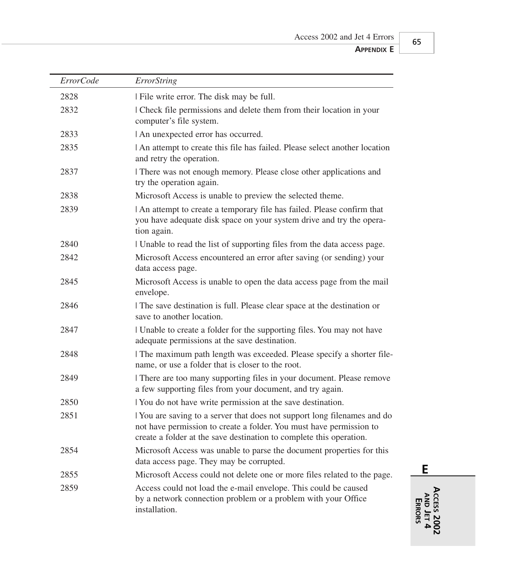| <b>ErrorCode</b> | ErrorString                                                                                                                                                                                                            |
|------------------|------------------------------------------------------------------------------------------------------------------------------------------------------------------------------------------------------------------------|
| 2828             | I File write error. The disk may be full.                                                                                                                                                                              |
| 2832             | I Check file permissions and delete them from their location in your<br>computer's file system.                                                                                                                        |
| 2833             | An unexpected error has occurred.                                                                                                                                                                                      |
| 2835             | An attempt to create this file has failed. Please select another location<br>and retry the operation.                                                                                                                  |
| 2837             | There was not enough memory. Please close other applications and<br>try the operation again.                                                                                                                           |
| 2838             | Microsoft Access is unable to preview the selected theme.                                                                                                                                                              |
| 2839             | An attempt to create a temporary file has failed. Please confirm that<br>you have adequate disk space on your system drive and try the opera-<br>tion again.                                                           |
| 2840             | I Unable to read the list of supporting files from the data access page.                                                                                                                                               |
| 2842             | Microsoft Access encountered an error after saving (or sending) your<br>data access page.                                                                                                                              |
| 2845             | Microsoft Access is unable to open the data access page from the mail<br>envelope.                                                                                                                                     |
| 2846             | I The save destination is full. Please clear space at the destination or<br>save to another location.                                                                                                                  |
| 2847             | I Unable to create a folder for the supporting files. You may not have<br>adequate permissions at the save destination.                                                                                                |
| 2848             | I The maximum path length was exceeded. Please specify a shorter file-<br>name, or use a folder that is closer to the root.                                                                                            |
| 2849             | I There are too many supporting files in your document. Please remove<br>a few supporting files from your document, and try again.                                                                                     |
| 2850             | l You do not have write permission at the save destination.                                                                                                                                                            |
| 2851             | I You are saving to a server that does not support long filenames and do<br>not have permission to create a folder. You must have permission to<br>create a folder at the save destination to complete this operation. |
| 2854             | Microsoft Access was unable to parse the document properties for this<br>data access page. They may be corrupted.                                                                                                      |
| 2855             | Microsoft Access could not delete one or more files related to the page.                                                                                                                                               |
| 2859             | Access could not load the e-mail envelope. This could be caused<br>by a network connection problem or a problem with your Office<br>installation.                                                                      |

 $\overline{a}$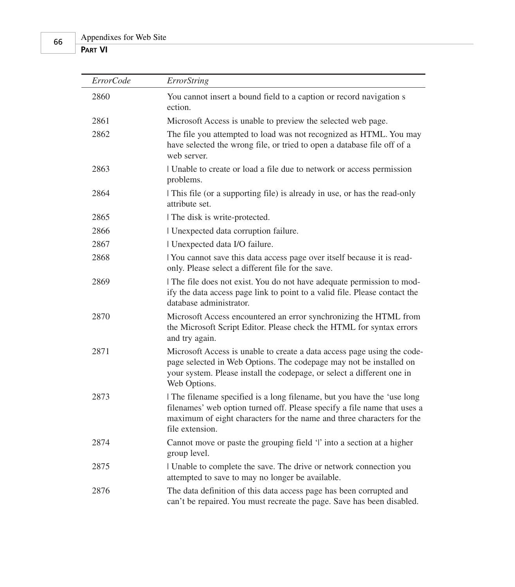| <b>ErrorCode</b> | ErrorString                                                                                                                                                                                                                                   |
|------------------|-----------------------------------------------------------------------------------------------------------------------------------------------------------------------------------------------------------------------------------------------|
| 2860             | You cannot insert a bound field to a caption or record navigation s<br>ection.                                                                                                                                                                |
| 2861             | Microsoft Access is unable to preview the selected web page.                                                                                                                                                                                  |
| 2862             | The file you attempted to load was not recognized as HTML. You may<br>have selected the wrong file, or tried to open a database file off of a<br>web server.                                                                                  |
| 2863             | I Unable to create or load a file due to network or access permission<br>problems.                                                                                                                                                            |
| 2864             | This file (or a supporting file) is already in use, or has the read-only<br>attribute set.                                                                                                                                                    |
| 2865             | I The disk is write-protected.                                                                                                                                                                                                                |
| 2866             | Unexpected data corruption failure.                                                                                                                                                                                                           |
| 2867             | Unexpected data I/O failure.                                                                                                                                                                                                                  |
| 2868             | You cannot save this data access page over itself because it is read-<br>only. Please select a different file for the save.                                                                                                                   |
| 2869             | The file does not exist. You do not have adequate permission to mod-<br>ify the data access page link to point to a valid file. Please contact the<br>database administrator.                                                                 |
| 2870             | Microsoft Access encountered an error synchronizing the HTML from<br>the Microsoft Script Editor. Please check the HTML for syntax errors<br>and try again.                                                                                   |
| 2871             | Microsoft Access is unable to create a data access page using the code-<br>page selected in Web Options. The codepage may not be installed on<br>your system. Please install the codepage, or select a different one in<br>Web Options.       |
| 2873             | The filename specified is a long filename, but you have the 'use long<br>filenames' web option turned off. Please specify a file name that uses a<br>maximum of eight characters for the name and three characters for the<br>file extension. |
| 2874             | Cannot move or paste the grouping field 'l' into a section at a higher<br>group level.                                                                                                                                                        |
| 2875             | I Unable to complete the save. The drive or network connection you<br>attempted to save to may no longer be available.                                                                                                                        |
| 2876             | The data definition of this data access page has been corrupted and<br>can't be repaired. You must recreate the page. Save has been disabled.                                                                                                 |

 $\overline{\phantom{0}}$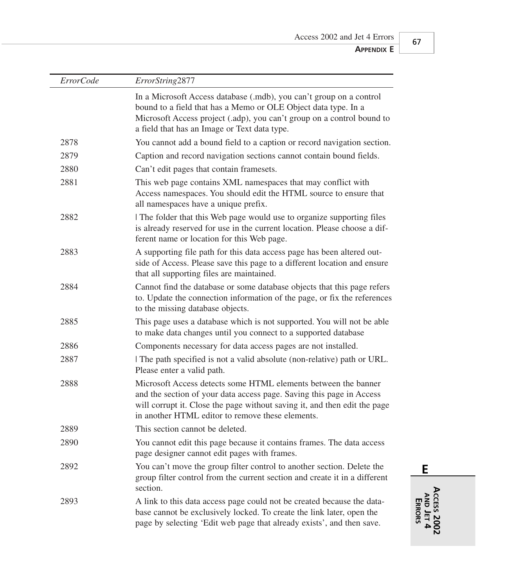**E**

**AND JET 4 ERRORS** **ACCESS**

| <b>ErrorCode</b> | ErrorString2877                                                                                                                                                                                                                                                         |
|------------------|-------------------------------------------------------------------------------------------------------------------------------------------------------------------------------------------------------------------------------------------------------------------------|
|                  | In a Microsoft Access database (.mdb), you can't group on a control<br>bound to a field that has a Memo or OLE Object data type. In a<br>Microsoft Access project (.adp), you can't group on a control bound to<br>a field that has an Image or Text data type.         |
| 2878             | You cannot add a bound field to a caption or record navigation section.                                                                                                                                                                                                 |
| 2879             | Caption and record navigation sections cannot contain bound fields.                                                                                                                                                                                                     |
| 2880             | Can't edit pages that contain framesets.                                                                                                                                                                                                                                |
| 2881             | This web page contains XML namespaces that may conflict with<br>Access namespaces. You should edit the HTML source to ensure that<br>all namespaces have a unique prefix.                                                                                               |
| 2882             | The folder that this Web page would use to organize supporting files<br>is already reserved for use in the current location. Please choose a dif-<br>ferent name or location for this Web page.                                                                         |
| 2883             | A supporting file path for this data access page has been altered out-<br>side of Access. Please save this page to a different location and ensure<br>that all supporting files are maintained.                                                                         |
| 2884             | Cannot find the database or some database objects that this page refers<br>to. Update the connection information of the page, or fix the references<br>to the missing database objects.                                                                                 |
| 2885             | This page uses a database which is not supported. You will not be able<br>to make data changes until you connect to a supported database                                                                                                                                |
| 2886             | Components necessary for data access pages are not installed.                                                                                                                                                                                                           |
| 2887             | The path specified is not a valid absolute (non-relative) path or URL.<br>Please enter a valid path.                                                                                                                                                                    |
| 2888             | Microsoft Access detects some HTML elements between the banner<br>and the section of your data access page. Saving this page in Access<br>will corrupt it. Close the page without saving it, and then edit the page<br>in another HTML editor to remove these elements. |
| 2889             | This section cannot be deleted.                                                                                                                                                                                                                                         |
| 2890             | You cannot edit this page because it contains frames. The data access<br>page designer cannot edit pages with frames.                                                                                                                                                   |
| 2892             | You can't move the group filter control to another section. Delete the<br>group filter control from the current section and create it in a different<br>section.                                                                                                        |
| 2893             | A link to this data access page could not be created because the data-<br>base cannot be exclusively locked. To create the link later, open the<br>page by selecting 'Edit web page that already exists', and then save.                                                |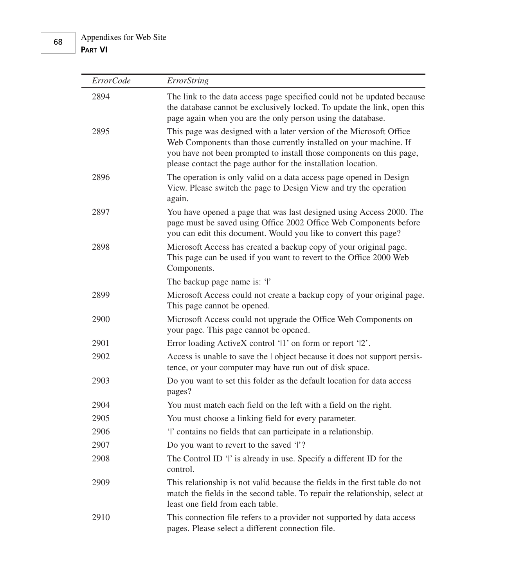| <b>ErrorCode</b> | ErrorString                                                                                                                                                                                                                                                                       |
|------------------|-----------------------------------------------------------------------------------------------------------------------------------------------------------------------------------------------------------------------------------------------------------------------------------|
| 2894             | The link to the data access page specified could not be updated because<br>the database cannot be exclusively locked. To update the link, open this<br>page again when you are the only person using the database.                                                                |
| 2895             | This page was designed with a later version of the Microsoft Office<br>Web Components than those currently installed on your machine. If<br>you have not been prompted to install those components on this page,<br>please contact the page author for the installation location. |
| 2896             | The operation is only valid on a data access page opened in Design<br>View. Please switch the page to Design View and try the operation<br>again.                                                                                                                                 |
| 2897             | You have opened a page that was last designed using Access 2000. The<br>page must be saved using Office 2002 Office Web Components before<br>you can edit this document. Would you like to convert this page?                                                                     |
| 2898             | Microsoft Access has created a backup copy of your original page.<br>This page can be used if you want to revert to the Office 2000 Web<br>Components.                                                                                                                            |
|                  | The backup page name is: 'l'                                                                                                                                                                                                                                                      |
| 2899             | Microsoft Access could not create a backup copy of your original page.<br>This page cannot be opened.                                                                                                                                                                             |
| 2900             | Microsoft Access could not upgrade the Office Web Components on<br>your page. This page cannot be opened.                                                                                                                                                                         |
| 2901             | Error loading ActiveX control 'll' on form or report 'l2'.                                                                                                                                                                                                                        |
| 2902             | Access is unable to save the I object because it does not support persis-<br>tence, or your computer may have run out of disk space.                                                                                                                                              |
| 2903             | Do you want to set this folder as the default location for data access<br>pages?                                                                                                                                                                                                  |
| 2904             | You must match each field on the left with a field on the right.                                                                                                                                                                                                                  |
| 2905             | You must choose a linking field for every parameter.                                                                                                                                                                                                                              |
| 2906             | 'l' contains no fields that can participate in a relationship.                                                                                                                                                                                                                    |
| 2907             | Do you want to revert to the saved 'l'?                                                                                                                                                                                                                                           |
| 2908             | The Control ID 'l' is already in use. Specify a different ID for the<br>control.                                                                                                                                                                                                  |
| 2909             | This relationship is not valid because the fields in the first table do not<br>match the fields in the second table. To repair the relationship, select at<br>least one field from each table.                                                                                    |
| 2910             | This connection file refers to a provider not supported by data access<br>pages. Please select a different connection file.                                                                                                                                                       |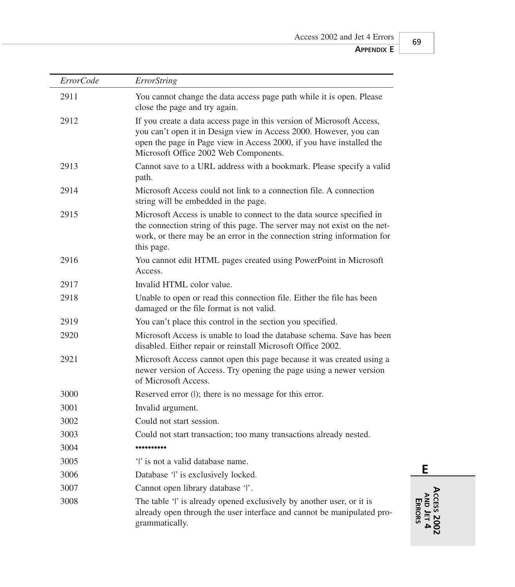| <b>ErrorCode</b> | ErrorString                                                                                                                                                                                                                                                 |
|------------------|-------------------------------------------------------------------------------------------------------------------------------------------------------------------------------------------------------------------------------------------------------------|
| 2911             | You cannot change the data access page path while it is open. Please<br>close the page and try again.                                                                                                                                                       |
| 2912             | If you create a data access page in this version of Microsoft Access,<br>you can't open it in Design view in Access 2000. However, you can<br>open the page in Page view in Access 2000, if you have installed the<br>Microsoft Office 2002 Web Components. |
| 2913             | Cannot save to a URL address with a bookmark. Please specify a valid<br>path.                                                                                                                                                                               |
| 2914             | Microsoft Access could not link to a connection file. A connection<br>string will be embedded in the page.                                                                                                                                                  |
| 2915             | Microsoft Access is unable to connect to the data source specified in<br>the connection string of this page. The server may not exist on the net-<br>work, or there may be an error in the connection string information for<br>this page.                  |
| 2916             | You cannot edit HTML pages created using PowerPoint in Microsoft<br>Access.                                                                                                                                                                                 |
| 2917             | Invalid HTML color value.                                                                                                                                                                                                                                   |
| 2918             | Unable to open or read this connection file. Either the file has been<br>damaged or the file format is not valid.                                                                                                                                           |
| 2919             | You can't place this control in the section you specified.                                                                                                                                                                                                  |
| 2920             | Microsoft Access is unable to load the database schema. Save has been<br>disabled. Either repair or reinstall Microsoft Office 2002.                                                                                                                        |
| 2921             | Microsoft Access cannot open this page because it was created using a<br>newer version of Access. Try opening the page using a newer version<br>of Microsoft Access.                                                                                        |
| 3000             | Reserved error (I); there is no message for this error.                                                                                                                                                                                                     |
| 3001             | Invalid argument.                                                                                                                                                                                                                                           |
| 3002             | Could not start session.                                                                                                                                                                                                                                    |
| 3003             | Could not start transaction; too many transactions already nested.                                                                                                                                                                                          |
| 3004             |                                                                                                                                                                                                                                                             |
| 3005             | 'l' is not a valid database name.                                                                                                                                                                                                                           |
| 3006             | Database 'l' is exclusively locked.                                                                                                                                                                                                                         |
| 3007             | Cannot open library database 'l'.                                                                                                                                                                                                                           |
| 3008             | The table 'l' is already opened exclusively by another user, or it is<br>already open through the user interface and cannot be manipulated pro-<br>grammatically.                                                                                           |

L,

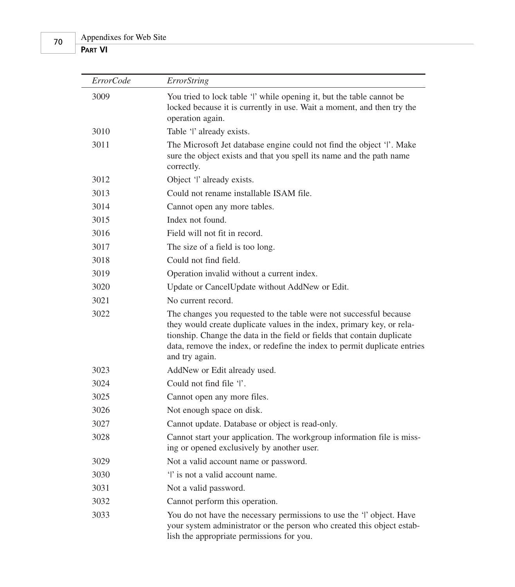| <b>ErrorCode</b> | ErrorString                                                                                                                                                                                                                                                                                                            |
|------------------|------------------------------------------------------------------------------------------------------------------------------------------------------------------------------------------------------------------------------------------------------------------------------------------------------------------------|
| 3009             | You tried to lock table 'l' while opening it, but the table cannot be<br>locked because it is currently in use. Wait a moment, and then try the<br>operation again.                                                                                                                                                    |
| 3010             | Table 'l' already exists.                                                                                                                                                                                                                                                                                              |
| 3011             | The Microsoft Jet database engine could not find the object 'l'. Make<br>sure the object exists and that you spell its name and the path name<br>correctly.                                                                                                                                                            |
| 3012             | Object 'l' already exists.                                                                                                                                                                                                                                                                                             |
| 3013             | Could not rename installable ISAM file.                                                                                                                                                                                                                                                                                |
| 3014             | Cannot open any more tables.                                                                                                                                                                                                                                                                                           |
| 3015             | Index not found.                                                                                                                                                                                                                                                                                                       |
| 3016             | Field will not fit in record.                                                                                                                                                                                                                                                                                          |
| 3017             | The size of a field is too long.                                                                                                                                                                                                                                                                                       |
| 3018             | Could not find field.                                                                                                                                                                                                                                                                                                  |
| 3019             | Operation invalid without a current index.                                                                                                                                                                                                                                                                             |
| 3020             | Update or CancelUpdate without AddNew or Edit.                                                                                                                                                                                                                                                                         |
| 3021             | No current record.                                                                                                                                                                                                                                                                                                     |
| 3022             | The changes you requested to the table were not successful because<br>they would create duplicate values in the index, primary key, or rela-<br>tionship. Change the data in the field or fields that contain duplicate<br>data, remove the index, or redefine the index to permit duplicate entries<br>and try again. |
| 3023             | AddNew or Edit already used.                                                                                                                                                                                                                                                                                           |
| 3024             | Could not find file 'l'.                                                                                                                                                                                                                                                                                               |
| 3025             | Cannot open any more files.                                                                                                                                                                                                                                                                                            |
| 3026             | Not enough space on disk.                                                                                                                                                                                                                                                                                              |
| 3027             | Cannot update. Database or object is read-only.                                                                                                                                                                                                                                                                        |
| 3028             | Cannot start your application. The workgroup information file is miss-<br>ing or opened exclusively by another user.                                                                                                                                                                                                   |
| 3029             | Not a valid account name or password.                                                                                                                                                                                                                                                                                  |
| 3030             | 'l' is not a valid account name.                                                                                                                                                                                                                                                                                       |
| 3031             | Not a valid password.                                                                                                                                                                                                                                                                                                  |
| 3032             | Cannot perform this operation.                                                                                                                                                                                                                                                                                         |
| 3033             | You do not have the necessary permissions to use the 'l' object. Have<br>your system administrator or the person who created this object estab-<br>lish the appropriate permissions for you.                                                                                                                           |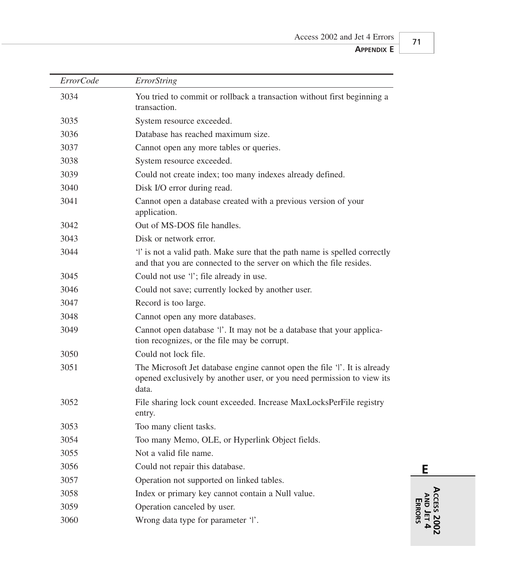| <b>ErrorCode</b> | ErrorString                                                                                                                                                  |
|------------------|--------------------------------------------------------------------------------------------------------------------------------------------------------------|
| 3034             | You tried to commit or rollback a transaction without first beginning a<br>transaction.                                                                      |
| 3035             | System resource exceeded.                                                                                                                                    |
| 3036             | Database has reached maximum size.                                                                                                                           |
| 3037             | Cannot open any more tables or queries.                                                                                                                      |
| 3038             | System resource exceeded.                                                                                                                                    |
| 3039             | Could not create index; too many indexes already defined.                                                                                                    |
| 3040             | Disk I/O error during read.                                                                                                                                  |
| 3041             | Cannot open a database created with a previous version of your<br>application.                                                                               |
| 3042             | Out of MS-DOS file handles.                                                                                                                                  |
| 3043             | Disk or network error.                                                                                                                                       |
| 3044             | 'i' is not a valid path. Make sure that the path name is spelled correctly<br>and that you are connected to the server on which the file resides.            |
| 3045             | Could not use 'l'; file already in use.                                                                                                                      |
| 3046             | Could not save; currently locked by another user.                                                                                                            |
| 3047             | Record is too large.                                                                                                                                         |
| 3048             | Cannot open any more databases.                                                                                                                              |
| 3049             | Cannot open database 'l'. It may not be a database that your applica-<br>tion recognizes, or the file may be corrupt.                                        |
| 3050             | Could not lock file.                                                                                                                                         |
| 3051             | The Microsoft Jet database engine cannot open the file 'l'. It is already<br>opened exclusively by another user, or you need permission to view its<br>data. |
| 3052             | File sharing lock count exceeded. Increase MaxLocksPerFile registry<br>entry.                                                                                |
| 3053             | Too many client tasks.                                                                                                                                       |
| 3054             | Too many Memo, OLE, or Hyperlink Object fields.                                                                                                              |
| 3055             | Not a valid file name.                                                                                                                                       |
| 3056             | Could not repair this database.                                                                                                                              |
| 3057             | Operation not supported on linked tables.                                                                                                                    |
| 3058             | Index or primary key cannot contain a Null value.                                                                                                            |
| 3059             | Operation canceled by user.                                                                                                                                  |
| 3060             | Wrong data type for parameter 'l'.                                                                                                                           |

J.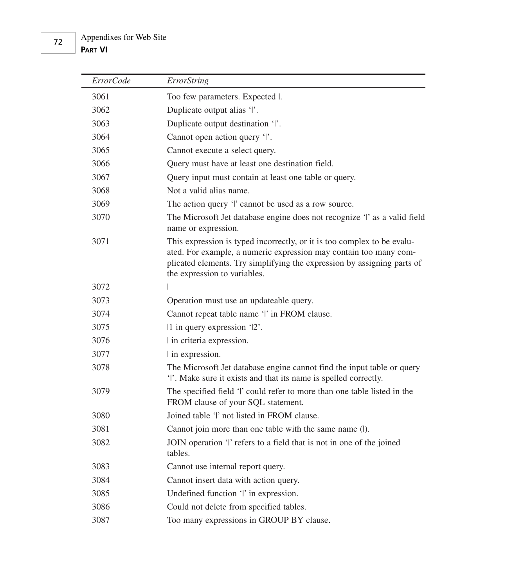*ErrorCode ErrorString* 3061 Too few parameters. Expected |. 3062 Duplicate output alias '|'. 3063 Duplicate output destination '|'. 3064 Cannot open action query '|'. 3065 Cannot execute a select query. 3066 Query must have at least one destination field. 3067 Query input must contain at least one table or query. 3068 Not a valid alias name. 3069 The action query '|' cannot be used as a row source. 3070 The Microsoft Jet database engine does not recognize '|' as a valid field name or expression. 3071 This expression is typed incorrectly, or it is too complex to be evaluated. For example, a numeric expression may contain too many complicated elements. Try simplifying the expression by assigning parts of the expression to variables. 3072 | 3073 Operation must use an updateable query. 3074 Cannot repeat table name '|' in FROM clause. 3075 | 1 in query expression '|2'. 3076 | in criteria expression. 3077 | in expression. 3078 The Microsoft Jet database engine cannot find the input table or query '|'. Make sure it exists and that its name is spelled correctly. 3079 The specified field '|' could refer to more than one table listed in the FROM clause of your SQL statement. 3080 Joined table '|' not listed in FROM clause. 3081 Cannot join more than one table with the same name (|). 3082 JOIN operation 'l' refers to a field that is not in one of the joined tables. 3083 Cannot use internal report query. 3084 Cannot insert data with action query. 3085 Undefined function 'l' in expression. 3086 Could not delete from specified tables.

3087 Too many expressions in GROUP BY clause.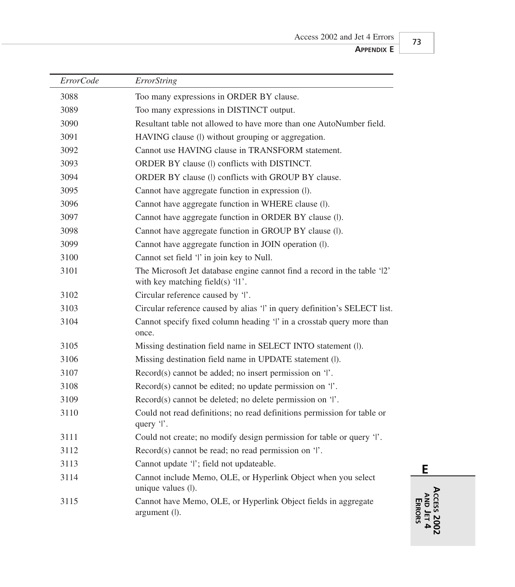| <b>ErrorCode</b> | ErrorString                                                                                                    |
|------------------|----------------------------------------------------------------------------------------------------------------|
| 3088             | Too many expressions in ORDER BY clause.                                                                       |
| 3089             | Too many expressions in DISTINCT output.                                                                       |
| 3090             | Resultant table not allowed to have more than one AutoNumber field.                                            |
| 3091             | HAVING clause (l) without grouping or aggregation.                                                             |
| 3092             | Cannot use HAVING clause in TRANSFORM statement.                                                               |
| 3093             | ORDER BY clause (I) conflicts with DISTINCT.                                                                   |
| 3094             | ORDER BY clause (I) conflicts with GROUP BY clause.                                                            |
| 3095             | Cannot have aggregate function in expression (I).                                                              |
| 3096             | Cannot have aggregate function in WHERE clause (I).                                                            |
| 3097             | Cannot have aggregate function in ORDER BY clause (l).                                                         |
| 3098             | Cannot have aggregate function in GROUP BY clause (I).                                                         |
| 3099             | Cannot have aggregate function in JOIN operation (l).                                                          |
| 3100             | Cannot set field 'l' in join key to Null.                                                                      |
| 3101             | The Microsoft Jet database engine cannot find a record in the table 'l2'<br>with key matching field(s) $'1'$ . |
| 3102             | Circular reference caused by 'l'.                                                                              |
| 3103             | Circular reference caused by alias 'l' in query definition's SELECT list.                                      |
| 3104             | Cannot specify fixed column heading 'l' in a crosstab query more than<br>once.                                 |
| 3105             | Missing destination field name in SELECT INTO statement (I).                                                   |
| 3106             | Missing destination field name in UPDATE statement (l).                                                        |
| 3107             | Record(s) cannot be added; no insert permission on 'l'.                                                        |
| 3108             | Record(s) cannot be edited; no update permission on 'l'.                                                       |
| 3109             | Record(s) cannot be deleted; no delete permission on 'l'.                                                      |
| 3110             | Could not read definitions; no read definitions permission for table or<br>query 'l'.                          |
| 3111             | Could not create; no modify design permission for table or query 'l'.                                          |
| 3112             | Record $(s)$ cannot be read; no read permission on $\mathcal{C}$ .                                             |
| 3113             | Cannot update 'l'; field not updateable.                                                                       |
| 3114             | Cannot include Memo, OLE, or Hyperlink Object when you select<br>unique values (l).                            |
| 3115             | Cannot have Memo, OLE, or Hyperlink Object fields in aggregate<br>argument (I).                                |
|                  |                                                                                                                |

 $\overline{a}$ 

73

**E**

**AND JET 4 ERRORS** **ACCESS**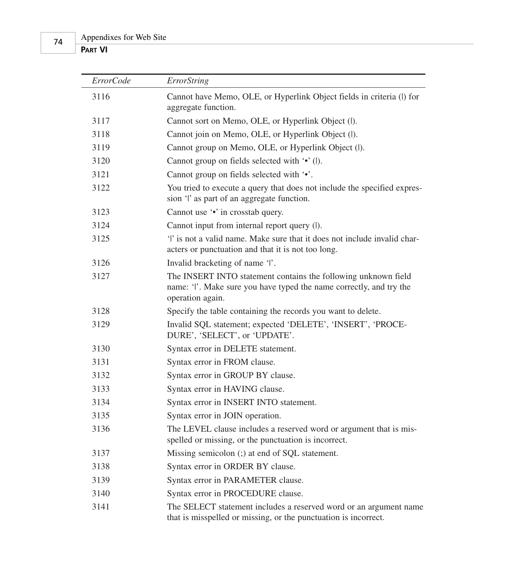| <b>ErrorCode</b> | ErrorString                                                                                                                                               |
|------------------|-----------------------------------------------------------------------------------------------------------------------------------------------------------|
| 3116             | Cannot have Memo, OLE, or Hyperlink Object fields in criteria (I) for<br>aggregate function.                                                              |
| 3117             | Cannot sort on Memo, OLE, or Hyperlink Object (l).                                                                                                        |
| 3118             | Cannot join on Memo, OLE, or Hyperlink Object (l).                                                                                                        |
| 3119             | Cannot group on Memo, OLE, or Hyperlink Object (I).                                                                                                       |
| 3120             | Cannot group on fields selected with '•' (l).                                                                                                             |
| 3121             | Cannot group on fields selected with '                                                                                                                    |
| 3122             | You tried to execute a query that does not include the specified expres-<br>sion 'l' as part of an aggregate function.                                    |
| 3123             | Cannot use '•' in crosstab query.                                                                                                                         |
| 3124             | Cannot input from internal report query (l).                                                                                                              |
| 3125             | 'l' is not a valid name. Make sure that it does not include invalid char-<br>acters or punctuation and that it is not too long.                           |
| 3126             | Invalid bracketing of name 'l'.                                                                                                                           |
| 3127             | The INSERT INTO statement contains the following unknown field<br>name: 'I'. Make sure you have typed the name correctly, and try the<br>operation again. |
| 3128             | Specify the table containing the records you want to delete.                                                                                              |
| 3129             | Invalid SQL statement; expected 'DELETE', 'INSERT', 'PROCE-<br>DURE', 'SELECT', or 'UPDATE'.                                                              |
| 3130             | Syntax error in DELETE statement.                                                                                                                         |
| 3131             | Syntax error in FROM clause.                                                                                                                              |
| 3132             | Syntax error in GROUP BY clause.                                                                                                                          |
| 3133             | Syntax error in HAVING clause.                                                                                                                            |
| 3134             | Syntax error in INSERT INTO statement.                                                                                                                    |
| 3135             | Syntax error in JOIN operation.                                                                                                                           |
| 3136             | The LEVEL clause includes a reserved word or argument that is mis-<br>spelled or missing, or the punctuation is incorrect.                                |
| 3137             | Missing semicolon (;) at end of SQL statement.                                                                                                            |
| 3138             | Syntax error in ORDER BY clause.                                                                                                                          |
| 3139             | Syntax error in PARAMETER clause.                                                                                                                         |
| 3140             | Syntax error in PROCEDURE clause.                                                                                                                         |
| 3141             | The SELECT statement includes a reserved word or an argument name<br>that is misspelled or missing, or the punctuation is incorrect.                      |

 $\overline{\phantom{0}}$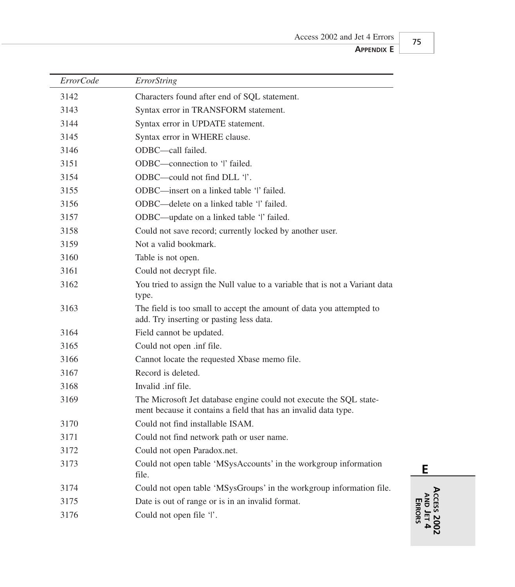**APPENDIX E**

| <b>ErrorCode</b> | ErrorString                                                                                                                           |
|------------------|---------------------------------------------------------------------------------------------------------------------------------------|
| 3142             | Characters found after end of SQL statement.                                                                                          |
| 3143             | Syntax error in TRANSFORM statement.                                                                                                  |
| 3144             | Syntax error in UPDATE statement.                                                                                                     |
| 3145             | Syntax error in WHERE clause.                                                                                                         |
| 3146             | ODBC-call failed.                                                                                                                     |
| 3151             | ODBC—connection to 'l' failed.                                                                                                        |
| 3154             | ODBC-could not find DLL 'l'.                                                                                                          |
| 3155             | ODBC—insert on a linked table 'l' failed.                                                                                             |
| 3156             | ODBC—delete on a linked table 'l' failed.                                                                                             |
| 3157             | ODBC—update on a linked table 'l' failed.                                                                                             |
| 3158             | Could not save record; currently locked by another user.                                                                              |
| 3159             | Not a valid bookmark.                                                                                                                 |
| 3160             | Table is not open.                                                                                                                    |
| 3161             | Could not decrypt file.                                                                                                               |
| 3162             | You tried to assign the Null value to a variable that is not a Variant data<br>type.                                                  |
| 3163             | The field is too small to accept the amount of data you attempted to<br>add. Try inserting or pasting less data.                      |
| 3164             | Field cannot be updated.                                                                                                              |
| 3165             | Could not open .inf file.                                                                                                             |
| 3166             | Cannot locate the requested Xbase memo file.                                                                                          |
| 3167             | Record is deleted.                                                                                                                    |
| 3168             | Invalid .inf file.                                                                                                                    |
| 3169             | The Microsoft Jet database engine could not execute the SQL state-<br>ment because it contains a field that has an invalid data type. |
| 3170             | Could not find installable ISAM.                                                                                                      |
| 3171             | Could not find network path or user name.                                                                                             |
| 3172             | Could not open Paradox.net.                                                                                                           |
| 3173             | Could not open table 'MSysAccounts' in the workgroup information<br>file.                                                             |
| 3174             | Could not open table 'MSysGroups' in the workgroup information file.                                                                  |
| 3175             | Date is out of range or is in an invalid format.                                                                                      |
| 3176             | Could not open file 'l'.                                                                                                              |
|                  |                                                                                                                                       |

75

**E**

**AND JET 4 ERRORS** **ACCESS**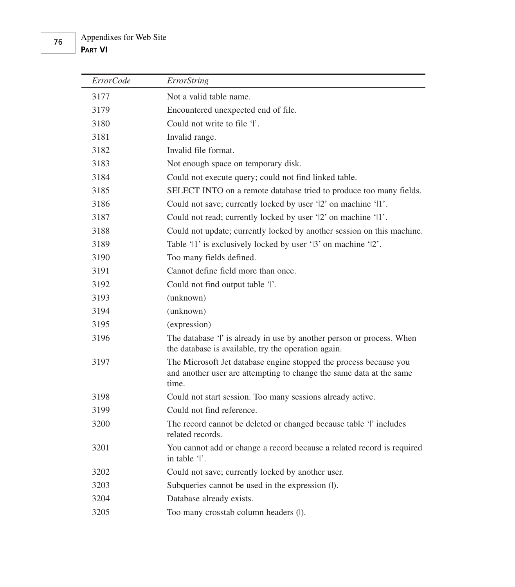| <b>ErrorCode</b> | ErrorString                                                                                                                                       |
|------------------|---------------------------------------------------------------------------------------------------------------------------------------------------|
| 3177             | Not a valid table name.                                                                                                                           |
| 3179             | Encountered unexpected end of file.                                                                                                               |
| 3180             | Could not write to file 'l'.                                                                                                                      |
| 3181             | Invalid range.                                                                                                                                    |
| 3182             | Invalid file format.                                                                                                                              |
| 3183             | Not enough space on temporary disk.                                                                                                               |
| 3184             | Could not execute query; could not find linked table.                                                                                             |
| 3185             | SELECT INTO on a remote database tried to produce too many fields.                                                                                |
| 3186             | Could not save; currently locked by user 'l2' on machine 'l1'.                                                                                    |
| 3187             | Could not read; currently locked by user 'l2' on machine 'l1'.                                                                                    |
| 3188             | Could not update; currently locked by another session on this machine.                                                                            |
| 3189             | Table '11' is exclusively locked by user '13' on machine '12'.                                                                                    |
| 3190             | Too many fields defined.                                                                                                                          |
| 3191             | Cannot define field more than once.                                                                                                               |
| 3192             | Could not find output table 'l'.                                                                                                                  |
| 3193             | (unknown)                                                                                                                                         |
| 3194             | (unknown)                                                                                                                                         |
| 3195             | (expression)                                                                                                                                      |
| 3196             | The database 'l' is already in use by another person or process. When<br>the database is available, try the operation again.                      |
| 3197             | The Microsoft Jet database engine stopped the process because you<br>and another user are attempting to change the same data at the same<br>time. |
| 3198             | Could not start session. Too many sessions already active.                                                                                        |
| 3199             | Could not find reference.                                                                                                                         |
| 3200             | The record cannot be deleted or changed because table 'l' includes<br>related records.                                                            |
| 3201             | You cannot add or change a record because a related record is required<br>in table 'l'.                                                           |
| 3202             | Could not save; currently locked by another user.                                                                                                 |
| 3203             | Subqueries cannot be used in the expression (l).                                                                                                  |
| 3204             | Database already exists.                                                                                                                          |
| 3205             | Too many crosstab column headers (l).                                                                                                             |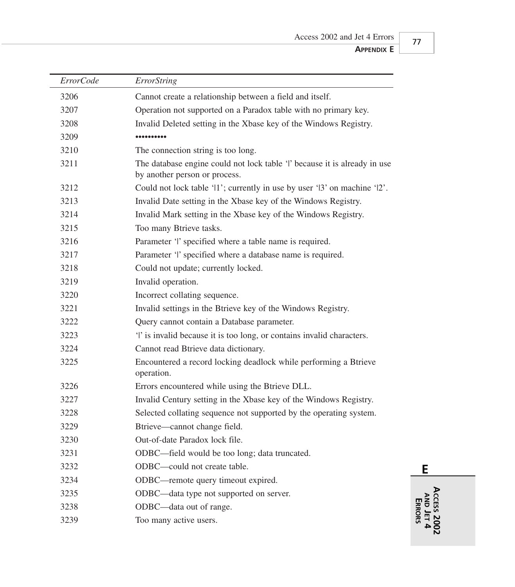| <b>ErrorCode</b> | ErrorString                                                                                                |
|------------------|------------------------------------------------------------------------------------------------------------|
| 3206             | Cannot create a relationship between a field and itself.                                                   |
| 3207             | Operation not supported on a Paradox table with no primary key.                                            |
| 3208             | Invalid Deleted setting in the Xbase key of the Windows Registry.                                          |
| 3209             |                                                                                                            |
| 3210             | The connection string is too long.                                                                         |
| 3211             | The database engine could not lock table 'l' because it is already in use<br>by another person or process. |
| 3212             | Could not lock table 'll'; currently in use by user 'la' on machine 'la'.                                  |
| 3213             | Invalid Date setting in the Xbase key of the Windows Registry.                                             |
| 3214             | Invalid Mark setting in the Xbase key of the Windows Registry.                                             |
| 3215             | Too many Btrieve tasks.                                                                                    |
| 3216             | Parameter 'l' specified where a table name is required.                                                    |
| 3217             | Parameter 'l' specified where a database name is required.                                                 |
| 3218             | Could not update; currently locked.                                                                        |
| 3219             | Invalid operation.                                                                                         |
| 3220             | Incorrect collating sequence.                                                                              |
| 3221             | Invalid settings in the Btrieve key of the Windows Registry.                                               |
| 3222             | Query cannot contain a Database parameter.                                                                 |
| 3223             | 'l' is invalid because it is too long, or contains invalid characters.                                     |
| 3224             | Cannot read Btrieve data dictionary.                                                                       |
| 3225             | Encountered a record locking deadlock while performing a Btrieve<br>operation.                             |
| 3226             | Errors encountered while using the Btrieve DLL.                                                            |
| 3227             | Invalid Century setting in the Xbase key of the Windows Registry.                                          |
| 3228             | Selected collating sequence not supported by the operating system.                                         |
| 3229             | Btrieve—cannot change field.                                                                               |
| 3230             | Out-of-date Paradox lock file.                                                                             |
| 3231             | ODBC-field would be too long; data truncated.                                                              |
| 3232             | ODBC-could not create table.                                                                               |
| 3234             | ODBC—remote query timeout expired.                                                                         |
| 3235             | ODBC-data type not supported on server.                                                                    |
| 3238             | ODBC-data out of range.                                                                                    |
| 3239             | Too many active users.                                                                                     |

**E**

**AND JET 4 ERRORS** **ACCESS**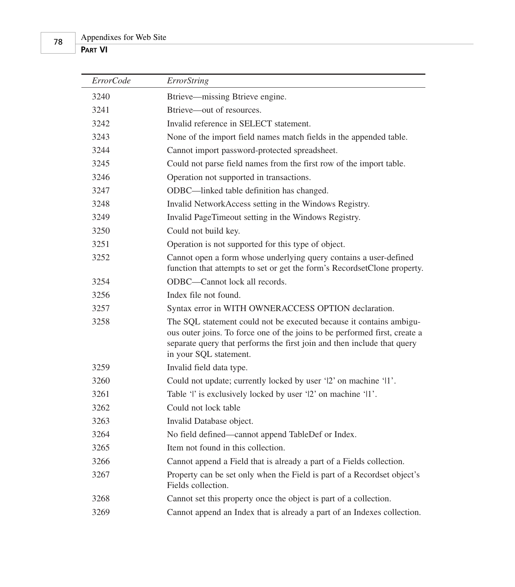**PART VI**

| <b>ErrorCode</b> | ErrorString                                                                                                                                                                                                                                            |
|------------------|--------------------------------------------------------------------------------------------------------------------------------------------------------------------------------------------------------------------------------------------------------|
| 3240             | Btrieve-missing Btrieve engine.                                                                                                                                                                                                                        |
| 3241             | Btrieve-out of resources.                                                                                                                                                                                                                              |
| 3242             | Invalid reference in SELECT statement.                                                                                                                                                                                                                 |
| 3243             | None of the import field names match fields in the appended table.                                                                                                                                                                                     |
| 3244             | Cannot import password-protected spreadsheet.                                                                                                                                                                                                          |
| 3245             | Could not parse field names from the first row of the import table.                                                                                                                                                                                    |
| 3246             | Operation not supported in transactions.                                                                                                                                                                                                               |
| 3247             | ODBC—linked table definition has changed.                                                                                                                                                                                                              |
| 3248             | Invalid NetworkAccess setting in the Windows Registry.                                                                                                                                                                                                 |
| 3249             | Invalid PageTimeout setting in the Windows Registry.                                                                                                                                                                                                   |
| 3250             | Could not build key.                                                                                                                                                                                                                                   |
| 3251             | Operation is not supported for this type of object.                                                                                                                                                                                                    |
| 3252             | Cannot open a form whose underlying query contains a user-defined<br>function that attempts to set or get the form's RecordsetClone property.                                                                                                          |
| 3254             | ODBC—Cannot lock all records.                                                                                                                                                                                                                          |
| 3256             | Index file not found.                                                                                                                                                                                                                                  |
| 3257             | Syntax error in WITH OWNERACCESS OPTION declaration.                                                                                                                                                                                                   |
| 3258             | The SQL statement could not be executed because it contains ambigu-<br>ous outer joins. To force one of the joins to be performed first, create a<br>separate query that performs the first join and then include that query<br>in your SQL statement. |
| 3259             | Invalid field data type.                                                                                                                                                                                                                               |
| 3260             | Could not update; currently locked by user 'l2' on machine 'l1'.                                                                                                                                                                                       |
| 3261             | Table 'l' is exclusively locked by user 'l2' on machine 'l1'.                                                                                                                                                                                          |
| 3262             | Could not lock table                                                                                                                                                                                                                                   |
| 3263             | Invalid Database object.                                                                                                                                                                                                                               |
| 3264             | No field defined—cannot append TableDef or Index.                                                                                                                                                                                                      |
| 3265             | Item not found in this collection.                                                                                                                                                                                                                     |
| 3266             | Cannot append a Field that is already a part of a Fields collection.                                                                                                                                                                                   |
| 3267             | Property can be set only when the Field is part of a Recordset object's<br>Fields collection.                                                                                                                                                          |
| 3268             | Cannot set this property once the object is part of a collection.                                                                                                                                                                                      |
| 3269             | Cannot append an Index that is already a part of an Indexes collection.                                                                                                                                                                                |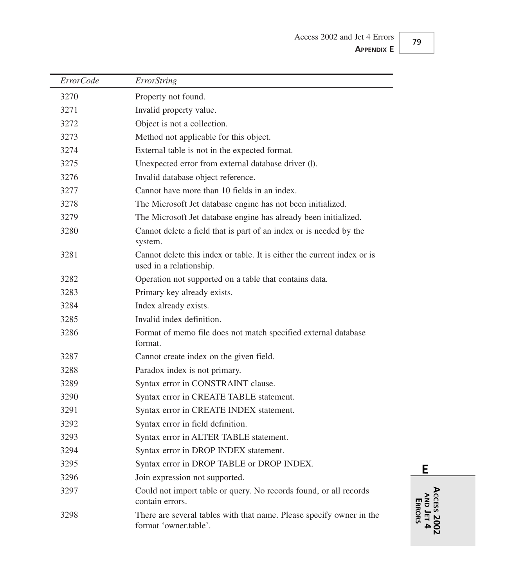| <b>ErrorCode</b> | ErrorString                                                                                        |
|------------------|----------------------------------------------------------------------------------------------------|
| 3270             | Property not found.                                                                                |
| 3271             | Invalid property value.                                                                            |
| 3272             | Object is not a collection.                                                                        |
| 3273             | Method not applicable for this object.                                                             |
| 3274             | External table is not in the expected format.                                                      |
| 3275             | Unexpected error from external database driver (l).                                                |
| 3276             | Invalid database object reference.                                                                 |
| 3277             | Cannot have more than 10 fields in an index.                                                       |
| 3278             | The Microsoft Jet database engine has not been initialized.                                        |
| 3279             | The Microsoft Jet database engine has already been initialized.                                    |
| 3280             | Cannot delete a field that is part of an index or is needed by the<br>system.                      |
| 3281             | Cannot delete this index or table. It is either the current index or is<br>used in a relationship. |
| 3282             | Operation not supported on a table that contains data.                                             |
| 3283             | Primary key already exists.                                                                        |
| 3284             | Index already exists.                                                                              |
| 3285             | Invalid index definition.                                                                          |
| 3286             | Format of memo file does not match specified external database<br>format.                          |
| 3287             | Cannot create index on the given field.                                                            |
| 3288             | Paradox index is not primary.                                                                      |
| 3289             | Syntax error in CONSTRAINT clause.                                                                 |
| 3290             | Syntax error in CREATE TABLE statement.                                                            |
| 3291             | Syntax error in CREATE INDEX statement.                                                            |
| 3292             | Syntax error in field definition.                                                                  |
| 3293             | Syntax error in ALTER TABLE statement.                                                             |
| 3294             | Syntax error in DROP INDEX statement.                                                              |
| 3295             | Syntax error in DROP TABLE or DROP INDEX.                                                          |
| 3296             | Join expression not supported.                                                                     |
| 3297             | Could not import table or query. No records found, or all records<br>contain errors.               |
| 3298             | There are several tables with that name. Please specify owner in the<br>format 'owner.table'.      |

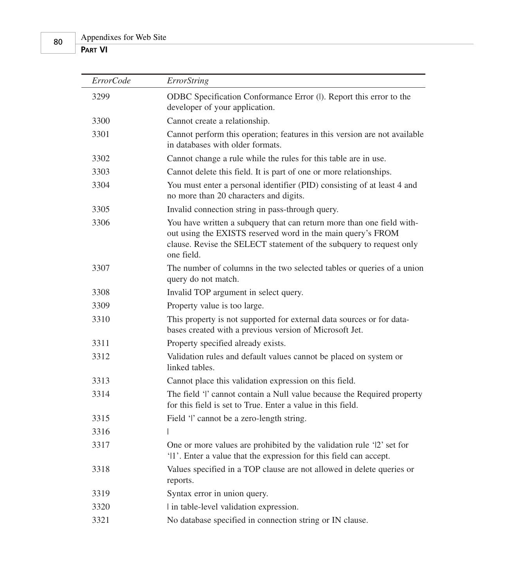| <i>ErrorCode</i> | ErrorString                                                                                                                                                                                                               |
|------------------|---------------------------------------------------------------------------------------------------------------------------------------------------------------------------------------------------------------------------|
| 3299             | ODBC Specification Conformance Error (I). Report this error to the<br>developer of your application.                                                                                                                      |
| 3300             | Cannot create a relationship.                                                                                                                                                                                             |
| 3301             | Cannot perform this operation; features in this version are not available<br>in databases with older formats.                                                                                                             |
| 3302             | Cannot change a rule while the rules for this table are in use.                                                                                                                                                           |
| 3303             | Cannot delete this field. It is part of one or more relationships.                                                                                                                                                        |
| 3304             | You must enter a personal identifier (PID) consisting of at least 4 and<br>no more than 20 characters and digits.                                                                                                         |
| 3305             | Invalid connection string in pass-through query.                                                                                                                                                                          |
| 3306             | You have written a subquery that can return more than one field with-<br>out using the EXISTS reserved word in the main query's FROM<br>clause. Revise the SELECT statement of the subquery to request only<br>one field. |
| 3307             | The number of columns in the two selected tables or queries of a union<br>query do not match.                                                                                                                             |
| 3308             | Invalid TOP argument in select query.                                                                                                                                                                                     |
| 3309             | Property value is too large.                                                                                                                                                                                              |
| 3310             | This property is not supported for external data sources or for data-<br>bases created with a previous version of Microsoft Jet.                                                                                          |
| 3311             | Property specified already exists.                                                                                                                                                                                        |
| 3312             | Validation rules and default values cannot be placed on system or<br>linked tables.                                                                                                                                       |
| 3313             | Cannot place this validation expression on this field.                                                                                                                                                                    |
| 3314             | The field 'l' cannot contain a Null value because the Required property<br>for this field is set to True. Enter a value in this field.                                                                                    |
| 3315             | Field 'l' cannot be a zero-length string.                                                                                                                                                                                 |
| 3316             |                                                                                                                                                                                                                           |
| 2217             | an mason culture and modellifeed by the cultified and in 1992 at Ca                                                                                                                                                       |

3317 One or more values are prohibited by the validation rule 'l2' set for '|1'. Enter a value that the expression for this field can accept. 3318 Values specified in a TOP clause are not allowed in delete queries or

- reports. 3319 Syntax error in union query.
- 3320 | in table-level validation expression.
- 3321 No database specified in connection string or IN clause.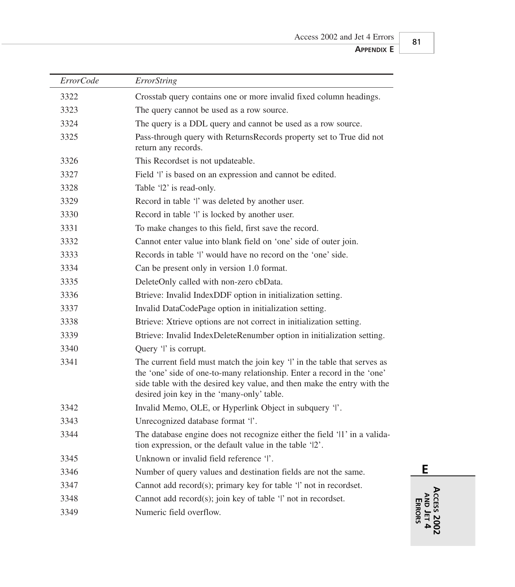| <b>ErrorCode</b> | ErrorString                                                                                                                                                                                                                                                                   |
|------------------|-------------------------------------------------------------------------------------------------------------------------------------------------------------------------------------------------------------------------------------------------------------------------------|
| 3322             | Crosstab query contains one or more invalid fixed column headings.                                                                                                                                                                                                            |
| 3323             | The query cannot be used as a row source.                                                                                                                                                                                                                                     |
| 3324             | The query is a DDL query and cannot be used as a row source.                                                                                                                                                                                                                  |
| 3325             | Pass-through query with ReturnsRecords property set to True did not<br>return any records.                                                                                                                                                                                    |
| 3326             | This Recordset is not updateable.                                                                                                                                                                                                                                             |
| 3327             | Field 'l' is based on an expression and cannot be edited.                                                                                                                                                                                                                     |
| 3328             | Table ' 2' is read-only.                                                                                                                                                                                                                                                      |
| 3329             | Record in table 'l' was deleted by another user.                                                                                                                                                                                                                              |
| 3330             | Record in table 'l' is locked by another user.                                                                                                                                                                                                                                |
| 3331             | To make changes to this field, first save the record.                                                                                                                                                                                                                         |
| 3332             | Cannot enter value into blank field on 'one' side of outer join.                                                                                                                                                                                                              |
| 3333             | Records in table 'l' would have no record on the 'one' side.                                                                                                                                                                                                                  |
| 3334             | Can be present only in version 1.0 format.                                                                                                                                                                                                                                    |
| 3335             | DeleteOnly called with non-zero cbData.                                                                                                                                                                                                                                       |
| 3336             | Btrieve: Invalid IndexDDF option in initialization setting.                                                                                                                                                                                                                   |
| 3337             | Invalid DataCodePage option in initialization setting.                                                                                                                                                                                                                        |
| 3338             | Btrieve: Xtrieve options are not correct in initialization setting.                                                                                                                                                                                                           |
| 3339             | Btrieve: Invalid IndexDeleteRenumber option in initialization setting.                                                                                                                                                                                                        |
| 3340             | Query 'l' is corrupt.                                                                                                                                                                                                                                                         |
| 3341             | The current field must match the join key 'l' in the table that serves as<br>the 'one' side of one-to-many relationship. Enter a record in the 'one'<br>side table with the desired key value, and then make the entry with the<br>desired join key in the 'many-only' table. |
| 3342             | Invalid Memo, OLE, or Hyperlink Object in subquery 'l'.                                                                                                                                                                                                                       |
| 3343             | Unrecognized database format 'l'.                                                                                                                                                                                                                                             |
| 3344             | The database engine does not recognize either the field 'll' in a valida-<br>tion expression, or the default value in the table ' 2'.                                                                                                                                         |
| 3345             | Unknown or invalid field reference 'l'.                                                                                                                                                                                                                                       |
| 3346             | Number of query values and destination fields are not the same.                                                                                                                                                                                                               |
| 3347             | Cannot add record(s); primary key for table 'l' not in recordset.                                                                                                                                                                                                             |
| 3348             | Cannot add record(s); join key of table 'l' not in recordset.                                                                                                                                                                                                                 |
|                  |                                                                                                                                                                                                                                                                               |

**E ACCESS 2002 AND JET 4 ERRORS**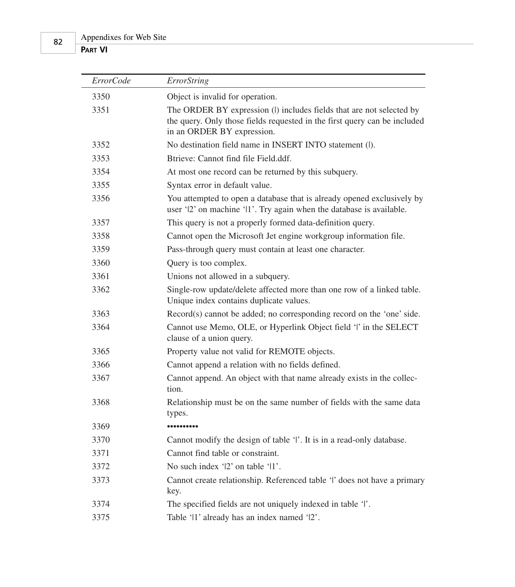| <b>ErrorCode</b> | ErrorString                                                                                                                                                                     |
|------------------|---------------------------------------------------------------------------------------------------------------------------------------------------------------------------------|
| 3350             | Object is invalid for operation.                                                                                                                                                |
| 3351             | The ORDER BY expression (I) includes fields that are not selected by<br>the query. Only those fields requested in the first query can be included<br>in an ORDER BY expression. |
| 3352             | No destination field name in INSERT INTO statement (I).                                                                                                                         |
| 3353             | Btrieve: Cannot find file Field.ddf.                                                                                                                                            |
| 3354             | At most one record can be returned by this subquery.                                                                                                                            |
| 3355             | Syntax error in default value.                                                                                                                                                  |
| 3356             | You attempted to open a database that is already opened exclusively by<br>user 'l2' on machine 'l1'. Try again when the database is available.                                  |
| 3357             | This query is not a properly formed data-definition query.                                                                                                                      |
| 3358             | Cannot open the Microsoft Jet engine workgroup information file.                                                                                                                |
| 3359             | Pass-through query must contain at least one character.                                                                                                                         |
| 3360             | Query is too complex.                                                                                                                                                           |
| 3361             | Unions not allowed in a subquery.                                                                                                                                               |
| 3362             | Single-row update/delete affected more than one row of a linked table.<br>Unique index contains duplicate values.                                                               |
| 3363             | Record(s) cannot be added; no corresponding record on the 'one' side.                                                                                                           |
| 3364             | Cannot use Memo, OLE, or Hyperlink Object field 'l' in the SELECT<br>clause of a union query.                                                                                   |
| 3365             | Property value not valid for REMOTE objects.                                                                                                                                    |
| 3366             | Cannot append a relation with no fields defined.                                                                                                                                |
| 3367             | Cannot append. An object with that name already exists in the collec-<br>tion.                                                                                                  |
| 3368             | Relationship must be on the same number of fields with the same data<br>types.                                                                                                  |
| 3369             |                                                                                                                                                                                 |
| 3370             | Cannot modify the design of table 'l'. It is in a read-only database.                                                                                                           |
| 3371             | Cannot find table or constraint.                                                                                                                                                |
| 3372             | No such index 'l2' on table 'l1'.                                                                                                                                               |
| 3373             | Cannot create relationship. Referenced table 'l' does not have a primary<br>key.                                                                                                |
| 3374             | The specified fields are not uniquely indexed in table 'l'.                                                                                                                     |
| 3375             | Table 'll' already has an index named 'l2'.                                                                                                                                     |

 $\overline{\phantom{0}}$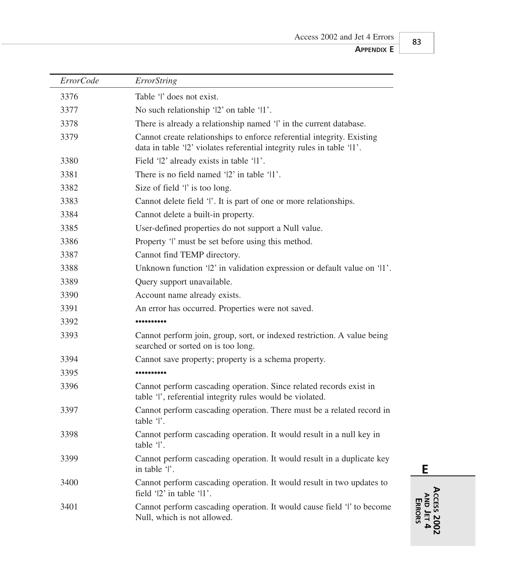**APPENDIX E**

## *ErrorCode ErrorString* 3376 Table '|' does not exist. 3377 No such relationship ' $|2$ ' on table ' $|1$ '. 3378 There is already a relationship named '|' in the current database. 3379 Cannot create relationships to enforce referential integrity. Existing data in table '12' violates referential integrity rules in table '11'. 3380 Field '|2' already exists in table '|1'. 3381 There is no field named '|2' in table '|1'. 3382 Size of field 'l' is too long. 3383 Cannot delete field '|'. It is part of one or more relationships. 3384 Cannot delete a built-in property. 3385 User-defined properties do not support a Null value. 3386 Property '|' must be set before using this method. 3387 Cannot find TEMP directory. 3388 Unknown function '|2' in validation expression or default value on '|1'. 3389 Query support unavailable. 3390 Account name already exists. 3391 An error has occurred. Properties were not saved. 3392 •••••••••• 3393 Cannot perform join, group, sort, or indexed restriction. A value being searched or sorted on is too long. 3394 Cannot save property; property is a schema property. 3395 •••••••••• 3396 Cannot perform cascading operation. Since related records exist in table '|', referential integrity rules would be violated. 3397 Cannot perform cascading operation. There must be a related record in table '|'. 3398 Cannot perform cascading operation. It would result in a null key in table '|'. 3399 Cannot perform cascading operation. It would result in a duplicate key in table '|'. 3400 Cannot perform cascading operation. It would result in two updates to field  $'2'$  in table  $'1'$ . 3401 Cannot perform cascading operation. It would cause field '|' to become Null, which is not allowed.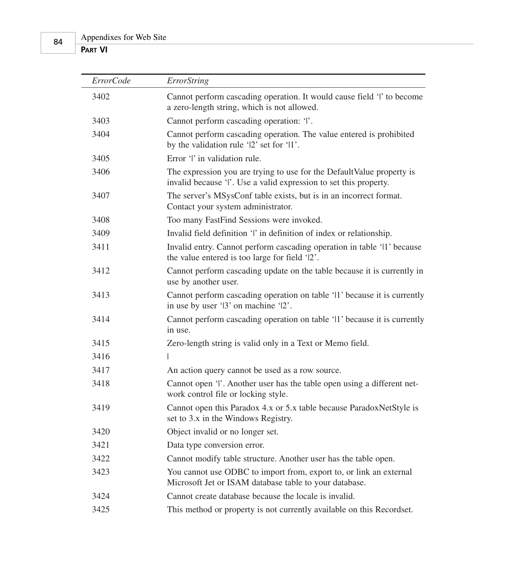|--|--|

 $\overline{\phantom{0}}$  $\overline{\phantom{a}}$ 

| <b>ErrorCode</b> | ErrorString                                                                                                                                |
|------------------|--------------------------------------------------------------------------------------------------------------------------------------------|
| 3402             | Cannot perform cascading operation. It would cause field 'l' to become<br>a zero-length string, which is not allowed.                      |
| 3403             | Cannot perform cascading operation: 'I'.                                                                                                   |
| 3404             | Cannot perform cascading operation. The value entered is prohibited<br>by the validation rule 'l2' set for 'l1'.                           |
| 3405             | Error 'l' in validation rule.                                                                                                              |
| 3406             | The expression you are trying to use for the DefaultValue property is<br>invalid because 'l'. Use a valid expression to set this property. |
| 3407             | The server's MSysConf table exists, but is in an incorrect format.<br>Contact your system administrator.                                   |
| 3408             | Too many FastFind Sessions were invoked.                                                                                                   |
| 3409             | Invalid field definition 'l' in definition of index or relationship.                                                                       |
| 3411             | Invalid entry. Cannot perform cascading operation in table 'll' because<br>the value entered is too large for field 'l2'.                  |
| 3412             | Cannot perform cascading update on the table because it is currently in<br>use by another user.                                            |
| 3413             | Cannot perform cascading operation on table 'll' because it is currently<br>in use by user ' 3' on machine ' 2'.                           |
| 3414             | Cannot perform cascading operation on table 'll' because it is currently<br>in use.                                                        |
| 3415             | Zero-length string is valid only in a Text or Memo field.                                                                                  |
| 3416             | ı                                                                                                                                          |
| 3417             | An action query cannot be used as a row source.                                                                                            |
| 3418             | Cannot open 'l'. Another user has the table open using a different net-<br>work control file or locking style.                             |
| 3419             | Cannot open this Paradox 4.x or 5.x table because ParadoxNetStyle is<br>set to 3.x in the Windows Registry.                                |
| 3420             | Object invalid or no longer set.                                                                                                           |
| 3421             | Data type conversion error.                                                                                                                |
| 3422             | Cannot modify table structure. Another user has the table open.                                                                            |
| 3423             | You cannot use ODBC to import from, export to, or link an external<br>Microsoft Jet or ISAM database table to your database.               |
| 3424             | Cannot create database because the locale is invalid.                                                                                      |
| 3425             | This method or property is not currently available on this Recordset.                                                                      |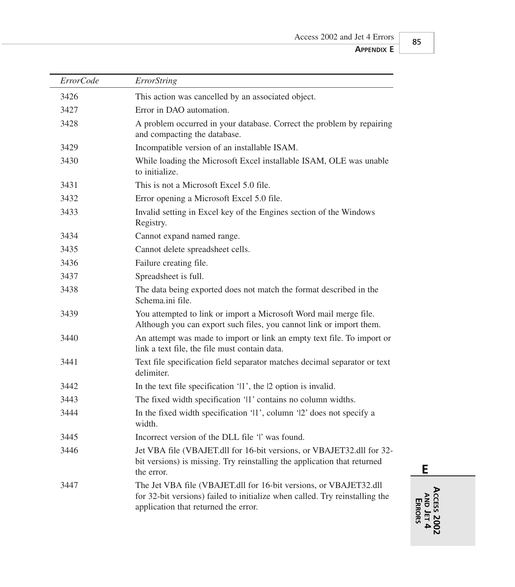| <b>ErrorCode</b> | ErrorString                                                                                                                                                                              |
|------------------|------------------------------------------------------------------------------------------------------------------------------------------------------------------------------------------|
| 3426             | This action was cancelled by an associated object.                                                                                                                                       |
| 3427             | Error in DAO automation.                                                                                                                                                                 |
| 3428             | A problem occurred in your database. Correct the problem by repairing<br>and compacting the database.                                                                                    |
| 3429             | Incompatible version of an installable ISAM.                                                                                                                                             |
| 3430             | While loading the Microsoft Excel installable ISAM, OLE was unable<br>to initialize.                                                                                                     |
| 3431             | This is not a Microsoft Excel 5.0 file.                                                                                                                                                  |
| 3432             | Error opening a Microsoft Excel 5.0 file.                                                                                                                                                |
| 3433             | Invalid setting in Excel key of the Engines section of the Windows<br>Registry.                                                                                                          |
| 3434             | Cannot expand named range.                                                                                                                                                               |
| 3435             | Cannot delete spreadsheet cells.                                                                                                                                                         |
| 3436             | Failure creating file.                                                                                                                                                                   |
| 3437             | Spreadsheet is full.                                                                                                                                                                     |
| 3438             | The data being exported does not match the format described in the<br>Schema.ini file.                                                                                                   |
| 3439             | You attempted to link or import a Microsoft Word mail merge file.<br>Although you can export such files, you cannot link or import them.                                                 |
| 3440             | An attempt was made to import or link an empty text file. To import or<br>link a text file, the file must contain data.                                                                  |
| 3441             | Text file specification field separator matches decimal separator or text<br>delimiter.                                                                                                  |
| 3442             | In the text file specification 'l1', the l2 option is invalid.                                                                                                                           |
| 3443             | The fixed width specification 'll' contains no column widths.                                                                                                                            |
| 3444             | In the fixed width specification '11', column '12' does not specify a<br>width.                                                                                                          |
| 3445             | Incorrect version of the DLL file 'l' was found.                                                                                                                                         |
| 3446             | Jet VBA file (VBAJET.dll for 16-bit versions, or VBAJET32.dll for 32-<br>bit versions) is missing. Try reinstalling the application that returned<br>the error.                          |
| 3447             | The Jet VBA file (VBAJET.dll for 16-bit versions, or VBAJET32.dll<br>for 32-bit versions) failed to initialize when called. Try reinstalling the<br>application that returned the error. |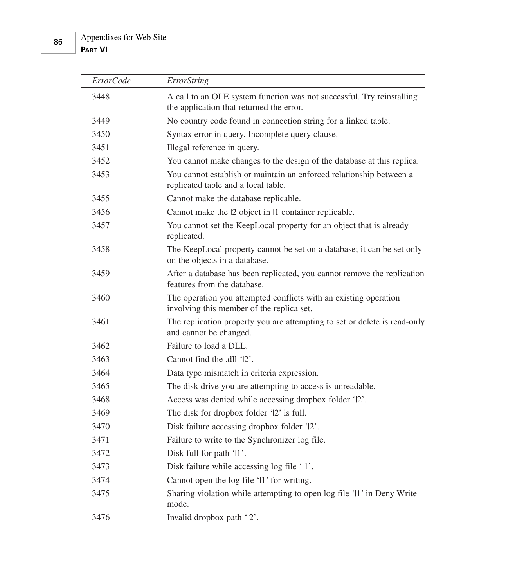| <b>ErrorCode</b> | ErrorString                                                                                                       |
|------------------|-------------------------------------------------------------------------------------------------------------------|
| 3448             | A call to an OLE system function was not successful. Try reinstalling<br>the application that returned the error. |
| 3449             | No country code found in connection string for a linked table.                                                    |
| 3450             | Syntax error in query. Incomplete query clause.                                                                   |
| 3451             | Illegal reference in query.                                                                                       |
| 3452             | You cannot make changes to the design of the database at this replica.                                            |
| 3453             | You cannot establish or maintain an enforced relationship between a<br>replicated table and a local table.        |
| 3455             | Cannot make the database replicable.                                                                              |
| 3456             | Cannot make the l2 object in l1 container replicable.                                                             |
| 3457             | You cannot set the KeepLocal property for an object that is already<br>replicated.                                |
| 3458             | The KeepLocal property cannot be set on a database; it can be set only<br>on the objects in a database.           |
| 3459             | After a database has been replicated, you cannot remove the replication<br>features from the database.            |
| 3460             | The operation you attempted conflicts with an existing operation<br>involving this member of the replica set.     |
| 3461             | The replication property you are attempting to set or delete is read-only<br>and cannot be changed.               |
| 3462             | Failure to load a DLL.                                                                                            |
| 3463             | Cannot find the .dll '12'.                                                                                        |
| 3464             | Data type mismatch in criteria expression.                                                                        |
| 3465             | The disk drive you are attempting to access is unreadable.                                                        |
| 3468             | Access was denied while accessing dropbox folder 'l2'.                                                            |
| 3469             | The disk for dropbox folder ' 2' is full.                                                                         |
| 3470             | Disk failure accessing dropbox folder 'l2'.                                                                       |
| 3471             | Failure to write to the Synchronizer log file.                                                                    |
| 3472             | Disk full for path 'll'.                                                                                          |
| 3473             | Disk failure while accessing log file 'l1'.                                                                       |
| 3474             | Cannot open the log file 'll' for writing.                                                                        |
| 3475             | Sharing violation while attempting to open log file 'll' in Deny Write<br>mode.                                   |
| 3476             | Invalid dropbox path ' 2'.                                                                                        |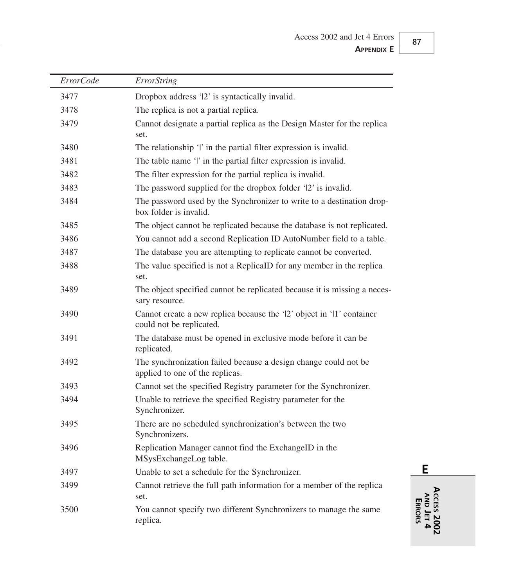| <b>ErrorCode</b> | ErrorString                                                                                        |
|------------------|----------------------------------------------------------------------------------------------------|
| 3477             | Dropbox address 'l2' is syntactically invalid.                                                     |
| 3478             | The replica is not a partial replica.                                                              |
| 3479             | Cannot designate a partial replica as the Design Master for the replica<br>set.                    |
| 3480             | The relationship 'l' in the partial filter expression is invalid.                                  |
| 3481             | The table name 'l' in the partial filter expression is invalid.                                    |
| 3482             | The filter expression for the partial replica is invalid.                                          |
| 3483             | The password supplied for the dropbox folder 'l2' is invalid.                                      |
| 3484             | The password used by the Synchronizer to write to a destination drop-<br>box folder is invalid.    |
| 3485             | The object cannot be replicated because the database is not replicated.                            |
| 3486             | You cannot add a second Replication ID AutoNumber field to a table.                                |
| 3487             | The database you are attempting to replicate cannot be converted.                                  |
| 3488             | The value specified is not a ReplicaID for any member in the replica<br>set.                       |
| 3489             | The object specified cannot be replicated because it is missing a neces-<br>sary resource.         |
| 3490             | Cannot create a new replica because the 'l2' object in 'l1' container<br>could not be replicated.  |
| 3491             | The database must be opened in exclusive mode before it can be<br>replicated.                      |
| 3492             | The synchronization failed because a design change could not be<br>applied to one of the replicas. |
| 3493             | Cannot set the specified Registry parameter for the Synchronizer.                                  |
| 3494             | Unable to retrieve the specified Registry parameter for the<br>Synchronizer.                       |
| 3495             | There are no scheduled synchronization's between the two<br>Synchronizers.                         |
| 3496             | Replication Manager cannot find the ExchangeID in the<br>MSysExchangeLog table.                    |
| 3497             | Unable to set a schedule for the Synchronizer.                                                     |
| 3499             | Cannot retrieve the full path information for a member of the replica<br>set.                      |
| 3500             | You cannot specify two different Synchronizers to manage the same<br>replica.                      |

l,

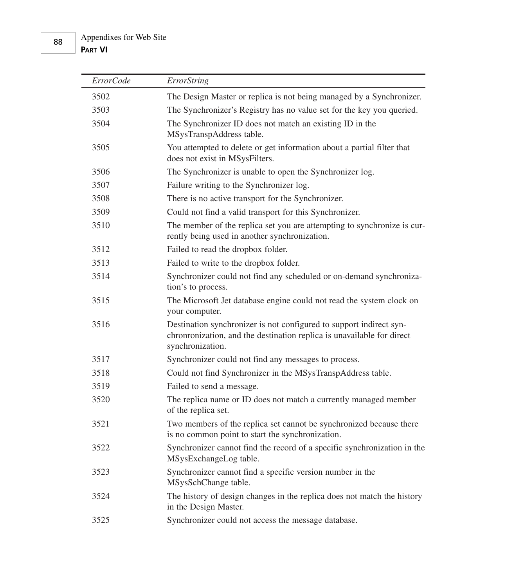| <b>ErrorCode</b> | ErrorString                                                                                                                                                       |
|------------------|-------------------------------------------------------------------------------------------------------------------------------------------------------------------|
| 3502             | The Design Master or replica is not being managed by a Synchronizer.                                                                                              |
| 3503             | The Synchronizer's Registry has no value set for the key you queried.                                                                                             |
| 3504             | The Synchronizer ID does not match an existing ID in the<br>MSysTranspAddress table.                                                                              |
| 3505             | You attempted to delete or get information about a partial filter that<br>does not exist in MSysFilters.                                                          |
| 3506             | The Synchronizer is unable to open the Synchronizer log.                                                                                                          |
| 3507             | Failure writing to the Synchronizer log.                                                                                                                          |
| 3508             | There is no active transport for the Synchronizer.                                                                                                                |
| 3509             | Could not find a valid transport for this Synchronizer.                                                                                                           |
| 3510             | The member of the replica set you are attempting to synchronize is cur-<br>rently being used in another synchronization.                                          |
| 3512             | Failed to read the dropbox folder.                                                                                                                                |
| 3513             | Failed to write to the dropbox folder.                                                                                                                            |
| 3514             | Synchronizer could not find any scheduled or on-demand synchroniza-<br>tion's to process.                                                                         |
| 3515             | The Microsoft Jet database engine could not read the system clock on<br>your computer.                                                                            |
| 3516             | Destination synchronizer is not configured to support indirect syn-<br>chronronization, and the destination replica is unavailable for direct<br>synchronization. |
| 3517             | Synchronizer could not find any messages to process.                                                                                                              |
| 3518             | Could not find Synchronizer in the MSysTranspAddress table.                                                                                                       |
| 3519             | Failed to send a message.                                                                                                                                         |
| 3520             | The replica name or ID does not match a currently managed member<br>of the replica set.                                                                           |
| 3521             | Two members of the replica set cannot be synchronized because there<br>is no common point to start the synchronization.                                           |
| 3522             | Synchronizer cannot find the record of a specific synchronization in the<br>MSysExchangeLog table.                                                                |
| 3523             | Synchronizer cannot find a specific version number in the<br>MSysSchChange table.                                                                                 |
| 3524             | The history of design changes in the replica does not match the history<br>in the Design Master.                                                                  |
|                  |                                                                                                                                                                   |

3525 Synchronizer could not access the message database.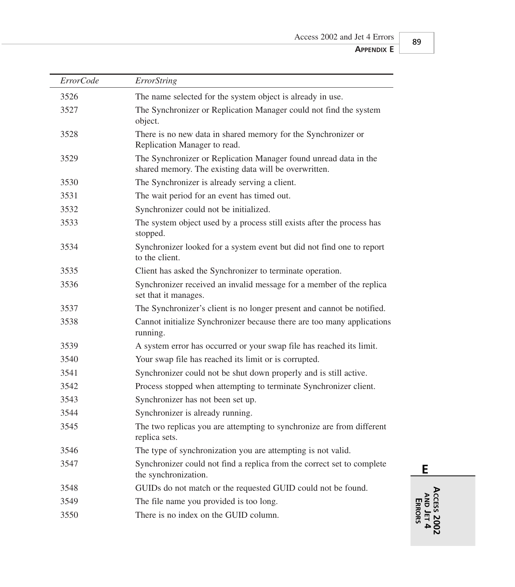**E**

**AND JET 4 ERRORS** **ACCESS**

| <b>ErrorCode</b> | ErrorString                                                                                                               |
|------------------|---------------------------------------------------------------------------------------------------------------------------|
| 3526             | The name selected for the system object is already in use.                                                                |
| 3527             | The Synchronizer or Replication Manager could not find the system<br>object.                                              |
| 3528             | There is no new data in shared memory for the Synchronizer or<br>Replication Manager to read.                             |
| 3529             | The Synchronizer or Replication Manager found unread data in the<br>shared memory. The existing data will be overwritten. |
| 3530             | The Synchronizer is already serving a client.                                                                             |
| 3531             | The wait period for an event has timed out.                                                                               |
| 3532             | Synchronizer could not be initialized.                                                                                    |
| 3533             | The system object used by a process still exists after the process has<br>stopped.                                        |
| 3534             | Synchronizer looked for a system event but did not find one to report<br>to the client.                                   |
| 3535             | Client has asked the Synchronizer to terminate operation.                                                                 |
| 3536             | Synchronizer received an invalid message for a member of the replica<br>set that it manages.                              |
| 3537             | The Synchronizer's client is no longer present and cannot be notified.                                                    |
| 3538             | Cannot initialize Synchronizer because there are too many applications<br>running.                                        |
| 3539             | A system error has occurred or your swap file has reached its limit.                                                      |
| 3540             | Your swap file has reached its limit or is corrupted.                                                                     |
| 3541             | Synchronizer could not be shut down properly and is still active.                                                         |
| 3542             | Process stopped when attempting to terminate Synchronizer client.                                                         |
| 3543             | Synchronizer has not been set up.                                                                                         |
| 3544             | Synchronizer is already running.                                                                                          |
| 3545             | The two replicas you are attempting to synchronize are from different<br>replica sets.                                    |
| 3546             | The type of synchronization you are attempting is not valid.                                                              |
| 3547             | Synchronizer could not find a replica from the correct set to complete<br>the synchronization.                            |
| 3548             | GUIDs do not match or the requested GUID could not be found.                                                              |
| 3549             | The file name you provided is too long.                                                                                   |
| 3550             | There is no index on the GUID column.                                                                                     |
|                  |                                                                                                                           |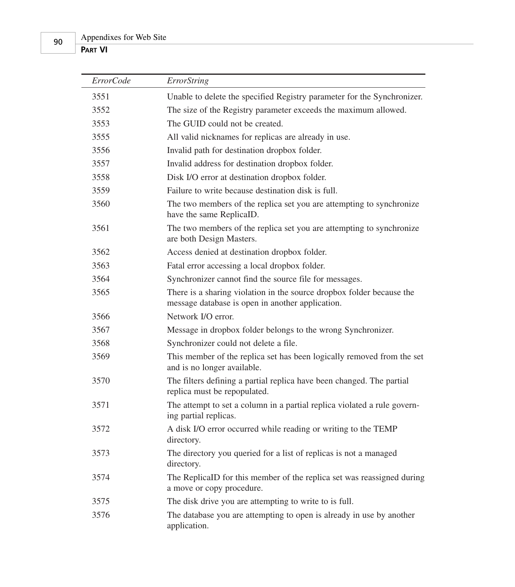**PART VI**

| <b>ErrorCode</b> | ErrorString                                                                                                               |
|------------------|---------------------------------------------------------------------------------------------------------------------------|
| 3551             | Unable to delete the specified Registry parameter for the Synchronizer.                                                   |
| 3552             | The size of the Registry parameter exceeds the maximum allowed.                                                           |
| 3553             | The GUID could not be created.                                                                                            |
| 3555             | All valid nicknames for replicas are already in use.                                                                      |
| 3556             | Invalid path for destination dropbox folder.                                                                              |
| 3557             | Invalid address for destination dropbox folder.                                                                           |
| 3558             | Disk I/O error at destination dropbox folder.                                                                             |
| 3559             | Failure to write because destination disk is full.                                                                        |
| 3560             | The two members of the replica set you are attempting to synchronize<br>have the same ReplicaID.                          |
| 3561             | The two members of the replica set you are attempting to synchronize<br>are both Design Masters.                          |
| 3562             | Access denied at destination dropbox folder.                                                                              |
| 3563             | Fatal error accessing a local dropbox folder.                                                                             |
| 3564             | Synchronizer cannot find the source file for messages.                                                                    |
| 3565             | There is a sharing violation in the source dropbox folder because the<br>message database is open in another application. |
| 3566             | Network I/O error.                                                                                                        |
| 3567             | Message in dropbox folder belongs to the wrong Synchronizer.                                                              |
| 3568             | Synchronizer could not delete a file.                                                                                     |
| 3569             | This member of the replica set has been logically removed from the set<br>and is no longer available.                     |
| 3570             | The filters defining a partial replica have been changed. The partial<br>replica must be repopulated.                     |
| 3571             | The attempt to set a column in a partial replica violated a rule govern-<br>ing partial replicas.                         |
| 3572             | A disk I/O error occurred while reading or writing to the TEMP<br>directory.                                              |
| 3573             | The directory you queried for a list of replicas is not a managed<br>directory.                                           |
| 3574             | The ReplicaID for this member of the replica set was reassigned during<br>a move or copy procedure.                       |
| 3575             | The disk drive you are attempting to write to is full.                                                                    |
| 3576             | The database you are attempting to open is already in use by another<br>application.                                      |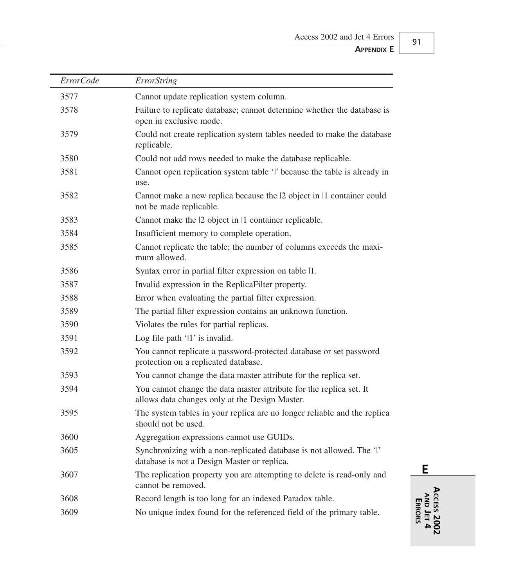| <b>ErrorCode</b> | ErrorString                                                                                                           |
|------------------|-----------------------------------------------------------------------------------------------------------------------|
| 3577             | Cannot update replication system column.                                                                              |
| 3578             | Failure to replicate database; cannot determine whether the database is<br>open in exclusive mode.                    |
| 3579             | Could not create replication system tables needed to make the database<br>replicable.                                 |
| 3580             | Could not add rows needed to make the database replicable.                                                            |
| 3581             | Cannot open replication system table 'l' because the table is already in<br>use.                                      |
| 3582             | Cannot make a new replica because the l2 object in l1 container could<br>not be made replicable.                      |
| 3583             | Cannot make the l2 object in l1 container replicable.                                                                 |
| 3584             | Insufficient memory to complete operation.                                                                            |
| 3585             | Cannot replicate the table; the number of columns exceeds the maxi-<br>mum allowed.                                   |
| 3586             | Syntax error in partial filter expression on table 11.                                                                |
| 3587             | Invalid expression in the ReplicaFilter property.                                                                     |
| 3588             | Error when evaluating the partial filter expression.                                                                  |
| 3589             | The partial filter expression contains an unknown function.                                                           |
| 3590             | Violates the rules for partial replicas.                                                                              |
| 3591             | Log file path 'll' is invalid.                                                                                        |
| 3592             | You cannot replicate a password-protected database or set password<br>protection on a replicated database.            |
| 3593             | You cannot change the data master attribute for the replica set.                                                      |
| 3594             | You cannot change the data master attribute for the replica set. It<br>allows data changes only at the Design Master. |
| 3595             | The system tables in your replica are no longer reliable and the replica<br>should not be used.                       |
| 3600             | Aggregation expressions cannot use GUIDs.                                                                             |
| 3605             | Synchronizing with a non-replicated database is not allowed. The 'l'<br>database is not a Design Master or replica.   |
| 3607             | The replication property you are attempting to delete is read-only and<br>cannot be removed.                          |
| 3608             | Record length is too long for an indexed Paradox table.                                                               |
| 3609             | No unique index found for the referenced field of the primary table.                                                  |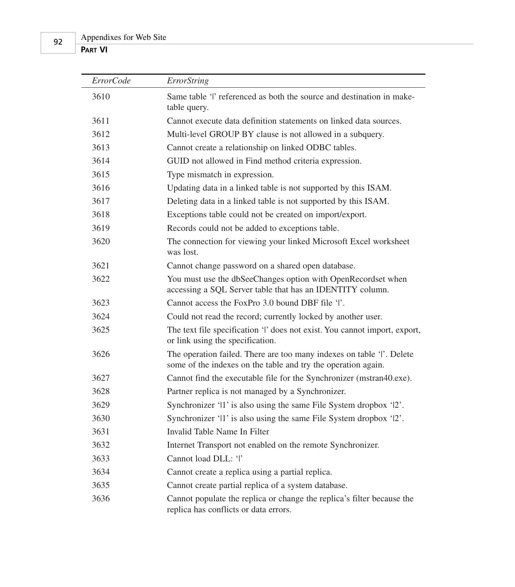| <i>ErrorCode</i> | ErrorString                                                                                                                            |
|------------------|----------------------------------------------------------------------------------------------------------------------------------------|
| 3610             | Same table 'l' referenced as both the source and destination in make-<br>table query.                                                  |
| 3611             | Cannot execute data definition statements on linked data sources.                                                                      |
| 3612             | Multi-level GROUP BY clause is not allowed in a subquery.                                                                              |
| 3613             | Cannot create a relationship on linked ODBC tables.                                                                                    |
| 3614             | GUID not allowed in Find method criteria expression.                                                                                   |
| 3615             | Type mismatch in expression.                                                                                                           |
| 3616             | Updating data in a linked table is not supported by this ISAM.                                                                         |
| 3617             | Deleting data in a linked table is not supported by this ISAM.                                                                         |
| 3618             | Exceptions table could not be created on import/export.                                                                                |
| 3619             | Records could not be added to exceptions table.                                                                                        |
| 3620             | The connection for viewing your linked Microsoft Excel worksheet<br>was lost.                                                          |
| 3621             | Cannot change password on a shared open database.                                                                                      |
| 3622             | You must use the dbSeeChanges option with OpenRecordset when<br>accessing a SQL Server table that has an IDENTITY column.              |
| 3623             | Cannot access the FoxPro 3.0 bound DBF file 'l'.                                                                                       |
| 3624             | Could not read the record; currently locked by another user.                                                                           |
| 3625             | The text file specification 'l' does not exist. You cannot import, export,<br>or link using the specification.                         |
| 3626             | The operation failed. There are too many indexes on table 'l'. Delete<br>some of the indexes on the table and try the operation again. |
| 3627             | Cannot find the executable file for the Synchronizer (mstran40.exe).                                                                   |
| 3628             | Partner replica is not managed by a Synchronizer.                                                                                      |
| 3629             | Synchronizer '11' is also using the same File System dropbox '12'.                                                                     |
| 3630             | Synchronizer 'll' is also using the same File System dropbox 'l2'.                                                                     |
| 3631             | Invalid Table Name In Filter                                                                                                           |
| 3632             | Internet Transport not enabled on the remote Synchronizer.                                                                             |
| 3633             | Cannot load DLL: 'l'                                                                                                                   |
| 3634             | Cannot create a replica using a partial replica.                                                                                       |
| 3635             | Cannot create partial replica of a system database.                                                                                    |
| 3636             | Cannot populate the replica or change the replica's filter because the<br>replica has conflicts or data errors.                        |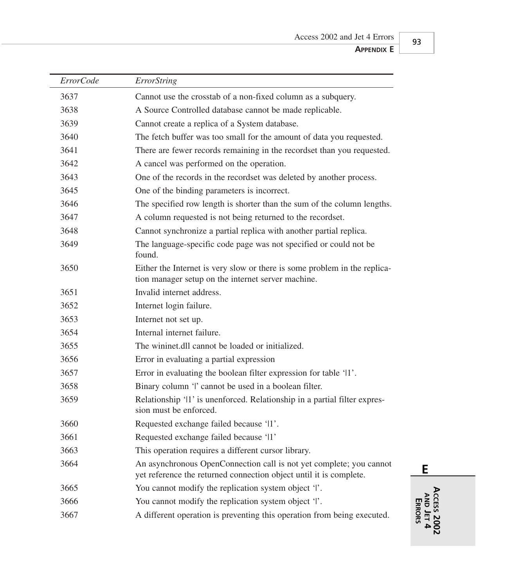| <b>ErrorCode</b> | ErrorString                                                                                                                               |
|------------------|-------------------------------------------------------------------------------------------------------------------------------------------|
| 3637             | Cannot use the crosstab of a non-fixed column as a subquery.                                                                              |
| 3638             | A Source Controlled database cannot be made replicable.                                                                                   |
| 3639             | Cannot create a replica of a System database.                                                                                             |
| 3640             | The fetch buffer was too small for the amount of data you requested.                                                                      |
| 3641             | There are fewer records remaining in the recordset than you requested.                                                                    |
| 3642             | A cancel was performed on the operation.                                                                                                  |
| 3643             | One of the records in the recordset was deleted by another process.                                                                       |
| 3645             | One of the binding parameters is incorrect.                                                                                               |
| 3646             | The specified row length is shorter than the sum of the column lengths.                                                                   |
| 3647             | A column requested is not being returned to the recordset.                                                                                |
| 3648             | Cannot synchronize a partial replica with another partial replica.                                                                        |
| 3649             | The language-specific code page was not specified or could not be<br>found.                                                               |
| 3650             | Either the Internet is very slow or there is some problem in the replica-<br>tion manager setup on the internet server machine.           |
| 3651             | Invalid internet address.                                                                                                                 |
| 3652             | Internet login failure.                                                                                                                   |
| 3653             | Internet not set up.                                                                                                                      |
| 3654             | Internal internet failure.                                                                                                                |
| 3655             | The wininet.dll cannot be loaded or initialized.                                                                                          |
| 3656             | Error in evaluating a partial expression                                                                                                  |
| 3657             | Error in evaluating the boolean filter expression for table 'll'.                                                                         |
| 3658             | Binary column 'l' cannot be used in a boolean filter.                                                                                     |
| 3659             | Relationship '11' is unenforced. Relationship in a partial filter expres-<br>sion must be enforced.                                       |
| 3660             | Requested exchange failed because 'll'.                                                                                                   |
| 3661             | Requested exchange failed because 'll'                                                                                                    |
| 3663             | This operation requires a different cursor library.                                                                                       |
| 3664             | An asynchronous OpenConnection call is not yet complete; you cannot<br>yet reference the returned connection object until it is complete. |
| 3665             | You cannot modify the replication system object 'l'.                                                                                      |
| 3666             | You cannot modify the replication system object 'l'.                                                                                      |
| 3667             | A different operation is preventing this operation from being executed.                                                                   |
|                  |                                                                                                                                           |

l,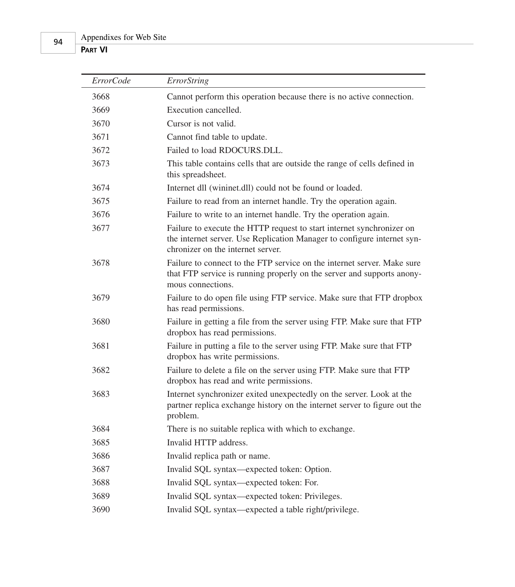| <b>ErrorCode</b> | ErrorString                                                                                                                                                                           |
|------------------|---------------------------------------------------------------------------------------------------------------------------------------------------------------------------------------|
| 3668             | Cannot perform this operation because there is no active connection.                                                                                                                  |
| 3669             | Execution cancelled.                                                                                                                                                                  |
| 3670             | Cursor is not valid.                                                                                                                                                                  |
| 3671             | Cannot find table to update.                                                                                                                                                          |
| 3672             | Failed to load RDOCURS.DLL.                                                                                                                                                           |
| 3673             | This table contains cells that are outside the range of cells defined in<br>this spreadsheet.                                                                                         |
| 3674             | Internet dll (wininet.dll) could not be found or loaded.                                                                                                                              |
| 3675             | Failure to read from an internet handle. Try the operation again.                                                                                                                     |
| 3676             | Failure to write to an internet handle. Try the operation again.                                                                                                                      |
| 3677             | Failure to execute the HTTP request to start internet synchronizer on<br>the internet server. Use Replication Manager to configure internet syn-<br>chronizer on the internet server. |
| 3678             | Failure to connect to the FTP service on the internet server. Make sure<br>that FTP service is running properly on the server and supports anony-<br>mous connections.                |
| 3679             | Failure to do open file using FTP service. Make sure that FTP dropbox<br>has read permissions.                                                                                        |
| 3680             | Failure in getting a file from the server using FTP. Make sure that FTP<br>dropbox has read permissions.                                                                              |
| 3681             | Failure in putting a file to the server using FTP. Make sure that FTP<br>dropbox has write permissions.                                                                               |
| 3682             | Failure to delete a file on the server using FTP. Make sure that FTP<br>dropbox has read and write permissions.                                                                       |
| 3683             | Internet synchronizer exited unexpectedly on the server. Look at the<br>partner replica exchange history on the internet server to figure out the<br>problem.                         |
| 3684             | There is no suitable replica with which to exchange.                                                                                                                                  |
| 3685             | Invalid HTTP address.                                                                                                                                                                 |
| 3686             | Invalid replica path or name.                                                                                                                                                         |
| 3687             | Invalid SQL syntax—expected token: Option.                                                                                                                                            |
| 3688             | Invalid SQL syntax-expected token: For.                                                                                                                                               |
| 3689             | Invalid SQL syntax—expected token: Privileges.                                                                                                                                        |
| 3690             | Invalid SQL syntax—expected a table right/privilege.                                                                                                                                  |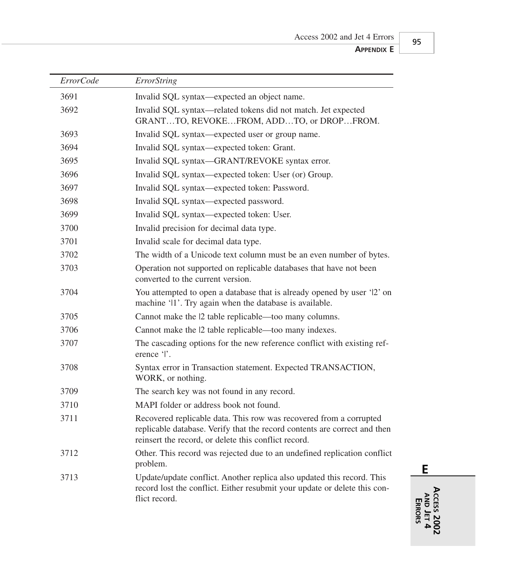| <b>ErrorCode</b> | ErrorString                                                                                                                                                                                             |
|------------------|---------------------------------------------------------------------------------------------------------------------------------------------------------------------------------------------------------|
| 3691             | Invalid SQL syntax—expected an object name.                                                                                                                                                             |
| 3692             | Invalid SQL syntax-related tokens did not match. Jet expected<br>GRANTTO, REVOKEFROM, ADDTO, or DROPFROM.                                                                                               |
| 3693             | Invalid SQL syntax—expected user or group name.                                                                                                                                                         |
| 3694             | Invalid SQL syntax-expected token: Grant.                                                                                                                                                               |
| 3695             | Invalid SQL syntax-GRANT/REVOKE syntax error.                                                                                                                                                           |
| 3696             | Invalid SQL syntax-expected token: User (or) Group.                                                                                                                                                     |
| 3697             | Invalid SQL syntax-expected token: Password.                                                                                                                                                            |
| 3698             | Invalid SQL syntax-expected password.                                                                                                                                                                   |
| 3699             | Invalid SQL syntax—expected token: User.                                                                                                                                                                |
| 3700             | Invalid precision for decimal data type.                                                                                                                                                                |
| 3701             | Invalid scale for decimal data type.                                                                                                                                                                    |
| 3702             | The width of a Unicode text column must be an even number of bytes.                                                                                                                                     |
| 3703             | Operation not supported on replicable databases that have not been<br>converted to the current version.                                                                                                 |
| 3704             | You attempted to open a database that is already opened by user 'l2' on<br>machine 'll'. Try again when the database is available.                                                                      |
| 3705             | Cannot make the l2 table replicable—too many columns.                                                                                                                                                   |
| 3706             | Cannot make the l2 table replicable—too many indexes.                                                                                                                                                   |
| 3707             | The cascading options for the new reference conflict with existing ref-<br>erence 'l'.                                                                                                                  |
| 3708             | Syntax error in Transaction statement. Expected TRANSACTION,<br>WORK, or nothing.                                                                                                                       |
| 3709             | The search key was not found in any record.                                                                                                                                                             |
| 3710             | MAPI folder or address book not found.                                                                                                                                                                  |
| 3711             | Recovered replicable data. This row was recovered from a corrupted<br>replicable database. Verify that the record contents are correct and then<br>reinsert the record, or delete this conflict record. |
| 3712             | Other. This record was rejected due to an undefined replication conflict<br>problem.                                                                                                                    |
| 3713             | Update/update conflict. Another replica also updated this record. This<br>record lost the conflict. Either resubmit your update or delete this con-<br>flict record.                                    |

 $\overline{a}$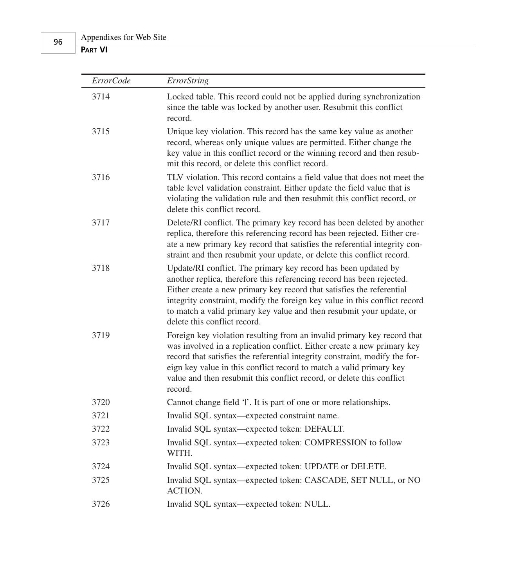| <b>ErrorCode</b> | ErrorString                                                                                                                                                                                                                                                                                                                                                                                            |
|------------------|--------------------------------------------------------------------------------------------------------------------------------------------------------------------------------------------------------------------------------------------------------------------------------------------------------------------------------------------------------------------------------------------------------|
| 3714             | Locked table. This record could not be applied during synchronization<br>since the table was locked by another user. Resubmit this conflict<br>record.                                                                                                                                                                                                                                                 |
| 3715             | Unique key violation. This record has the same key value as another<br>record, whereas only unique values are permitted. Either change the<br>key value in this conflict record or the winning record and then resub-<br>mit this record, or delete this conflict record.                                                                                                                              |
| 3716             | TLV violation. This record contains a field value that does not meet the<br>table level validation constraint. Either update the field value that is<br>violating the validation rule and then resubmit this conflict record, or<br>delete this conflict record.                                                                                                                                       |
| 3717             | Delete/RI conflict. The primary key record has been deleted by another<br>replica, therefore this referencing record has been rejected. Either cre-<br>ate a new primary key record that satisfies the referential integrity con-<br>straint and then resubmit your update, or delete this conflict record.                                                                                            |
| 3718             | Update/RI conflict. The primary key record has been updated by<br>another replica, therefore this referencing record has been rejected.<br>Either create a new primary key record that satisfies the referential<br>integrity constraint, modify the foreign key value in this conflict record<br>to match a valid primary key value and then resubmit your update, or<br>delete this conflict record. |
| 3719             | Foreign key violation resulting from an invalid primary key record that<br>was involved in a replication conflict. Either create a new primary key<br>record that satisfies the referential integrity constraint, modify the for-<br>eign key value in this conflict record to match a valid primary key<br>value and then resubmit this conflict record, or delete this conflict<br>record.           |
| 3720             | Cannot change field 'l'. It is part of one or more relationships.                                                                                                                                                                                                                                                                                                                                      |
| 3721             | Invalid SQL syntax—expected constraint name.                                                                                                                                                                                                                                                                                                                                                           |
| 3722             | Invalid SQL syntax-expected token: DEFAULT.                                                                                                                                                                                                                                                                                                                                                            |
| 3723             | Invalid SQL syntax-expected token: COMPRESSION to follow<br>WITH.                                                                                                                                                                                                                                                                                                                                      |
| 3724             | Invalid SQL syntax—expected token: UPDATE or DELETE.                                                                                                                                                                                                                                                                                                                                                   |
| 3725             | Invalid SQL syntax-expected token: CASCADE, SET NULL, or NO<br><b>ACTION.</b>                                                                                                                                                                                                                                                                                                                          |
| 3726             | Invalid SQL syntax-expected token: NULL.                                                                                                                                                                                                                                                                                                                                                               |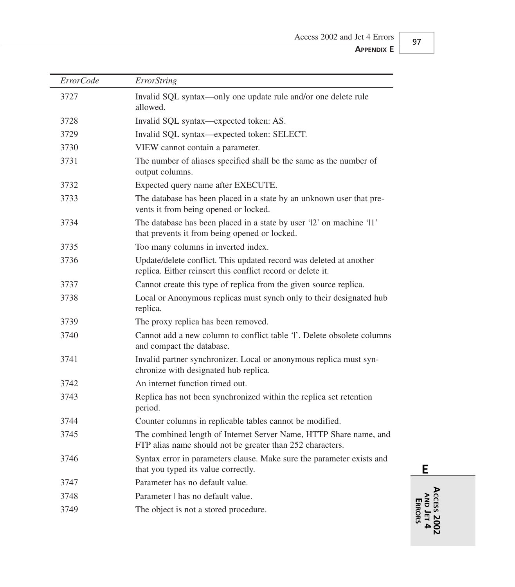| <b>ErrorCode</b> | ErrorString                                                                                                                       |
|------------------|-----------------------------------------------------------------------------------------------------------------------------------|
| 3727             | Invalid SQL syntax-only one update rule and/or one delete rule<br>allowed.                                                        |
| 3728             | Invalid SQL syntax—expected token: AS.                                                                                            |
| 3729             | Invalid SQL syntax-expected token: SELECT.                                                                                        |
| 3730             | VIEW cannot contain a parameter.                                                                                                  |
| 3731             | The number of aliases specified shall be the same as the number of<br>output columns.                                             |
| 3732             | Expected query name after EXECUTE.                                                                                                |
| 3733             | The database has been placed in a state by an unknown user that pre-<br>vents it from being opened or locked.                     |
| 3734             | The database has been placed in a state by user 'l2' on machine 'l1'<br>that prevents it from being opened or locked.             |
| 3735             | Too many columns in inverted index.                                                                                               |
| 3736             | Update/delete conflict. This updated record was deleted at another<br>replica. Either reinsert this conflict record or delete it. |
| 3737             | Cannot create this type of replica from the given source replica.                                                                 |
| 3738             | Local or Anonymous replicas must synch only to their designated hub<br>replica.                                                   |
| 3739             | The proxy replica has been removed.                                                                                               |
| 3740             | Cannot add a new column to conflict table 'l'. Delete obsolete columns<br>and compact the database.                               |
| 3741             | Invalid partner synchronizer. Local or anonymous replica must syn-<br>chronize with designated hub replica.                       |
| 3742             | An internet function timed out.                                                                                                   |
| 3743             | Replica has not been synchronized within the replica set retention<br>period.                                                     |
| 3744             | Counter columns in replicable tables cannot be modified.                                                                          |
| 3745             | The combined length of Internet Server Name, HTTP Share name, and<br>FTP alias name should not be greater than 252 characters.    |
| 3746             | Syntax error in parameters clause. Make sure the parameter exists and<br>that you typed its value correctly.                      |
| 3747             | Parameter has no default value.                                                                                                   |
| 3748             | Parameter   has no default value.                                                                                                 |
| 3749             | The object is not a stored procedure.                                                                                             |

L,

97

**ACCESS**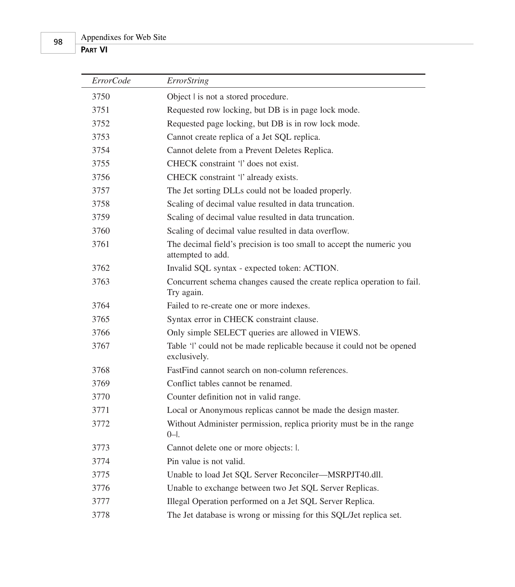| <b>ErrorCode</b> | ErrorString                                                                               |
|------------------|-------------------------------------------------------------------------------------------|
| 3750             | Object I is not a stored procedure.                                                       |
| 3751             | Requested row locking, but DB is in page lock mode.                                       |
| 3752             | Requested page locking, but DB is in row lock mode.                                       |
| 3753             | Cannot create replica of a Jet SQL replica.                                               |
| 3754             | Cannot delete from a Prevent Deletes Replica.                                             |
| 3755             | CHECK constraint 'l' does not exist.                                                      |
| 3756             | CHECK constraint 'l' already exists.                                                      |
| 3757             | The Jet sorting DLLs could not be loaded properly.                                        |
| 3758             | Scaling of decimal value resulted in data truncation.                                     |
| 3759             | Scaling of decimal value resulted in data truncation.                                     |
| 3760             | Scaling of decimal value resulted in data overflow.                                       |
| 3761             | The decimal field's precision is too small to accept the numeric you<br>attempted to add. |
| 3762             | Invalid SQL syntax - expected token: ACTION.                                              |
| 3763             | Concurrent schema changes caused the create replica operation to fail.<br>Try again.      |
| 3764             | Failed to re-create one or more indexes.                                                  |
| 3765             | Syntax error in CHECK constraint clause.                                                  |
| 3766             | Only simple SELECT queries are allowed in VIEWS.                                          |
| 3767             | Table 'l' could not be made replicable because it could not be opened<br>exclusively.     |
| 3768             | FastFind cannot search on non-column references.                                          |
| 3769             | Conflict tables cannot be renamed.                                                        |
| 3770             | Counter definition not in valid range.                                                    |
| 3771             | Local or Anonymous replicas cannot be made the design master.                             |
| 3772             | Without Administer permission, replica priority must be in the range<br>$0 - 1$ .         |
| 3773             | Cannot delete one or more objects: l.                                                     |
| 3774             | Pin value is not valid.                                                                   |
| 3775             | Unable to load Jet SQL Server Reconciler-MSRPJT40.dll.                                    |
| 3776             | Unable to exchange between two Jet SQL Server Replicas.                                   |
| 3777             | Illegal Operation performed on a Jet SQL Server Replica.                                  |
| 3778             | The Jet database is wrong or missing for this SQL/Jet replica set.                        |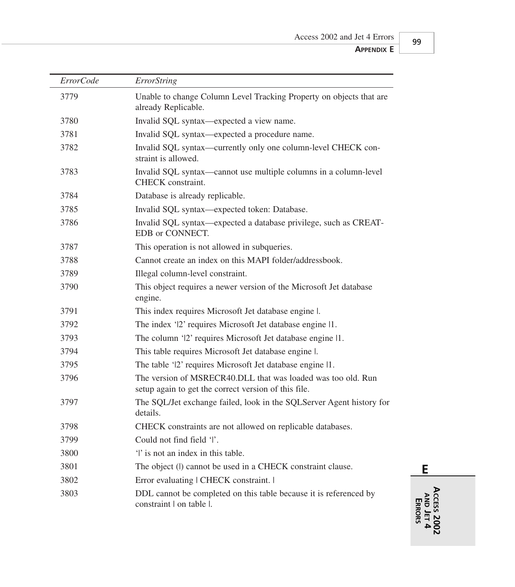| <b>ErrorCode</b> | ErrorString                                                                                                          |
|------------------|----------------------------------------------------------------------------------------------------------------------|
| 3779             | Unable to change Column Level Tracking Property on objects that are<br>already Replicable.                           |
| 3780             | Invalid SQL syntax—expected a view name.                                                                             |
| 3781             | Invalid SQL syntax—expected a procedure name.                                                                        |
| 3782             | Invalid SQL syntax—currently only one column-level CHECK con-<br>straint is allowed.                                 |
| 3783             | Invalid SQL syntax—cannot use multiple columns in a column-level<br>CHECK constraint.                                |
| 3784             | Database is already replicable.                                                                                      |
| 3785             | Invalid SQL syntax-expected token: Database.                                                                         |
| 3786             | Invalid SQL syntax-expected a database privilege, such as CREAT-<br>EDB or CONNECT.                                  |
| 3787             | This operation is not allowed in subqueries.                                                                         |
| 3788             | Cannot create an index on this MAPI folder/addressbook.                                                              |
| 3789             | Illegal column-level constraint.                                                                                     |
| 3790             | This object requires a newer version of the Microsoft Jet database<br>engine.                                        |
| 3791             | This index requires Microsoft Jet database engine l.                                                                 |
| 3792             | The index 'l2' requires Microsoft Jet database engine l1.                                                            |
| 3793             | The column 'l2' requires Microsoft Jet database engine  1.                                                           |
| 3794             | This table requires Microsoft Jet database engine l.                                                                 |
| 3795             | The table 'l2' requires Microsoft Jet database engine l1.                                                            |
| 3796             | The version of MSRECR40.DLL that was loaded was too old. Run<br>setup again to get the correct version of this file. |
| 3797             | The SQL/Jet exchange failed, look in the SQLServer Agent history for<br>details.                                     |
| 3798             | CHECK constraints are not allowed on replicable databases.                                                           |
| 3799             | Could not find field 'l'.                                                                                            |
| 3800             | 'l' is not an index in this table.                                                                                   |
| 3801             | The object (I) cannot be used in a CHECK constraint clause.                                                          |
| 3802             | Error evaluating   CHECK constraint.                                                                                 |
| 3803             | DDL cannot be completed on this table because it is referenced by<br>constraint on table l.                          |

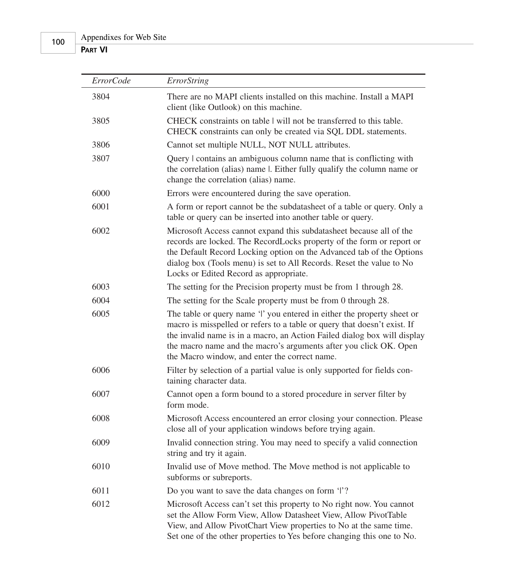| <b>ErrorCode</b> | ErrorString                                                                                                                                                                                                                                                                                                                                           |
|------------------|-------------------------------------------------------------------------------------------------------------------------------------------------------------------------------------------------------------------------------------------------------------------------------------------------------------------------------------------------------|
| 3804             | There are no MAPI clients installed on this machine. Install a MAPI<br>client (like Outlook) on this machine.                                                                                                                                                                                                                                         |
| 3805             | CHECK constraints on table $\vert$ will not be transferred to this table.<br>CHECK constraints can only be created via SQL DDL statements.                                                                                                                                                                                                            |
| 3806             | Cannot set multiple NULL, NOT NULL attributes.                                                                                                                                                                                                                                                                                                        |
| 3807             | Query I contains an ambiguous column name that is conflicting with<br>the correlation (alias) name l. Either fully qualify the column name or<br>change the correlation (alias) name.                                                                                                                                                                 |
| 6000             | Errors were encountered during the save operation.                                                                                                                                                                                                                                                                                                    |
| 6001             | A form or report cannot be the subdatasheet of a table or query. Only a<br>table or query can be inserted into another table or query.                                                                                                                                                                                                                |
| 6002             | Microsoft Access cannot expand this subdatasheet because all of the<br>records are locked. The RecordLocks property of the form or report or<br>the Default Record Locking option on the Advanced tab of the Options<br>dialog box (Tools menu) is set to All Records. Reset the value to No<br>Locks or Edited Record as appropriate.                |
| 6003             | The setting for the Precision property must be from 1 through 28.                                                                                                                                                                                                                                                                                     |
| 6004             | The setting for the Scale property must be from 0 through 28.                                                                                                                                                                                                                                                                                         |
| 6005             | The table or query name 'l' you entered in either the property sheet or<br>macro is misspelled or refers to a table or query that doesn't exist. If<br>the invalid name is in a macro, an Action Failed dialog box will display<br>the macro name and the macro's arguments after you click OK. Open<br>the Macro window, and enter the correct name. |
| 6006             | Filter by selection of a partial value is only supported for fields con-<br>taining character data.                                                                                                                                                                                                                                                   |
| 6007             | Cannot open a form bound to a stored procedure in server filter by<br>form mode.                                                                                                                                                                                                                                                                      |
| 6008             | Microsoft Access encountered an error closing your connection. Please<br>close all of your application windows before trying again.                                                                                                                                                                                                                   |
| 6009             | Invalid connection string. You may need to specify a valid connection<br>string and try it again.                                                                                                                                                                                                                                                     |
| 6010             | Invalid use of Move method. The Move method is not applicable to<br>subforms or subreports.                                                                                                                                                                                                                                                           |
| 6011             | Do you want to save the data changes on form 'l'?                                                                                                                                                                                                                                                                                                     |
| 6012             | Microsoft Access can't set this property to No right now. You cannot<br>set the Allow Form View, Allow Datasheet View, Allow PivotTable<br>View, and Allow PivotChart View properties to No at the same time.<br>Set one of the other properties to Yes before changing this one to No.                                                               |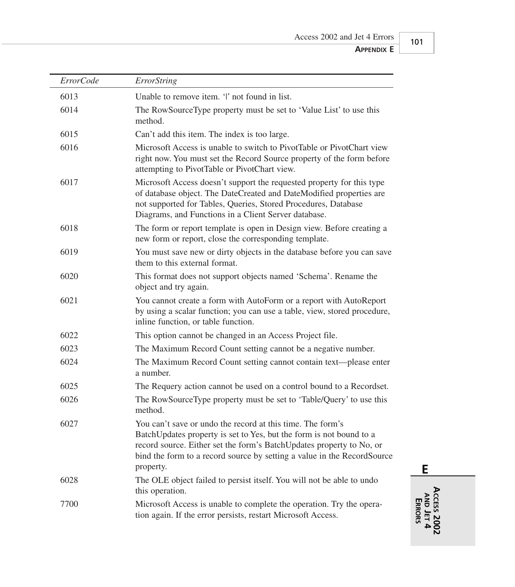| <b>ErrorCode</b> | ErrorString                                                                                                                                                                                                                                                                                       |
|------------------|---------------------------------------------------------------------------------------------------------------------------------------------------------------------------------------------------------------------------------------------------------------------------------------------------|
| 6013             | Unable to remove item. 'I' not found in list.                                                                                                                                                                                                                                                     |
| 6014             | The RowSourceType property must be set to 'Value List' to use this<br>method.                                                                                                                                                                                                                     |
| 6015             | Can't add this item. The index is too large.                                                                                                                                                                                                                                                      |
| 6016             | Microsoft Access is unable to switch to PivotTable or PivotChart view<br>right now. You must set the Record Source property of the form before<br>attempting to PivotTable or PivotChart view.                                                                                                    |
| 6017             | Microsoft Access doesn't support the requested property for this type<br>of database object. The DateCreated and DateModified properties are<br>not supported for Tables, Queries, Stored Procedures, Database<br>Diagrams, and Functions in a Client Server database.                            |
| 6018             | The form or report template is open in Design view. Before creating a<br>new form or report, close the corresponding template.                                                                                                                                                                    |
| 6019             | You must save new or dirty objects in the database before you can save<br>them to this external format.                                                                                                                                                                                           |
| 6020             | This format does not support objects named 'Schema'. Rename the<br>object and try again.                                                                                                                                                                                                          |
| 6021             | You cannot create a form with AutoForm or a report with AutoReport<br>by using a scalar function; you can use a table, view, stored procedure,<br>inline function, or table function.                                                                                                             |
| 6022             | This option cannot be changed in an Access Project file.                                                                                                                                                                                                                                          |
| 6023             | The Maximum Record Count setting cannot be a negative number.                                                                                                                                                                                                                                     |
| 6024             | The Maximum Record Count setting cannot contain text—please enter<br>a number.                                                                                                                                                                                                                    |
| 6025             | The Requery action cannot be used on a control bound to a Recordset.                                                                                                                                                                                                                              |
| 6026             | The RowSourceType property must be set to 'Table/Query' to use this<br>method.                                                                                                                                                                                                                    |
| 6027             | You can't save or undo the record at this time. The form's<br>BatchUpdates property is set to Yes, but the form is not bound to a<br>record source. Either set the form's BatchUpdates property to No, or<br>bind the form to a record source by setting a value in the RecordSource<br>property. |
| 6028             | The OLE object failed to persist itself. You will not be able to undo<br>this operation.                                                                                                                                                                                                          |
| 7700             | Microsoft Access is unable to complete the operation. Try the opera-<br>tion again. If the error persists, restart Microsoft Access.                                                                                                                                                              |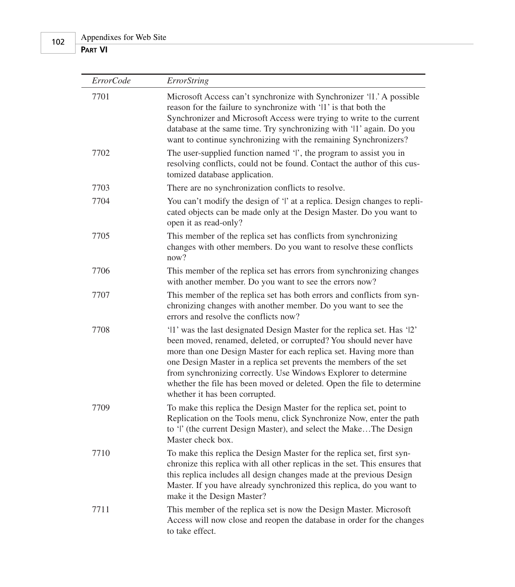| <b>ErrorCode</b> | ErrorString                                                                                                                                                                                                                                                                                                                                                                                                                                                              |
|------------------|--------------------------------------------------------------------------------------------------------------------------------------------------------------------------------------------------------------------------------------------------------------------------------------------------------------------------------------------------------------------------------------------------------------------------------------------------------------------------|
| 7701             | Microsoft Access can't synchronize with Synchronizer '11.' A possible<br>reason for the failure to synchronize with 'll' is that both the<br>Synchronizer and Microsoft Access were trying to write to the current<br>database at the same time. Try synchronizing with 'll' again. Do you<br>want to continue synchronizing with the remaining Synchronizers?                                                                                                           |
| 7702             | The user-supplied function named 'l', the program to assist you in<br>resolving conflicts, could not be found. Contact the author of this cus-<br>tomized database application.                                                                                                                                                                                                                                                                                          |
| 7703             | There are no synchronization conflicts to resolve.                                                                                                                                                                                                                                                                                                                                                                                                                       |
| 7704             | You can't modify the design of 'l' at a replica. Design changes to repli-<br>cated objects can be made only at the Design Master. Do you want to<br>open it as read-only?                                                                                                                                                                                                                                                                                                |
| 7705             | This member of the replica set has conflicts from synchronizing<br>changes with other members. Do you want to resolve these conflicts<br>now?                                                                                                                                                                                                                                                                                                                            |
| 7706             | This member of the replica set has errors from synchronizing changes<br>with another member. Do you want to see the errors now?                                                                                                                                                                                                                                                                                                                                          |
| 7707             | This member of the replica set has both errors and conflicts from syn-<br>chronizing changes with another member. Do you want to see the<br>errors and resolve the conflicts now?                                                                                                                                                                                                                                                                                        |
| 7708             | 'll' was the last designated Design Master for the replica set. Has 'll'<br>been moved, renamed, deleted, or corrupted? You should never have<br>more than one Design Master for each replica set. Having more than<br>one Design Master in a replica set prevents the members of the set<br>from synchronizing correctly. Use Windows Explorer to determine<br>whether the file has been moved or deleted. Open the file to determine<br>whether it has been corrupted. |
| 7709             | To make this replica the Design Master for the replica set, point to<br>Replication on the Tools menu, click Synchronize Now, enter the path<br>to 'l' (the current Design Master), and select the MakeThe Design<br>Master check box.                                                                                                                                                                                                                                   |
| 7710             | To make this replica the Design Master for the replica set, first syn-<br>chronize this replica with all other replicas in the set. This ensures that<br>this replica includes all design changes made at the previous Design<br>Master. If you have already synchronized this replica, do you want to<br>make it the Design Master?                                                                                                                                     |
| 7711             | This member of the replica set is now the Design Master. Microsoft<br>Access will now close and reopen the database in order for the changes<br>to take effect.                                                                                                                                                                                                                                                                                                          |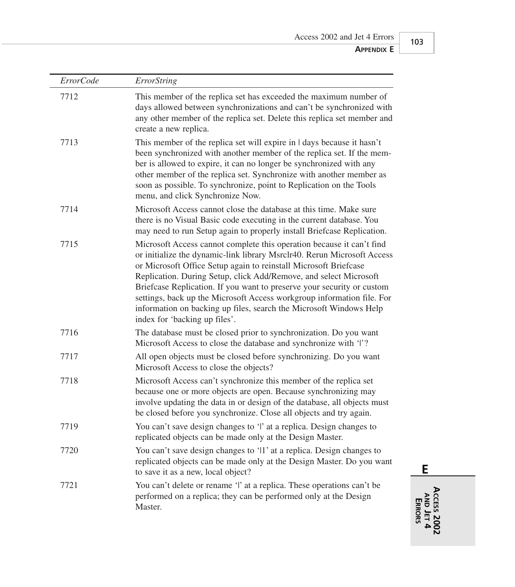| <b>ErrorCode</b> | ErrorString                                                                                                                                                                                                                                                                                                                                                                                                                                                                                                                                          |
|------------------|------------------------------------------------------------------------------------------------------------------------------------------------------------------------------------------------------------------------------------------------------------------------------------------------------------------------------------------------------------------------------------------------------------------------------------------------------------------------------------------------------------------------------------------------------|
| 7712             | This member of the replica set has exceeded the maximum number of<br>days allowed between synchronizations and can't be synchronized with<br>any other member of the replica set. Delete this replica set member and<br>create a new replica.                                                                                                                                                                                                                                                                                                        |
| 7713             | This member of the replica set will expire in I days because it hasn't<br>been synchronized with another member of the replica set. If the mem-<br>ber is allowed to expire, it can no longer be synchronized with any<br>other member of the replica set. Synchronize with another member as<br>soon as possible. To synchronize, point to Replication on the Tools<br>menu, and click Synchronize Now.                                                                                                                                             |
| 7714             | Microsoft Access cannot close the database at this time. Make sure<br>there is no Visual Basic code executing in the current database. You<br>may need to run Setup again to properly install Briefcase Replication.                                                                                                                                                                                                                                                                                                                                 |
| 7715             | Microsoft Access cannot complete this operation because it can't find<br>or initialize the dynamic-link library Msrclr40. Rerun Microsoft Access<br>or Microsoft Office Setup again to reinstall Microsoft Briefcase<br>Replication. During Setup, click Add/Remove, and select Microsoft<br>Briefcase Replication. If you want to preserve your security or custom<br>settings, back up the Microsoft Access workgroup information file. For<br>information on backing up files, search the Microsoft Windows Help<br>index for 'backing up files'. |
| 7716             | The database must be closed prior to synchronization. Do you want<br>Microsoft Access to close the database and synchronize with 'l'?                                                                                                                                                                                                                                                                                                                                                                                                                |
| 7717             | All open objects must be closed before synchronizing. Do you want<br>Microsoft Access to close the objects?                                                                                                                                                                                                                                                                                                                                                                                                                                          |
| 7718             | Microsoft Access can't synchronize this member of the replica set<br>because one or more objects are open. Because synchronizing may<br>involve updating the data in or design of the database, all objects must<br>be closed before you synchronize. Close all objects and try again.                                                                                                                                                                                                                                                               |
| 7719             | You can't save design changes to 'l' at a replica. Design changes to<br>replicated objects can be made only at the Design Master.                                                                                                                                                                                                                                                                                                                                                                                                                    |
| 7720             | You can't save design changes to 'll' at a replica. Design changes to<br>replicated objects can be made only at the Design Master. Do you want<br>to save it as a new, local object?                                                                                                                                                                                                                                                                                                                                                                 |
| 7721             | You can't delete or rename 'l' at a replica. These operations can't be<br>performed on a replica; they can be performed only at the Design<br>Master.                                                                                                                                                                                                                                                                                                                                                                                                |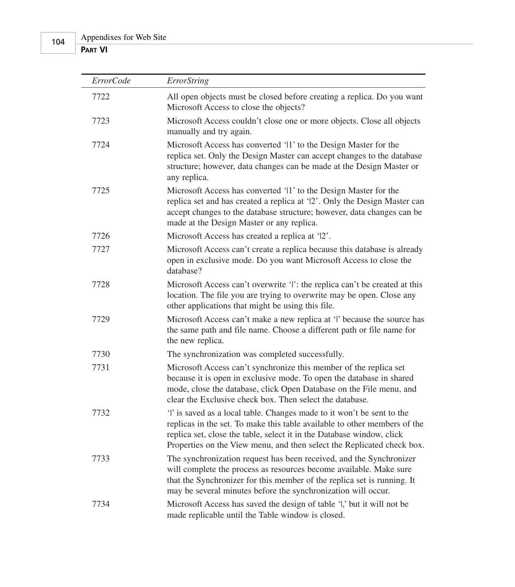| <b>ErrorCode</b> | ErrorString                                                                                                                                                                                                                                                                                            |
|------------------|--------------------------------------------------------------------------------------------------------------------------------------------------------------------------------------------------------------------------------------------------------------------------------------------------------|
| 7722             | All open objects must be closed before creating a replica. Do you want<br>Microsoft Access to close the objects?                                                                                                                                                                                       |
| 7723             | Microsoft Access couldn't close one or more objects. Close all objects<br>manually and try again.                                                                                                                                                                                                      |
| 7724             | Microsoft Access has converted '11' to the Design Master for the<br>replica set. Only the Design Master can accept changes to the database<br>structure; however, data changes can be made at the Design Master or<br>any replica.                                                                     |
| 7725             | Microsoft Access has converted 'll' to the Design Master for the<br>replica set and has created a replica at 'l2'. Only the Design Master can<br>accept changes to the database structure; however, data changes can be<br>made at the Design Master or any replica.                                   |
| 7726             | Microsoft Access has created a replica at 'l2'.                                                                                                                                                                                                                                                        |
| 7727             | Microsoft Access can't create a replica because this database is already<br>open in exclusive mode. Do you want Microsoft Access to close the<br>database?                                                                                                                                             |
| 7728             | Microsoft Access can't overwrite 'l': the replica can't be created at this<br>location. The file you are trying to overwrite may be open. Close any<br>other applications that might be using this file.                                                                                               |
| 7729             | Microsoft Access can't make a new replica at 'l' because the source has<br>the same path and file name. Choose a different path or file name for<br>the new replica.                                                                                                                                   |
| 7730             | The synchronization was completed successfully.                                                                                                                                                                                                                                                        |
| 7731             | Microsoft Access can't synchronize this member of the replica set<br>because it is open in exclusive mode. To open the database in shared<br>mode, close the database, click Open Database on the File menu, and<br>clear the Exclusive check box. Then select the database.                           |
| 7732             | 'l' is saved as a local table. Changes made to it won't be sent to the<br>replicas in the set. To make this table available to other members of the<br>replica set, close the table, select it in the Database window, click<br>Properties on the View menu, and then select the Replicated check box. |
| 7733             | The synchronization request has been received, and the Synchronizer<br>will complete the process as resources become available. Make sure<br>that the Synchronizer for this member of the replica set is running. It<br>may be several minutes before the synchronization will occur.                  |
| 7734             | Microsoft Access has saved the design of table 'l,' but it will not be<br>made replicable until the Table window is closed.                                                                                                                                                                            |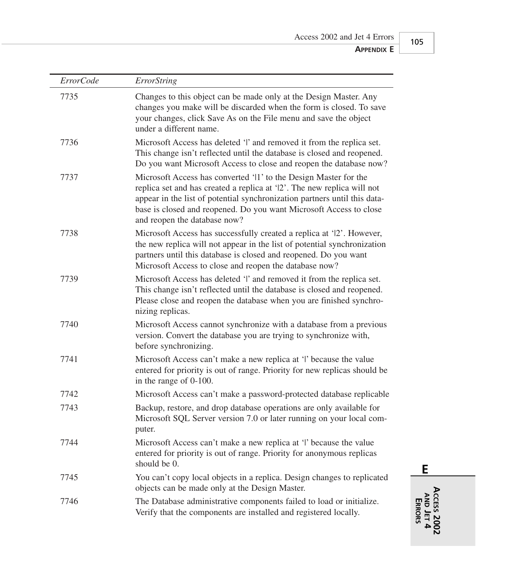| Appendix E |  |
|------------|--|
|------------|--|

| <b>ErrorCode</b> | ErrorString                                                                                                                                                                                                                                                                                                                    |
|------------------|--------------------------------------------------------------------------------------------------------------------------------------------------------------------------------------------------------------------------------------------------------------------------------------------------------------------------------|
| 7735             | Changes to this object can be made only at the Design Master. Any<br>changes you make will be discarded when the form is closed. To save<br>your changes, click Save As on the File menu and save the object<br>under a different name.                                                                                        |
| 7736             | Microsoft Access has deleted 'l' and removed it from the replica set.<br>This change isn't reflected until the database is closed and reopened.<br>Do you want Microsoft Access to close and reopen the database now?                                                                                                          |
| 7737             | Microsoft Access has converted 'll' to the Design Master for the<br>replica set and has created a replica at 'l2'. The new replica will not<br>appear in the list of potential synchronization partners until this data-<br>base is closed and reopened. Do you want Microsoft Access to close<br>and reopen the database now? |
| 7738             | Microsoft Access has successfully created a replica at 'l2'. However,<br>the new replica will not appear in the list of potential synchronization<br>partners until this database is closed and reopened. Do you want<br>Microsoft Access to close and reopen the database now?                                                |
| 7739             | Microsoft Access has deleted 'l' and removed it from the replica set.<br>This change isn't reflected until the database is closed and reopened.<br>Please close and reopen the database when you are finished synchro-<br>nizing replicas.                                                                                     |
| 7740             | Microsoft Access cannot synchronize with a database from a previous<br>version. Convert the database you are trying to synchronize with,<br>before synchronizing.                                                                                                                                                              |
| 7741             | Microsoft Access can't make a new replica at 'l' because the value<br>entered for priority is out of range. Priority for new replicas should be<br>in the range of 0-100.                                                                                                                                                      |
| 7742             | Microsoft Access can't make a password-protected database replicable                                                                                                                                                                                                                                                           |
| 7743             | Backup, restore, and drop database operations are only available for<br>Microsoft SQL Server version 7.0 or later running on your local com-<br>puter.                                                                                                                                                                         |
| 7744             | Microsoft Access can't make a new replica at 'l' because the value<br>entered for priority is out of range. Priority for anonymous replicas<br>should be 0.                                                                                                                                                                    |
| 7745             | You can't copy local objects in a replica. Design changes to replicated<br>objects can be made only at the Design Master.                                                                                                                                                                                                      |
| 7746             | The Database administrative components failed to load or initialize.<br>Verify that the components are installed and registered locally.                                                                                                                                                                                       |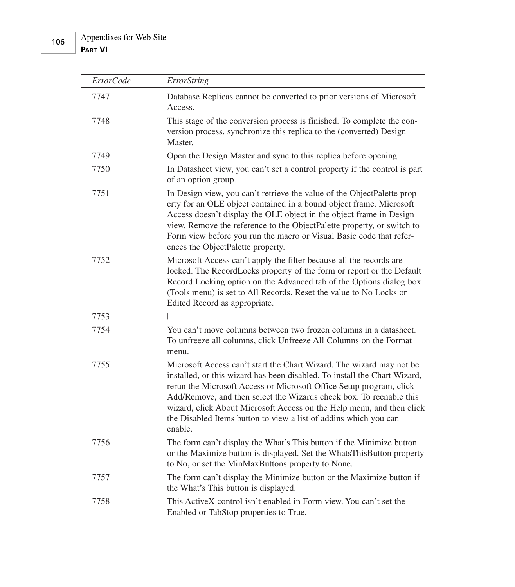| <b>ErrorCode</b> | ErrorString                                                                                                                                                                                                                                                                                                                                                                                                                                             |
|------------------|---------------------------------------------------------------------------------------------------------------------------------------------------------------------------------------------------------------------------------------------------------------------------------------------------------------------------------------------------------------------------------------------------------------------------------------------------------|
| 7747             | Database Replicas cannot be converted to prior versions of Microsoft<br>Access.                                                                                                                                                                                                                                                                                                                                                                         |
| 7748             | This stage of the conversion process is finished. To complete the con-<br>version process, synchronize this replica to the (converted) Design<br>Master.                                                                                                                                                                                                                                                                                                |
| 7749             | Open the Design Master and sync to this replica before opening.                                                                                                                                                                                                                                                                                                                                                                                         |
| 7750             | In Datasheet view, you can't set a control property if the control is part<br>of an option group.                                                                                                                                                                                                                                                                                                                                                       |
| 7751             | In Design view, you can't retrieve the value of the ObjectPalette prop-<br>erty for an OLE object contained in a bound object frame. Microsoft<br>Access doesn't display the OLE object in the object frame in Design<br>view. Remove the reference to the ObjectPalette property, or switch to<br>Form view before you run the macro or Visual Basic code that refer-<br>ences the ObjectPalette property.                                             |
| 7752             | Microsoft Access can't apply the filter because all the records are<br>locked. The RecordLocks property of the form or report or the Default<br>Record Locking option on the Advanced tab of the Options dialog box<br>(Tools menu) is set to All Records. Reset the value to No Locks or<br>Edited Record as appropriate.                                                                                                                              |
| 7753             |                                                                                                                                                                                                                                                                                                                                                                                                                                                         |
| 7754             | You can't move columns between two frozen columns in a datasheet.<br>To unfreeze all columns, click Unfreeze All Columns on the Format<br>menu.                                                                                                                                                                                                                                                                                                         |
| 7755             | Microsoft Access can't start the Chart Wizard. The wizard may not be<br>installed, or this wizard has been disabled. To install the Chart Wizard,<br>rerun the Microsoft Access or Microsoft Office Setup program, click<br>Add/Remove, and then select the Wizards check box. To reenable this<br>wizard, click About Microsoft Access on the Help menu, and then click<br>the Disabled Items button to view a list of addins which you can<br>enable. |
| 7756             | The form can't display the What's This button if the Minimize button<br>or the Maximize button is displayed. Set the WhatsThisButton property<br>to No, or set the MinMaxButtons property to None.                                                                                                                                                                                                                                                      |
| 7757             | The form can't display the Minimize button or the Maximize button if<br>the What's This button is displayed.                                                                                                                                                                                                                                                                                                                                            |
| 7758             | This ActiveX control isn't enabled in Form view. You can't set the<br>Enabled or TabStop properties to True.                                                                                                                                                                                                                                                                                                                                            |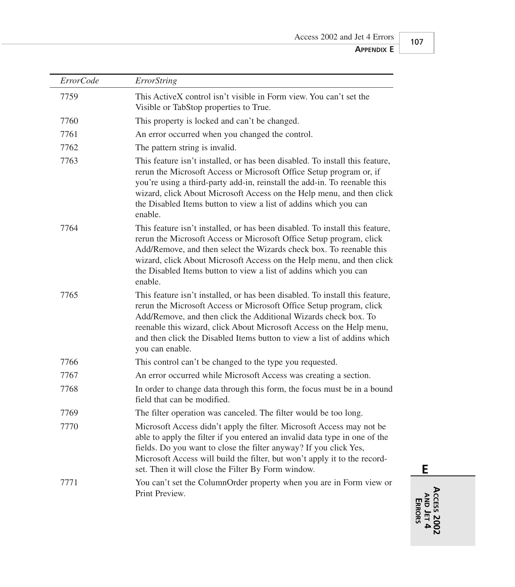| <b>ErrorCode</b> | ErrorString                                                                                                                                                                                                                                                                                                                                                                                  |
|------------------|----------------------------------------------------------------------------------------------------------------------------------------------------------------------------------------------------------------------------------------------------------------------------------------------------------------------------------------------------------------------------------------------|
| 7759             | This ActiveX control isn't visible in Form view. You can't set the<br>Visible or TabStop properties to True.                                                                                                                                                                                                                                                                                 |
| 7760             | This property is locked and can't be changed.                                                                                                                                                                                                                                                                                                                                                |
| 7761             | An error occurred when you changed the control.                                                                                                                                                                                                                                                                                                                                              |
| 7762             | The pattern string is invalid.                                                                                                                                                                                                                                                                                                                                                               |
| 7763             | This feature isn't installed, or has been disabled. To install this feature,<br>rerun the Microsoft Access or Microsoft Office Setup program or, if<br>you're using a third-party add-in, reinstall the add-in. To reenable this<br>wizard, click About Microsoft Access on the Help menu, and then click<br>the Disabled Items button to view a list of addins which you can<br>enable.     |
| 7764             | This feature isn't installed, or has been disabled. To install this feature,<br>rerun the Microsoft Access or Microsoft Office Setup program, click<br>Add/Remove, and then select the Wizards check box. To reenable this<br>wizard, click About Microsoft Access on the Help menu, and then click<br>the Disabled Items button to view a list of addins which you can<br>enable.           |
| 7765             | This feature isn't installed, or has been disabled. To install this feature,<br>rerun the Microsoft Access or Microsoft Office Setup program, click<br>Add/Remove, and then click the Additional Wizards check box. To<br>reenable this wizard, click About Microsoft Access on the Help menu,<br>and then click the Disabled Items button to view a list of addins which<br>you can enable. |
| 7766             | This control can't be changed to the type you requested.                                                                                                                                                                                                                                                                                                                                     |
| 7767             | An error occurred while Microsoft Access was creating a section.                                                                                                                                                                                                                                                                                                                             |
| 7768             | In order to change data through this form, the focus must be in a bound<br>field that can be modified.                                                                                                                                                                                                                                                                                       |
| 7769             | The filter operation was canceled. The filter would be too long.                                                                                                                                                                                                                                                                                                                             |
| 7770             | Microsoft Access didn't apply the filter. Microsoft Access may not be<br>able to apply the filter if you entered an invalid data type in one of the<br>fields. Do you want to close the filter anyway? If you click Yes,<br>Microsoft Access will build the filter, but won't apply it to the record-<br>set. Then it will close the Filter By Form window.                                  |
| 7771             | You can't set the ColumnOrder property when you are in Form view or<br>Print Preview.                                                                                                                                                                                                                                                                                                        |

L,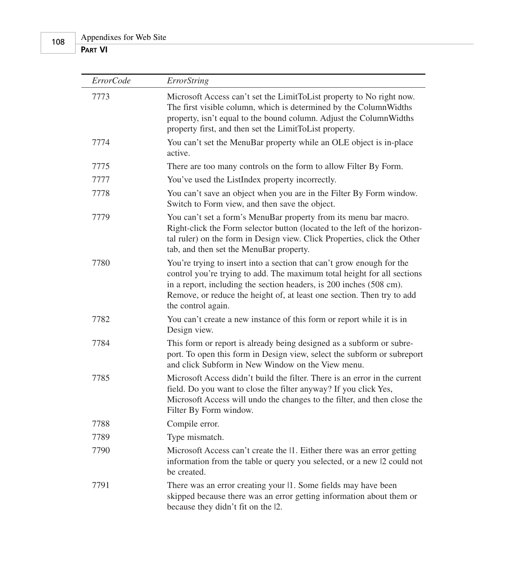| <b>ErrorCode</b> | ErrorString                                                                                                                                                                                                                                                                                                             |
|------------------|-------------------------------------------------------------------------------------------------------------------------------------------------------------------------------------------------------------------------------------------------------------------------------------------------------------------------|
| 7773             | Microsoft Access can't set the LimitToList property to No right now.<br>The first visible column, which is determined by the Column Widths<br>property, isn't equal to the bound column. Adjust the ColumnWidths<br>property first, and then set the LimitToList property.                                              |
| 7774             | You can't set the MenuBar property while an OLE object is in-place<br>active.                                                                                                                                                                                                                                           |
| 7775             | There are too many controls on the form to allow Filter By Form.                                                                                                                                                                                                                                                        |
| 7777             | You've used the ListIndex property incorrectly.                                                                                                                                                                                                                                                                         |
| 7778             | You can't save an object when you are in the Filter By Form window.<br>Switch to Form view, and then save the object.                                                                                                                                                                                                   |
| 7779             | You can't set a form's MenuBar property from its menu bar macro.<br>Right-click the Form selector button (located to the left of the horizon-<br>tal ruler) on the form in Design view. Click Properties, click the Other<br>tab, and then set the MenuBar property.                                                    |
| 7780             | You're trying to insert into a section that can't grow enough for the<br>control you're trying to add. The maximum total height for all sections<br>in a report, including the section headers, is 200 inches (508 cm).<br>Remove, or reduce the height of, at least one section. Then try to add<br>the control again. |
| 7782             | You can't create a new instance of this form or report while it is in<br>Design view.                                                                                                                                                                                                                                   |
| 7784             | This form or report is already being designed as a subform or subre-<br>port. To open this form in Design view, select the subform or subreport<br>and click Subform in New Window on the View menu.                                                                                                                    |
| 7785             | Microsoft Access didn't build the filter. There is an error in the current<br>field. Do you want to close the filter anyway? If you click Yes,<br>Microsoft Access will undo the changes to the filter, and then close the<br>Filter By Form window.                                                                    |
| 7788             | Compile error.                                                                                                                                                                                                                                                                                                          |
| 7789             | Type mismatch.                                                                                                                                                                                                                                                                                                          |
| 7790             | Microsoft Access can't create the 11. Either there was an error getting<br>information from the table or query you selected, or a new l2 could not<br>be created.                                                                                                                                                       |
| 7791             | There was an error creating your 11. Some fields may have been<br>skipped because there was an error getting information about them or<br>because they didn't fit on the l2.                                                                                                                                            |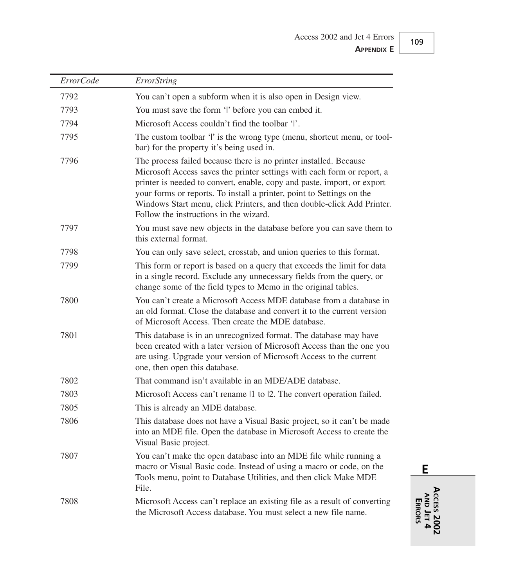## **APPENDIX E**

| <b>ErrorCode</b> | ErrorString                                                                                                                                                                                                                                                                                                                                                                                                          |
|------------------|----------------------------------------------------------------------------------------------------------------------------------------------------------------------------------------------------------------------------------------------------------------------------------------------------------------------------------------------------------------------------------------------------------------------|
| 7792             | You can't open a subform when it is also open in Design view.                                                                                                                                                                                                                                                                                                                                                        |
| 7793             | You must save the form 'l' before you can embed it.                                                                                                                                                                                                                                                                                                                                                                  |
| 7794             | Microsoft Access couldn't find the toolbar 'l'.                                                                                                                                                                                                                                                                                                                                                                      |
| 7795             | The custom toolbar 'l' is the wrong type (menu, shortcut menu, or tool-<br>bar) for the property it's being used in.                                                                                                                                                                                                                                                                                                 |
| 7796             | The process failed because there is no printer installed. Because<br>Microsoft Access saves the printer settings with each form or report, a<br>printer is needed to convert, enable, copy and paste, import, or export<br>your forms or reports. To install a printer, point to Settings on the<br>Windows Start menu, click Printers, and then double-click Add Printer.<br>Follow the instructions in the wizard. |
| 7797             | You must save new objects in the database before you can save them to<br>this external format.                                                                                                                                                                                                                                                                                                                       |
| 7798             | You can only save select, crosstab, and union queries to this format.                                                                                                                                                                                                                                                                                                                                                |
| 7799             | This form or report is based on a query that exceeds the limit for data<br>in a single record. Exclude any unnecessary fields from the query, or<br>change some of the field types to Memo in the original tables.                                                                                                                                                                                                   |
| 7800             | You can't create a Microsoft Access MDE database from a database in<br>an old format. Close the database and convert it to the current version<br>of Microsoft Access. Then create the MDE database.                                                                                                                                                                                                                 |
| 7801             | This database is in an unrecognized format. The database may have<br>been created with a later version of Microsoft Access than the one you<br>are using. Upgrade your version of Microsoft Access to the current<br>one, then open this database.                                                                                                                                                                   |
| 7802             | That command isn't available in an MDE/ADE database.                                                                                                                                                                                                                                                                                                                                                                 |
| 7803             | Microsoft Access can't rename 11 to 12. The convert operation failed.                                                                                                                                                                                                                                                                                                                                                |
| 7805             | This is already an MDE database.                                                                                                                                                                                                                                                                                                                                                                                     |
| 7806             | This database does not have a Visual Basic project, so it can't be made<br>into an MDE file. Open the database in Microsoft Access to create the<br>Visual Basic project.                                                                                                                                                                                                                                            |
| 7807             | You can't make the open database into an MDE file while running a<br>macro or Visual Basic code. Instead of using a macro or code, on the<br>Tools menu, point to Database Utilities, and then click Make MDE<br>File.                                                                                                                                                                                               |
| 7808             | Microsoft Access can't replace an existing file as a result of converting<br>the Microsoft Access database. You must select a new file name.                                                                                                                                                                                                                                                                         |

L.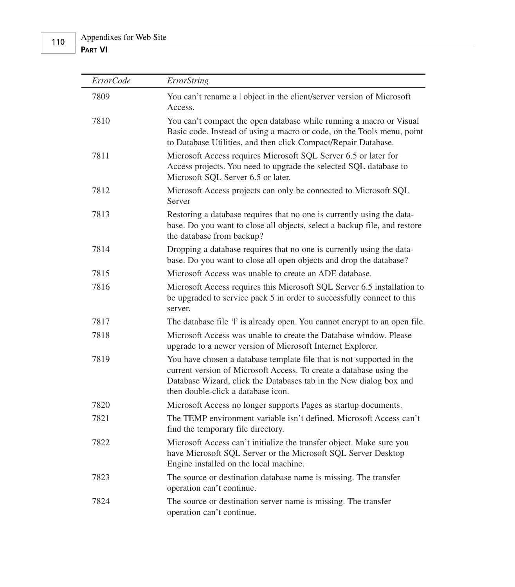| <b>ErrorCode</b> | ErrorString                                                                                                                                                                                                                                              |
|------------------|----------------------------------------------------------------------------------------------------------------------------------------------------------------------------------------------------------------------------------------------------------|
| 7809             | You can't rename a l object in the client/server version of Microsoft<br>Access.                                                                                                                                                                         |
| 7810             | You can't compact the open database while running a macro or Visual<br>Basic code. Instead of using a macro or code, on the Tools menu, point<br>to Database Utilities, and then click Compact/Repair Database.                                          |
| 7811             | Microsoft Access requires Microsoft SQL Server 6.5 or later for<br>Access projects. You need to upgrade the selected SQL database to<br>Microsoft SQL Server 6.5 or later.                                                                               |
| 7812             | Microsoft Access projects can only be connected to Microsoft SQL<br>Server                                                                                                                                                                               |
| 7813             | Restoring a database requires that no one is currently using the data-<br>base. Do you want to close all objects, select a backup file, and restore<br>the database from backup?                                                                         |
| 7814             | Dropping a database requires that no one is currently using the data-<br>base. Do you want to close all open objects and drop the database?                                                                                                              |
| 7815             | Microsoft Access was unable to create an ADE database.                                                                                                                                                                                                   |
| 7816             | Microsoft Access requires this Microsoft SQL Server 6.5 installation to<br>be upgraded to service pack 5 in order to successfully connect to this<br>server.                                                                                             |
| 7817             | The database file 'l' is already open. You cannot encrypt to an open file.                                                                                                                                                                               |
| 7818             | Microsoft Access was unable to create the Database window. Please<br>upgrade to a newer version of Microsoft Internet Explorer.                                                                                                                          |
| 7819             | You have chosen a database template file that is not supported in the<br>current version of Microsoft Access. To create a database using the<br>Database Wizard, click the Databases tab in the New dialog box and<br>then double-click a database icon. |
| 7820             | Microsoft Access no longer supports Pages as startup documents.                                                                                                                                                                                          |
| 7821             | The TEMP environment variable isn't defined. Microsoft Access can't<br>find the temporary file directory.                                                                                                                                                |
| 7822             | Microsoft Access can't initialize the transfer object. Make sure you<br>have Microsoft SQL Server or the Microsoft SQL Server Desktop<br>Engine installed on the local machine.                                                                          |
| 7823             | The source or destination database name is missing. The transfer<br>operation can't continue.                                                                                                                                                            |
| 7824             | The source or destination server name is missing. The transfer<br>operation can't continue.                                                                                                                                                              |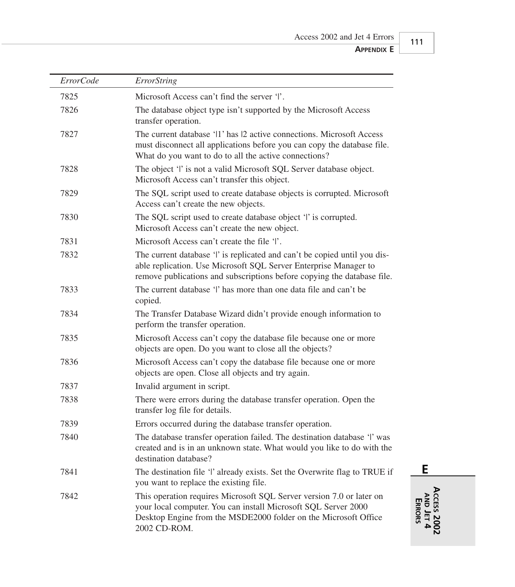## **APPENDIX E**

| <b>ErrorCode</b> | ErrorString                                                                                                                                                                                                               |
|------------------|---------------------------------------------------------------------------------------------------------------------------------------------------------------------------------------------------------------------------|
| 7825             | Microsoft Access can't find the server 'l'.                                                                                                                                                                               |
| 7826             | The database object type isn't supported by the Microsoft Access<br>transfer operation.                                                                                                                                   |
| 7827             | The current database '11' has 12 active connections. Microsoft Access<br>must disconnect all applications before you can copy the database file.<br>What do you want to do to all the active connections?                 |
| 7828             | The object 'l' is not a valid Microsoft SQL Server database object.<br>Microsoft Access can't transfer this object.                                                                                                       |
| 7829             | The SQL script used to create database objects is corrupted. Microsoft<br>Access can't create the new objects.                                                                                                            |
| 7830             | The SQL script used to create database object 'l' is corrupted.<br>Microsoft Access can't create the new object.                                                                                                          |
| 7831             | Microsoft Access can't create the file 'l'.                                                                                                                                                                               |
| 7832             | The current database 'l' is replicated and can't be copied until you dis-<br>able replication. Use Microsoft SQL Server Enterprise Manager to<br>remove publications and subscriptions before copying the database file.  |
| 7833             | The current database ' ' has more than one data file and can't be<br>copied.                                                                                                                                              |
| 7834             | The Transfer Database Wizard didn't provide enough information to<br>perform the transfer operation.                                                                                                                      |
| 7835             | Microsoft Access can't copy the database file because one or more<br>objects are open. Do you want to close all the objects?                                                                                              |
| 7836             | Microsoft Access can't copy the database file because one or more<br>objects are open. Close all objects and try again.                                                                                                   |
| 7837             | Invalid argument in script.                                                                                                                                                                                               |
| 7838             | There were errors during the database transfer operation. Open the<br>transfer log file for details.                                                                                                                      |
| 7839             | Errors occurred during the database transfer operation.                                                                                                                                                                   |
| 7840             | The database transfer operation failed. The destination database 'l' was<br>created and is in an unknown state. What would you like to do with the<br>destination database?                                               |
| 7841             | The destination file 'l' already exists. Set the Overwrite flag to TRUE if<br>you want to replace the existing file.                                                                                                      |
| 7842             | This operation requires Microsoft SQL Server version 7.0 or later on<br>your local computer. You can install Microsoft SQL Server 2000<br>Desktop Engine from the MSDE2000 folder on the Microsoft Office<br>2002 CD-ROM. |

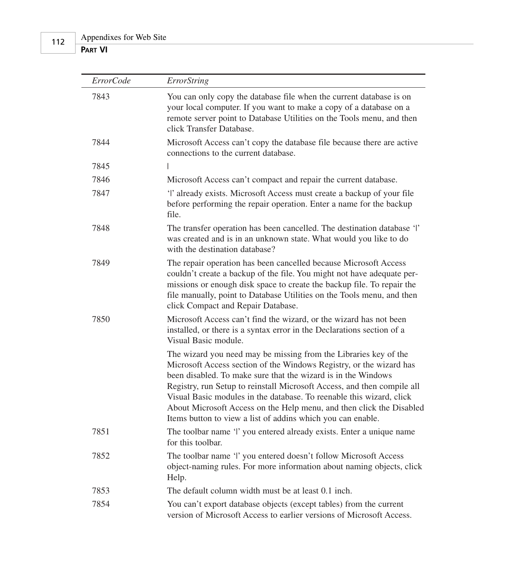| <b>ErrorCode</b> | ErrorString                                                                                                                                                                                                                                                                                                                                                                                                                                                                                        |
|------------------|----------------------------------------------------------------------------------------------------------------------------------------------------------------------------------------------------------------------------------------------------------------------------------------------------------------------------------------------------------------------------------------------------------------------------------------------------------------------------------------------------|
| 7843             | You can only copy the database file when the current database is on<br>your local computer. If you want to make a copy of a database on a<br>remote server point to Database Utilities on the Tools menu, and then<br>click Transfer Database.                                                                                                                                                                                                                                                     |
| 7844             | Microsoft Access can't copy the database file because there are active<br>connections to the current database.                                                                                                                                                                                                                                                                                                                                                                                     |
| 7845             |                                                                                                                                                                                                                                                                                                                                                                                                                                                                                                    |
| 7846             | Microsoft Access can't compact and repair the current database.                                                                                                                                                                                                                                                                                                                                                                                                                                    |
| 7847             | 'l' already exists. Microsoft Access must create a backup of your file<br>before performing the repair operation. Enter a name for the backup<br>file.                                                                                                                                                                                                                                                                                                                                             |
| 7848             | The transfer operation has been cancelled. The destination database 'l'<br>was created and is in an unknown state. What would you like to do<br>with the destination database?                                                                                                                                                                                                                                                                                                                     |
| 7849             | The repair operation has been cancelled because Microsoft Access<br>couldn't create a backup of the file. You might not have adequate per-<br>missions or enough disk space to create the backup file. To repair the<br>file manually, point to Database Utilities on the Tools menu, and then<br>click Compact and Repair Database.                                                                                                                                                               |
| 7850             | Microsoft Access can't find the wizard, or the wizard has not been<br>installed, or there is a syntax error in the Declarations section of a<br>Visual Basic module.                                                                                                                                                                                                                                                                                                                               |
|                  | The wizard you need may be missing from the Libraries key of the<br>Microsoft Access section of the Windows Registry, or the wizard has<br>been disabled. To make sure that the wizard is in the Windows<br>Registry, run Setup to reinstall Microsoft Access, and then compile all<br>Visual Basic modules in the database. To reenable this wizard, click<br>About Microsoft Access on the Help menu, and then click the Disabled<br>Items button to view a list of addins which you can enable. |
| 7851             | The toolbar name 'l' you entered already exists. Enter a unique name<br>for this toolbar.                                                                                                                                                                                                                                                                                                                                                                                                          |
| 7852             | The toolbar name 'l' you entered doesn't follow Microsoft Access<br>object-naming rules. For more information about naming objects, click<br>Help.                                                                                                                                                                                                                                                                                                                                                 |
| 7853             | The default column width must be at least 0.1 inch.                                                                                                                                                                                                                                                                                                                                                                                                                                                |
| 7854             | You can't export database objects (except tables) from the current<br>version of Microsoft Access to earlier versions of Microsoft Access.                                                                                                                                                                                                                                                                                                                                                         |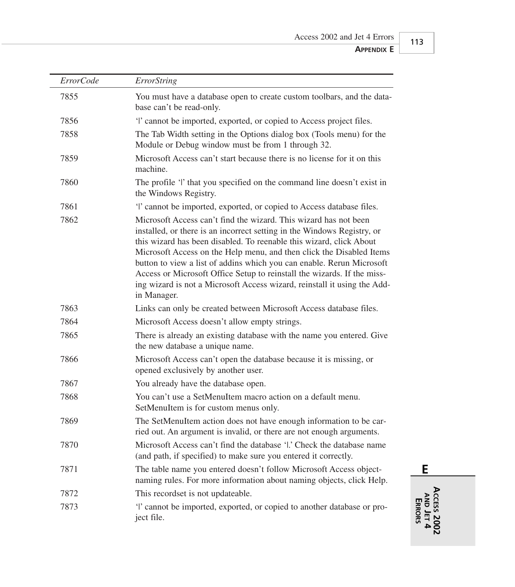| <b>ErrorCode</b> | ErrorString                                                                                                                                                                                                                                                                                                                                                                                                                                                                                                                               |
|------------------|-------------------------------------------------------------------------------------------------------------------------------------------------------------------------------------------------------------------------------------------------------------------------------------------------------------------------------------------------------------------------------------------------------------------------------------------------------------------------------------------------------------------------------------------|
| 7855             | You must have a database open to create custom toolbars, and the data-<br>base can't be read-only.                                                                                                                                                                                                                                                                                                                                                                                                                                        |
| 7856             | 'l' cannot be imported, exported, or copied to Access project files.                                                                                                                                                                                                                                                                                                                                                                                                                                                                      |
| 7858             | The Tab Width setting in the Options dialog box (Tools menu) for the<br>Module or Debug window must be from 1 through 32.                                                                                                                                                                                                                                                                                                                                                                                                                 |
| 7859             | Microsoft Access can't start because there is no license for it on this<br>machine.                                                                                                                                                                                                                                                                                                                                                                                                                                                       |
| 7860             | The profile 'l' that you specified on the command line doesn't exist in<br>the Windows Registry.                                                                                                                                                                                                                                                                                                                                                                                                                                          |
| 7861             | 'l' cannot be imported, exported, or copied to Access database files.                                                                                                                                                                                                                                                                                                                                                                                                                                                                     |
| 7862             | Microsoft Access can't find the wizard. This wizard has not been<br>installed, or there is an incorrect setting in the Windows Registry, or<br>this wizard has been disabled. To reenable this wizard, click About<br>Microsoft Access on the Help menu, and then click the Disabled Items<br>button to view a list of addins which you can enable. Rerun Microsoft<br>Access or Microsoft Office Setup to reinstall the wizards. If the miss-<br>ing wizard is not a Microsoft Access wizard, reinstall it using the Add-<br>in Manager. |
| 7863             | Links can only be created between Microsoft Access database files.                                                                                                                                                                                                                                                                                                                                                                                                                                                                        |
| 7864             | Microsoft Access doesn't allow empty strings.                                                                                                                                                                                                                                                                                                                                                                                                                                                                                             |
| 7865             | There is already an existing database with the name you entered. Give<br>the new database a unique name.                                                                                                                                                                                                                                                                                                                                                                                                                                  |
| 7866             | Microsoft Access can't open the database because it is missing, or<br>opened exclusively by another user.                                                                                                                                                                                                                                                                                                                                                                                                                                 |
| 7867             | You already have the database open.                                                                                                                                                                                                                                                                                                                                                                                                                                                                                                       |
| 7868             | You can't use a SetMenuItem macro action on a default menu.<br>SetMenuItem is for custom menus only.                                                                                                                                                                                                                                                                                                                                                                                                                                      |
| 7869             | The SetMenuItem action does not have enough information to be car-<br>ried out. An argument is invalid, or there are not enough arguments.                                                                                                                                                                                                                                                                                                                                                                                                |
| 7870             | Microsoft Access can't find the database 'l.' Check the database name<br>(and path, if specified) to make sure you entered it correctly.                                                                                                                                                                                                                                                                                                                                                                                                  |
| 7871             | The table name you entered doesn't follow Microsoft Access object-<br>naming rules. For more information about naming objects, click Help.                                                                                                                                                                                                                                                                                                                                                                                                |
| 7872             | This recordset is not updateable.                                                                                                                                                                                                                                                                                                                                                                                                                                                                                                         |
| 7873             | 'l' cannot be imported, exported, or copied to another database or pro-<br>ject file.                                                                                                                                                                                                                                                                                                                                                                                                                                                     |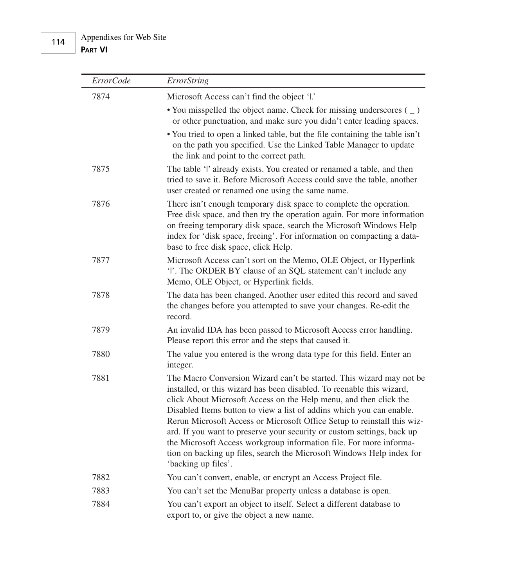| <b>ErrorCode</b> | ErrorString                                                                                                                                                                                                                                                                                                                                                                                                                                                                                                                                                                                                           |
|------------------|-----------------------------------------------------------------------------------------------------------------------------------------------------------------------------------------------------------------------------------------------------------------------------------------------------------------------------------------------------------------------------------------------------------------------------------------------------------------------------------------------------------------------------------------------------------------------------------------------------------------------|
| 7874             | Microsoft Access can't find the object 'l.'                                                                                                                                                                                                                                                                                                                                                                                                                                                                                                                                                                           |
|                  | • You misspelled the object name. Check for missing underscores $($<br>or other punctuation, and make sure you didn't enter leading spaces.                                                                                                                                                                                                                                                                                                                                                                                                                                                                           |
|                  | • You tried to open a linked table, but the file containing the table isn't<br>on the path you specified. Use the Linked Table Manager to update<br>the link and point to the correct path.                                                                                                                                                                                                                                                                                                                                                                                                                           |
| 7875             | The table 'l' already exists. You created or renamed a table, and then<br>tried to save it. Before Microsoft Access could save the table, another<br>user created or renamed one using the same name.                                                                                                                                                                                                                                                                                                                                                                                                                 |
| 7876             | There isn't enough temporary disk space to complete the operation.<br>Free disk space, and then try the operation again. For more information<br>on freeing temporary disk space, search the Microsoft Windows Help<br>index for 'disk space, freeing'. For information on compacting a data-<br>base to free disk space, click Help.                                                                                                                                                                                                                                                                                 |
| 7877             | Microsoft Access can't sort on the Memo, OLE Object, or Hyperlink<br>'l'. The ORDER BY clause of an SQL statement can't include any<br>Memo, OLE Object, or Hyperlink fields.                                                                                                                                                                                                                                                                                                                                                                                                                                         |
| 7878             | The data has been changed. Another user edited this record and saved<br>the changes before you attempted to save your changes. Re-edit the<br>record.                                                                                                                                                                                                                                                                                                                                                                                                                                                                 |
| 7879             | An invalid IDA has been passed to Microsoft Access error handling.<br>Please report this error and the steps that caused it.                                                                                                                                                                                                                                                                                                                                                                                                                                                                                          |
| 7880             | The value you entered is the wrong data type for this field. Enter an<br>integer.                                                                                                                                                                                                                                                                                                                                                                                                                                                                                                                                     |
| 7881             | The Macro Conversion Wizard can't be started. This wizard may not be<br>installed, or this wizard has been disabled. To reenable this wizard,<br>click About Microsoft Access on the Help menu, and then click the<br>Disabled Items button to view a list of addins which you can enable.<br>Rerun Microsoft Access or Microsoft Office Setup to reinstall this wiz-<br>ard. If you want to preserve your security or custom settings, back up<br>the Microsoft Access workgroup information file. For more informa-<br>tion on backing up files, search the Microsoft Windows Help index for<br>'backing up files'. |
| 7882             | You can't convert, enable, or encrypt an Access Project file.                                                                                                                                                                                                                                                                                                                                                                                                                                                                                                                                                         |
| 7883             | You can't set the MenuBar property unless a database is open.                                                                                                                                                                                                                                                                                                                                                                                                                                                                                                                                                         |
| 7884             | You can't export an object to itself. Select a different database to<br>export to, or give the object a new name.                                                                                                                                                                                                                                                                                                                                                                                                                                                                                                     |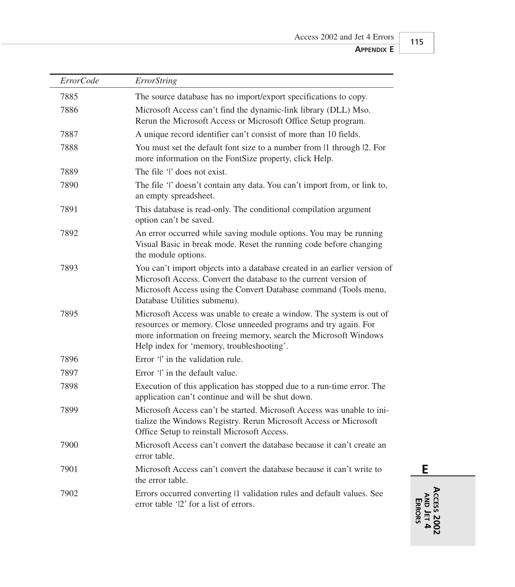| <b>ErrorCode</b> | ErrorString                                                                                                                                                                                                                                              |
|------------------|----------------------------------------------------------------------------------------------------------------------------------------------------------------------------------------------------------------------------------------------------------|
| 7885             | The source database has no import/export specifications to copy.                                                                                                                                                                                         |
| 7886             | Microsoft Access can't find the dynamic-link library (DLL) Mso.<br>Rerun the Microsoft Access or Microsoft Office Setup program.                                                                                                                         |
| 7887             | A unique record identifier can't consist of more than 10 fields.                                                                                                                                                                                         |
| 7888             | You must set the default font size to a number from 11 through 12. For<br>more information on the FontSize property, click Help.                                                                                                                         |
| 7889             | The file 'l' does not exist.                                                                                                                                                                                                                             |
| 7890             | The file 'l' doesn't contain any data. You can't import from, or link to,<br>an empty spreadsheet.                                                                                                                                                       |
| 7891             | This database is read-only. The conditional compilation argument<br>option can't be saved.                                                                                                                                                               |
| 7892             | An error occurred while saving module options. You may be running<br>Visual Basic in break mode. Reset the running code before changing<br>the module options.                                                                                           |
| 7893             | You can't import objects into a database created in an earlier version of<br>Microsoft Access. Convert the database to the current version of<br>Microsoft Access using the Convert Database command (Tools menu,<br>Database Utilities submenu).        |
| 7895             | Microsoft Access was unable to create a window. The system is out of<br>resources or memory. Close unneeded programs and try again. For<br>more information on freeing memory, search the Microsoft Windows<br>Help index for 'memory, troubleshooting'. |
| 7896             | Error 'l' in the validation rule.                                                                                                                                                                                                                        |
| 7897             | Error 'l' in the default value.                                                                                                                                                                                                                          |
| 7898             | Execution of this application has stopped due to a run-time error. The<br>application can't continue and will be shut down.                                                                                                                              |
| 7899             | Microsoft Access can't be started. Microsoft Access was unable to ini-<br>tialize the Windows Registry. Rerun Microsoft Access or Microsoft<br>Office Setup to reinstall Microsoft Access.                                                               |
| 7900             | Microsoft Access can't convert the database because it can't create an<br>error table.                                                                                                                                                                   |
| 7901             | Microsoft Access can't convert the database because it can't write to<br>the error table.                                                                                                                                                                |
| 7902             | Errors occurred converting  1 validation rules and default values. See<br>error table 'l2' for a list of errors.                                                                                                                                         |

**E ACCESS 2002 AND JET 4 ERRORS**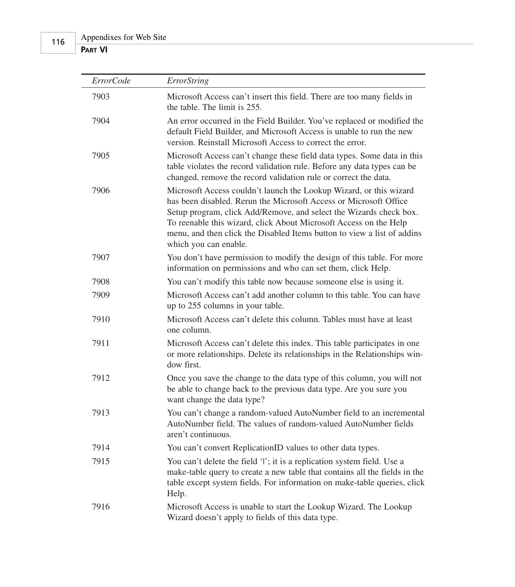| <b>ErrorCode</b> | ErrorString                                                                                                                                                                                                                                                                                                                                                                            |
|------------------|----------------------------------------------------------------------------------------------------------------------------------------------------------------------------------------------------------------------------------------------------------------------------------------------------------------------------------------------------------------------------------------|
| 7903             | Microsoft Access can't insert this field. There are too many fields in<br>the table. The limit is 255.                                                                                                                                                                                                                                                                                 |
| 7904             | An error occurred in the Field Builder. You've replaced or modified the<br>default Field Builder, and Microsoft Access is unable to run the new<br>version. Reinstall Microsoft Access to correct the error.                                                                                                                                                                           |
| 7905             | Microsoft Access can't change these field data types. Some data in this<br>table violates the record validation rule. Before any data types can be<br>changed, remove the record validation rule or correct the data.                                                                                                                                                                  |
| 7906             | Microsoft Access couldn't launch the Lookup Wizard, or this wizard<br>has been disabled. Rerun the Microsoft Access or Microsoft Office<br>Setup program, click Add/Remove, and select the Wizards check box.<br>To reenable this wizard, click About Microsoft Access on the Help<br>menu, and then click the Disabled Items button to view a list of addins<br>which you can enable. |
| 7907             | You don't have permission to modify the design of this table. For more<br>information on permissions and who can set them, click Help.                                                                                                                                                                                                                                                 |
| 7908             | You can't modify this table now because someone else is using it.                                                                                                                                                                                                                                                                                                                      |
| 7909             | Microsoft Access can't add another column to this table. You can have<br>up to 255 columns in your table.                                                                                                                                                                                                                                                                              |
| 7910             | Microsoft Access can't delete this column. Tables must have at least<br>one column.                                                                                                                                                                                                                                                                                                    |
| 7911             | Microsoft Access can't delete this index. This table participates in one<br>or more relationships. Delete its relationships in the Relationships win-<br>dow first.                                                                                                                                                                                                                    |
| 7912             | Once you save the change to the data type of this column, you will not<br>be able to change back to the previous data type. Are you sure you<br>want change the data type?                                                                                                                                                                                                             |
| 7913             | You can't change a random-valued AutoNumber field to an incremental<br>AutoNumber field. The values of random-valued AutoNumber fields<br>aren't continuous.                                                                                                                                                                                                                           |
| 7914             | You can't convert ReplicationID values to other data types.                                                                                                                                                                                                                                                                                                                            |
| 7915             | You can't delete the field 'l'; it is a replication system field. Use a<br>make-table query to create a new table that contains all the fields in the<br>table except system fields. For information on make-table queries, click<br>Help.                                                                                                                                             |
| 7916             | Microsoft Access is unable to start the Lookup Wizard. The Lookup<br>Wizard doesn't apply to fields of this data type.                                                                                                                                                                                                                                                                 |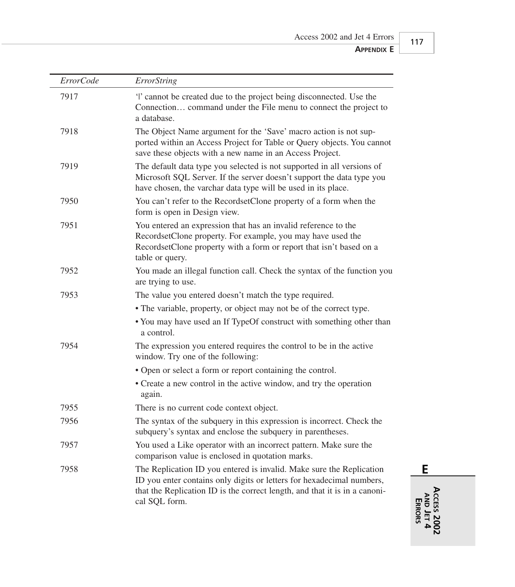| <b>ErrorCode</b> | ErrorString                                                                                                                                                                                                                                  |
|------------------|----------------------------------------------------------------------------------------------------------------------------------------------------------------------------------------------------------------------------------------------|
| 7917             | 'l' cannot be created due to the project being disconnected. Use the<br>Connection command under the File menu to connect the project to<br>a database.                                                                                      |
| 7918             | The Object Name argument for the 'Save' macro action is not sup-<br>ported within an Access Project for Table or Query objects. You cannot<br>save these objects with a new name in an Access Project.                                       |
| 7919             | The default data type you selected is not supported in all versions of<br>Microsoft SQL Server. If the server doesn't support the data type you<br>have chosen, the varchar data type will be used in its place.                             |
| 7950             | You can't refer to the RecordsetClone property of a form when the<br>form is open in Design view.                                                                                                                                            |
| 7951             | You entered an expression that has an invalid reference to the<br>RecordsetClone property. For example, you may have used the<br>RecordsetClone property with a form or report that isn't based on a<br>table or query.                      |
| 7952             | You made an illegal function call. Check the syntax of the function you<br>are trying to use.                                                                                                                                                |
| 7953             | The value you entered doesn't match the type required.                                                                                                                                                                                       |
|                  | • The variable, property, or object may not be of the correct type.                                                                                                                                                                          |
|                  | • You may have used an If TypeOf construct with something other than<br>a control.                                                                                                                                                           |
| 7954             | The expression you entered requires the control to be in the active<br>window. Try one of the following:                                                                                                                                     |
|                  | • Open or select a form or report containing the control.                                                                                                                                                                                    |
|                  | • Create a new control in the active window, and try the operation<br>again.                                                                                                                                                                 |
| 7955             | There is no current code context object.                                                                                                                                                                                                     |
| 7956             | The syntax of the subquery in this expression is incorrect. Check the<br>subquery's syntax and enclose the subquery in parentheses.                                                                                                          |
| 7957             | You used a Like operator with an incorrect pattern. Make sure the<br>comparison value is enclosed in quotation marks.                                                                                                                        |
| 7958             | The Replication ID you entered is invalid. Make sure the Replication<br>ID you enter contains only digits or letters for hexadecimal numbers,<br>that the Replication ID is the correct length, and that it is in a canoni-<br>cal SQL form. |

**E ACCESS 2002 AND JET 4 ERRORS**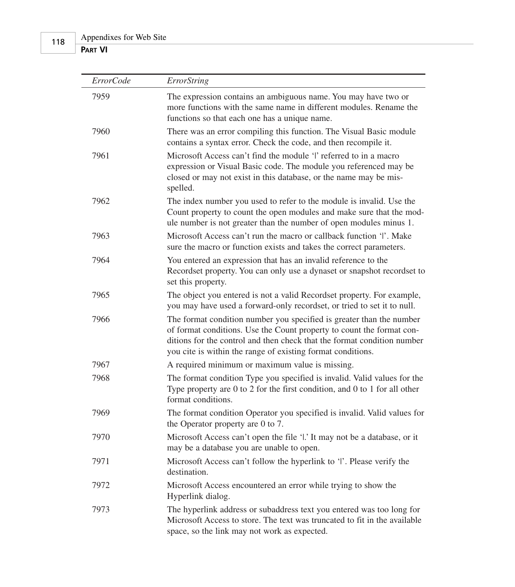$\sim$ 

| <i>ErrorCode</i> | ErrorString                                                                                                                                                                                                                                                                             |
|------------------|-----------------------------------------------------------------------------------------------------------------------------------------------------------------------------------------------------------------------------------------------------------------------------------------|
| 7959             | The expression contains an ambiguous name. You may have two or<br>more functions with the same name in different modules. Rename the<br>functions so that each one has a unique name.                                                                                                   |
| 7960             | There was an error compiling this function. The Visual Basic module<br>contains a syntax error. Check the code, and then recompile it.                                                                                                                                                  |
| 7961             | Microsoft Access can't find the module 'l' referred to in a macro<br>expression or Visual Basic code. The module you referenced may be<br>closed or may not exist in this database, or the name may be mis-<br>spelled.                                                                 |
| 7962             | The index number you used to refer to the module is invalid. Use the<br>Count property to count the open modules and make sure that the mod-<br>ule number is not greater than the number of open modules minus 1.                                                                      |
| 7963             | Microsoft Access can't run the macro or callback function 'l'. Make<br>sure the macro or function exists and takes the correct parameters.                                                                                                                                              |
| 7964             | You entered an expression that has an invalid reference to the<br>Recordset property. You can only use a dynaset or snapshot recordset to<br>set this property.                                                                                                                         |
| 7965             | The object you entered is not a valid Recordset property. For example,<br>you may have used a forward-only recordset, or tried to set it to null.                                                                                                                                       |
| 7966             | The format condition number you specified is greater than the number<br>of format conditions. Use the Count property to count the format con-<br>ditions for the control and then check that the format condition number<br>you cite is within the range of existing format conditions. |
| 7967             | A required minimum or maximum value is missing.                                                                                                                                                                                                                                         |
| 7968             | The format condition Type you specified is invalid. Valid values for the<br>Type property are 0 to 2 for the first condition, and 0 to 1 for all other<br>format conditions.                                                                                                            |
| 7969             | The format condition Operator you specified is invalid. Valid values for<br>the Operator property are 0 to 7.                                                                                                                                                                           |
| 7970             | Microsoft Access can't open the file 'l.' It may not be a database, or it<br>may be a database you are unable to open.                                                                                                                                                                  |
| 7971             | Microsoft Access can't follow the hyperlink to 'l'. Please verify the<br>destination.                                                                                                                                                                                                   |
| 7972             | Microsoft Access encountered an error while trying to show the<br>Hyperlink dialog.                                                                                                                                                                                                     |
| 7973             | The hyperlink address or subaddress text you entered was too long for<br>Microsoft Access to store. The text was truncated to fit in the available<br>space, so the link may not work as expected.                                                                                      |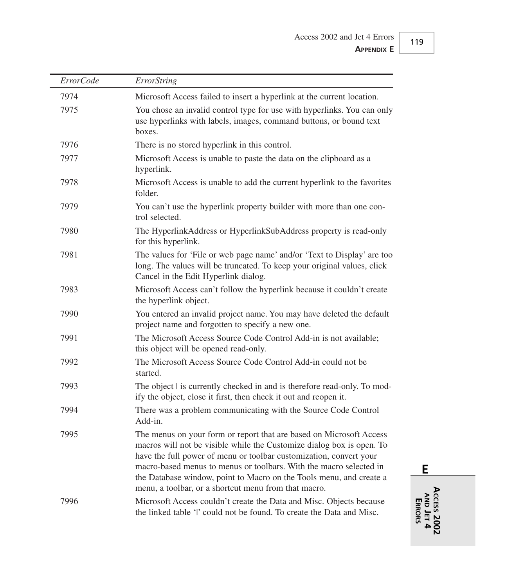| <b>ErrorCode</b> | ErrorString                                                                                                                                                                                                                                                                                                                                                                                                             |
|------------------|-------------------------------------------------------------------------------------------------------------------------------------------------------------------------------------------------------------------------------------------------------------------------------------------------------------------------------------------------------------------------------------------------------------------------|
| 7974             | Microsoft Access failed to insert a hyperlink at the current location.                                                                                                                                                                                                                                                                                                                                                  |
| 7975             | You chose an invalid control type for use with hyperlinks. You can only<br>use hyperlinks with labels, images, command buttons, or bound text<br>hoxes.                                                                                                                                                                                                                                                                 |
| 7976             | There is no stored hyperlink in this control.                                                                                                                                                                                                                                                                                                                                                                           |
| 7977             | Microsoft Access is unable to paste the data on the clipboard as a<br>hyperlink.                                                                                                                                                                                                                                                                                                                                        |
| 7978             | Microsoft Access is unable to add the current hyperlink to the favorites<br>folder.                                                                                                                                                                                                                                                                                                                                     |
| 7979             | You can't use the hyperlink property builder with more than one con-<br>trol selected.                                                                                                                                                                                                                                                                                                                                  |
| 7980             | The HyperlinkAddress or HyperlinkSubAddress property is read-only<br>for this hyperlink.                                                                                                                                                                                                                                                                                                                                |
| 7981             | The values for 'File or web page name' and/or 'Text to Display' are too<br>long. The values will be truncated. To keep your original values, click<br>Cancel in the Edit Hyperlink dialog.                                                                                                                                                                                                                              |
| 7983             | Microsoft Access can't follow the hyperlink because it couldn't create<br>the hyperlink object.                                                                                                                                                                                                                                                                                                                         |
| 7990             | You entered an invalid project name. You may have deleted the default<br>project name and forgotten to specify a new one.                                                                                                                                                                                                                                                                                               |
| 7991             | The Microsoft Access Source Code Control Add-in is not available;<br>this object will be opened read-only.                                                                                                                                                                                                                                                                                                              |
| 7992             | The Microsoft Access Source Code Control Add-in could not be<br>started.                                                                                                                                                                                                                                                                                                                                                |
| 7993             | The object I is currently checked in and is therefore read-only. To mod-<br>ify the object, close it first, then check it out and reopen it.                                                                                                                                                                                                                                                                            |
| 7994             | There was a problem communicating with the Source Code Control<br>Add-in.                                                                                                                                                                                                                                                                                                                                               |
| 7995             | The menus on your form or report that are based on Microsoft Access<br>macros will not be visible while the Customize dialog box is open. To<br>have the full power of menu or toolbar customization, convert your<br>macro-based menus to menus or toolbars. With the macro selected in<br>the Database window, point to Macro on the Tools menu, and create a<br>menu, a toolbar, or a shortcut menu from that macro. |
| 7996             | Microsoft Access couldn't create the Data and Misc. Objects because<br>the linked table 'l' could not be found. To create the Data and Misc.                                                                                                                                                                                                                                                                            |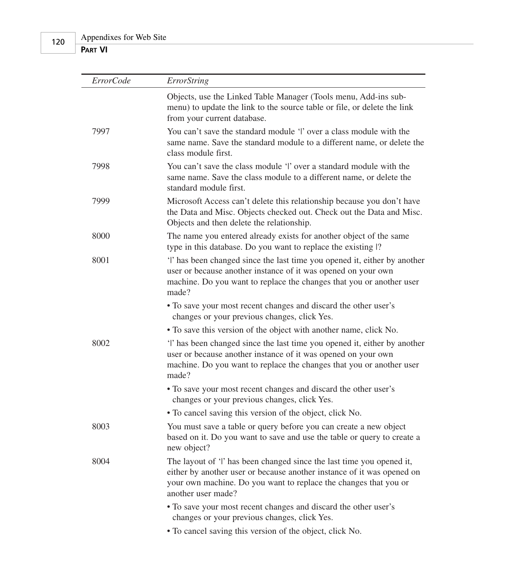| <i>ErrorCode</i> | ErrorString                                                                                                                                                                                                                               |
|------------------|-------------------------------------------------------------------------------------------------------------------------------------------------------------------------------------------------------------------------------------------|
|                  | Objects, use the Linked Table Manager (Tools menu, Add-ins sub-<br>menu) to update the link to the source table or file, or delete the link<br>from your current database.                                                                |
| 7997             | You can't save the standard module 'l' over a class module with the<br>same name. Save the standard module to a different name, or delete the<br>class module first.                                                                      |
| 7998             | You can't save the class module ' <i>l'</i> over a standard module with the<br>same name. Save the class module to a different name, or delete the<br>standard module first.                                                              |
| 7999             | Microsoft Access can't delete this relationship because you don't have<br>the Data and Misc. Objects checked out. Check out the Data and Misc.<br>Objects and then delete the relationship.                                               |
| 8000             | The name you entered already exists for another object of the same<br>type in this database. Do you want to replace the existing  ?                                                                                                       |
| 8001             | 'l' has been changed since the last time you opened it, either by another<br>user or because another instance of it was opened on your own<br>machine. Do you want to replace the changes that you or another user<br>made?               |
|                  | • To save your most recent changes and discard the other user's<br>changes or your previous changes, click Yes.                                                                                                                           |
|                  | • To save this version of the object with another name, click No.                                                                                                                                                                         |
| 8002             | 'l' has been changed since the last time you opened it, either by another<br>user or because another instance of it was opened on your own<br>machine. Do you want to replace the changes that you or another user<br>made?               |
|                  | • To save your most recent changes and discard the other user's<br>changes or your previous changes, click Yes.                                                                                                                           |
|                  | • To cancel saving this version of the object, click No.                                                                                                                                                                                  |
| 8003             | You must save a table or query before you can create a new object<br>based on it. Do you want to save and use the table or query to create a<br>new object?                                                                               |
| 8004             | The layout of 'l' has been changed since the last time you opened it,<br>either by another user or because another instance of it was opened on<br>your own machine. Do you want to replace the changes that you or<br>another user made? |
|                  | • To save your most recent changes and discard the other user's<br>changes or your previous changes, click Yes.                                                                                                                           |
|                  | • To cancel saving this version of the object, click No.                                                                                                                                                                                  |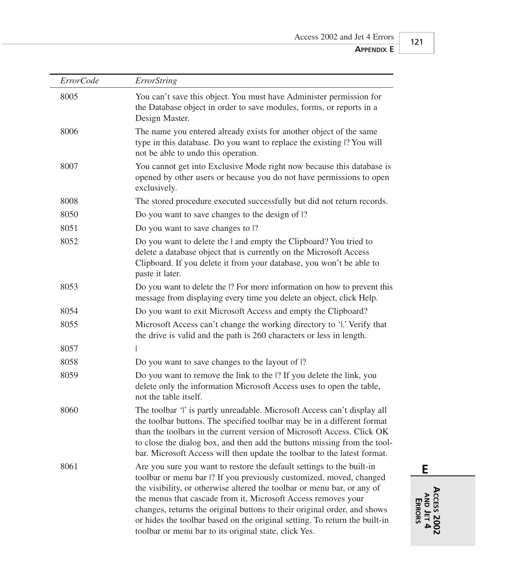| <b>ErrorCode</b> | ErrorString                                                                                                                                                                                                                                                                                                                                                                                                                                                                                                 |
|------------------|-------------------------------------------------------------------------------------------------------------------------------------------------------------------------------------------------------------------------------------------------------------------------------------------------------------------------------------------------------------------------------------------------------------------------------------------------------------------------------------------------------------|
| 8005             | You can't save this object. You must have Administer permission for<br>the Database object in order to save modules, forms, or reports in a<br>Design Master.                                                                                                                                                                                                                                                                                                                                               |
| 8006             | The name you entered already exists for another object of the same<br>type in this database. Do you want to replace the existing I? You will<br>not be able to undo this operation.                                                                                                                                                                                                                                                                                                                         |
| 8007             | You cannot get into Exclusive Mode right now because this database is<br>opened by other users or because you do not have permissions to open<br>exclusively.                                                                                                                                                                                                                                                                                                                                               |
| 8008             | The stored procedure executed successfully but did not return records.                                                                                                                                                                                                                                                                                                                                                                                                                                      |
| 8050             | Do you want to save changes to the design of  ?                                                                                                                                                                                                                                                                                                                                                                                                                                                             |
| 8051             | Do you want to save changes to  ?                                                                                                                                                                                                                                                                                                                                                                                                                                                                           |
| 8052             | Do you want to delete the I and empty the Clipboard? You tried to<br>delete a database object that is currently on the Microsoft Access<br>Clipboard. If you delete it from your database, you won't be able to<br>paste it later.                                                                                                                                                                                                                                                                          |
| 8053             | Do you want to delete the $\frac{1}{2}$ For more information on how to prevent this<br>message from displaying every time you delete an object, click Help.                                                                                                                                                                                                                                                                                                                                                 |
| 8054             | Do you want to exit Microsoft Access and empty the Clipboard?                                                                                                                                                                                                                                                                                                                                                                                                                                               |
| 8055             | Microsoft Access can't change the working directory to 'l.' Verify that<br>the drive is valid and the path is 260 characters or less in length.                                                                                                                                                                                                                                                                                                                                                             |
| 8057             |                                                                                                                                                                                                                                                                                                                                                                                                                                                                                                             |
| 8058             | Do you want to save changes to the layout of  ?                                                                                                                                                                                                                                                                                                                                                                                                                                                             |
| 8059             | Do you want to remove the link to the $\vert$ ? If you delete the link, you<br>delete only the information Microsoft Access uses to open the table,<br>not the table itself.                                                                                                                                                                                                                                                                                                                                |
| 8060             | The toolbar 'l' is partly unreadable. Microsoft Access can't display all<br>the toolbar buttons. The specified toolbar may be in a different format<br>than the toolbars in the current version of Microsoft Access. Click OK<br>to close the dialog box, and then add the buttons missing from the tool-<br>bar. Microsoft Access will then update the toolbar to the latest format.                                                                                                                       |
| 8061             | Are you sure you want to restore the default settings to the built-in<br>toolbar or menu bar l? If you previously customized, moved, changed<br>the visibility, or otherwise altered the toolbar or menu bar, or any of<br>the menus that cascade from it, Microsoft Access removes your<br>changes, returns the original buttons to their original order, and shows<br>or hides the toolbar based on the original setting. To return the built-in<br>toolbar or menu bar to its original state, click Yes. |

 $\overline{a}$ 

121

**E**

**AND JET 4 ERRORS** **ACCESS**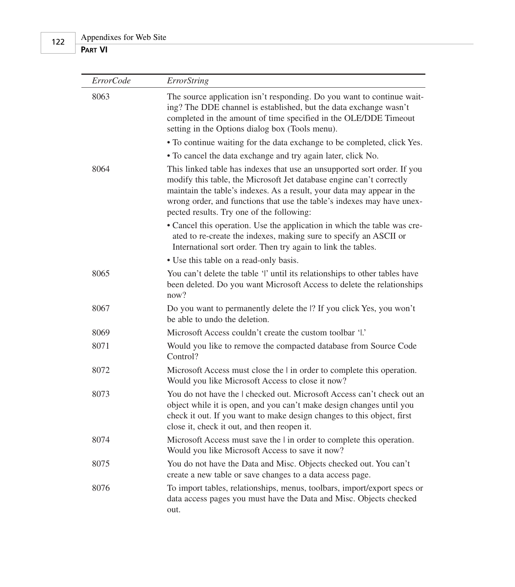| <b>ErrorCode</b> | ErrorString                                                                                                                                                                                                                                                                                                                                       |
|------------------|---------------------------------------------------------------------------------------------------------------------------------------------------------------------------------------------------------------------------------------------------------------------------------------------------------------------------------------------------|
| 8063             | The source application isn't responding. Do you want to continue wait-<br>ing? The DDE channel is established, but the data exchange wasn't<br>completed in the amount of time specified in the OLE/DDE Timeout<br>setting in the Options dialog box (Tools menu).                                                                                |
|                  | • To continue waiting for the data exchange to be completed, click Yes.                                                                                                                                                                                                                                                                           |
|                  | • To cancel the data exchange and try again later, click No.                                                                                                                                                                                                                                                                                      |
| 8064             | This linked table has indexes that use an unsupported sort order. If you<br>modify this table, the Microsoft Jet database engine can't correctly<br>maintain the table's indexes. As a result, your data may appear in the<br>wrong order, and functions that use the table's indexes may have unex-<br>pected results. Try one of the following: |
|                  | • Cancel this operation. Use the application in which the table was cre-<br>ated to re-create the indexes, making sure to specify an ASCII or<br>International sort order. Then try again to link the tables.                                                                                                                                     |
|                  | • Use this table on a read-only basis.                                                                                                                                                                                                                                                                                                            |
| 8065             | You can't delete the table 'l' until its relationships to other tables have<br>been deleted. Do you want Microsoft Access to delete the relationships<br>now?                                                                                                                                                                                     |
| 8067             | Do you want to permanently delete the I? If you click Yes, you won't<br>be able to undo the deletion.                                                                                                                                                                                                                                             |
| 8069             | Microsoft Access couldn't create the custom toolbar '                                                                                                                                                                                                                                                                                             |
| 8071             | Would you like to remove the compacted database from Source Code<br>Control?                                                                                                                                                                                                                                                                      |
| 8072             | Microsoft Access must close the I in order to complete this operation.<br>Would you like Microsoft Access to close it now?                                                                                                                                                                                                                        |
| 8073             | You do not have the   checked out. Microsoft Access can't check out an<br>object while it is open, and you can't make design changes until you<br>check it out. If you want to make design changes to this object, first<br>close it, check it out, and then reopen it.                                                                           |
| 8074             | Microsoft Access must save the I in order to complete this operation.<br>Would you like Microsoft Access to save it now?                                                                                                                                                                                                                          |
| 8075             | You do not have the Data and Misc. Objects checked out. You can't<br>create a new table or save changes to a data access page.                                                                                                                                                                                                                    |
| 8076             | To import tables, relationships, menus, toolbars, import/export specs or<br>data access pages you must have the Data and Misc. Objects checked<br>out.                                                                                                                                                                                            |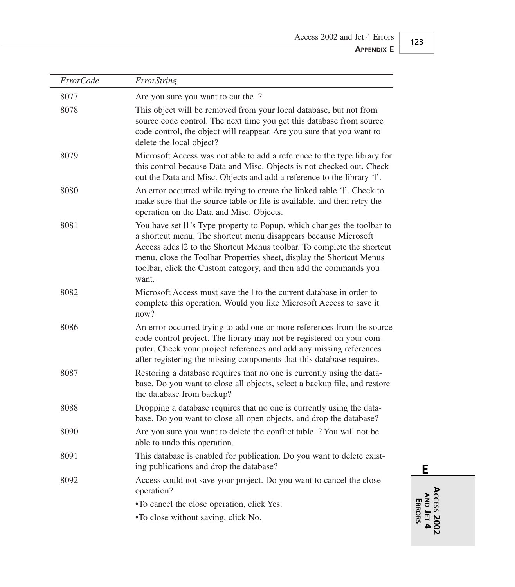| <b>APPFNDIX</b> |  |
|-----------------|--|
|-----------------|--|

| <b>ErrorCode</b> | ErrorString                                                                                                                                                                                                                                                                                                                                                               |
|------------------|---------------------------------------------------------------------------------------------------------------------------------------------------------------------------------------------------------------------------------------------------------------------------------------------------------------------------------------------------------------------------|
| 8077             | Are you sure you want to cut the  ?                                                                                                                                                                                                                                                                                                                                       |
| 8078             | This object will be removed from your local database, but not from<br>source code control. The next time you get this database from source<br>code control, the object will reappear. Are you sure that you want to<br>delete the local object?                                                                                                                           |
| 8079             | Microsoft Access was not able to add a reference to the type library for<br>this control because Data and Misc. Objects is not checked out. Check<br>out the Data and Misc. Objects and add a reference to the library 'l'.                                                                                                                                               |
| 8080             | An error occurred while trying to create the linked table 'l'. Check to<br>make sure that the source table or file is available, and then retry the<br>operation on the Data and Misc. Objects.                                                                                                                                                                           |
| 8081             | You have set II's Type property to Popup, which changes the toolbar to<br>a shortcut menu. The shortcut menu disappears because Microsoft<br>Access adds  2 to the Shortcut Menus toolbar. To complete the shortcut<br>menu, close the Toolbar Properties sheet, display the Shortcut Menus<br>toolbar, click the Custom category, and then add the commands you<br>want. |
| 8082             | Microsoft Access must save the   to the current database in order to<br>complete this operation. Would you like Microsoft Access to save it<br>now?                                                                                                                                                                                                                       |
| 8086             | An error occurred trying to add one or more references from the source<br>code control project. The library may not be registered on your com-<br>puter. Check your project references and add any missing references<br>after registering the missing components that this database requires.                                                                            |
| 8087             | Restoring a database requires that no one is currently using the data-<br>base. Do you want to close all objects, select a backup file, and restore<br>the database from backup?                                                                                                                                                                                          |
| 8088             | Dropping a database requires that no one is currently using the data-<br>base. Do you want to close all open objects, and drop the database?                                                                                                                                                                                                                              |
| 8090             | Are you sure you want to delete the conflict table  ? You will not be<br>able to undo this operation.                                                                                                                                                                                                                                                                     |
| 8091             | This database is enabled for publication. Do you want to delete exist-<br>ing publications and drop the database?                                                                                                                                                                                                                                                         |
| 8092             | Access could not save your project. Do you want to cancel the close<br>operation?                                                                                                                                                                                                                                                                                         |
|                  | •To cancel the close operation, click Yes.                                                                                                                                                                                                                                                                                                                                |
|                  | •To close without saving, click No.                                                                                                                                                                                                                                                                                                                                       |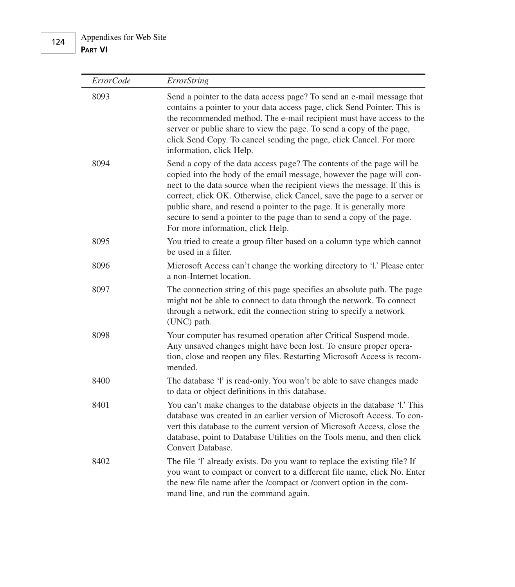| <b>ErrorCode</b> | ErrorString                                                                                                                                                                                                                                                                                                                                                                                                                                                                                  |
|------------------|----------------------------------------------------------------------------------------------------------------------------------------------------------------------------------------------------------------------------------------------------------------------------------------------------------------------------------------------------------------------------------------------------------------------------------------------------------------------------------------------|
| 8093             | Send a pointer to the data access page? To send an e-mail message that<br>contains a pointer to your data access page, click Send Pointer. This is<br>the recommended method. The e-mail recipient must have access to the<br>server or public share to view the page. To send a copy of the page,<br>click Send Copy. To cancel sending the page, click Cancel. For more<br>information, click Help.                                                                                        |
| 8094             | Send a copy of the data access page? The contents of the page will be<br>copied into the body of the email message, however the page will con-<br>nect to the data source when the recipient views the message. If this is<br>correct, click OK. Otherwise, click Cancel, save the page to a server or<br>public share, and resend a pointer to the page. It is generally more<br>secure to send a pointer to the page than to send a copy of the page.<br>For more information, click Help. |
| 8095             | You tried to create a group filter based on a column type which cannot<br>be used in a filter.                                                                                                                                                                                                                                                                                                                                                                                               |
| 8096             | Microsoft Access can't change the working directory to 'l.' Please enter<br>a non-Internet location.                                                                                                                                                                                                                                                                                                                                                                                         |
| 8097             | The connection string of this page specifies an absolute path. The page<br>might not be able to connect to data through the network. To connect<br>through a network, edit the connection string to specify a network<br>(UNC) path.                                                                                                                                                                                                                                                         |
| 8098             | Your computer has resumed operation after Critical Suspend mode.<br>Any unsaved changes might have been lost. To ensure proper opera-<br>tion, close and reopen any files. Restarting Microsoft Access is recom-<br>mended.                                                                                                                                                                                                                                                                  |
| 8400             | The database 'l' is read-only. You won't be able to save changes made<br>to data or object definitions in this database.                                                                                                                                                                                                                                                                                                                                                                     |
| 8401             | You can't make changes to the database objects in the database 'l.' This<br>database was created in an earlier version of Microsoft Access. To con-<br>vert this database to the current version of Microsoft Access, close the<br>database, point to Database Utilities on the Tools menu, and then click<br>Convert Database.                                                                                                                                                              |
| 8402             | The file 'l' already exists. Do you want to replace the existing file? If<br>you want to compact or convert to a different file name, click No. Enter<br>the new file name after the /compact or /convert option in the com-<br>mand line, and run the command again.                                                                                                                                                                                                                        |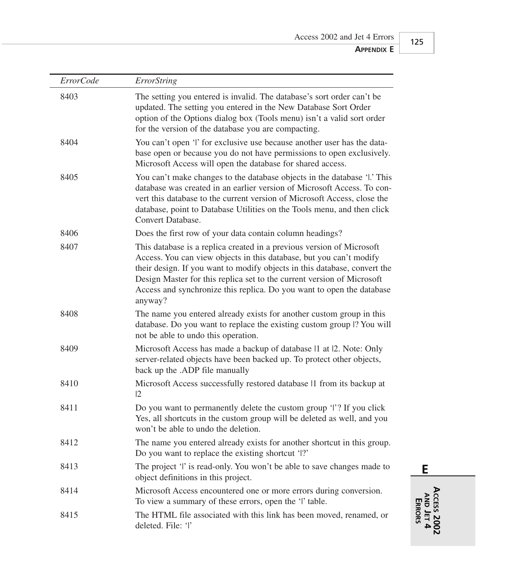| <b>ErrorCode</b> | ErrorString                                                                                                                                                                                                                                                                                                                                                                             |
|------------------|-----------------------------------------------------------------------------------------------------------------------------------------------------------------------------------------------------------------------------------------------------------------------------------------------------------------------------------------------------------------------------------------|
| 8403             | The setting you entered is invalid. The database's sort order can't be<br>updated. The setting you entered in the New Database Sort Order<br>option of the Options dialog box (Tools menu) isn't a valid sort order<br>for the version of the database you are compacting.                                                                                                              |
| 8404             | You can't open 'l' for exclusive use because another user has the data-<br>base open or because you do not have permissions to open exclusively.<br>Microsoft Access will open the database for shared access.                                                                                                                                                                          |
| 8405             | You can't make changes to the database objects in the database 'l.' This<br>database was created in an earlier version of Microsoft Access. To con-<br>vert this database to the current version of Microsoft Access, close the<br>database, point to Database Utilities on the Tools menu, and then click<br>Convert Database.                                                         |
| 8406             | Does the first row of your data contain column headings?                                                                                                                                                                                                                                                                                                                                |
| 8407             | This database is a replica created in a previous version of Microsoft<br>Access. You can view objects in this database, but you can't modify<br>their design. If you want to modify objects in this database, convert the<br>Design Master for this replica set to the current version of Microsoft<br>Access and synchronize this replica. Do you want to open the database<br>anyway? |
| 8408             | The name you entered already exists for another custom group in this<br>database. Do you want to replace the existing custom group  ? You will<br>not be able to undo this operation.                                                                                                                                                                                                   |
| 8409             | Microsoft Access has made a backup of database 11 at 12. Note: Only<br>server-related objects have been backed up. To protect other objects,<br>back up the .ADP file manually                                                                                                                                                                                                          |
| 8410             | Microsoft Access successfully restored database 11 from its backup at<br> 2                                                                                                                                                                                                                                                                                                             |
| 8411             | Do you want to permanently delete the custom group 'l'? If you click<br>Yes, all shortcuts in the custom group will be deleted as well, and you<br>won't be able to undo the deletion.                                                                                                                                                                                                  |
| 8412             | The name you entered already exists for another shortcut in this group.<br>Do you want to replace the existing shortcut 'l?'                                                                                                                                                                                                                                                            |
| 8413             | The project 'l' is read-only. You won't be able to save changes made to<br>object definitions in this project.                                                                                                                                                                                                                                                                          |
| 8414             | Microsoft Access encountered one or more errors during conversion.<br>To view a summary of these errors, open the 'l' table.                                                                                                                                                                                                                                                            |
| 8415             | The HTML file associated with this link has been moved, renamed, or<br>deleted. File: 'l'                                                                                                                                                                                                                                                                                               |

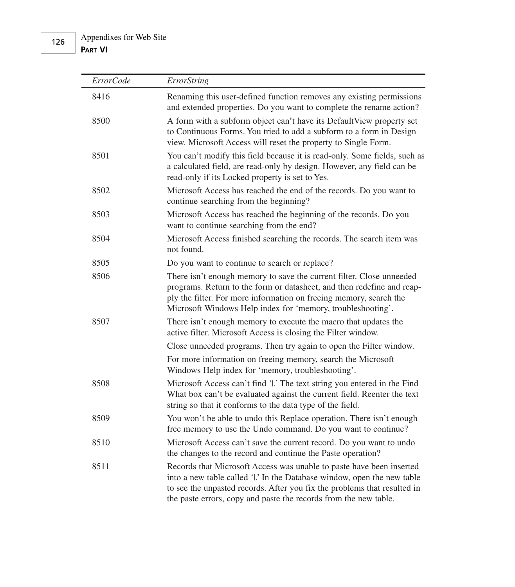| <b>ErrorCode</b> | ErrorString                                                                                                                                                                                                                                                                                     |
|------------------|-------------------------------------------------------------------------------------------------------------------------------------------------------------------------------------------------------------------------------------------------------------------------------------------------|
| 8416             | Renaming this user-defined function removes any existing permissions<br>and extended properties. Do you want to complete the rename action?                                                                                                                                                     |
| 8500             | A form with a subform object can't have its DefaultView property set<br>to Continuous Forms. You tried to add a subform to a form in Design<br>view. Microsoft Access will reset the property to Single Form.                                                                                   |
| 8501             | You can't modify this field because it is read-only. Some fields, such as<br>a calculated field, are read-only by design. However, any field can be<br>read-only if its Locked property is set to Yes.                                                                                          |
| 8502             | Microsoft Access has reached the end of the records. Do you want to<br>continue searching from the beginning?                                                                                                                                                                                   |
| 8503             | Microsoft Access has reached the beginning of the records. Do you<br>want to continue searching from the end?                                                                                                                                                                                   |
| 8504             | Microsoft Access finished searching the records. The search item was<br>not found.                                                                                                                                                                                                              |
| 8505             | Do you want to continue to search or replace?                                                                                                                                                                                                                                                   |
| 8506             | There isn't enough memory to save the current filter. Close unneeded<br>programs. Return to the form or datasheet, and then redefine and reap-<br>ply the filter. For more information on freeing memory, search the<br>Microsoft Windows Help index for 'memory, troubleshooting'.             |
| 8507             | There isn't enough memory to execute the macro that updates the<br>active filter. Microsoft Access is closing the Filter window.                                                                                                                                                                |
|                  | Close unneeded programs. Then try again to open the Filter window.                                                                                                                                                                                                                              |
|                  | For more information on freeing memory, search the Microsoft<br>Windows Help index for 'memory, troubleshooting'.                                                                                                                                                                               |
| 8508             | Microsoft Access can't find 'l.' The text string you entered in the Find<br>What box can't be evaluated against the current field. Reenter the text<br>string so that it conforms to the data type of the field.                                                                                |
| 8509             | You won't be able to undo this Replace operation. There isn't enough<br>free memory to use the Undo command. Do you want to continue?                                                                                                                                                           |
| 8510             | Microsoft Access can't save the current record. Do you want to undo<br>the changes to the record and continue the Paste operation?                                                                                                                                                              |
| 8511             | Records that Microsoft Access was unable to paste have been inserted<br>into a new table called 'l.' In the Database window, open the new table<br>to see the unpasted records. After you fix the problems that resulted in<br>the paste errors, copy and paste the records from the new table. |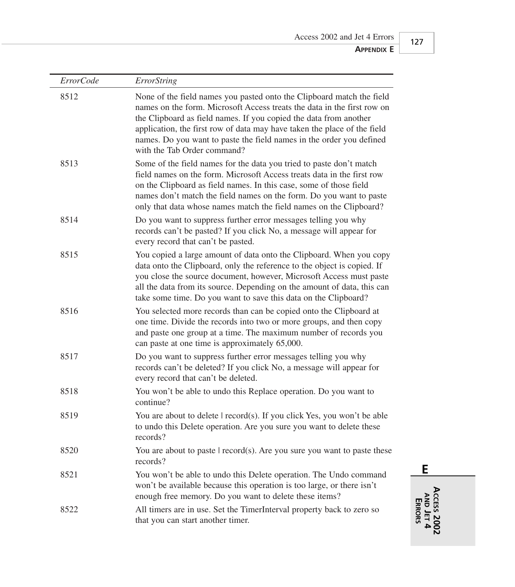| <b>ErrorCode</b> | ErrorString                                                                                                                                                                                                                                                                                                                                                                                              |
|------------------|----------------------------------------------------------------------------------------------------------------------------------------------------------------------------------------------------------------------------------------------------------------------------------------------------------------------------------------------------------------------------------------------------------|
| 8512             | None of the field names you pasted onto the Clipboard match the field<br>names on the form. Microsoft Access treats the data in the first row on<br>the Clipboard as field names. If you copied the data from another<br>application, the first row of data may have taken the place of the field<br>names. Do you want to paste the field names in the order you defined<br>with the Tab Order command? |
| 8513             | Some of the field names for the data you tried to paste don't match<br>field names on the form. Microsoft Access treats data in the first row<br>on the Clipboard as field names. In this case, some of those field<br>names don't match the field names on the form. Do you want to paste<br>only that data whose names match the field names on the Clipboard?                                         |
| 8514             | Do you want to suppress further error messages telling you why<br>records can't be pasted? If you click No, a message will appear for<br>every record that can't be pasted.                                                                                                                                                                                                                              |
| 8515             | You copied a large amount of data onto the Clipboard. When you copy<br>data onto the Clipboard, only the reference to the object is copied. If<br>you close the source document, however, Microsoft Access must paste<br>all the data from its source. Depending on the amount of data, this can<br>take some time. Do you want to save this data on the Clipboard?                                      |
| 8516             | You selected more records than can be copied onto the Clipboard at<br>one time. Divide the records into two or more groups, and then copy<br>and paste one group at a time. The maximum number of records you<br>can paste at one time is approximately 65,000.                                                                                                                                          |
| 8517             | Do you want to suppress further error messages telling you why<br>records can't be deleted? If you click No, a message will appear for<br>every record that can't be deleted.                                                                                                                                                                                                                            |
| 8518             | You won't be able to undo this Replace operation. Do you want to<br>continue?                                                                                                                                                                                                                                                                                                                            |
| 8519             | You are about to delete   record(s). If you click Yes, you won't be able<br>to undo this Delete operation. Are you sure you want to delete these<br>records?                                                                                                                                                                                                                                             |
| 8520             | You are about to paste $  record(s)$ . Are you sure you want to paste these<br>records?                                                                                                                                                                                                                                                                                                                  |
| 8521             | You won't be able to undo this Delete operation. The Undo command<br>won't be available because this operation is too large, or there isn't<br>enough free memory. Do you want to delete these items?                                                                                                                                                                                                    |
| 8522             | All timers are in use. Set the TimerInterval property back to zero so<br>that you can start another timer.                                                                                                                                                                                                                                                                                               |

L,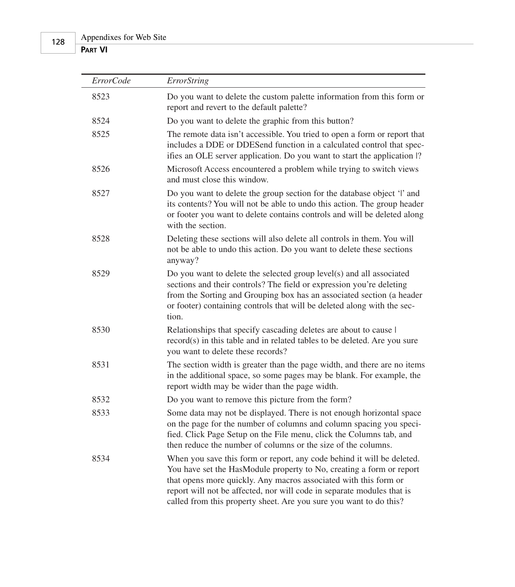| <b>ErrorCode</b> | ErrorString                                                                                                                                                                                                                                                                                                                                                        |
|------------------|--------------------------------------------------------------------------------------------------------------------------------------------------------------------------------------------------------------------------------------------------------------------------------------------------------------------------------------------------------------------|
| 8523             | Do you want to delete the custom palette information from this form or<br>report and revert to the default palette?                                                                                                                                                                                                                                                |
| 8524             | Do you want to delete the graphic from this button?                                                                                                                                                                                                                                                                                                                |
| 8525             | The remote data isn't accessible. You tried to open a form or report that<br>includes a DDE or DDESend function in a calculated control that spec-<br>ifies an OLE server application. Do you want to start the application  ?                                                                                                                                     |
| 8526             | Microsoft Access encountered a problem while trying to switch views<br>and must close this window.                                                                                                                                                                                                                                                                 |
| 8527             | Do you want to delete the group section for the database object 'l' and<br>its contents? You will not be able to undo this action. The group header<br>or footer you want to delete contains controls and will be deleted along<br>with the section.                                                                                                               |
| 8528             | Deleting these sections will also delete all controls in them. You will<br>not be able to undo this action. Do you want to delete these sections<br>anyway?                                                                                                                                                                                                        |
| 8529             | Do you want to delete the selected group level(s) and all associated<br>sections and their controls? The field or expression you're deleting<br>from the Sorting and Grouping box has an associated section (a header<br>or footer) containing controls that will be deleted along with the sec-<br>tion.                                                          |
| 8530             | Relationships that specify cascading deletes are about to cause I<br>record(s) in this table and in related tables to be deleted. Are you sure<br>you want to delete these records?                                                                                                                                                                                |
| 8531             | The section width is greater than the page width, and there are no items<br>in the additional space, so some pages may be blank. For example, the<br>report width may be wider than the page width.                                                                                                                                                                |
| 8532             | Do you want to remove this picture from the form?                                                                                                                                                                                                                                                                                                                  |
| 8533             | Some data may not be displayed. There is not enough horizontal space<br>on the page for the number of columns and column spacing you speci-<br>fied. Click Page Setup on the File menu, click the Columns tab, and<br>then reduce the number of columns or the size of the columns.                                                                                |
| 8534             | When you save this form or report, any code behind it will be deleted.<br>You have set the HasModule property to No, creating a form or report<br>that opens more quickly. Any macros associated with this form or<br>report will not be affected, nor will code in separate modules that is<br>called from this property sheet. Are you sure you want to do this? |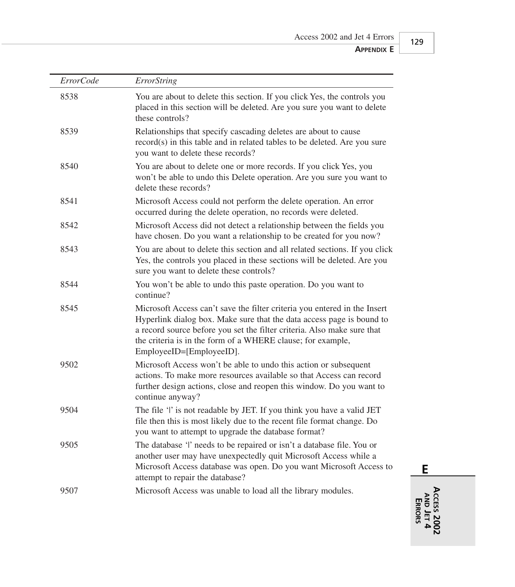| <b>ErrorCode</b> | ErrorString                                                                                                                                                                                                                                                                                                              |
|------------------|--------------------------------------------------------------------------------------------------------------------------------------------------------------------------------------------------------------------------------------------------------------------------------------------------------------------------|
| 8538             | You are about to delete this section. If you click Yes, the controls you<br>placed in this section will be deleted. Are you sure you want to delete<br>these controls?                                                                                                                                                   |
| 8539             | Relationships that specify cascading deletes are about to cause<br>record(s) in this table and in related tables to be deleted. Are you sure<br>you want to delete these records?                                                                                                                                        |
| 8540             | You are about to delete one or more records. If you click Yes, you<br>won't be able to undo this Delete operation. Are you sure you want to<br>delete these records?                                                                                                                                                     |
| 8541             | Microsoft Access could not perform the delete operation. An error<br>occurred during the delete operation, no records were deleted.                                                                                                                                                                                      |
| 8542             | Microsoft Access did not detect a relationship between the fields you<br>have chosen. Do you want a relationship to be created for you now?                                                                                                                                                                              |
| 8543             | You are about to delete this section and all related sections. If you click<br>Yes, the controls you placed in these sections will be deleted. Are you<br>sure you want to delete these controls?                                                                                                                        |
| 8544             | You won't be able to undo this paste operation. Do you want to<br>continue?                                                                                                                                                                                                                                              |
| 8545             | Microsoft Access can't save the filter criteria you entered in the Insert<br>Hyperlink dialog box. Make sure that the data access page is bound to<br>a record source before you set the filter criteria. Also make sure that<br>the criteria is in the form of a WHERE clause; for example,<br>EmployeeID=[EmployeeID]. |
| 9502             | Microsoft Access won't be able to undo this action or subsequent<br>actions. To make more resources available so that Access can record<br>further design actions, close and reopen this window. Do you want to<br>continue anyway?                                                                                      |
| 9504             | The file 'l' is not readable by JET. If you think you have a valid JET<br>file then this is most likely due to the recent file format change. Do<br>you want to attempt to upgrade the database format?                                                                                                                  |
| 9505             | The database 'l' needs to be repaired or isn't a database file. You or<br>another user may have unexpectedly quit Microsoft Access while a<br>Microsoft Access database was open. Do you want Microsoft Access to<br>attempt to repair the database?                                                                     |
| 9507             | Microsoft Access was unable to load all the library modules.                                                                                                                                                                                                                                                             |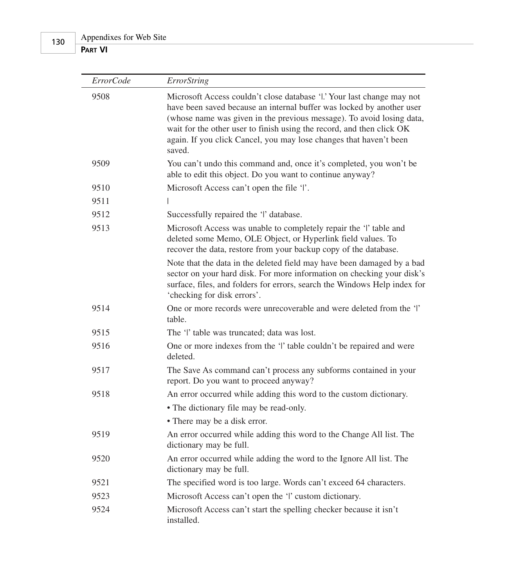| <b>ErrorCode</b> | ErrorString                                                                                                                                                                                                                                                                                                                                                                       |
|------------------|-----------------------------------------------------------------------------------------------------------------------------------------------------------------------------------------------------------------------------------------------------------------------------------------------------------------------------------------------------------------------------------|
| 9508             | Microsoft Access couldn't close database 'l.' Your last change may not<br>have been saved because an internal buffer was locked by another user<br>(whose name was given in the previous message). To avoid losing data,<br>wait for the other user to finish using the record, and then click OK<br>again. If you click Cancel, you may lose changes that haven't been<br>saved. |
| 9509             | You can't undo this command and, once it's completed, you won't be<br>able to edit this object. Do you want to continue anyway?                                                                                                                                                                                                                                                   |
| 9510             | Microsoft Access can't open the file 'l'.                                                                                                                                                                                                                                                                                                                                         |
| 9511             | I                                                                                                                                                                                                                                                                                                                                                                                 |
| 9512             | Successfully repaired the 'l' database.                                                                                                                                                                                                                                                                                                                                           |
| 9513             | Microsoft Access was unable to completely repair the 'l' table and<br>deleted some Memo, OLE Object, or Hyperlink field values. To<br>recover the data, restore from your backup copy of the database.                                                                                                                                                                            |
|                  | Note that the data in the deleted field may have been damaged by a bad<br>sector on your hard disk. For more information on checking your disk's<br>surface, files, and folders for errors, search the Windows Help index for<br>'checking for disk errors'.                                                                                                                      |
| 9514             | One or more records were unrecoverable and were deleted from the 'l'<br>table.                                                                                                                                                                                                                                                                                                    |
| 9515             | The 'l' table was truncated; data was lost.                                                                                                                                                                                                                                                                                                                                       |
| 9516             | One or more indexes from the 'l' table couldn't be repaired and were<br>deleted.                                                                                                                                                                                                                                                                                                  |
| 9517             | The Save As command can't process any subforms contained in your<br>report. Do you want to proceed anyway?                                                                                                                                                                                                                                                                        |
| 9518             | An error occurred while adding this word to the custom dictionary.                                                                                                                                                                                                                                                                                                                |
|                  | • The dictionary file may be read-only.                                                                                                                                                                                                                                                                                                                                           |
|                  | • There may be a disk error.                                                                                                                                                                                                                                                                                                                                                      |
| 9519             | An error occurred while adding this word to the Change All list. The<br>dictionary may be full.                                                                                                                                                                                                                                                                                   |
| 9520             | An error occurred while adding the word to the Ignore All list. The<br>dictionary may be full.                                                                                                                                                                                                                                                                                    |
| 9521             | The specified word is too large. Words can't exceed 64 characters.                                                                                                                                                                                                                                                                                                                |
| 9523             | Microsoft Access can't open the 'l' custom dictionary.                                                                                                                                                                                                                                                                                                                            |
| 9524             | Microsoft Access can't start the spelling checker because it isn't<br>installed.                                                                                                                                                                                                                                                                                                  |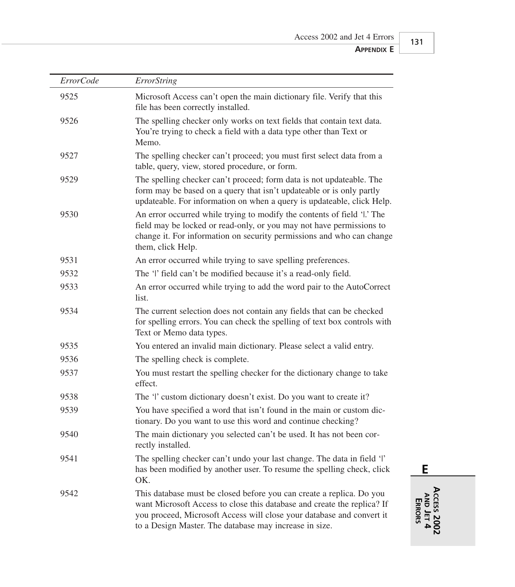| <b>ErrorCode</b> | ErrorString                                                                                                                                                                                                                                                                        |
|------------------|------------------------------------------------------------------------------------------------------------------------------------------------------------------------------------------------------------------------------------------------------------------------------------|
| 9525             | Microsoft Access can't open the main dictionary file. Verify that this<br>file has been correctly installed.                                                                                                                                                                       |
| 9526             | The spelling checker only works on text fields that contain text data.<br>You're trying to check a field with a data type other than Text or<br>Memo.                                                                                                                              |
| 9527             | The spelling checker can't proceed; you must first select data from a<br>table, query, view, stored procedure, or form.                                                                                                                                                            |
| 9529             | The spelling checker can't proceed; form data is not updateable. The<br>form may be based on a query that isn't updateable or is only partly<br>updateable. For information on when a query is updateable, click Help.                                                             |
| 9530             | An error occurred while trying to modify the contents of field 'l.' The<br>field may be locked or read-only, or you may not have permissions to<br>change it. For information on security permissions and who can change<br>them, click Help.                                      |
| 9531             | An error occurred while trying to save spelling preferences.                                                                                                                                                                                                                       |
| 9532             | The 'l' field can't be modified because it's a read-only field.                                                                                                                                                                                                                    |
| 9533             | An error occurred while trying to add the word pair to the AutoCorrect<br>list.                                                                                                                                                                                                    |
| 9534             | The current selection does not contain any fields that can be checked<br>for spelling errors. You can check the spelling of text box controls with<br>Text or Memo data types.                                                                                                     |
| 9535             | You entered an invalid main dictionary. Please select a valid entry.                                                                                                                                                                                                               |
| 9536             | The spelling check is complete.                                                                                                                                                                                                                                                    |
| 9537             | You must restart the spelling checker for the dictionary change to take<br>effect.                                                                                                                                                                                                 |
| 9538             | The 'l' custom dictionary doesn't exist. Do you want to create it?                                                                                                                                                                                                                 |
| 9539             | You have specified a word that isn't found in the main or custom dic-<br>tionary. Do you want to use this word and continue checking?                                                                                                                                              |
| 9540             | The main dictionary you selected can't be used. It has not been cor-<br>rectly installed.                                                                                                                                                                                          |
| 9541             | The spelling checker can't undo your last change. The data in field 'l'<br>has been modified by another user. To resume the spelling check, click<br>OK.                                                                                                                           |
| 9542             | This database must be closed before you can create a replica. Do you<br>want Microsoft Access to close this database and create the replica? If<br>you proceed, Microsoft Access will close your database and convert it<br>to a Design Master. The database may increase in size. |

L.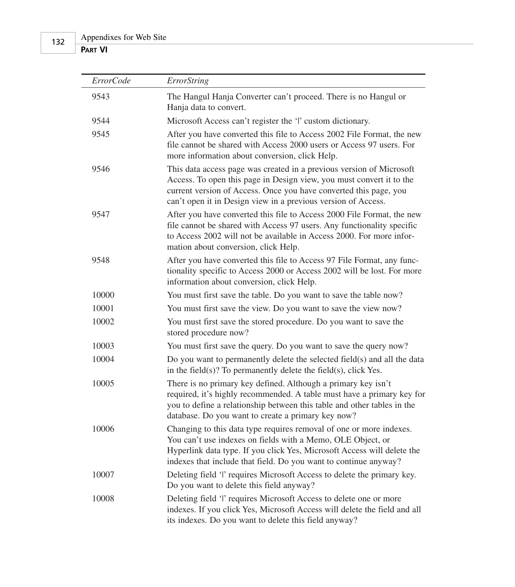| <b>ErrorCode</b> | ErrorString                                                                                                                                                                                                                                                                        |
|------------------|------------------------------------------------------------------------------------------------------------------------------------------------------------------------------------------------------------------------------------------------------------------------------------|
| 9543             | The Hangul Hanja Converter can't proceed. There is no Hangul or<br>Hanja data to convert.                                                                                                                                                                                          |
| 9544             | Microsoft Access can't register the 'l' custom dictionary.                                                                                                                                                                                                                         |
| 9545             | After you have converted this file to Access 2002 File Format, the new<br>file cannot be shared with Access 2000 users or Access 97 users. For<br>more information about conversion, click Help.                                                                                   |
| 9546             | This data access page was created in a previous version of Microsoft<br>Access. To open this page in Design view, you must convert it to the<br>current version of Access. Once you have converted this page, you<br>can't open it in Design view in a previous version of Access. |
| 9547             | After you have converted this file to Access 2000 File Format, the new<br>file cannot be shared with Access 97 users. Any functionality specific<br>to Access 2002 will not be available in Access 2000. For more infor-<br>mation about conversion, click Help.                   |
| 9548             | After you have converted this file to Access 97 File Format, any func-<br>tionality specific to Access 2000 or Access 2002 will be lost. For more<br>information about conversion, click Help.                                                                                     |
| 10000            | You must first save the table. Do you want to save the table now?                                                                                                                                                                                                                  |
| 10001            | You must first save the view. Do you want to save the view now?                                                                                                                                                                                                                    |
| 10002            | You must first save the stored procedure. Do you want to save the<br>stored procedure now?                                                                                                                                                                                         |
| 10003            | You must first save the query. Do you want to save the query now?                                                                                                                                                                                                                  |
| 10004            | Do you want to permanently delete the selected field(s) and all the data<br>in the field(s)? To permanently delete the field(s), click Yes.                                                                                                                                        |
| 10005            | There is no primary key defined. Although a primary key isn't<br>required, it's highly recommended. A table must have a primary key for<br>you to define a relationship between this table and other tables in the<br>database. Do you want to create a primary key now?           |
| 10006            | Changing to this data type requires removal of one or more indexes.<br>You can't use indexes on fields with a Memo, OLE Object, or<br>Hyperlink data type. If you click Yes, Microsoft Access will delete the<br>indexes that include that field. Do you want to continue anyway?  |
| 10007            | Deleting field 'l' requires Microsoft Access to delete the primary key.<br>Do you want to delete this field anyway?                                                                                                                                                                |
| 10008            | Deleting field 'l' requires Microsoft Access to delete one or more<br>indexes. If you click Yes, Microsoft Access will delete the field and all<br>its indexes. Do you want to delete this field anyway?                                                                           |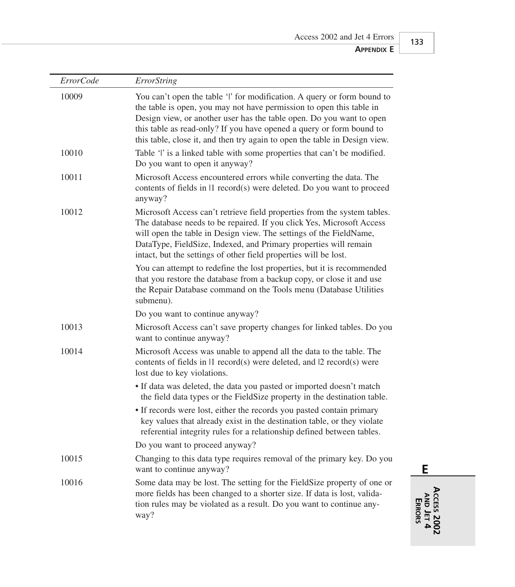| <b>ErrorCode</b> | ErrorString                                                                                                                                                                                                                                                                                                                                                                   |
|------------------|-------------------------------------------------------------------------------------------------------------------------------------------------------------------------------------------------------------------------------------------------------------------------------------------------------------------------------------------------------------------------------|
| 10009            | You can't open the table 'l' for modification. A query or form bound to<br>the table is open, you may not have permission to open this table in<br>Design view, or another user has the table open. Do you want to open<br>this table as read-only? If you have opened a query or form bound to<br>this table, close it, and then try again to open the table in Design view. |
| 10010            | Table 'l' is a linked table with some properties that can't be modified.<br>Do you want to open it anyway?                                                                                                                                                                                                                                                                    |
| 10011            | Microsoft Access encountered errors while converting the data. The<br>contents of fields in $ 1 \text{ record}(s)$ were deleted. Do you want to proceed<br>anyway?                                                                                                                                                                                                            |
| 10012            | Microsoft Access can't retrieve field properties from the system tables.<br>The database needs to be repaired. If you click Yes, Microsoft Access<br>will open the table in Design view. The settings of the FieldName,<br>DataType, FieldSize, Indexed, and Primary properties will remain<br>intact, but the settings of other field properties will be lost.               |
|                  | You can attempt to redefine the lost properties, but it is recommended<br>that you restore the database from a backup copy, or close it and use<br>the Repair Database command on the Tools menu (Database Utilities<br>submenu).                                                                                                                                             |
|                  | Do you want to continue anyway?                                                                                                                                                                                                                                                                                                                                               |
| 10013            | Microsoft Access can't save property changes for linked tables. Do you<br>want to continue anyway?                                                                                                                                                                                                                                                                            |
| 10014            | Microsoft Access was unable to append all the data to the table. The<br>contents of fields in 11 record(s) were deleted, and 12 record(s) were<br>lost due to key violations.                                                                                                                                                                                                 |
|                  | • If data was deleted, the data you pasted or imported doesn't match<br>the field data types or the FieldSize property in the destination table.                                                                                                                                                                                                                              |
|                  | • If records were lost, either the records you pasted contain primary<br>key values that already exist in the destination table, or they violate<br>referential integrity rules for a relationship defined between tables.                                                                                                                                                    |
|                  | Do you want to proceed anyway?                                                                                                                                                                                                                                                                                                                                                |
| 10015            | Changing to this data type requires removal of the primary key. Do you<br>want to continue anyway?                                                                                                                                                                                                                                                                            |
| 10016            | Some data may be lost. The setting for the FieldSize property of one or<br>more fields has been changed to a shorter size. If data is lost, valida-<br>tion rules may be violated as a result. Do you want to continue any-<br>way?                                                                                                                                           |

L,

133

**E**

**AND JET 4 ERRORS** **ACCESS**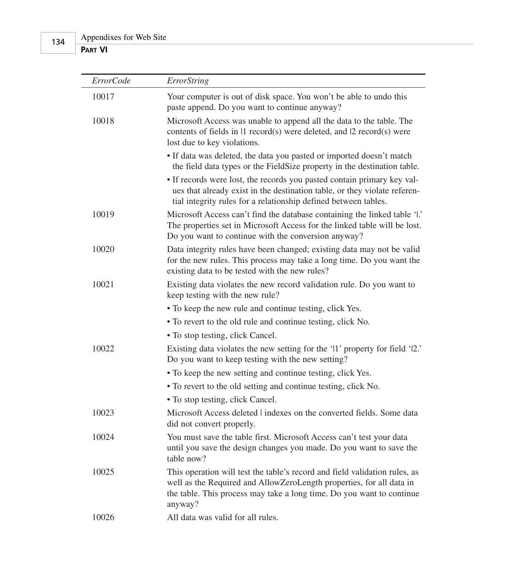| <b>ErrorCode</b> | ErrorString                                                                                                                                                                                                                            |
|------------------|----------------------------------------------------------------------------------------------------------------------------------------------------------------------------------------------------------------------------------------|
| 10017            | Your computer is out of disk space. You won't be able to undo this<br>paste append. Do you want to continue anyway?                                                                                                                    |
| 10018            | Microsoft Access was unable to append all the data to the table. The<br>contents of fields in 11 record(s) were deleted, and 12 record(s) were<br>lost due to key violations.                                                          |
|                  | • If data was deleted, the data you pasted or imported doesn't match<br>the field data types or the FieldSize property in the destination table.                                                                                       |
|                  | • If records were lost, the records you pasted contain primary key val-<br>ues that already exist in the destination table, or they violate referen-<br>tial integrity rules for a relationship defined between tables.                |
| 10019            | Microsoft Access can't find the database containing the linked table 'l.'<br>The properties set in Microsoft Access for the linked table will be lost.<br>Do you want to continue with the conversion anyway?                          |
| 10020            | Data integrity rules have been changed; existing data may not be valid<br>for the new rules. This process may take a long time. Do you want the<br>existing data to be tested with the new rules?                                      |
| 10021            | Existing data violates the new record validation rule. Do you want to<br>keep testing with the new rule?                                                                                                                               |
|                  | • To keep the new rule and continue testing, click Yes.                                                                                                                                                                                |
|                  | • To revert to the old rule and continue testing, click No.                                                                                                                                                                            |
|                  | • To stop testing, click Cancel.                                                                                                                                                                                                       |
| 10022            | Existing data violates the new setting for the '11' property for field '12.'<br>Do you want to keep testing with the new setting?                                                                                                      |
|                  | • To keep the new setting and continue testing, click Yes.                                                                                                                                                                             |
|                  | • To revert to the old setting and continue testing, click No.                                                                                                                                                                         |
|                  | • To stop testing, click Cancel.                                                                                                                                                                                                       |
| 10023            | Microsoft Access deleted   indexes on the converted fields. Some data<br>did not convert properly.                                                                                                                                     |
| 10024            | You must save the table first. Microsoft Access can't test your data<br>until you save the design changes you made. Do you want to save the<br>table now?                                                                              |
| 10025            | This operation will test the table's record and field validation rules, as<br>well as the Required and AllowZeroLength properties, for all data in<br>the table. This process may take a long time. Do you want to continue<br>anyway? |
| 10026            | All data was valid for all rules.                                                                                                                                                                                                      |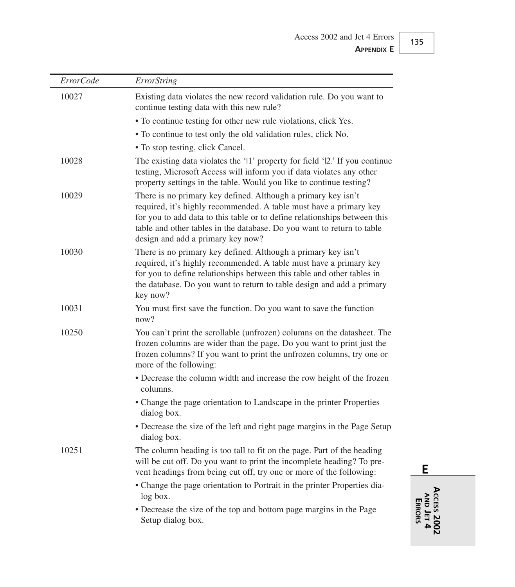| <b>ErrorCode</b> | ErrorString                                                                                                                                                                                                                                                                                                                     |
|------------------|---------------------------------------------------------------------------------------------------------------------------------------------------------------------------------------------------------------------------------------------------------------------------------------------------------------------------------|
| 10027            | Existing data violates the new record validation rule. Do you want to<br>continue testing data with this new rule?                                                                                                                                                                                                              |
|                  | • To continue testing for other new rule violations, click Yes.                                                                                                                                                                                                                                                                 |
|                  | • To continue to test only the old validation rules, click No.                                                                                                                                                                                                                                                                  |
|                  | • To stop testing, click Cancel.                                                                                                                                                                                                                                                                                                |
| 10028            | The existing data violates the 'll' property for field 'l2.' If you continue<br>testing, Microsoft Access will inform you if data violates any other<br>property settings in the table. Would you like to continue testing?                                                                                                     |
| 10029            | There is no primary key defined. Although a primary key isn't<br>required, it's highly recommended. A table must have a primary key<br>for you to add data to this table or to define relationships between this<br>table and other tables in the database. Do you want to return to table<br>design and add a primary key now? |
| 10030            | There is no primary key defined. Although a primary key isn't<br>required, it's highly recommended. A table must have a primary key<br>for you to define relationships between this table and other tables in<br>the database. Do you want to return to table design and add a primary<br>key now?                              |
| 10031            | You must first save the function. Do you want to save the function<br>now?                                                                                                                                                                                                                                                      |
| 10250            | You can't print the scrollable (unfrozen) columns on the datasheet. The<br>frozen columns are wider than the page. Do you want to print just the<br>frozen columns? If you want to print the unfrozen columns, try one or<br>more of the following:                                                                             |
|                  | • Decrease the column width and increase the row height of the frozen<br>columns.                                                                                                                                                                                                                                               |
|                  | • Change the page orientation to Landscape in the printer Properties<br>dialog box.                                                                                                                                                                                                                                             |
|                  | • Decrease the size of the left and right page margins in the Page Setup<br>dialog box.                                                                                                                                                                                                                                         |
| 10251            | The column heading is too tall to fit on the page. Part of the heading<br>will be cut off. Do you want to print the incomplete heading? To pre-<br>vent headings from being cut off, try one or more of the following:                                                                                                          |
|                  | • Change the page orientation to Portrait in the printer Properties dia-<br>log box.                                                                                                                                                                                                                                            |
|                  | • Decrease the size of the top and bottom page margins in the Page<br>Setup dialog box.                                                                                                                                                                                                                                         |

 $\sim$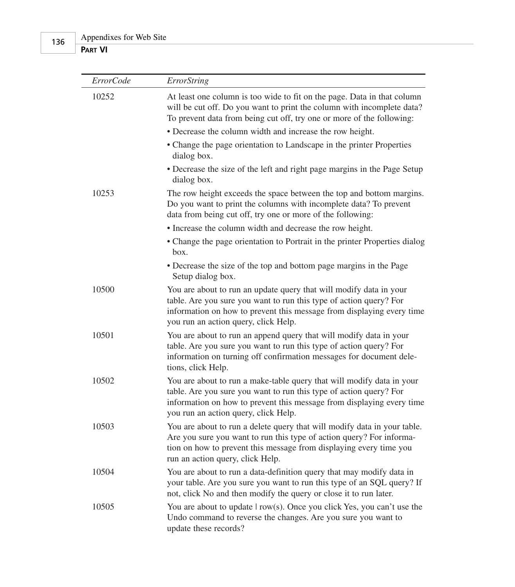| <b>ErrorCode</b> | ErrorString                                                                                                                                                                                                                                                  |
|------------------|--------------------------------------------------------------------------------------------------------------------------------------------------------------------------------------------------------------------------------------------------------------|
| 10252            | At least one column is too wide to fit on the page. Data in that column<br>will be cut off. Do you want to print the column with incomplete data?<br>To prevent data from being cut off, try one or more of the following:                                   |
|                  | • Decrease the column width and increase the row height.                                                                                                                                                                                                     |
|                  | • Change the page orientation to Landscape in the printer Properties<br>dialog box.                                                                                                                                                                          |
|                  | • Decrease the size of the left and right page margins in the Page Setup<br>dialog box.                                                                                                                                                                      |
| 10253            | The row height exceeds the space between the top and bottom margins.<br>Do you want to print the columns with incomplete data? To prevent<br>data from being cut off, try one or more of the following:                                                      |
|                  | · Increase the column width and decrease the row height.                                                                                                                                                                                                     |
|                  | • Change the page orientation to Portrait in the printer Properties dialog<br>box.                                                                                                                                                                           |
|                  | • Decrease the size of the top and bottom page margins in the Page<br>Setup dialog box.                                                                                                                                                                      |
| 10500            | You are about to run an update query that will modify data in your<br>table. Are you sure you want to run this type of action query? For<br>information on how to prevent this message from displaying every time<br>you run an action query, click Help.    |
| 10501            | You are about to run an append query that will modify data in your<br>table. Are you sure you want to run this type of action query? For<br>information on turning off confirmation messages for document dele-<br>tions, click Help.                        |
| 10502            | You are about to run a make-table query that will modify data in your<br>table. Are you sure you want to run this type of action query? For<br>information on how to prevent this message from displaying every time<br>you run an action query, click Help. |
| 10503            | You are about to run a delete query that will modify data in your table.<br>Are you sure you want to run this type of action query? For informa-<br>tion on how to prevent this message from displaying every time you<br>run an action query, click Help.   |
| 10504            | You are about to run a data-definition query that may modify data in<br>your table. Are you sure you want to run this type of an SQL query? If<br>not, click No and then modify the query or close it to run later.                                          |
| 10505            | You are about to update   row(s). Once you click Yes, you can't use the<br>Undo command to reverse the changes. Are you sure you want to<br>update these records?                                                                                            |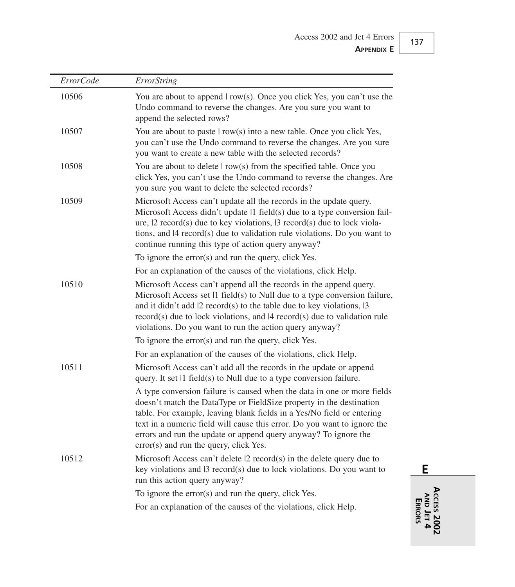| <b>ErrorCode</b> | ErrorString                                                                                                                                                                                                                                                                                                                                                                                                       |
|------------------|-------------------------------------------------------------------------------------------------------------------------------------------------------------------------------------------------------------------------------------------------------------------------------------------------------------------------------------------------------------------------------------------------------------------|
| 10506            | You are about to append $ row(s)$ . Once you click Yes, you can't use the<br>Undo command to reverse the changes. Are you sure you want to<br>append the selected rows?                                                                                                                                                                                                                                           |
| 10507            | You are about to paste $ \text{row}(s) $ into a new table. Once you click Yes,<br>you can't use the Undo command to reverse the changes. Are you sure<br>you want to create a new table with the selected records?                                                                                                                                                                                                |
| 10508            | You are about to delete $  row(s)$ from the specified table. Once you<br>click Yes, you can't use the Undo command to reverse the changes. Are<br>you sure you want to delete the selected records?                                                                                                                                                                                                               |
| 10509            | Microsoft Access can't update all the records in the update query.<br>Microsoft Access didn't update l1 field(s) due to a type conversion fail-<br>ure, $ 2 \text{ record}(s)$ due to key violations, $ 3 \text{ record}(s)$ due to lock viola-<br>tions, and  4 record(s) due to validation rule violations. Do you want to<br>continue running this type of action query anyway?                                |
|                  | To ignore the error(s) and run the query, click Yes.                                                                                                                                                                                                                                                                                                                                                              |
|                  | For an explanation of the causes of the violations, click Help.                                                                                                                                                                                                                                                                                                                                                   |
| 10510            | Microsoft Access can't append all the records in the append query.<br>Microsoft Access set 11 field(s) to Null due to a type conversion failure,<br>and it didn't add $ 2 \text{ record}(s)$ to the table due to key violations, $ 3 \rangle$<br>$record(s)$ due to lock violations, and $ 4 \text{ record}(s)$ due to validation rule<br>violations. Do you want to run the action query anyway?                 |
|                  | To ignore the error(s) and run the query, click Yes.                                                                                                                                                                                                                                                                                                                                                              |
|                  | For an explanation of the causes of the violations, click Help.                                                                                                                                                                                                                                                                                                                                                   |
| 10511            | Microsoft Access can't add all the records in the update or append<br>query. It set $ 1$ field(s) to Null due to a type conversion failure.                                                                                                                                                                                                                                                                       |
|                  | A type conversion failure is caused when the data in one or more fields<br>doesn't match the DataType or FieldSize property in the destination<br>table. For example, leaving blank fields in a Yes/No field or entering<br>text in a numeric field will cause this error. Do you want to ignore the<br>errors and run the update or append query anyway? To ignore the<br>error(s) and run the query, click Yes. |
| 10512            | Microsoft Access can't delete $ 2 \text{ record}(s) $ in the delete query due to<br>key violations and 13 record(s) due to lock violations. Do you want to<br>run this action query anyway?                                                                                                                                                                                                                       |
|                  | To ignore the error(s) and run the query, click Yes.                                                                                                                                                                                                                                                                                                                                                              |
|                  | For an explanation of the causes of the violations, click Help.                                                                                                                                                                                                                                                                                                                                                   |

**ACCESS 2002 AND JET 4 ERRORS**

**E**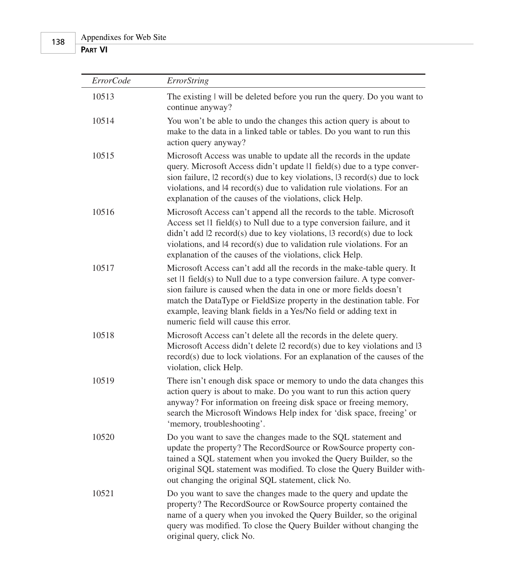| <b>ErrorCode</b> | ErrorString                                                                                                                                                                                                                                                                                                                                                                                                     |
|------------------|-----------------------------------------------------------------------------------------------------------------------------------------------------------------------------------------------------------------------------------------------------------------------------------------------------------------------------------------------------------------------------------------------------------------|
| 10513            | The existing I will be deleted before you run the query. Do you want to<br>continue anyway?                                                                                                                                                                                                                                                                                                                     |
| 10514            | You won't be able to undo the changes this action query is about to<br>make to the data in a linked table or tables. Do you want to run this<br>action query anyway?                                                                                                                                                                                                                                            |
| 10515            | Microsoft Access was unable to update all the records in the update<br>query. Microsoft Access didn't update l1 field(s) due to a type conver-<br>sion failure, 22 record(s) due to key violations, 13 record(s) due to lock<br>violations, and 14 record(s) due to validation rule violations. For an<br>explanation of the causes of the violations, click Help.                                              |
| 10516            | Microsoft Access can't append all the records to the table. Microsoft<br>Access set l1 field(s) to Null due to a type conversion failure, and it<br>$\text{d}$ idn't add $\text{12 record}(s)$ due to key violations, $\text{13 record}(s)$ due to lock<br>violations, and 14 record(s) due to validation rule violations. For an<br>explanation of the causes of the violations, click Help.                   |
| 10517            | Microsoft Access can't add all the records in the make-table query. It<br>set  1 field(s) to Null due to a type conversion failure. A type conver-<br>sion failure is caused when the data in one or more fields doesn't<br>match the DataType or FieldSize property in the destination table. For<br>example, leaving blank fields in a Yes/No field or adding text in<br>numeric field will cause this error. |
| 10518            | Microsoft Access can't delete all the records in the delete query.<br>Microsoft Access didn't delete  2 record(s) due to key violations and  3<br>record(s) due to lock violations. For an explanation of the causes of the<br>violation, click Help.                                                                                                                                                           |
| 10519            | There isn't enough disk space or memory to undo the data changes this<br>action query is about to make. Do you want to run this action query<br>anyway? For information on freeing disk space or freeing memory,<br>search the Microsoft Windows Help index for 'disk space, freeing' or<br>'memory, troubleshooting'.                                                                                          |
| 10520            | Do you want to save the changes made to the SQL statement and<br>update the property? The RecordSource or RowSource property con-<br>tained a SQL statement when you invoked the Query Builder, so the<br>original SQL statement was modified. To close the Query Builder with-<br>out changing the original SQL statement, click No.                                                                           |
| 10521            | Do you want to save the changes made to the query and update the<br>property? The RecordSource or RowSource property contained the<br>name of a query when you invoked the Query Builder, so the original<br>query was modified. To close the Query Builder without changing the<br>original query, click No.                                                                                                   |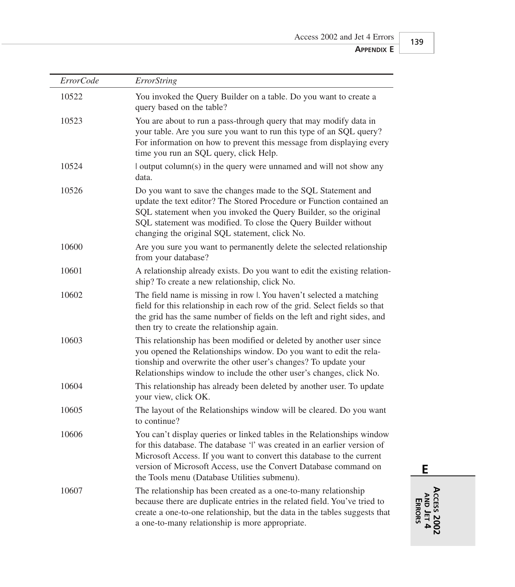| <i>ErrorCode</i> | ErrorString                                                                                                                                                                                                                                                                                                                                     |
|------------------|-------------------------------------------------------------------------------------------------------------------------------------------------------------------------------------------------------------------------------------------------------------------------------------------------------------------------------------------------|
| 10522            | You invoked the Query Builder on a table. Do you want to create a<br>query based on the table?                                                                                                                                                                                                                                                  |
| 10523            | You are about to run a pass-through query that may modify data in<br>your table. Are you sure you want to run this type of an SQL query?<br>For information on how to prevent this message from displaying every<br>time you run an SQL query, click Help.                                                                                      |
| 10524            | I output column(s) in the query were unnamed and will not show any<br>data.                                                                                                                                                                                                                                                                     |
| 10526            | Do you want to save the changes made to the SQL Statement and<br>update the text editor? The Stored Procedure or Function contained an<br>SQL statement when you invoked the Query Builder, so the original<br>SQL statement was modified. To close the Query Builder without<br>changing the original SQL statement, click No.                 |
| 10600            | Are you sure you want to permanently delete the selected relationship<br>from your database?                                                                                                                                                                                                                                                    |
| 10601            | A relationship already exists. Do you want to edit the existing relation-<br>ship? To create a new relationship, click No.                                                                                                                                                                                                                      |
| 10602            | The field name is missing in row l. You haven't selected a matching<br>field for this relationship in each row of the grid. Select fields so that<br>the grid has the same number of fields on the left and right sides, and<br>then try to create the relationship again.                                                                      |
| 10603            | This relationship has been modified or deleted by another user since<br>you opened the Relationships window. Do you want to edit the rela-<br>tionship and overwrite the other user's changes? To update your<br>Relationships window to include the other user's changes, click No.                                                            |
| 10604            | This relationship has already been deleted by another user. To update<br>your view, click OK.                                                                                                                                                                                                                                                   |
| 10605            | The layout of the Relationships window will be cleared. Do you want<br>to continue?                                                                                                                                                                                                                                                             |
| 10606            | You can't display queries or linked tables in the Relationships window<br>for this database. The database 'l' was created in an earlier version of<br>Microsoft Access. If you want to convert this database to the current<br>version of Microsoft Access, use the Convert Database command on<br>the Tools menu (Database Utilities submenu). |
| 10607            | The relationship has been created as a one-to-many relationship<br>because there are duplicate entries in the related field. You've tried to<br>create a one-to-one relationship, but the data in the tables suggests that<br>a one-to-many relationship is more appropriate.                                                                   |

**E ACCESS AND 4 ERRORS**

**JET**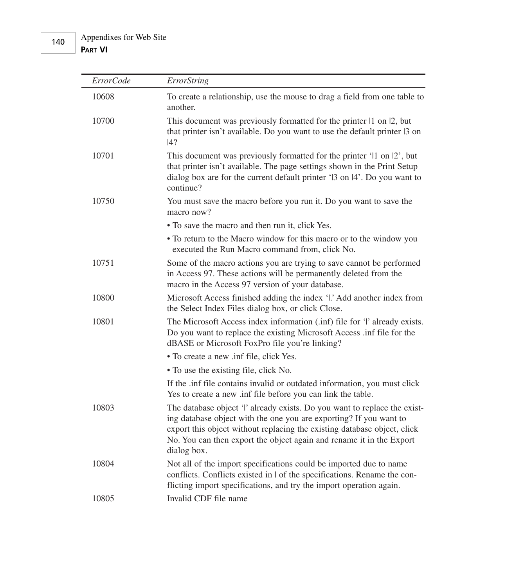| <b>ErrorCode</b> | ErrorString                                                                                                                                                                                                                                                                                                        |
|------------------|--------------------------------------------------------------------------------------------------------------------------------------------------------------------------------------------------------------------------------------------------------------------------------------------------------------------|
| 10608            | To create a relationship, use the mouse to drag a field from one table to<br>another.                                                                                                                                                                                                                              |
| 10700            | This document was previously formatted for the printer 11 on 12, but<br>that printer isn't available. Do you want to use the default printer 13 on<br> 4?                                                                                                                                                          |
| 10701            | This document was previously formatted for the printer 'll on l2', but<br>that printer isn't available. The page settings shown in the Print Setup<br>dialog box are for the current default printer ' 3 on  4'. Do you want to<br>continue?                                                                       |
| 10750            | You must save the macro before you run it. Do you want to save the<br>macro now?                                                                                                                                                                                                                                   |
|                  | • To save the macro and then run it, click Yes.                                                                                                                                                                                                                                                                    |
|                  | • To return to the Macro window for this macro or to the window you<br>executed the Run Macro command from, click No.                                                                                                                                                                                              |
| 10751            | Some of the macro actions you are trying to save cannot be performed<br>in Access 97. These actions will be permanently deleted from the<br>macro in the Access 97 version of your database.                                                                                                                       |
| 10800            | Microsoft Access finished adding the index 'l.' Add another index from<br>the Select Index Files dialog box, or click Close.                                                                                                                                                                                       |
| 10801            | The Microsoft Access index information (.inf) file for 'l' already exists.<br>Do you want to replace the existing Microsoft Access .inf file for the<br>dBASE or Microsoft FoxPro file you're linking?                                                                                                             |
|                  | • To create a new .inf file, click Yes.                                                                                                                                                                                                                                                                            |
|                  | • To use the existing file, click No.                                                                                                                                                                                                                                                                              |
|                  | If the .inf file contains invalid or outdated information, you must click<br>Yes to create a new .inf file before you can link the table.                                                                                                                                                                          |
| 10803            | The database object 'l' already exists. Do you want to replace the exist-<br>ing database object with the one you are exporting? If you want to<br>export this object without replacing the existing database object, click<br>No. You can then export the object again and rename it in the Export<br>dialog box. |
| 10804            | Not all of the import specifications could be imported due to name<br>conflicts. Conflicts existed in $\vert$ of the specifications. Rename the con-<br>flicting import specifications, and try the import operation again.                                                                                        |
| 10805            | Invalid CDF file name                                                                                                                                                                                                                                                                                              |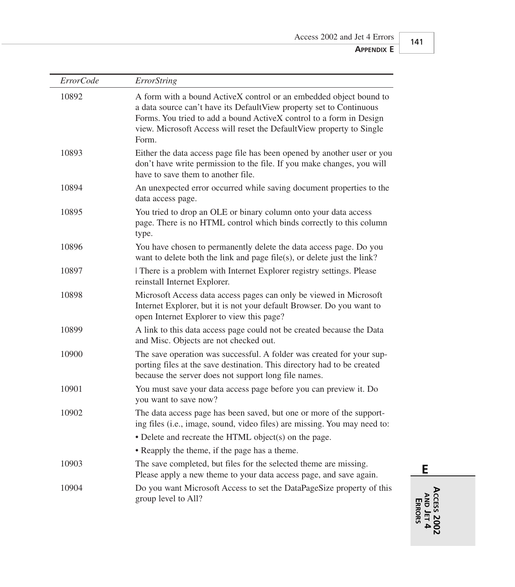| <b>ErrorCode</b> | ErrorString                                                                                                                                                                                                                                                                                       |
|------------------|---------------------------------------------------------------------------------------------------------------------------------------------------------------------------------------------------------------------------------------------------------------------------------------------------|
| 10892            | A form with a bound ActiveX control or an embedded object bound to<br>a data source can't have its DefaultView property set to Continuous<br>Forms. You tried to add a bound ActiveX control to a form in Design<br>view. Microsoft Access will reset the DefaultView property to Single<br>Form. |
| 10893            | Either the data access page file has been opened by another user or you<br>don't have write permission to the file. If you make changes, you will<br>have to save them to another file.                                                                                                           |
| 10894            | An unexpected error occurred while saving document properties to the<br>data access page.                                                                                                                                                                                                         |
| 10895            | You tried to drop an OLE or binary column onto your data access<br>page. There is no HTML control which binds correctly to this column<br>type.                                                                                                                                                   |
| 10896            | You have chosen to permanently delete the data access page. Do you<br>want to delete both the link and page file(s), or delete just the link?                                                                                                                                                     |
| 10897            | There is a problem with Internet Explorer registry settings. Please<br>reinstall Internet Explorer.                                                                                                                                                                                               |
| 10898            | Microsoft Access data access pages can only be viewed in Microsoft<br>Internet Explorer, but it is not your default Browser. Do you want to<br>open Internet Explorer to view this page?                                                                                                          |
| 10899            | A link to this data access page could not be created because the Data<br>and Misc. Objects are not checked out.                                                                                                                                                                                   |
| 10900            | The save operation was successful. A folder was created for your sup-<br>porting files at the save destination. This directory had to be created<br>because the server does not support long file names.                                                                                          |
| 10901            | You must save your data access page before you can preview it. Do<br>you want to save now?                                                                                                                                                                                                        |
| 10902            | The data access page has been saved, but one or more of the support-<br>ing files (i.e., image, sound, video files) are missing. You may need to:                                                                                                                                                 |
|                  | • Delete and recreate the HTML object(s) on the page.                                                                                                                                                                                                                                             |
| 10903            | • Reapply the theme, if the page has a theme.<br>The save completed, but files for the selected theme are missing.<br>Please apply a new theme to your data access page, and save again.                                                                                                          |
| 10904            | Do you want Microsoft Access to set the DataPageSize property of this<br>group level to All?                                                                                                                                                                                                      |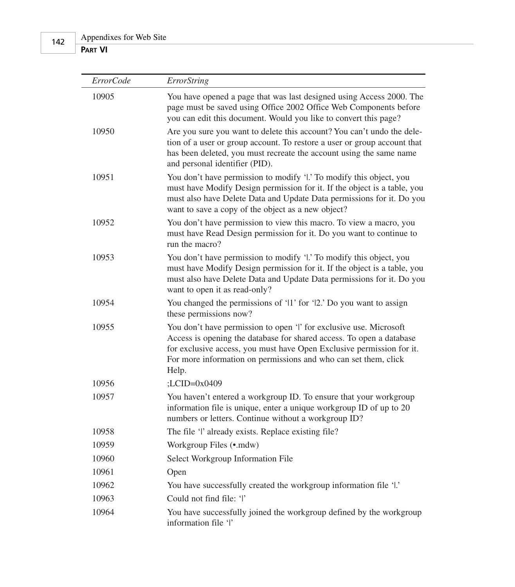| <i>ErrorCode</i> | ErrorString                                                                                                                                                                                                                                                                                     |
|------------------|-------------------------------------------------------------------------------------------------------------------------------------------------------------------------------------------------------------------------------------------------------------------------------------------------|
| 10905            | You have opened a page that was last designed using Access 2000. The<br>page must be saved using Office 2002 Office Web Components before<br>you can edit this document. Would you like to convert this page?                                                                                   |
| 10950            | Are you sure you want to delete this account? You can't undo the dele-<br>tion of a user or group account. To restore a user or group account that<br>has been deleted, you must recreate the account using the same name<br>and personal identifier (PID).                                     |
| 10951            | You don't have permission to modify 'l.' To modify this object, you<br>must have Modify Design permission for it. If the object is a table, you<br>must also have Delete Data and Update Data permissions for it. Do you<br>want to save a copy of the object as a new object?                  |
| 10952            | You don't have permission to view this macro. To view a macro, you<br>must have Read Design permission for it. Do you want to continue to<br>run the macro?                                                                                                                                     |
| 10953            | You don't have permission to modify 'l.' To modify this object, you<br>must have Modify Design permission for it. If the object is a table, you<br>must also have Delete Data and Update Data permissions for it. Do you<br>want to open it as read-only?                                       |
| 10954            | You changed the permissions of 'l1' for 'l2.' Do you want to assign<br>these permissions now?                                                                                                                                                                                                   |
| 10955            | You don't have permission to open 'l' for exclusive use. Microsoft<br>Access is opening the database for shared access. To open a database<br>for exclusive access, you must have Open Exclusive permission for it.<br>For more information on permissions and who can set them, click<br>Help. |
| 10956            | :LCID= $0x0409$                                                                                                                                                                                                                                                                                 |
| 10957            | You haven't entered a workgroup ID. To ensure that your workgroup<br>information file is unique, enter a unique workgroup ID of up to 20<br>numbers or letters. Continue without a workgroup ID?                                                                                                |
| 10958            | The file 'l' already exists. Replace existing file?                                                                                                                                                                                                                                             |
| 10959            | Workgroup Files (.mdw)                                                                                                                                                                                                                                                                          |
| 10960            | Select Workgroup Information File                                                                                                                                                                                                                                                               |
| 10961            | Open                                                                                                                                                                                                                                                                                            |
| 10962            | You have successfully created the workgroup information file 'l.'                                                                                                                                                                                                                               |
| 10963            | Could not find file: 'I'                                                                                                                                                                                                                                                                        |
| 10964            | You have successfully joined the workgroup defined by the workgroup<br>information file 'l'                                                                                                                                                                                                     |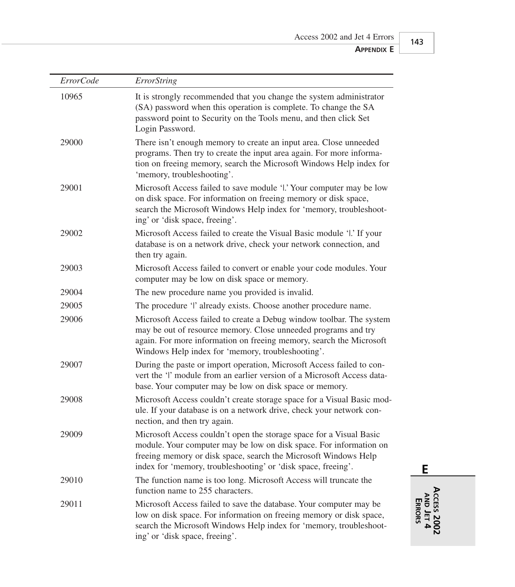| <b>ErrorCode</b> | ErrorString                                                                                                                                                                                                                                                                   |
|------------------|-------------------------------------------------------------------------------------------------------------------------------------------------------------------------------------------------------------------------------------------------------------------------------|
| 10965            | It is strongly recommended that you change the system administrator<br>(SA) password when this operation is complete. To change the SA<br>password point to Security on the Tools menu, and then click Set<br>Login Password.                                                 |
| 29000            | There isn't enough memory to create an input area. Close unneeded<br>programs. Then try to create the input area again. For more informa-<br>tion on freeing memory, search the Microsoft Windows Help index for<br>'memory, troubleshooting'.                                |
| 29001            | Microsoft Access failed to save module 'l.' Your computer may be low<br>on disk space. For information on freeing memory or disk space,<br>search the Microsoft Windows Help index for 'memory, troubleshoot-<br>ing' or 'disk space, freeing'.                               |
| 29002            | Microsoft Access failed to create the Visual Basic module 'l.' If your<br>database is on a network drive, check your network connection, and<br>then try again.                                                                                                               |
| 29003            | Microsoft Access failed to convert or enable your code modules. Your<br>computer may be low on disk space or memory.                                                                                                                                                          |
| 29004            | The new procedure name you provided is invalid.                                                                                                                                                                                                                               |
| 29005            | The procedure 'l' already exists. Choose another procedure name.                                                                                                                                                                                                              |
| 29006            | Microsoft Access failed to create a Debug window toolbar. The system<br>may be out of resource memory. Close unneeded programs and try<br>again. For more information on freeing memory, search the Microsoft<br>Windows Help index for 'memory, troubleshooting'.            |
| 29007            | During the paste or import operation, Microsoft Access failed to con-<br>vert the 'l' module from an earlier version of a Microsoft Access data-<br>base. Your computer may be low on disk space or memory.                                                                   |
| 29008            | Microsoft Access couldn't create storage space for a Visual Basic mod-<br>ule. If your database is on a network drive, check your network con-<br>nection, and then try again.                                                                                                |
| 29009            | Microsoft Access couldn't open the storage space for a Visual Basic<br>module. Your computer may be low on disk space. For information on<br>freeing memory or disk space, search the Microsoft Windows Help<br>index for 'memory, troubleshooting' or 'disk space, freeing'. |
| 29010            | The function name is too long. Microsoft Access will truncate the<br>function name to 255 characters.                                                                                                                                                                         |
| 29011            | Microsoft Access failed to save the database. Your computer may be<br>low on disk space. For information on freeing memory or disk space,<br>search the Microsoft Windows Help index for 'memory, troubleshoot-<br>ing' or 'disk space, freeing'.                             |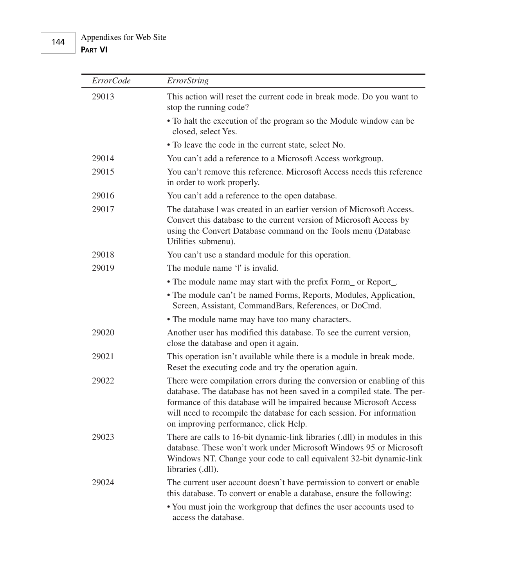| <b>ErrorCode</b> | ErrorString                                                                                                                                                                                                                                                                                                                                 |
|------------------|---------------------------------------------------------------------------------------------------------------------------------------------------------------------------------------------------------------------------------------------------------------------------------------------------------------------------------------------|
| 29013            | This action will reset the current code in break mode. Do you want to<br>stop the running code?                                                                                                                                                                                                                                             |
|                  | • To halt the execution of the program so the Module window can be<br>closed, select Yes.                                                                                                                                                                                                                                                   |
|                  | • To leave the code in the current state, select No.                                                                                                                                                                                                                                                                                        |
| 29014            | You can't add a reference to a Microsoft Access workgroup.                                                                                                                                                                                                                                                                                  |
| 29015            | You can't remove this reference. Microsoft Access needs this reference<br>in order to work properly.                                                                                                                                                                                                                                        |
| 29016            | You can't add a reference to the open database.                                                                                                                                                                                                                                                                                             |
| 29017            | The database I was created in an earlier version of Microsoft Access.<br>Convert this database to the current version of Microsoft Access by<br>using the Convert Database command on the Tools menu (Database<br>Utilities submenu).                                                                                                       |
| 29018            | You can't use a standard module for this operation.                                                                                                                                                                                                                                                                                         |
| 29019            | The module name 'l' is invalid.                                                                                                                                                                                                                                                                                                             |
|                  | • The module name may start with the prefix Form_ or Report_.                                                                                                                                                                                                                                                                               |
|                  | • The module can't be named Forms, Reports, Modules, Application,<br>Screen, Assistant, CommandBars, References, or DoCmd.                                                                                                                                                                                                                  |
|                  | • The module name may have too many characters.                                                                                                                                                                                                                                                                                             |
| 29020            | Another user has modified this database. To see the current version,<br>close the database and open it again.                                                                                                                                                                                                                               |
| 29021            | This operation isn't available while there is a module in break mode.<br>Reset the executing code and try the operation again.                                                                                                                                                                                                              |
| 29022            | There were compilation errors during the conversion or enabling of this<br>database. The database has not been saved in a compiled state. The per-<br>formance of this database will be impaired because Microsoft Access<br>will need to recompile the database for each session. For information<br>on improving performance, click Help. |
| 29023            | There are calls to 16-bit dynamic-link libraries (.dll) in modules in this<br>database. These won't work under Microsoft Windows 95 or Microsoft<br>Windows NT. Change your code to call equivalent 32-bit dynamic-link<br>libraries (.dll).                                                                                                |
| 29024            | The current user account doesn't have permission to convert or enable<br>this database. To convert or enable a database, ensure the following:                                                                                                                                                                                              |
|                  | • You must join the workgroup that defines the user accounts used to<br>access the database.                                                                                                                                                                                                                                                |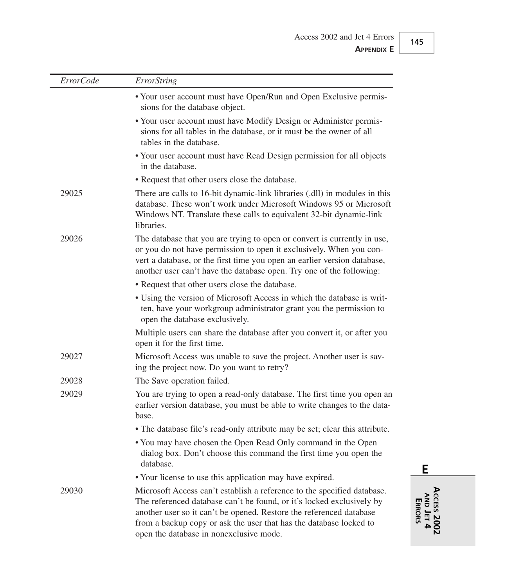| <i>ErrorCode</i> | ErrorString                                                                                                                                                                                                                                                                                                                              |
|------------------|------------------------------------------------------------------------------------------------------------------------------------------------------------------------------------------------------------------------------------------------------------------------------------------------------------------------------------------|
|                  | • Your user account must have Open/Run and Open Exclusive permis-<br>sions for the database object.                                                                                                                                                                                                                                      |
|                  | • Your user account must have Modify Design or Administer permis-<br>sions for all tables in the database, or it must be the owner of all<br>tables in the database.                                                                                                                                                                     |
|                  | • Your user account must have Read Design permission for all objects<br>in the database.                                                                                                                                                                                                                                                 |
|                  | • Request that other users close the database.                                                                                                                                                                                                                                                                                           |
| 29025            | There are calls to 16-bit dynamic-link libraries (.dll) in modules in this<br>database. These won't work under Microsoft Windows 95 or Microsoft<br>Windows NT. Translate these calls to equivalent 32-bit dynamic-link<br>libraries.                                                                                                    |
| 29026            | The database that you are trying to open or convert is currently in use,<br>or you do not have permission to open it exclusively. When you con-<br>vert a database, or the first time you open an earlier version database,<br>another user can't have the database open. Try one of the following:                                      |
|                  | • Request that other users close the database.                                                                                                                                                                                                                                                                                           |
|                  | • Using the version of Microsoft Access in which the database is writ-<br>ten, have your workgroup administrator grant you the permission to<br>open the database exclusively.                                                                                                                                                           |
|                  | Multiple users can share the database after you convert it, or after you<br>open it for the first time.                                                                                                                                                                                                                                  |
| 29027            | Microsoft Access was unable to save the project. Another user is sav-<br>ing the project now. Do you want to retry?                                                                                                                                                                                                                      |
| 29028            | The Save operation failed.                                                                                                                                                                                                                                                                                                               |
| 29029            | You are trying to open a read-only database. The first time you open an<br>earlier version database, you must be able to write changes to the data-<br>base.                                                                                                                                                                             |
|                  | • The database file's read-only attribute may be set; clear this attribute.                                                                                                                                                                                                                                                              |
|                  | • You may have chosen the Open Read Only command in the Open<br>dialog box. Don't choose this command the first time you open the<br>database.                                                                                                                                                                                           |
|                  | • Your license to use this application may have expired.                                                                                                                                                                                                                                                                                 |
| 29030            | Microsoft Access can't establish a reference to the specified database.<br>The referenced database can't be found, or it's locked exclusively by<br>another user so it can't be opened. Restore the referenced database<br>from a backup copy or ask the user that has the database locked to<br>open the database in nonexclusive mode. |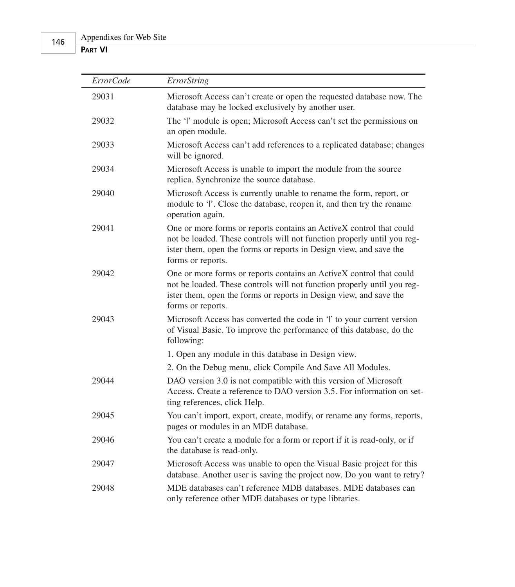| <b>ErrorCode</b> | ErrorString                                                                                                                                                                                                                               |
|------------------|-------------------------------------------------------------------------------------------------------------------------------------------------------------------------------------------------------------------------------------------|
| 29031            | Microsoft Access can't create or open the requested database now. The<br>database may be locked exclusively by another user.                                                                                                              |
| 29032            | The 'l' module is open; Microsoft Access can't set the permissions on<br>an open module.                                                                                                                                                  |
| 29033            | Microsoft Access can't add references to a replicated database; changes<br>will be ignored.                                                                                                                                               |
| 29034            | Microsoft Access is unable to import the module from the source<br>replica. Synchronize the source database.                                                                                                                              |
| 29040            | Microsoft Access is currently unable to rename the form, report, or<br>module to 'l'. Close the database, reopen it, and then try the rename<br>operation again.                                                                          |
| 29041            | One or more forms or reports contains an ActiveX control that could<br>not be loaded. These controls will not function properly until you reg-<br>ister them, open the forms or reports in Design view, and save the<br>forms or reports. |
| 29042            | One or more forms or reports contains an ActiveX control that could<br>not be loaded. These controls will not function properly until you reg-<br>ister them, open the forms or reports in Design view, and save the<br>forms or reports. |
| 29043            | Microsoft Access has converted the code in 'l' to your current version<br>of Visual Basic. To improve the performance of this database, do the<br>following:                                                                              |
|                  | 1. Open any module in this database in Design view.                                                                                                                                                                                       |
|                  | 2. On the Debug menu, click Compile And Save All Modules.                                                                                                                                                                                 |
| 29044            | DAO version 3.0 is not compatible with this version of Microsoft<br>Access. Create a reference to DAO version 3.5. For information on set-<br>ting references, click Help.                                                                |
| 29045            | You can't import, export, create, modify, or rename any forms, reports,<br>pages or modules in an MDE database.                                                                                                                           |
| 29046            | You can't create a module for a form or report if it is read-only, or if<br>the database is read-only.                                                                                                                                    |
| 29047            | Microsoft Access was unable to open the Visual Basic project for this<br>database. Another user is saving the project now. Do you want to retry?                                                                                          |
| 29048            | MDE databases can't reference MDB databases. MDE databases can<br>only reference other MDE databases or type libraries.                                                                                                                   |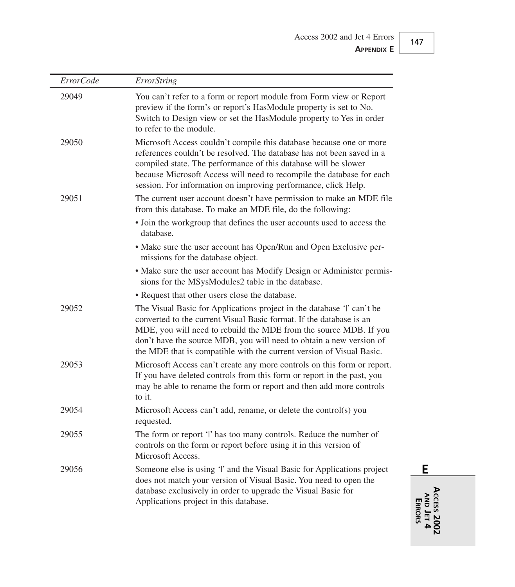147

| <b>ErrorCode</b> | ErrorString                                                                                                                                                                                                                                                                                                                                                       |
|------------------|-------------------------------------------------------------------------------------------------------------------------------------------------------------------------------------------------------------------------------------------------------------------------------------------------------------------------------------------------------------------|
| 29049            | You can't refer to a form or report module from Form view or Report<br>preview if the form's or report's HasModule property is set to No.<br>Switch to Design view or set the HasModule property to Yes in order<br>to refer to the module.                                                                                                                       |
| 29050            | Microsoft Access couldn't compile this database because one or more<br>references couldn't be resolved. The database has not been saved in a<br>compiled state. The performance of this database will be slower<br>because Microsoft Access will need to recompile the database for each<br>session. For information on improving performance, click Help.        |
| 29051            | The current user account doesn't have permission to make an MDE file<br>from this database. To make an MDE file, do the following:                                                                                                                                                                                                                                |
|                  | • Join the workgroup that defines the user accounts used to access the<br>database.                                                                                                                                                                                                                                                                               |
|                  | • Make sure the user account has Open/Run and Open Exclusive per-<br>missions for the database object.                                                                                                                                                                                                                                                            |
|                  | • Make sure the user account has Modify Design or Administer permis-<br>sions for the MSysModules2 table in the database.                                                                                                                                                                                                                                         |
|                  | • Request that other users close the database.                                                                                                                                                                                                                                                                                                                    |
| 29052            | The Visual Basic for Applications project in the database 'l' can't be<br>converted to the current Visual Basic format. If the database is an<br>MDE, you will need to rebuild the MDE from the source MDB. If you<br>don't have the source MDB, you will need to obtain a new version of<br>the MDE that is compatible with the current version of Visual Basic. |
| 29053            | Microsoft Access can't create any more controls on this form or report.<br>If you have deleted controls from this form or report in the past, you<br>may be able to rename the form or report and then add more controls<br>to it.                                                                                                                                |
| 29054            | Microsoft Access can't add, rename, or delete the control(s) you<br>requested.                                                                                                                                                                                                                                                                                    |
| 29055            | The form or report 'l' has too many controls. Reduce the number of<br>controls on the form or report before using it in this version of<br>Microsoft Access.                                                                                                                                                                                                      |
| 29056            | Someone else is using 'l' and the Visual Basic for Applications project<br>does not match your version of Visual Basic. You need to open the<br>database exclusively in order to upgrade the Visual Basic for<br>Applications project in this database.                                                                                                           |

 $\overline{a}$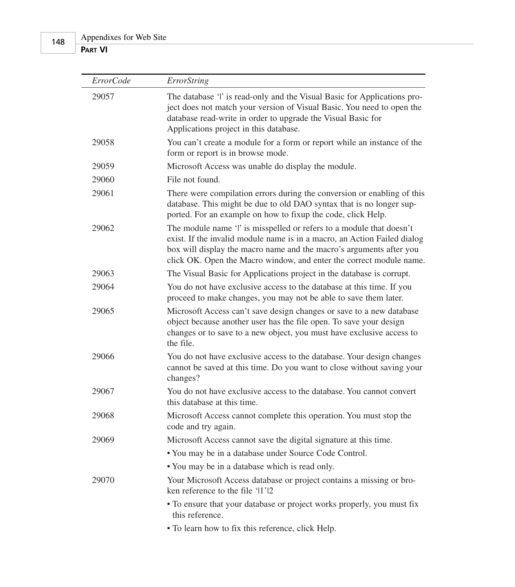| <b>ErrorCode</b> | ErrorString                                                                                                                                                                                                                                                                                    |
|------------------|------------------------------------------------------------------------------------------------------------------------------------------------------------------------------------------------------------------------------------------------------------------------------------------------|
| 29057            | The database 'l' is read-only and the Visual Basic for Applications pro-<br>ject does not match your version of Visual Basic. You need to open the<br>database read-write in order to upgrade the Visual Basic for<br>Applications project in this database.                                   |
| 29058            | You can't create a module for a form or report while an instance of the<br>form or report is in browse mode.                                                                                                                                                                                   |
| 29059            | Microsoft Access was unable do display the module.                                                                                                                                                                                                                                             |
| 29060            | File not found.                                                                                                                                                                                                                                                                                |
| 29061            | There were compilation errors during the conversion or enabling of this<br>database. This might be due to old DAO syntax that is no longer sup-<br>ported. For an example on how to fixup the code, click Help.                                                                                |
| 29062            | The module name 'l' is misspelled or refers to a module that doesn't<br>exist. If the invalid module name is in a macro, an Action Failed dialog<br>box will display the macro name and the macro's arguments after you<br>click OK. Open the Macro window, and enter the correct module name. |
| 29063            | The Visual Basic for Applications project in the database is corrupt.                                                                                                                                                                                                                          |
| 29064            | You do not have exclusive access to the database at this time. If you<br>proceed to make changes, you may not be able to save them later.                                                                                                                                                      |
| 29065            | Microsoft Access can't save design changes or save to a new database<br>object because another user has the file open. To save your design<br>changes or to save to a new object, you must have exclusive access to<br>the file.                                                               |
| 29066            | You do not have exclusive access to the database. Your design changes<br>cannot be saved at this time. Do you want to close without saving your<br>changes?                                                                                                                                    |
| 29067            | You do not have exclusive access to the database. You cannot convert<br>this database at this time.                                                                                                                                                                                            |
| 29068            | Microsoft Access cannot complete this operation. You must stop the<br>code and try again.                                                                                                                                                                                                      |
| 29069            | Microsoft Access cannot save the digital signature at this time.                                                                                                                                                                                                                               |
|                  | • You may be in a database under Source Code Control.                                                                                                                                                                                                                                          |
|                  | • You may be in a database which is read only.                                                                                                                                                                                                                                                 |
| 29070            | Your Microsoft Access database or project contains a missing or bro-<br>ken reference to the file '11' <sup>12</sup>                                                                                                                                                                           |
|                  | • To ensure that your database or project works properly, you must fix<br>this reference.                                                                                                                                                                                                      |
|                  | $\sim$ $\sim$ $\sim$ $\sim$<br>$-1$ $-1$<br>$\cdots$                                                                                                                                                                                                                                           |

• To learn how to fix this reference, click Help.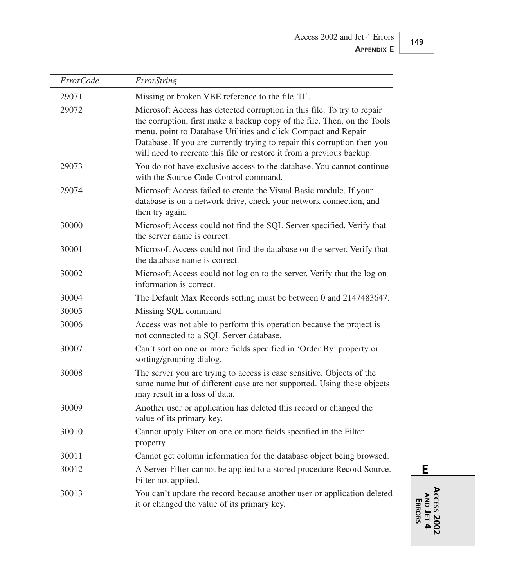149

| <b>ErrorCode</b> | ErrorString                                                                                                                                                                                                                                                                                                                                                                |
|------------------|----------------------------------------------------------------------------------------------------------------------------------------------------------------------------------------------------------------------------------------------------------------------------------------------------------------------------------------------------------------------------|
| 29071            | Missing or broken VBE reference to the file 'l1'.                                                                                                                                                                                                                                                                                                                          |
| 29072            | Microsoft Access has detected corruption in this file. To try to repair<br>the corruption, first make a backup copy of the file. Then, on the Tools<br>menu, point to Database Utilities and click Compact and Repair<br>Database. If you are currently trying to repair this corruption then you<br>will need to recreate this file or restore it from a previous backup. |
| 29073            | You do not have exclusive access to the database. You cannot continue<br>with the Source Code Control command.                                                                                                                                                                                                                                                             |
| 29074            | Microsoft Access failed to create the Visual Basic module. If your<br>database is on a network drive, check your network connection, and<br>then try again.                                                                                                                                                                                                                |
| 30000            | Microsoft Access could not find the SQL Server specified. Verify that<br>the server name is correct.                                                                                                                                                                                                                                                                       |
| 30001            | Microsoft Access could not find the database on the server. Verify that<br>the database name is correct.                                                                                                                                                                                                                                                                   |
| 30002            | Microsoft Access could not log on to the server. Verify that the log on<br>information is correct.                                                                                                                                                                                                                                                                         |
| 30004            | The Default Max Records setting must be between 0 and 2147483647.                                                                                                                                                                                                                                                                                                          |
| 30005            | Missing SQL command                                                                                                                                                                                                                                                                                                                                                        |
| 30006            | Access was not able to perform this operation because the project is<br>not connected to a SQL Server database.                                                                                                                                                                                                                                                            |
| 30007            | Can't sort on one or more fields specified in 'Order By' property or<br>sorting/grouping dialog.                                                                                                                                                                                                                                                                           |
| 30008            | The server you are trying to access is case sensitive. Objects of the<br>same name but of different case are not supported. Using these objects<br>may result in a loss of data.                                                                                                                                                                                           |
| 30009            | Another user or application has deleted this record or changed the<br>value of its primary key.                                                                                                                                                                                                                                                                            |
| 30010            | Cannot apply Filter on one or more fields specified in the Filter<br>property.                                                                                                                                                                                                                                                                                             |
| 30011            | Cannot get column information for the database object being browsed.                                                                                                                                                                                                                                                                                                       |
| 30012            | A Server Filter cannot be applied to a stored procedure Record Source.<br>Filter not applied.                                                                                                                                                                                                                                                                              |
| 30013            | You can't update the record because another user or application deleted<br>it or changed the value of its primary key.                                                                                                                                                                                                                                                     |

 $\overline{a}$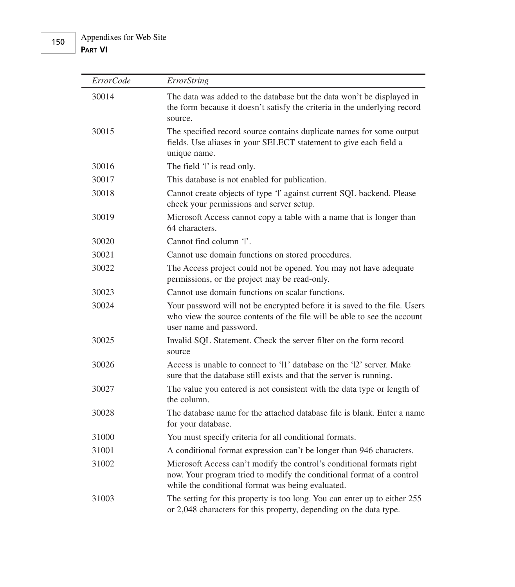| <b>ErrorCode</b> | ErrorString                                                                                                                                                                                         |
|------------------|-----------------------------------------------------------------------------------------------------------------------------------------------------------------------------------------------------|
| 30014            | The data was added to the database but the data won't be displayed in<br>the form because it doesn't satisfy the criteria in the underlying record<br>source.                                       |
| 30015            | The specified record source contains duplicate names for some output<br>fields. Use aliases in your SELECT statement to give each field a<br>unique name.                                           |
| 30016            | The field 'l' is read only.                                                                                                                                                                         |
| 30017            | This database is not enabled for publication.                                                                                                                                                       |
| 30018            | Cannot create objects of type 'l' against current SQL backend. Please<br>check your permissions and server setup.                                                                                   |
| 30019            | Microsoft Access cannot copy a table with a name that is longer than<br>64 characters.                                                                                                              |
| 30020            | Cannot find column 'l'.                                                                                                                                                                             |
| 30021            | Cannot use domain functions on stored procedures.                                                                                                                                                   |
| 30022            | The Access project could not be opened. You may not have adequate<br>permissions, or the project may be read-only.                                                                                  |
| 30023            | Cannot use domain functions on scalar functions.                                                                                                                                                    |
| 30024            | Your password will not be encrypted before it is saved to the file. Users<br>who view the source contents of the file will be able to see the account<br>user name and password.                    |
| 30025            | Invalid SQL Statement. Check the server filter on the form record<br>source                                                                                                                         |
| 30026            | Access is unable to connect to '11' database on the '12' server. Make<br>sure that the database still exists and that the server is running.                                                        |
| 30027            | The value you entered is not consistent with the data type or length of<br>the column.                                                                                                              |
| 30028            | The database name for the attached database file is blank. Enter a name<br>for your database.                                                                                                       |
| 31000            | You must specify criteria for all conditional formats.                                                                                                                                              |
| 31001            | A conditional format expression can't be longer than 946 characters.                                                                                                                                |
| 31002            | Microsoft Access can't modify the control's conditional formats right<br>now. Your program tried to modify the conditional format of a control<br>while the conditional format was being evaluated. |
| 31003            | The setting for this property is too long. You can enter up to either 255<br>or 2,048 characters for this property, depending on the data type.                                                     |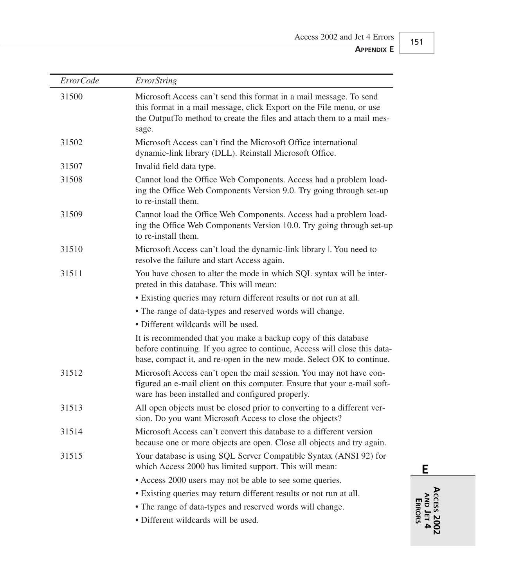| <b>ErrorCode</b> | ErrorString                                                                                                                                                                                                                   |
|------------------|-------------------------------------------------------------------------------------------------------------------------------------------------------------------------------------------------------------------------------|
| 31500            | Microsoft Access can't send this format in a mail message. To send<br>this format in a mail message, click Export on the File menu, or use<br>the OutputTo method to create the files and attach them to a mail mes-<br>sage. |
| 31502            | Microsoft Access can't find the Microsoft Office international<br>dynamic-link library (DLL). Reinstall Microsoft Office.                                                                                                     |
| 31507            | Invalid field data type.                                                                                                                                                                                                      |
| 31508            | Cannot load the Office Web Components. Access had a problem load-<br>ing the Office Web Components Version 9.0. Try going through set-up<br>to re-install them.                                                               |
| 31509            | Cannot load the Office Web Components. Access had a problem load-<br>ing the Office Web Components Version 10.0. Try going through set-up<br>to re-install them.                                                              |
| 31510            | Microsoft Access can't load the dynamic-link library l. You need to<br>resolve the failure and start Access again.                                                                                                            |
| 31511            | You have chosen to alter the mode in which SQL syntax will be inter-<br>preted in this database. This will mean:                                                                                                              |
|                  | • Existing queries may return different results or not run at all.                                                                                                                                                            |
|                  | • The range of data-types and reserved words will change.                                                                                                                                                                     |
|                  | • Different wildcards will be used.                                                                                                                                                                                           |
|                  | It is recommended that you make a backup copy of this database<br>before continuing. If you agree to continue, Access will close this data-<br>base, compact it, and re-open in the new mode. Select OK to continue.          |
| 31512            | Microsoft Access can't open the mail session. You may not have con-<br>figured an e-mail client on this computer. Ensure that your e-mail soft-<br>ware has been installed and configured properly.                           |
| 31513            | All open objects must be closed prior to converting to a different ver-<br>sion. Do you want Microsoft Access to close the objects?                                                                                           |
| 31514            | Microsoft Access can't convert this database to a different version<br>because one or more objects are open. Close all objects and try again.                                                                                 |
| 31515            | Your database is using SQL Server Compatible Syntax (ANSI 92) for<br>which Access 2000 has limited support. This will mean:                                                                                                   |
|                  | • Access 2000 users may not be able to see some queries.                                                                                                                                                                      |
|                  | • Existing queries may return different results or not run at all.                                                                                                                                                            |
|                  | • The range of data-types and reserved words will change.                                                                                                                                                                     |
|                  | • Different wildcards will be used.                                                                                                                                                                                           |

 $\overline{a}$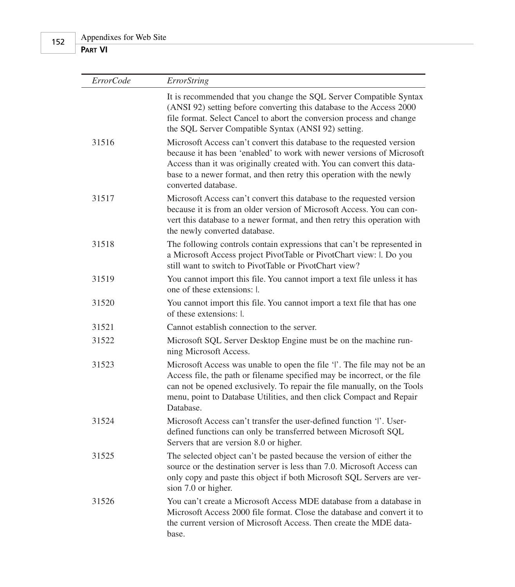| <b>ErrorCode</b> | ErrorString                                                                                                                                                                                                                                                                                                              |
|------------------|--------------------------------------------------------------------------------------------------------------------------------------------------------------------------------------------------------------------------------------------------------------------------------------------------------------------------|
|                  | It is recommended that you change the SQL Server Compatible Syntax<br>(ANSI 92) setting before converting this database to the Access 2000<br>file format. Select Cancel to abort the conversion process and change<br>the SQL Server Compatible Syntax (ANSI 92) setting.                                               |
| 31516            | Microsoft Access can't convert this database to the requested version<br>because it has been 'enabled' to work with newer versions of Microsoft<br>Access than it was originally created with. You can convert this data-<br>base to a newer format, and then retry this operation with the newly<br>converted database. |
| 31517            | Microsoft Access can't convert this database to the requested version<br>because it is from an older version of Microsoft Access. You can con-<br>vert this database to a newer format, and then retry this operation with<br>the newly converted database.                                                              |
| 31518            | The following controls contain expressions that can't be represented in<br>a Microsoft Access project PivotTable or PivotChart view: l. Do you<br>still want to switch to PivotTable or PivotChart view?                                                                                                                 |
| 31519            | You cannot import this file. You cannot import a text file unless it has<br>one of these extensions: I.                                                                                                                                                                                                                  |
| 31520            | You cannot import this file. You cannot import a text file that has one<br>of these extensions: l.                                                                                                                                                                                                                       |
| 31521            | Cannot establish connection to the server.                                                                                                                                                                                                                                                                               |
| 31522            | Microsoft SQL Server Desktop Engine must be on the machine run-<br>ning Microsoft Access.                                                                                                                                                                                                                                |
| 31523            | Microsoft Access was unable to open the file 'l'. The file may not be an<br>Access file, the path or filename specified may be incorrect, or the file<br>can not be opened exclusively. To repair the file manually, on the Tools<br>menu, point to Database Utilities, and then click Compact and Repair<br>Database.   |
| 31524            | Microsoft Access can't transfer the user-defined function 'l'. User-<br>defined functions can only be transferred between Microsoft SQL<br>Servers that are version 8.0 or higher.                                                                                                                                       |
| 31525            | The selected object can't be pasted because the version of either the<br>source or the destination server is less than 7.0. Microsoft Access can<br>only copy and paste this object if both Microsoft SQL Servers are ver-<br>sion 7.0 or higher.                                                                        |
| 31526            | You can't create a Microsoft Access MDE database from a database in<br>Microsoft Access 2000 file format. Close the database and convert it to<br>the current version of Microsoft Access. Then create the MDE data-<br>base.                                                                                            |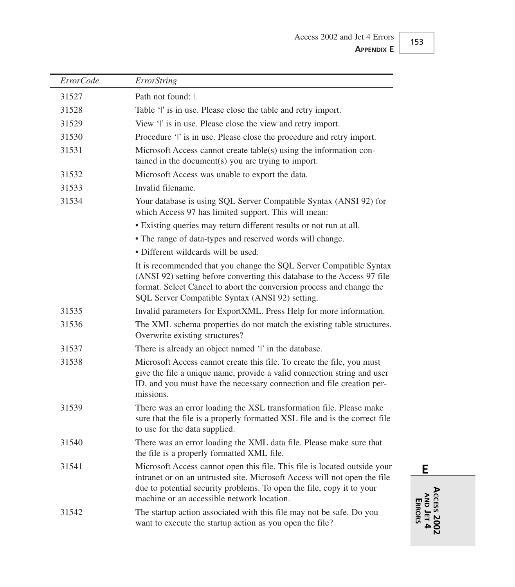**APPENDIX E**

| <b>ErrorCode</b> | ErrorString                                                                                                                                                                                                                                                                   |
|------------------|-------------------------------------------------------------------------------------------------------------------------------------------------------------------------------------------------------------------------------------------------------------------------------|
| 31527            | Path not found: l.                                                                                                                                                                                                                                                            |
| 31528            | Table 'l' is in use. Please close the table and retry import.                                                                                                                                                                                                                 |
| 31529            | View 'l' is in use. Please close the view and retry import.                                                                                                                                                                                                                   |
| 31530            | Procedure 'l' is in use. Please close the procedure and retry import.                                                                                                                                                                                                         |
| 31531            | Microsoft Access cannot create table(s) using the information con-<br>tained in the document(s) you are trying to import.                                                                                                                                                     |
| 31532            | Microsoft Access was unable to export the data.                                                                                                                                                                                                                               |
| 31533            | Invalid filename.                                                                                                                                                                                                                                                             |
| 31534            | Your database is using SQL Server Compatible Syntax (ANSI 92) for<br>which Access 97 has limited support. This will mean:                                                                                                                                                     |
|                  | • Existing queries may return different results or not run at all.                                                                                                                                                                                                            |
|                  | • The range of data-types and reserved words will change.                                                                                                                                                                                                                     |
|                  | • Different wildcards will be used.                                                                                                                                                                                                                                           |
|                  | It is recommended that you change the SQL Server Compatible Syntax<br>(ANSI 92) setting before converting this database to the Access 97 file<br>format. Select Cancel to abort the conversion process and change the<br>SQL Server Compatible Syntax (ANSI 92) setting.      |
| 31535            | Invalid parameters for ExportXML. Press Help for more information.                                                                                                                                                                                                            |
| 31536            | The XML schema properties do not match the existing table structures.<br>Overwrite existing structures?                                                                                                                                                                       |
| 31537            | There is already an object named 'l' in the database.                                                                                                                                                                                                                         |
| 31538            | Microsoft Access cannot create this file. To create the file, you must<br>give the file a unique name, provide a valid connection string and user<br>ID, and you must have the necessary connection and file creation per-<br>missions.                                       |
| 31539            | There was an error loading the XSL transformation file. Please make<br>sure that the file is a properly formatted XSL file and is the correct file<br>to use for the data supplied.                                                                                           |
| 31540            | There was an error loading the XML data file. Please make sure that<br>the file is a properly formatted XML file.                                                                                                                                                             |
| 31541            | Microsoft Access cannot open this file. This file is located outside your<br>intranet or on an untrusted site. Microsoft Access will not open the file<br>due to potential security problems. To open the file, copy it to your<br>machine or an accessible network location. |
| 31542            | The startup action associated with this file may not be safe. Do you<br>want to execute the startup action as you open the file?                                                                                                                                              |